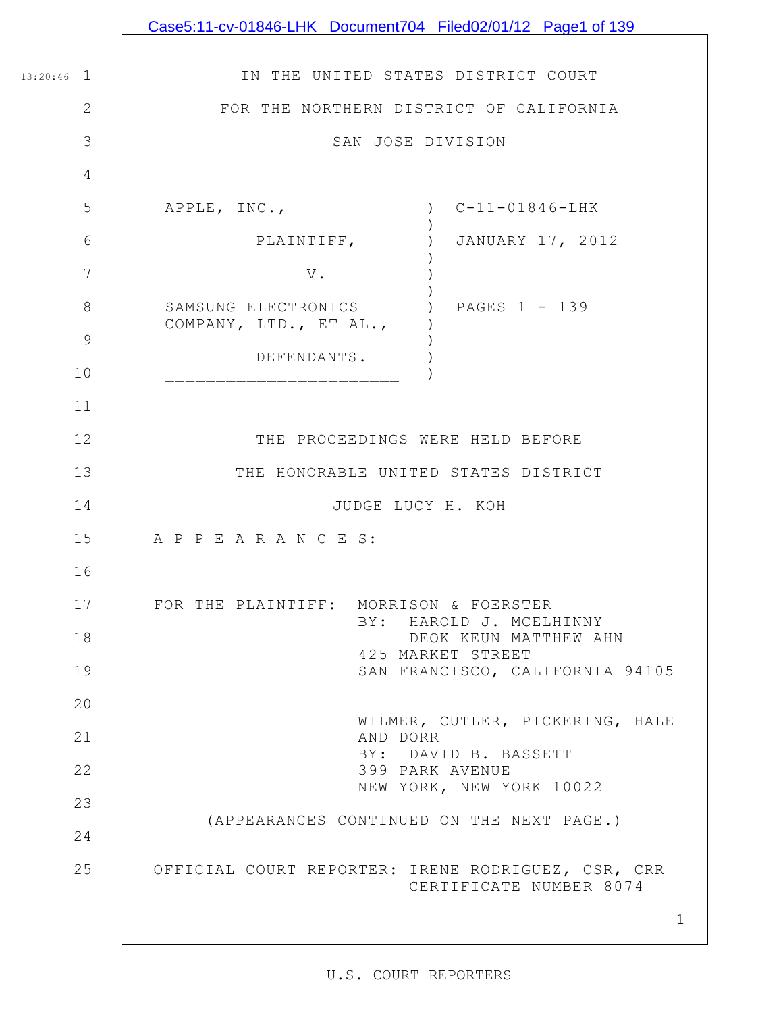|                | Case5:11-cv-01846-LHK Document704 Filed02/01/12 Page1 of 139                  |
|----------------|-------------------------------------------------------------------------------|
|                |                                                                               |
| $13:20:46$ 1   | IN THE UNITED STATES DISTRICT COURT                                           |
| 2              | FOR THE NORTHERN DISTRICT OF CALIFORNIA                                       |
| 3              | SAN JOSE DIVISION                                                             |
| $\overline{4}$ |                                                                               |
| 5              | $C-11-01846-LHK$<br>APPLE, INC.,                                              |
| 6              | JANUARY 17, 2012<br>PLAINTIFF,                                                |
| $\overline{7}$ | $\mathbf V$ .                                                                 |
| 8              | SAMSUNG ELECTRONICS<br>) PAGES 1 - 139<br>COMPANY, LTD., ET AL.,              |
| $\mathcal{G}$  | DEFENDANTS.                                                                   |
| 10             |                                                                               |
| 11             |                                                                               |
| 12             | THE PROCEEDINGS WERE HELD BEFORE                                              |
| 13             | THE HONORABLE UNITED STATES DISTRICT                                          |
| 14             | JUDGE LUCY H. KOH                                                             |
| 15             | A P P E A R A N C E S:                                                        |
| 16             |                                                                               |
| 17             | FOR THE PLAINTIFF: MORRISON & FOERSTER<br>HAROLD J. MCELHINNY<br>BY:          |
| 18             | DEOK KEUN MATTHEW AHN<br>425 MARKET STREET                                    |
| 19             | SAN FRANCISCO, CALIFORNIA 94105                                               |
| 20             | WILMER, CUTLER, PICKERING, HALE                                               |
| 21             | AND DORR<br>BY: DAVID B. BASSETT                                              |
| 22             | 399 PARK AVENUE<br>NEW YORK, NEW YORK 10022                                   |
| 23             | (APPEARANCES CONTINUED ON THE NEXT PAGE.)                                     |
| 24             |                                                                               |
| 25             | OFFICIAL COURT REPORTER: IRENE RODRIGUEZ, CSR, CRR<br>CERTIFICATE NUMBER 8074 |
|                | $\mathbf{1}$                                                                  |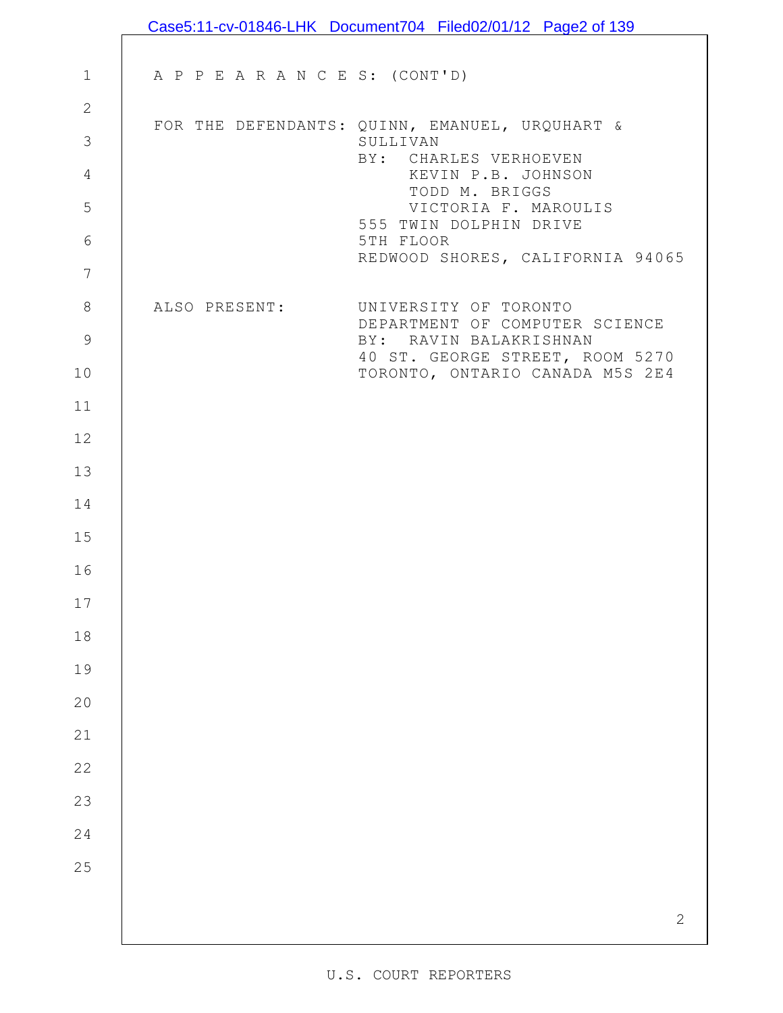|                | Case5:11-cv-01846-LHK Document704 Filed02/01/12 Page2 of 139             |
|----------------|--------------------------------------------------------------------------|
|                |                                                                          |
| $\mathbf{1}$   | A P P E A R A N C E S: (CONT'D)                                          |
| 2              | FOR THE DEFENDANTS: QUINN, EMANUEL, URQUHART &                           |
| 3              | SULLIVAN<br>BY: CHARLES VERHOEVEN                                        |
| $\overline{4}$ | KEVIN P.B. JOHNSON<br>TODD M. BRIGGS                                     |
| 5              | VICTORIA F. MAROULIS<br>555 TWIN DOLPHIN DRIVE                           |
| 6              | 5TH FLOOR<br>REDWOOD SHORES, CALIFORNIA 94065                            |
| $7\phantom{.}$ |                                                                          |
| $8\,$          | ALSO PRESENT:<br>UNIVERSITY OF TORONTO<br>DEPARTMENT OF COMPUTER SCIENCE |
| $\mathsf 9$    | BY: RAVIN BALAKRISHNAN                                                   |
| 10             | 40 ST. GEORGE STREET, ROOM 5270<br>TORONTO, ONTARIO CANADA M5S 2E4       |
| 11             |                                                                          |
| 12             |                                                                          |
| 13             |                                                                          |
| 14             |                                                                          |
| 15             |                                                                          |
| 16             |                                                                          |
| 17             |                                                                          |
| 18             |                                                                          |
| 19             |                                                                          |
| 20             |                                                                          |
| 21             |                                                                          |
| 22             |                                                                          |
| 23             |                                                                          |
| 24             |                                                                          |
| 25             |                                                                          |
|                |                                                                          |
|                | $\sqrt{2}$                                                               |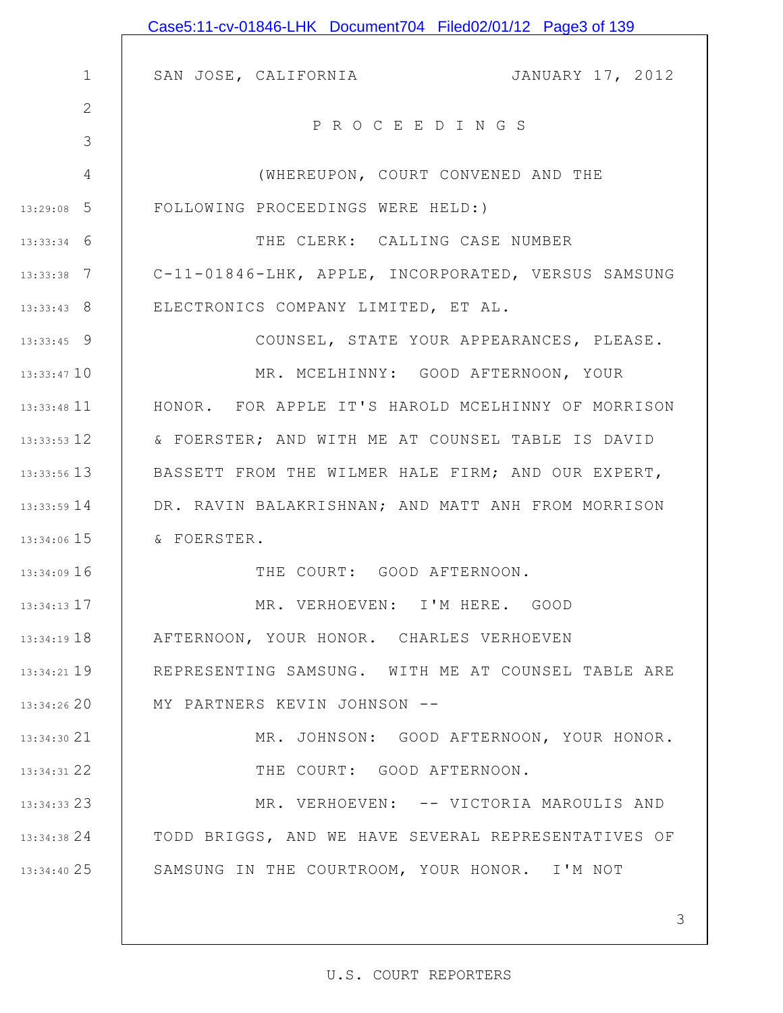|                 | Case5:11-cv-01846-LHK Document704 Filed02/01/12 Page3 of 139 |
|-----------------|--------------------------------------------------------------|
|                 |                                                              |
| $\mathbf 1$     | SAN JOSE, CALIFORNIA (JANUARY 17, 2012)                      |
| $\mathbf{2}$    | PROCEEDINGS                                                  |
| 3               |                                                              |
| 4               | (WHEREUPON, COURT CONVENED AND THE                           |
| $13:29:08$ 5    | FOLLOWING PROCEEDINGS WERE HELD:)                            |
| $13:33:34$ 6    | THE CLERK: CALLING CASE NUMBER                               |
| $13:33:38$ 7    | C-11-01846-LHK, APPLE, INCORPORATED, VERSUS SAMSUNG          |
| $13:33:43$ 8    | ELECTRONICS COMPANY LIMITED, ET AL.                          |
| $13:33:45$ 9    | COUNSEL, STATE YOUR APPEARANCES, PLEASE.                     |
| $13:33:47$ 10   | MR. MCELHINNY: GOOD AFTERNOON, YOUR                          |
| $13:33:48$ 11   | HONOR. FOR APPLE IT'S HAROLD MCELHINNY OF MORRISON           |
| $13:33:53$ 12   | & FOERSTER; AND WITH ME AT COUNSEL TABLE IS DAVID            |
| $13:33:56$ 13   | BASSETT FROM THE WILMER HALE FIRM; AND OUR EXPERT,           |
| $13:33:59$ $14$ | DR. RAVIN BALAKRISHNAN; AND MATT ANH FROM MORRISON           |
| $13:34:06$ 15   | & FOERSTER.                                                  |
| 13:34:09 16     | THE COURT: GOOD AFTERNOON.                                   |
| 13:34:13 17     | MR. VERHOEVEN: I'M HERE. GOOD                                |
| 13:34:19 18     | AFTERNOON, YOUR HONOR. CHARLES VERHOEVEN                     |
| 13:34:21 19     | REPRESENTING SAMSUNG. WITH ME AT COUNSEL TABLE ARE           |
| 13:34:26 20     | MY PARTNERS KEVIN JOHNSON --                                 |
| 13:34:30 21     | MR. JOHNSON: GOOD AFTERNOON, YOUR HONOR.                     |
| 13:34:31 22     | THE COURT: GOOD AFTERNOON.                                   |
| 13:34:33 23     | MR. VERHOEVEN: -- VICTORIA MAROULIS AND                      |
| 13:34:38 24     | TODD BRIGGS, AND WE HAVE SEVERAL REPRESENTATIVES OF          |
| 13:34:40 25     | SAMSUNG IN THE COURTROOM, YOUR HONOR. I'M NOT                |
|                 |                                                              |
|                 | 3                                                            |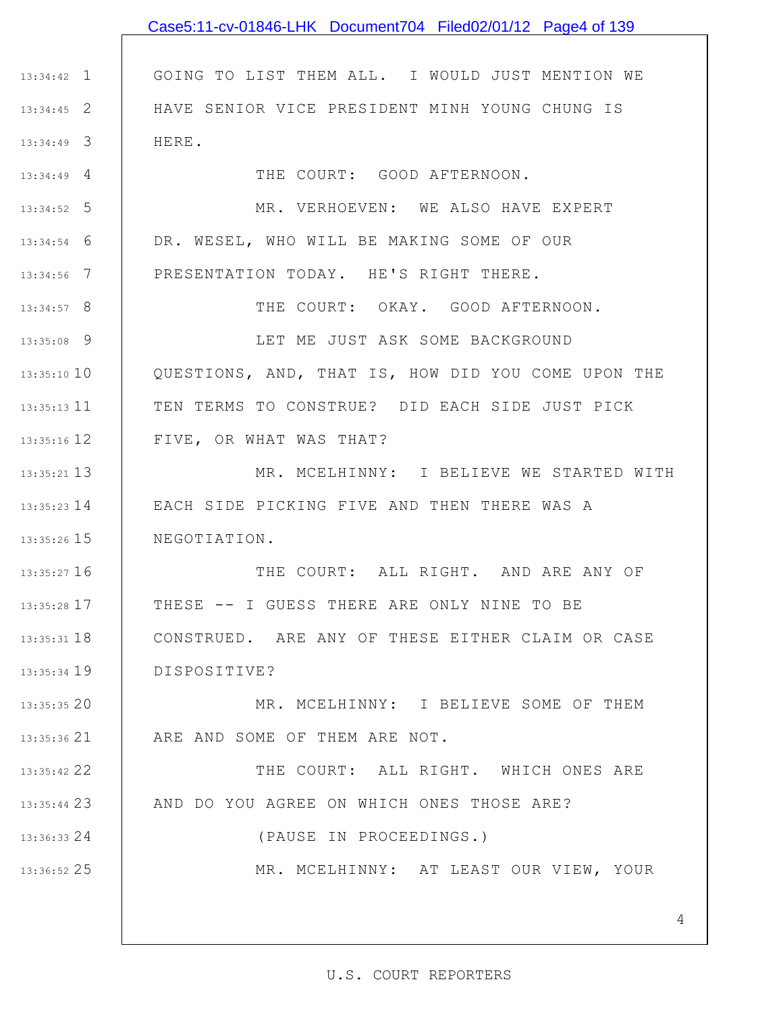|                 | Case5:11-cv-01846-LHK Document704 Filed02/01/12 Page4 of 139 |
|-----------------|--------------------------------------------------------------|
|                 |                                                              |
| $13:34:42$ 1    | GOING TO LIST THEM ALL. I WOULD JUST MENTION WE              |
| $13:34:45$ 2    | HAVE SENIOR VICE PRESIDENT MINH YOUNG CHUNG IS               |
| $13:34:49$ 3    | HERE.                                                        |
| $13:34:49$ 4    | THE COURT: GOOD AFTERNOON.                                   |
| $13:34:52$ 5    | MR. VERHOEVEN: WE ALSO HAVE EXPERT                           |
| $13:34:54$ 6    | DR. WESEL, WHO WILL BE MAKING SOME OF OUR                    |
| $13:34:56$ 7    | PRESENTATION TODAY. HE'S RIGHT THERE.                        |
| $13:34:57$ 8    | THE COURT: OKAY. GOOD AFTERNOON.                             |
| $13:35:08$ 9    | LET ME JUST ASK SOME BACKGROUND                              |
| $13:35:10$ 10   | QUESTIONS, AND, THAT IS, HOW DID YOU COME UPON THE           |
| $13:35:13$ $11$ | TEN TERMS TO CONSTRUE? DID EACH SIDE JUST PICK               |
| $13:35:16$ 12   | FIVE, OR WHAT WAS THAT?                                      |
| $13:35:21$ 13   | MR. MCELHINNY: I BELIEVE WE STARTED WITH                     |
| 13:35:23 14     | EACH SIDE PICKING FIVE AND THEN THERE WAS A                  |
| $13:35:26$ 15   | NEGOTIATION.                                                 |
| 13:35:27 16     | THE COURT: ALL RIGHT. AND ARE ANY OF                         |
| 13:35:28 17     | THESE -- I GUESS THERE ARE ONLY NINE TO BE                   |
| 13:35:31 18     | CONSTRUED. ARE ANY OF THESE EITHER CLAIM OR CASE             |
| $13:35:34$ 19   | DISPOSITIVE?                                                 |
| 13:35:35 20     | MR. MCELHINNY: I BELIEVE SOME OF THEM                        |
| 13:35:36 21     | ARE AND SOME OF THEM ARE NOT.                                |
| 13:35:42 22     | THE COURT: ALL RIGHT. WHICH ONES ARE                         |
| 13:35:44 23     | AND DO YOU AGREE ON WHICH ONES THOSE ARE?                    |
| 13:36:33 24     | (PAUSE IN PROCEEDINGS.)                                      |
| 13:36:52 25     | MR. MCELHINNY: AT LEAST OUR VIEW, YOUR                       |
|                 |                                                              |
|                 | 4                                                            |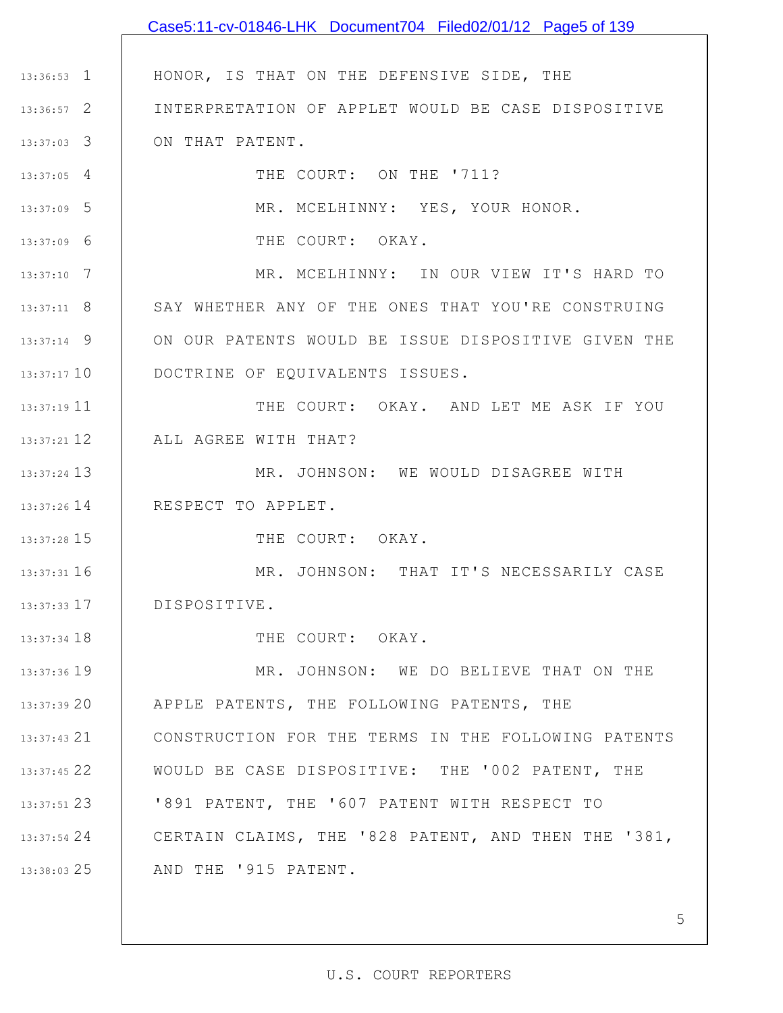|                 | Case5:11-cv-01846-LHK Document704 Filed02/01/12 Page5 of 139 |
|-----------------|--------------------------------------------------------------|
|                 |                                                              |
| $13:36:53$ 1    | HONOR, IS THAT ON THE DEFENSIVE SIDE, THE                    |
| $13:36:57$ 2    | INTERPRETATION OF APPLET WOULD BE CASE DISPOSITIVE           |
| $13:37:03$ 3    | ON THAT PATENT.                                              |
| $13:37:05$ 4    | THE COURT: ON THE '711?                                      |
| $13:37:09$ 5    | MR. MCELHINNY: YES, YOUR HONOR.                              |
| $13:37:09$ 6    | THE COURT: OKAY.                                             |
| $13:37:10$ 7    | MR. MCELHINNY: IN OUR VIEW IT'S HARD TO                      |
| $13:37:11$ 8    | SAY WHETHER ANY OF THE ONES THAT YOU'RE CONSTRUING           |
| $13:37:14$ 9    | ON OUR PATENTS WOULD BE ISSUE DISPOSITIVE GIVEN THE          |
| $13:37:17$ $10$ | DOCTRINE OF EQUIVALENTS ISSUES.                              |
| $13:37:19$ 11   | THE COURT: OKAY. AND LET ME ASK IF YOU                       |
| 13:37:21 12     | ALL AGREE WITH THAT?                                         |
| $13:37:24$ 13   | MR. JOHNSON: WE WOULD DISAGREE WITH                          |
| 13:37:26 14     | RESPECT TO APPLET.                                           |
| 13:37:28 15     | THE COURT: OKAY.                                             |
| $13:37:31$ 16   | MR. JOHNSON: THAT IT'S NECESSARILY CASE                      |
| 13:37:33 17     | DISPOSITIVE.                                                 |
| $13:37:34$ 18   | THE COURT: OKAY.                                             |
| 13:37:36 19     | MR. JOHNSON: WE DO BELIEVE THAT ON THE                       |
| 13:37:39 20     | APPLE PATENTS, THE FOLLOWING PATENTS, THE                    |
| 13:37:43 21     | CONSTRUCTION FOR THE TERMS IN THE FOLLOWING PATENTS          |
| $13:37:45$ 22   | WOULD BE CASE DISPOSITIVE: THE '002 PATENT, THE              |
| 13:37:51 23     | '891 PATENT, THE '607 PATENT WITH RESPECT TO                 |
| 13:37:54 24     | CERTAIN CLAIMS, THE '828 PATENT, AND THEN THE '381,          |
| 13:38:03 25     | AND THE '915 PATENT.                                         |
|                 |                                                              |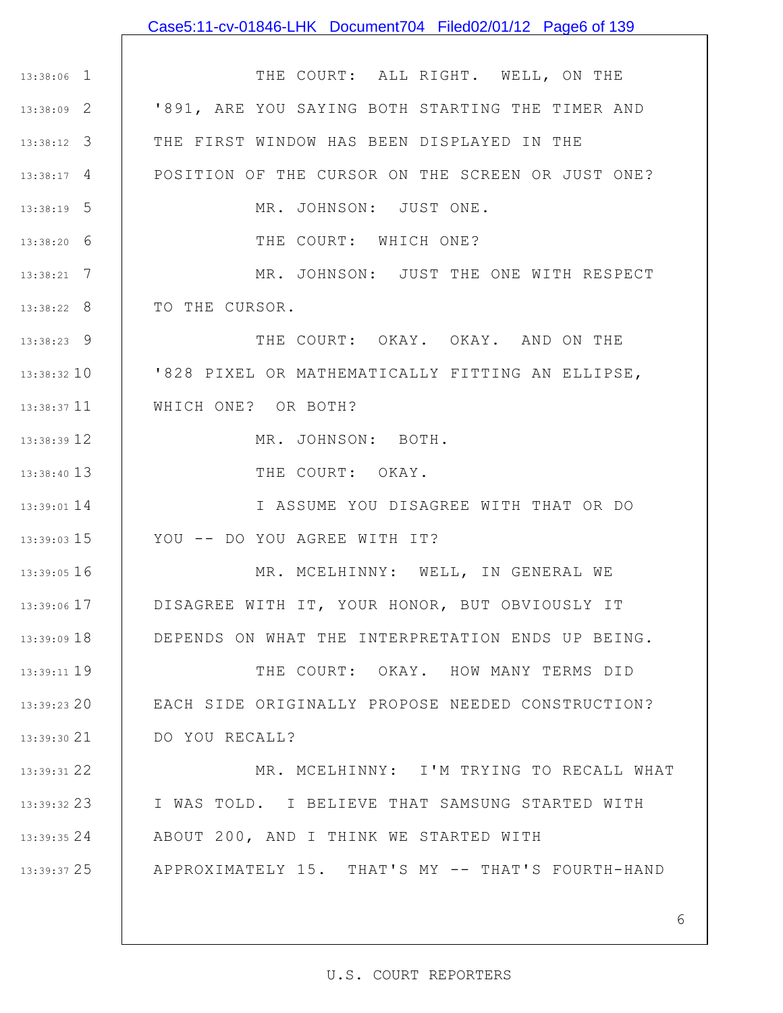# Case5:11-cv-01846-LHK Document704 Filed02/01/12 Page6 of 139

| $13:38:06$ 1  | THE COURT: ALL RIGHT. WELL, ON THE                             |
|---------------|----------------------------------------------------------------|
| $13:38:09$ 2  | '891, ARE YOU SAYING BOTH STARTING THE TIMER AND               |
| $13:38:12$ 3  | THE FIRST WINDOW HAS BEEN DISPLAYED IN THE                     |
|               | 13:38:17 4   POSITION OF THE CURSOR ON THE SCREEN OR JUST ONE? |
| $13:38:19$ 5  | MR. JOHNSON: JUST ONE.                                         |
| $13:38:20$ 6  | THE COURT: WHICH ONE?                                          |
| $13:38:21$ 7  | MR. JOHNSON: JUST THE ONE WITH RESPECT                         |
|               | 13:38:22 8   TO THE CURSOR.                                    |
| $13:38:23$ 9  | THE COURT: OKAY. OKAY. AND ON THE                              |
|               | 13:38:32 10   '828 PIXEL OR MATHEMATICALLY FITTING AN ELLIPSE, |
|               | 13:38:37 11   WHICH ONE? OR BOTH?                              |
| 13:38:39 12   | MR. JOHNSON: BOTH.                                             |
| 13:38:40 13   | THE COURT: OKAY.                                               |
| 13:39:01 14   | I ASSUME YOU DISAGREE WITH THAT OR DO                          |
|               | $13:39:0315$ YOU -- DO YOU AGREE WITH IT?                      |
| 13:39:05 16   | MR. MCELHINNY: WELL, IN GENERAL WE                             |
|               | 13:39:06 17   DISAGREE WITH IT, YOUR HONOR, BUT OBVIOUSLY IT   |
| $13:39:09$ 18 | DEPENDS ON WHAT THE INTERPRETATION ENDS UP BEING.              |
| 13:39:11 19   | THE COURT: OKAY. HOW MANY TERMS DID                            |
| 13:39:23 20   | EACH SIDE ORIGINALLY PROPOSE NEEDED CONSTRUCTION?              |
| $13:39:30$ 21 | DO YOU RECALL?                                                 |
| 13:39:31 22   | MR. MCELHINNY: I'M TRYING TO RECALL WHAT                       |
| 13:39:32 23   | I WAS TOLD. I BELIEVE THAT SAMSUNG STARTED WITH                |
| 13:39:35 24   | ABOUT 200, AND I THINK WE STARTED WITH                         |
| 13:39:37 25   | APPROXIMATELY 15. THAT'S MY -- THAT'S FOURTH-HAND              |
|               |                                                                |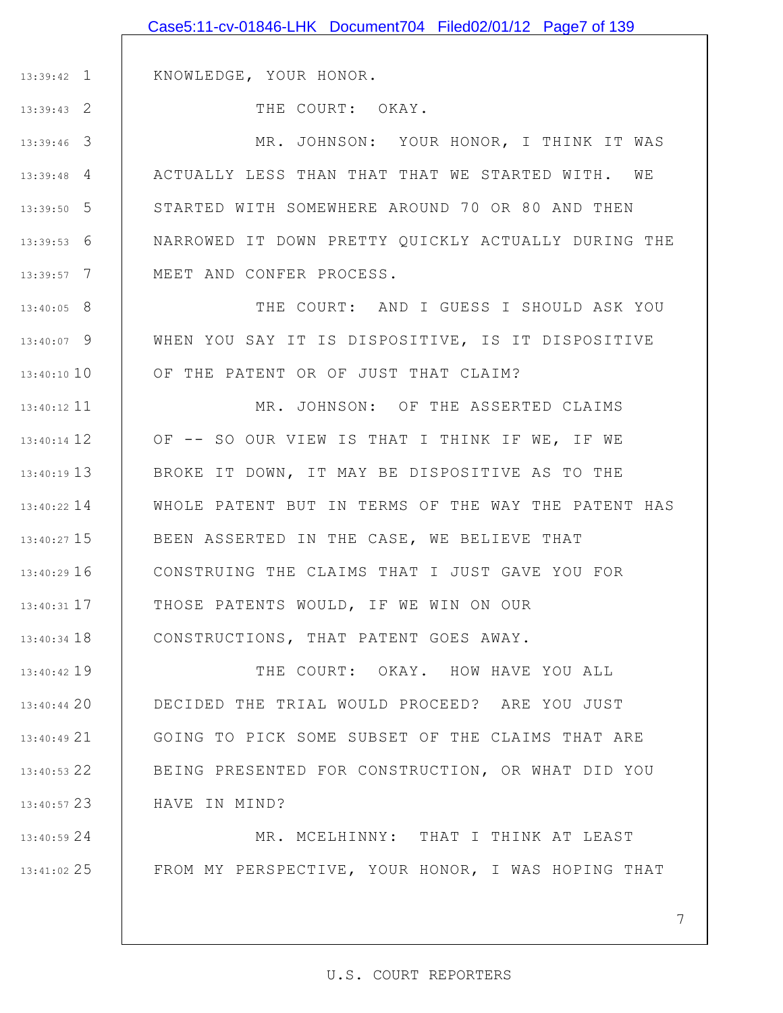|                 | Case5:11-cv-01846-LHK Document704 Filed02/01/12 Page7 of 139 |
|-----------------|--------------------------------------------------------------|
|                 |                                                              |
| $13:39:42$ 1    | KNOWLEDGE, YOUR HONOR.                                       |
| $13:39:43$ 2    | THE COURT: OKAY.                                             |
| 13:39:46 3      | MR. JOHNSON: YOUR HONOR, I THINK IT WAS                      |
| $13:39:48$ 4    | ACTUALLY LESS THAN THAT THAT WE STARTED WITH. WE             |
| $13:39:50$ 5    | STARTED WITH SOMEWHERE AROUND 70 OR 80 AND THEN              |
| $13:39:53$ 6    | NARROWED IT DOWN PRETTY QUICKLY ACTUALLY DURING THE          |
| $13:39:57$ 7    | MEET AND CONFER PROCESS.                                     |
| $13:40:05$ 8    | THE COURT: AND I GUESS I SHOULD ASK YOU                      |
| $13:40:07$ 9    | WHEN YOU SAY IT IS DISPOSITIVE, IS IT DISPOSITIVE            |
| $13:40:10$ 10   | OF THE PATENT OR OF JUST THAT CLAIM?                         |
| $13:40:12$ 11   | MR. JOHNSON: OF THE ASSERTED CLAIMS                          |
| $13:40:14$ 12   | OF -- SO OUR VIEW IS THAT I THINK IF WE, IF WE               |
| $13:40:19$ 13   | BROKE IT DOWN, IT MAY BE DISPOSITIVE AS TO THE               |
| $13:40:22$ 14   | WHOLE PATENT BUT IN TERMS OF THE WAY THE PATENT HAS          |
|                 | 13:40:27 15   BEEN ASSERTED IN THE CASE, WE BELIEVE THAT     |
|                 | 13:40:29 16   CONSTRUING THE CLAIMS THAT I JUST GAVE YOU FOR |
| $13:40:31$ $17$ | THOSE PATENTS WOULD, IF WE WIN ON OUR                        |
| $13:40:34$ 18   | CONSTRUCTIONS, THAT PATENT GOES AWAY.                        |
| 13:40:42 19     | THE COURT: OKAY. HOW HAVE YOU ALL                            |
| 13:40:44 20     | DECIDED THE TRIAL WOULD PROCEED? ARE YOU JUST                |
| 13:40:49 21     | GOING TO PICK SOME SUBSET OF THE CLAIMS THAT ARE             |
| 13:40:53 22     | BEING PRESENTED FOR CONSTRUCTION, OR WHAT DID YOU            |
| 13:40:57 23     | HAVE IN MIND?                                                |
| 13:40:59 24     | MR. MCELHINNY: THAT I THINK AT LEAST                         |
| 13:41:02 25     | FROM MY PERSPECTIVE, YOUR HONOR, I WAS HOPING THAT           |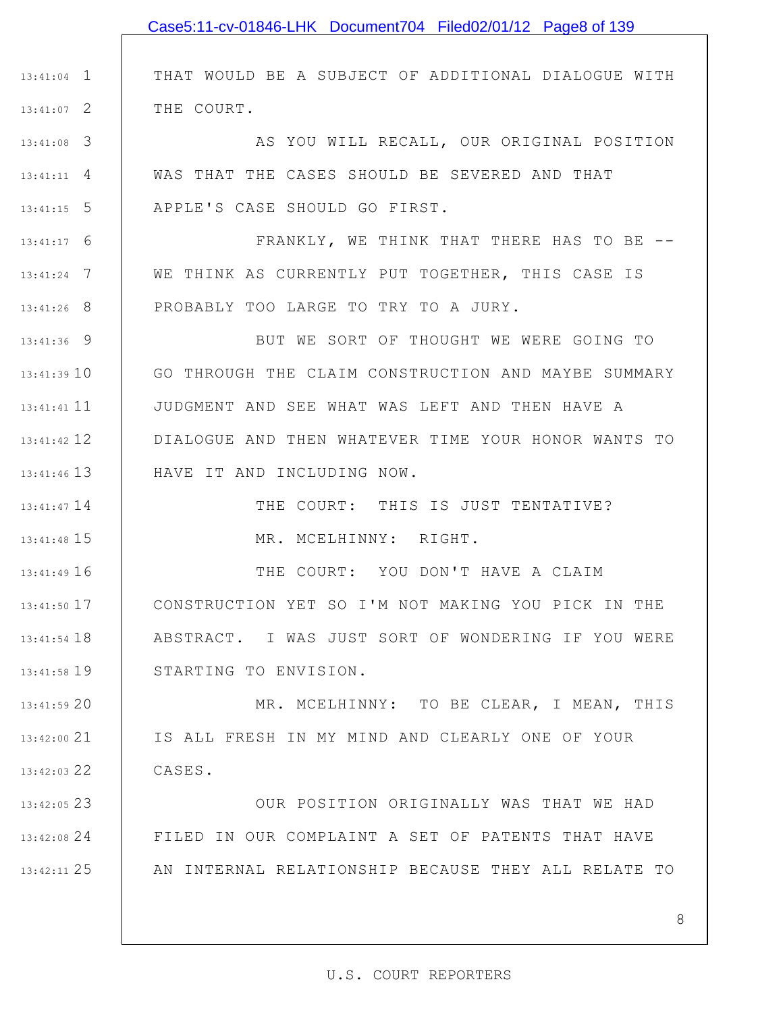|               | Case5:11-cv-01846-LHK Document704 Filed02/01/12 Page8 of 139 |
|---------------|--------------------------------------------------------------|
|               |                                                              |
| $13:41:04$ 1  | THAT WOULD BE A SUBJECT OF ADDITIONAL DIALOGUE WITH          |
| $13:41:07$ 2  | THE COURT.                                                   |
| $13:41:08$ 3  | AS YOU WILL RECALL, OUR ORIGINAL POSITION                    |
| $13:41:11$ 4  | WAS THAT THE CASES SHOULD BE SEVERED AND THAT                |
| $13:41:15$ 5  | APPLE'S CASE SHOULD GO FIRST.                                |
| $13:41:17$ 6  | FRANKLY, WE THINK THAT THERE HAS TO BE --                    |
| $13:41:24$ 7  | WE THINK AS CURRENTLY PUT TOGETHER, THIS CASE IS             |
| $13:41:26$ 8  | PROBABLY TOO LARGE TO TRY TO A JURY.                         |
| $13:41:36$ 9  | BUT WE SORT OF THOUGHT WE WERE GOING TO                      |
| $13:41:39$ 10 | GO THROUGH THE CLAIM CONSTRUCTION AND MAYBE SUMMARY          |
| 13:41:41 11   | JUDGMENT AND SEE WHAT WAS LEFT AND THEN HAVE A               |
| 13:41:42 12   | DIALOGUE AND THEN WHATEVER TIME YOUR HONOR WANTS TO          |
| 13:41:46 13   | HAVE IT AND INCLUDING NOW.                                   |
| 13:41:47 14   | THE COURT: THIS IS JUST TENTATIVE?                           |
| 13:41:48 15   | MR. MCELHINNY: RIGHT.                                        |
| 13:41:49 16   | THE COURT: YOU DON'T HAVE A CLAIM                            |
| $13:41:50$ 17 | CONSTRUCTION YET SO I'M NOT MAKING YOU PICK IN THE           |
| $13:41:54$ 18 | ABSTRACT. I WAS JUST SORT OF WONDERING IF YOU WERE           |
| 13:41:58 19   | STARTING TO ENVISION.                                        |
| 13:41:5920    | MR. MCELHINNY: TO BE CLEAR, I MEAN, THIS                     |
| 13:42:00 21   | IS ALL FRESH IN MY MIND AND CLEARLY ONE OF YOUR              |
| 13:42:03 22   | CASES.                                                       |
| 13:42:05 23   | OUR POSITION ORIGINALLY WAS THAT WE HAD                      |
| 13:42:08 24   | FILED IN OUR COMPLAINT A SET OF PATENTS THAT HAVE            |
| 13:42:11 25   | AN INTERNAL RELATIONSHIP BECAUSE THEY ALL RELATE TO          |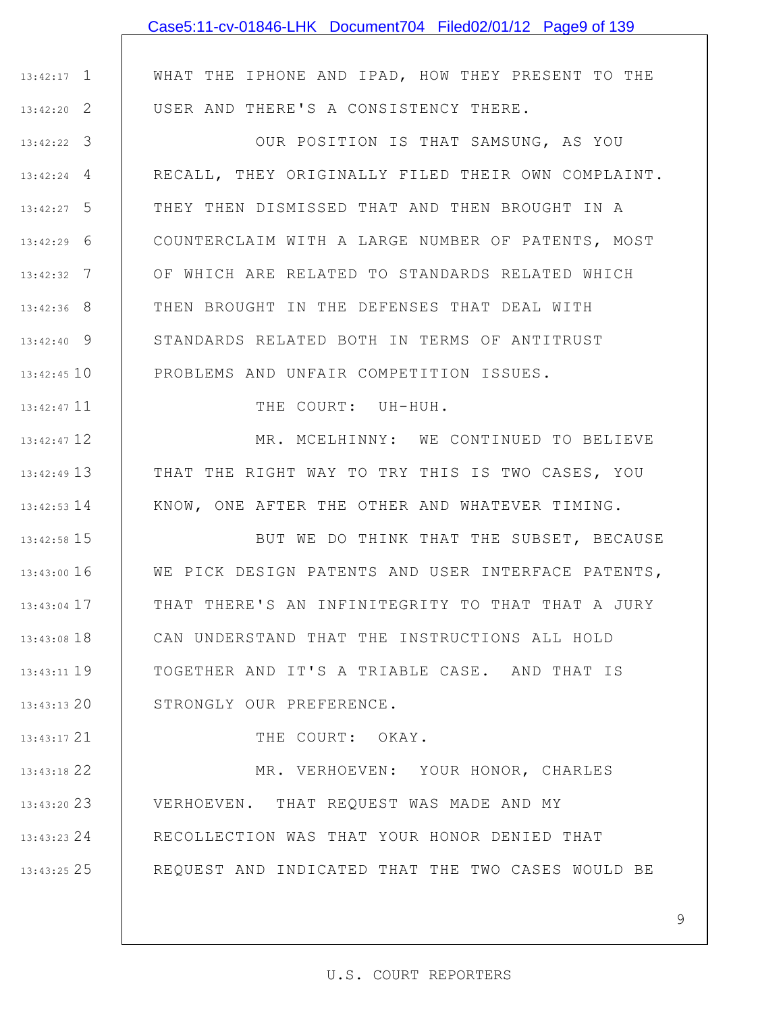|               | Case5:11-cv-01846-LHK Document704 Filed02/01/12 Page9 of 139     |
|---------------|------------------------------------------------------------------|
|               |                                                                  |
| $13:42:17$ 1  | WHAT THE IPHONE AND IPAD, HOW THEY PRESENT TO THE                |
| $13:42:20$ 2  | USER AND THERE'S A CONSISTENCY THERE.                            |
| $13:42:22$ 3  | OUR POSITION IS THAT SAMSUNG, AS YOU                             |
| $13:42:24$ 4  | RECALL, THEY ORIGINALLY FILED THEIR OWN COMPLAINT.               |
| $13:42:27$ 5  | THEY THEN DISMISSED THAT AND THEN BROUGHT IN A                   |
| $13:42:29$ 6  | COUNTERCLAIM WITH A LARGE NUMBER OF PATENTS, MOST                |
| $13:42:32$ 7  | OF WHICH ARE RELATED TO STANDARDS RELATED WHICH                  |
| $13:42:36$ 8  | THEN BROUGHT IN THE DEFENSES THAT DEAL WITH                      |
| $13:42:40$ 9  | STANDARDS RELATED BOTH IN TERMS OF ANTITRUST                     |
| $13:42:45$ 10 | PROBLEMS AND UNFAIR COMPETITION ISSUES.                          |
| 13:42:47 11   | THE COURT: UH-HUH.                                               |
| 13:42:47 12   | MR. MCELHINNY: WE CONTINUED TO BELIEVE                           |
| $13:42:49$ 13 | THAT THE RIGHT WAY TO TRY THIS IS TWO CASES, YOU                 |
| $13:42:53$ 14 | KNOW, ONE AFTER THE OTHER AND WHATEVER TIMING.                   |
| 13:42:58 15   | BUT WE DO THINK THAT THE SUBSET, BECAUSE                         |
|               | 13:43:00 16   WE PICK DESIGN PATENTS AND USER INTERFACE PATENTS, |
| $13:43:04$ 17 | THAT THERE'S AN INFINITEGRITY TO THAT THAT A JURY                |
| 13:43:08 18   | CAN UNDERSTAND THAT THE INSTRUCTIONS ALL HOLD                    |
| 13:43:11 19   | TOGETHER AND IT'S A TRIABLE CASE. AND THAT IS                    |
| 13:43:13 20   | STRONGLY OUR PREFERENCE.                                         |
| $13:43:17$ 21 | THE COURT: OKAY.                                                 |
| 13:43:18 22   | MR. VERHOEVEN: YOUR HONOR, CHARLES                               |
| $13:43:20$ 23 | VERHOEVEN. THAT REQUEST WAS MADE AND MY                          |
| 13:43:23 24   | RECOLLECTION WAS THAT YOUR HONOR DENIED THAT                     |
| 13:43:25 25   | REQUEST AND INDICATED THAT THE TWO CASES WOULD BE                |
|               |                                                                  |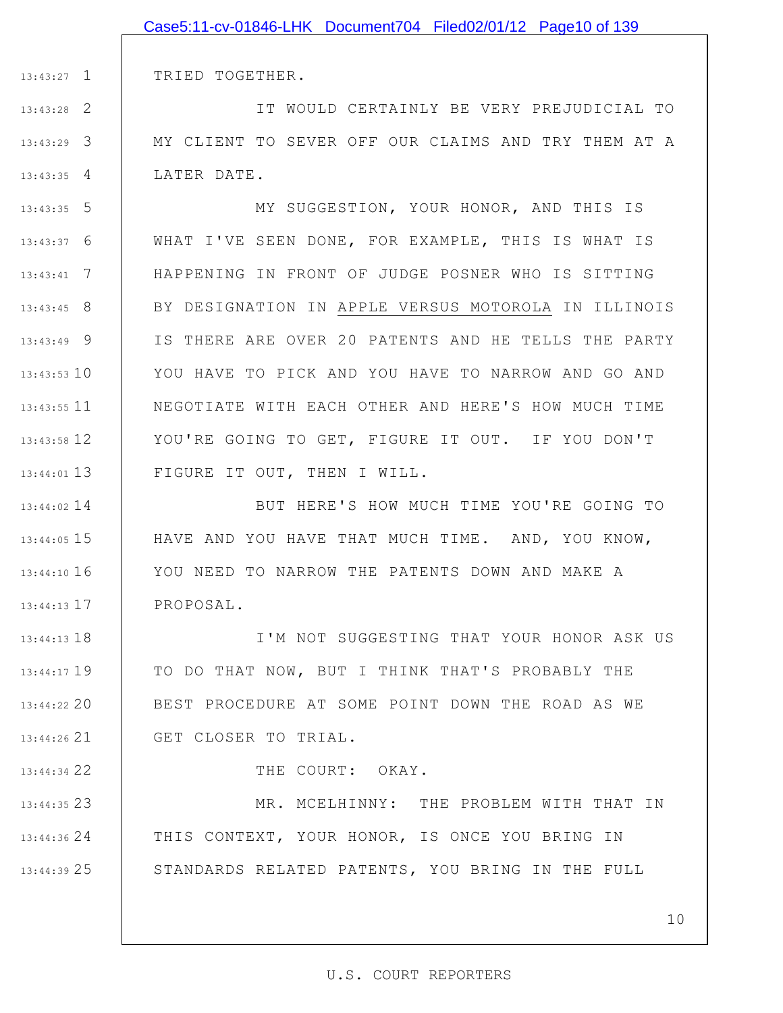TRIED TOGETHER. IT WOULD CERTAINLY BE VERY PREJUDICIAL TO MY CLIENT TO SEVER OFF OUR CLAIMS AND TRY THEM AT A LATER DATE. MY SUGGESTION, YOUR HONOR, AND THIS IS WHAT I'VE SEEN DONE, FOR EXAMPLE, THIS IS WHAT IS HAPPENING IN FRONT OF JUDGE POSNER WHO IS SITTING Case5:11-cv-01846-LHK Document704 Filed02/01/12 Page10 of 139

1 13:43:27

2 13:43:28

3 13:43:29

4 13:43:35

5 13:43:35

22 13:44:34

6 13:43:37 7 13:43:41 8 13:43:45 9 13:43:49 13:43:53 10 11 13:43:55 12 13:43:58 13 13:44:01 BY DESIGNATION IN APPLE VERSUS MOTOROLA IN ILLINOIS IS THERE ARE OVER 20 PATENTS AND HE TELLS THE PARTY YOU HAVE TO PICK AND YOU HAVE TO NARROW AND GO AND NEGOTIATE WITH EACH OTHER AND HERE'S HOW MUCH TIME YOU'RE GOING TO GET, FIGURE IT OUT. IF YOU DON'T FIGURE IT OUT, THEN I WILL.

14 13:44:02 15 13:44:05 16 13:44:10 17 13:44:13 BUT HERE'S HOW MUCH TIME YOU'RE GOING TO HAVE AND YOU HAVE THAT MUCH TIME. AND, YOU KNOW, YOU NEED TO NARROW THE PATENTS DOWN AND MAKE A PROPOSAL.

18 13:44:13 19 13:44:17 20 13:44:22 21 13:44:26 I'M NOT SUGGESTING THAT YOUR HONOR ASK US TO DO THAT NOW, BUT I THINK THAT'S PROBABLY THE BEST PROCEDURE AT SOME POINT DOWN THE ROAD AS WE GET CLOSER TO TRIAL.

THE COURT: OKAY.

23 13:44:35 24 13:44:36 25 13:44:39 MR. MCELHINNY: THE PROBLEM WITH THAT IN THIS CONTEXT, YOUR HONOR, IS ONCE YOU BRING IN STANDARDS RELATED PATENTS, YOU BRING IN THE FULL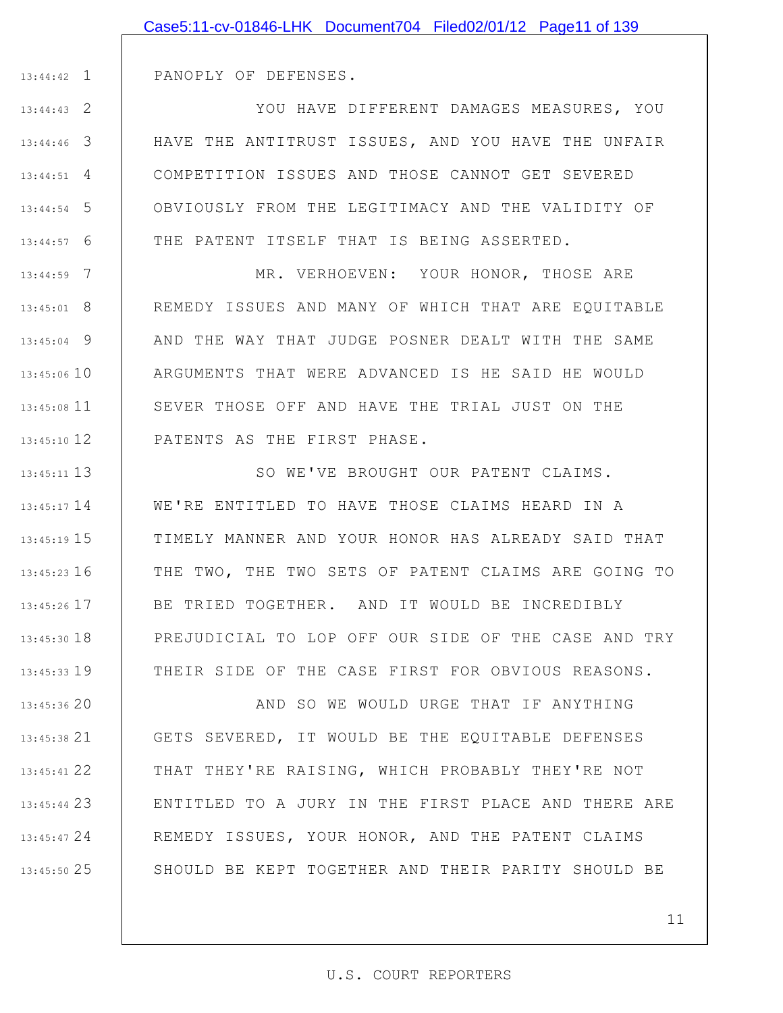|              | Case5:11-cv-01846-LHK Document704 Filed02/01/12 Page11 of 139 |
|--------------|---------------------------------------------------------------|
|              |                                                               |
| $13:44:42$ 1 | PANOPLY OF DEFENSES.                                          |
| $13:44:43$ 2 | YOU HAVE DIFFERENT DAMAGES MEASURES, YOU                      |
| $13:44:46$ 3 | HAVE THE ANTITRUST ISSUES, AND YOU HAVE THE UNFAIR            |
| $13:44:51$ 4 | COMPETITION ISSUES AND THOSE CANNOT GET SEVERED               |
| $13:44:54$ 5 | OBVIOUSLY FROM THE LEGITIMACY AND THE VALIDITY OF             |
| $13:44:57$ 6 | THE PATENT ITSELF THAT IS BEING ASSERTED.                     |
| 13:44:59 7   | MR. VERHOEVEN: YOUR HONOR, THOSE ARE                          |
| 13:45:01 8   | REMEDY ISSUES AND MANY OF WHICH THAT ARE EQUITABLE            |
| $13:45:04$ 9 | AND THE WAY THAT JUDGE POSNER DEALT WITH THE SAME             |
| 13:45:06 10  | ARGUMENTS THAT WERE ADVANCED IS HE SAID HE WOULD              |
| 13:45:08 11  | SEVER THOSE OFF AND HAVE THE TRIAL JUST ON THE                |
| 13:45:10 12  | PATENTS AS THE FIRST PHASE.                                   |
| 13:45:11 13  | SO WE'VE BROUGHT OUR PATENT CLAIMS.                           |
| 13:45:17 14  | WE'RE ENTITLED TO HAVE THOSE CLAIMS HEARD IN A                |
| 13:45:19 15  | TIMELY MANNER AND YOUR HONOR HAS ALREADY SAID THAT            |
| 13:45:23 16  | THE TWO, THE TWO SETS OF PATENT CLAIMS ARE GOING TO           |
| 13:45:26 17  | BE TRIED TOGETHER. AND IT WOULD BE INCREDIBLY                 |
| 13:45:30 18  | PREJUDICIAL TO LOP OFF OUR SIDE OF THE CASE AND TRY           |
| 13:45:33 19  | THEIR SIDE OF THE CASE FIRST FOR OBVIOUS REASONS.             |
| 13:45:36 20  | AND SO WE WOULD URGE THAT IF ANYTHING                         |
| 13:45:38 21  | GETS SEVERED, IT WOULD BE THE EQUITABLE DEFENSES              |
| 13:45:41 22  | THAT THEY'RE RAISING, WHICH PROBABLY THEY'RE NOT              |
| 13:45:44 23  | ENTITLED TO A JURY IN THE FIRST PLACE AND THERE ARE           |
| 13:45:47 24  | REMEDY ISSUES, YOUR HONOR, AND THE PATENT CLAIMS              |
| 13:45:50 25  | SHOULD BE KEPT TOGETHER AND THEIR PARITY SHOULD BE            |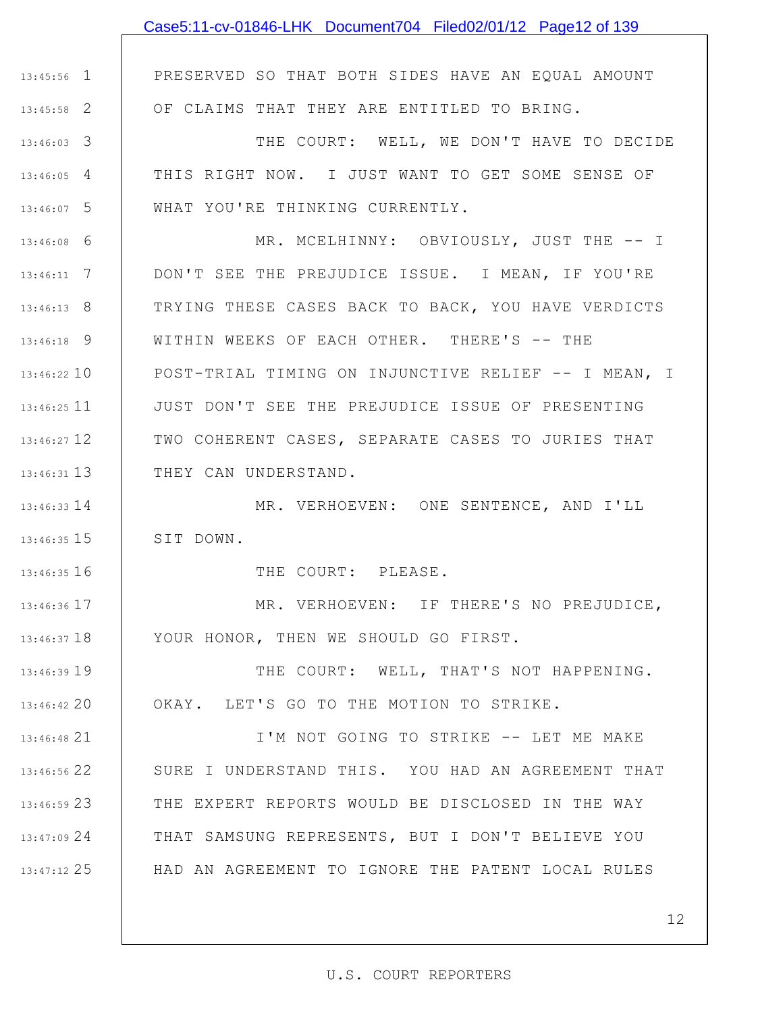|               | Case5:11-cv-01846-LHK Document704 Filed02/01/12 Page12 of 139   |
|---------------|-----------------------------------------------------------------|
|               |                                                                 |
| $13:45:56$ 1  | PRESERVED SO THAT BOTH SIDES HAVE AN EQUAL AMOUNT               |
| $13:45:58$ 2  | OF CLAIMS THAT THEY ARE ENTITLED TO BRING.                      |
| $13:46:03$ 3  | THE COURT: WELL, WE DON'T HAVE TO DECIDE                        |
| $13:46:05$ 4  | THIS RIGHT NOW. I JUST WANT TO GET SOME SENSE OF                |
| $13:46:07$ 5  | WHAT YOU'RE THINKING CURRENTLY.                                 |
| $13:46:08$ 6  | MR. MCELHINNY: OBVIOUSLY, JUST THE -- I                         |
| $13:46:11$ 7  | DON'T SEE THE PREJUDICE ISSUE. I MEAN, IF YOU'RE                |
| $13:46:13$ 8  | TRYING THESE CASES BACK TO BACK, YOU HAVE VERDICTS              |
| $13:46:18$ 9  | WITHIN WEEKS OF EACH OTHER. THERE'S -- THE                      |
| 13:46:22 10   | POST-TRIAL TIMING ON INJUNCTIVE RELIEF -- I MEAN, I             |
| $13:46:25$ 11 | JUST DON'T SEE THE PREJUDICE ISSUE OF PRESENTING                |
| 13:46:27 12   | TWO COHERENT CASES, SEPARATE CASES TO JURIES THAT               |
| $13:46:31$ 13 | THEY CAN UNDERSTAND.                                            |
| 13:46:33 14   | MR. VERHOEVEN: ONE SENTENCE, AND I'LL                           |
| $13:46:35$ 15 | SIT DOWN.                                                       |
| 13:46:35 16   | THE COURT: PLEASE.                                              |
| $13:46:36$ 17 | MR. VERHOEVEN: IF THERE'S NO PREJUDICE,                         |
| $13:46:37$ 18 | YOUR HONOR, THEN WE SHOULD GO FIRST.                            |
| 13:46:39 19   | THE COURT: WELL, THAT'S NOT HAPPENING.                          |
| 13:46:42 20   | OKAY. LET'S GO TO THE MOTION TO STRIKE.                         |
| 13:46:48 21   | I'M NOT GOING TO STRIKE -- LET ME MAKE                          |
|               | 13:46:56 22   SURE I UNDERSTAND THIS. YOU HAD AN AGREEMENT THAT |
| $13:46:59$ 23 | THE EXPERT REPORTS WOULD BE DISCLOSED IN THE WAY                |
| 13:47:09 24   | THAT SAMSUNG REPRESENTS, BUT I DON'T BELIEVE YOU                |
| 13:47:12 25   | HAD AN AGREEMENT TO IGNORE THE PATENT LOCAL RULES               |
|               |                                                                 |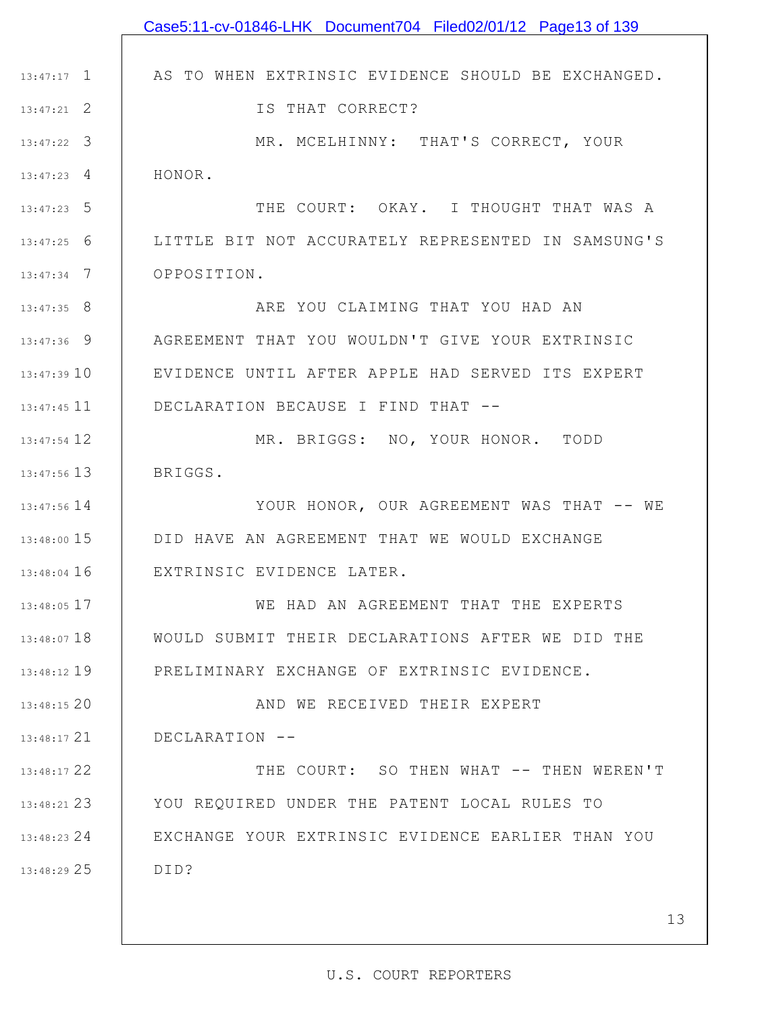|               | Case5:11-cv-01846-LHK Document704 Filed02/01/12 Page13 of 139 |
|---------------|---------------------------------------------------------------|
|               |                                                               |
| $13:47:17$ 1  | AS TO WHEN EXTRINSIC EVIDENCE SHOULD BE EXCHANGED.            |
| $13:47:21$ 2  | IS THAT CORRECT?                                              |
| $13:47:22$ 3  | MR. MCELHINNY: THAT'S CORRECT, YOUR                           |
| $13:47:23$ 4  | HONOR.                                                        |
| $13:47:23$ 5  | THE COURT: OKAY. I THOUGHT THAT WAS A                         |
| $13:47:25$ 6  | LITTLE BIT NOT ACCURATELY REPRESENTED IN SAMSUNG'S            |
| $13:47:34$ 7  | OPPOSITION.                                                   |
| $13:47:35$ 8  | ARE YOU CLAIMING THAT YOU HAD AN                              |
| $13:47:36$ 9  | AGREEMENT THAT YOU WOULDN'T GIVE YOUR EXTRINSIC               |
| 13:47:3910    | EVIDENCE UNTIL AFTER APPLE HAD SERVED ITS EXPERT              |
| 13:47:45 11   | DECLARATION BECAUSE I FIND THAT --                            |
| 13:47:54 12   | MR. BRIGGS: NO, YOUR HONOR. TODD                              |
| 13:47:56 13   | BRIGGS.                                                       |
| $13:47:56$ 14 | YOUR HONOR, OUR AGREEMENT WAS THAT -- WE                      |
| 13:48:00 15   | DID HAVE AN AGREEMENT THAT WE WOULD EXCHANGE                  |
| $13:48:04$ 16 | EXTRINSIC EVIDENCE LATER.                                     |
| 13:48:05 17   | WE HAD AN AGREEMENT THAT THE EXPERTS                          |
| $13:48:07$ 18 | WOULD SUBMIT THEIR DECLARATIONS AFTER WE DID THE              |
| 13:48:12 19   | PRELIMINARY EXCHANGE OF EXTRINSIC EVIDENCE.                   |
| 13:48:15 20   | AND WE RECEIVED THEIR EXPERT                                  |
| $13:48:17$ 21 | DECLARATION --                                                |
| 13:48:17 22   | THE COURT: SO THEN WHAT -- THEN WEREN'T                       |
| 13:48:21 23   | YOU REQUIRED UNDER THE PATENT LOCAL RULES TO                  |
| 13:48:23 24   | EXCHANGE YOUR EXTRINSIC EVIDENCE EARLIER THAN YOU             |
| 13:48:29 25   | DID?                                                          |
|               |                                                               |
|               | 13                                                            |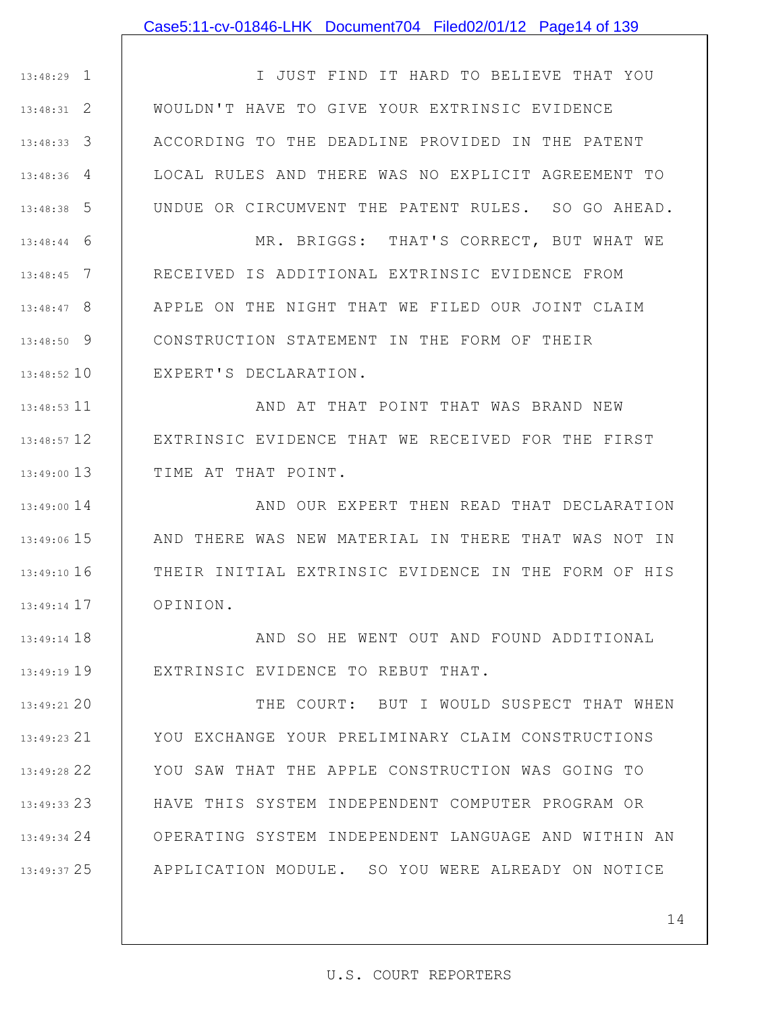#### Case5:11-cv-01846-LHK Document704 Filed02/01/12 Page14 of 139

1 13:48:29 2 13:48:31 3 13:48:33 4 13:48:36 5 13:48:38 I JUST FIND IT HARD TO BELIEVE THAT YOU WOULDN'T HAVE TO GIVE YOUR EXTRINSIC EVIDENCE ACCORDING TO THE DEADLINE PROVIDED IN THE PATENT LOCAL RULES AND THERE WAS NO EXPLICIT AGREEMENT TO UNDUE OR CIRCUMVENT THE PATENT RULES. SO GO AHEAD.

6 13:48:44 7 13:48:45 8 13:48:47 9 13:48:50 10 13:48:52 MR. BRIGGS: THAT'S CORRECT, BUT WHAT WE RECEIVED IS ADDITIONAL EXTRINSIC EVIDENCE FROM APPLE ON THE NIGHT THAT WE FILED OUR JOINT CLAIM CONSTRUCTION STATEMENT IN THE FORM OF THEIR EXPERT'S DECLARATION.

11 13:48:53 12 13:48:57 13 13:49:00 AND AT THAT POINT THAT WAS BRAND NEW EXTRINSIC EVIDENCE THAT WE RECEIVED FOR THE FIRST TIME AT THAT POINT.

13:49:00 14 15 13:49:06 16 13:49:10 17 13:49:14 AND OUR EXPERT THEN READ THAT DECLARATION AND THERE WAS NEW MATERIAL IN THERE THAT WAS NOT IN THEIR INITIAL EXTRINSIC EVIDENCE IN THE FORM OF HIS OPINION.

18 13:49:14 19 13:49:19 AND SO HE WENT OUT AND FOUND ADDITIONAL EXTRINSIC EVIDENCE TO REBUT THAT.

20 13:49:21 21 13:49:23 22 13:49:28 23 13:49:33 24 13:49:34 25 13:49:37 THE COURT: BUT I WOULD SUSPECT THAT WHEN YOU EXCHANGE YOUR PRELIMINARY CLAIM CONSTRUCTIONS YOU SAW THAT THE APPLE CONSTRUCTION WAS GOING TO HAVE THIS SYSTEM INDEPENDENT COMPUTER PROGRAM OR OPERATING SYSTEM INDEPENDENT LANGUAGE AND WITHIN AN APPLICATION MODULE. SO YOU WERE ALREADY ON NOTICE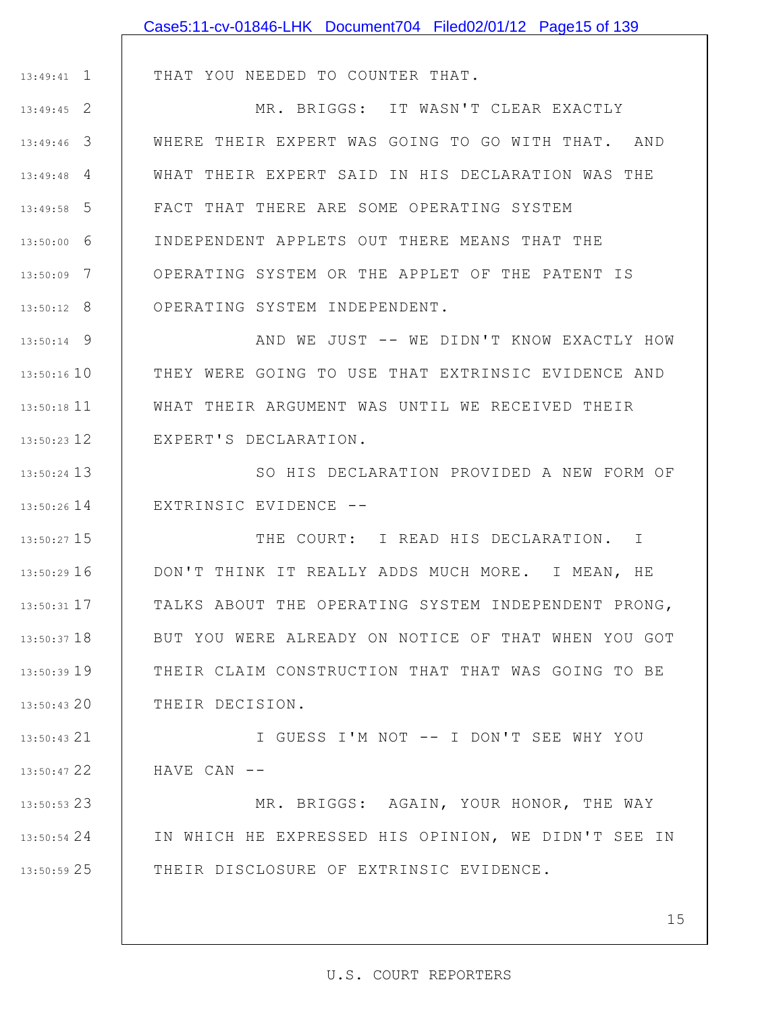|                 | Case5:11-cv-01846-LHK Document704 Filed02/01/12 Page15 of 139 |
|-----------------|---------------------------------------------------------------|
|                 |                                                               |
| $13:49:41$ 1    | THAT YOU NEEDED TO COUNTER THAT.                              |
| $13:49:45$ 2    | MR. BRIGGS: IT WASN'T CLEAR EXACTLY                           |
| $13:49:46$ 3    | WHERE THEIR EXPERT WAS GOING TO GO WITH THAT. AND             |
| $13:49:48$ 4    | WHAT THEIR EXPERT SAID IN HIS DECLARATION WAS THE             |
| - 5<br>13:49:58 | FACT THAT THERE ARE SOME OPERATING SYSTEM                     |
| 6<br>13:50:00   | INDEPENDENT APPLETS OUT THERE MEANS THAT THE                  |
| 13:50:09 7      | OPERATING SYSTEM OR THE APPLET OF THE PATENT IS               |
| $13:50:12$ 8    | OPERATING SYSTEM INDEPENDENT.                                 |
| $13:50:14$ 9    | AND WE JUST -- WE DIDN'T KNOW EXACTLY HOW                     |
| 13:50:16 10     | THEY WERE GOING TO USE THAT EXTRINSIC EVIDENCE AND            |
| $13:50:18$ 11   | WHAT THEIR ARGUMENT WAS UNTIL WE RECEIVED THEIR               |
| $13:50:23$ 12   | EXPERT'S DECLARATION.                                         |
| $13:50:24$ 13   | SO HIS DECLARATION PROVIDED A NEW FORM OF                     |
| $13:50:26$ 14   | EXTRINSIC EVIDENCE --                                         |
| 13:50:27 15     | THE COURT: I READ HIS DECLARATION. I                          |
| 13:50:29 16     | DON'T THINK IT REALLY ADDS MUCH MORE. I MEAN, HE              |
| 13:50:31 17     | TALKS ABOUT THE OPERATING SYSTEM INDEPENDENT PRONG,           |
| $13:50:37$ 18   | BUT YOU WERE ALREADY ON NOTICE OF THAT WHEN YOU GOT           |
| $13:50:39$ 19   | THEIR CLAIM CONSTRUCTION THAT THAT WAS GOING TO BE            |
| $13:50:43$ 20   | THEIR DECISION.                                               |
| 13:50:43 21     | I GUESS I'M NOT -- I DON'T SEE WHY YOU                        |
| 13:50:47 22     | HAVE CAN --                                                   |
| 13:50:53 23     | MR. BRIGGS: AGAIN, YOUR HONOR, THE WAY                        |
| 13:50:54 24     | IN WHICH HE EXPRESSED HIS OPINION, WE DIDN'T SEE IN           |
| 13:50:59 25     | THEIR DISCLOSURE OF EXTRINSIC EVIDENCE.                       |
|                 | 15                                                            |
|                 |                                                               |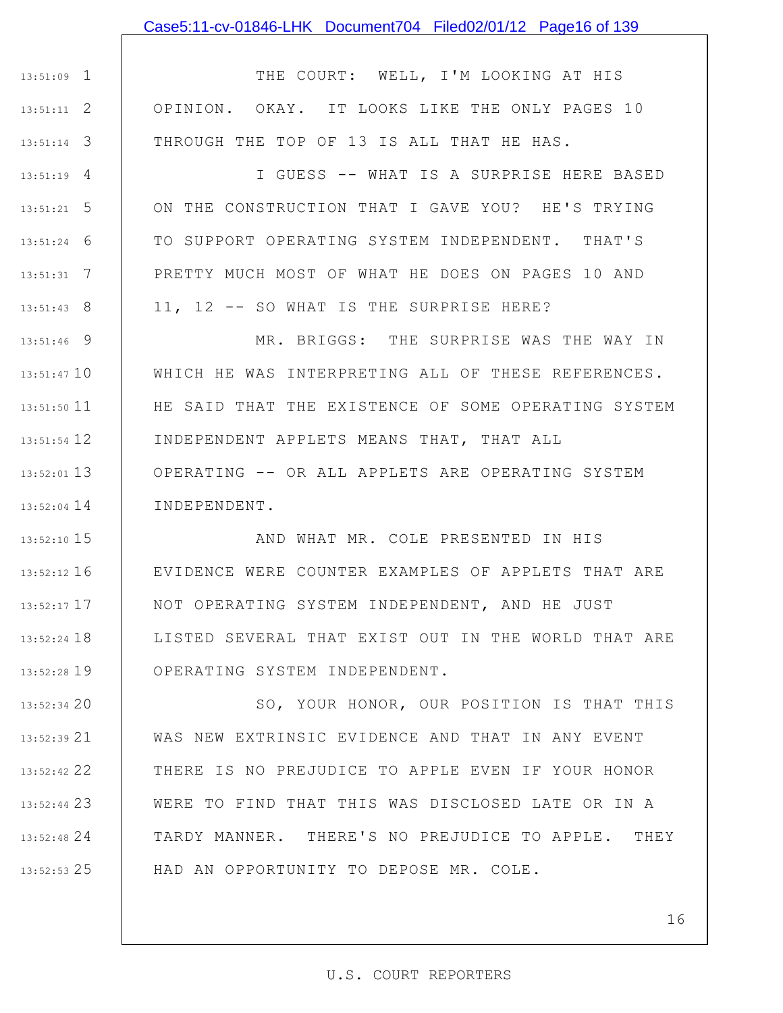#### Case5:11-cv-01846-LHK Document704 Filed02/01/12 Page16 of 139

1 13:51:09 2 13:51:11 3 13:51:14 THE COURT: WELL, I'M LOOKING AT HIS OPINION. OKAY. IT LOOKS LIKE THE ONLY PAGES 10 THROUGH THE TOP OF 13 IS ALL THAT HE HAS.

4 13:51:19 5 13:51:21 6 13:51:24 7 13:51:31 8 13:51:43 I GUESS -- WHAT IS A SURPRISE HERE BASED ON THE CONSTRUCTION THAT I GAVE YOU? HE'S TRYING TO SUPPORT OPERATING SYSTEM INDEPENDENT. THAT'S PRETTY MUCH MOST OF WHAT HE DOES ON PAGES 10 AND 11, 12 -- SO WHAT IS THE SURPRISE HERE?

9 13:51:46 13:51:47 10 11 13:51:50 12 13:51:54 13 13:52:01 14 13:52:04 MR. BRIGGS: THE SURPRISE WAS THE WAY IN WHICH HE WAS INTERPRETING ALL OF THESE REFERENCES. HE SAID THAT THE EXISTENCE OF SOME OPERATING SYSTEM INDEPENDENT APPLETS MEANS THAT, THAT ALL OPERATING -- OR ALL APPLETS ARE OPERATING SYSTEM INDEPENDENT.

15 13:52:10 16 13:52:12 17 13:52:17 18 13:52:24 19 13:52:28 AND WHAT MR. COLE PRESENTED IN HIS EVIDENCE WERE COUNTER EXAMPLES OF APPLETS THAT ARE NOT OPERATING SYSTEM INDEPENDENT, AND HE JUST LISTED SEVERAL THAT EXIST OUT IN THE WORLD THAT ARE OPERATING SYSTEM INDEPENDENT.

13:52:34 20 21 13:52:39 22 13:52:42 23 13:52:44 24 13:52:48 25 13:52:53 SO, YOUR HONOR, OUR POSITION IS THAT THIS WAS NEW EXTRINSIC EVIDENCE AND THAT IN ANY EVENT THERE IS NO PREJUDICE TO APPLE EVEN IF YOUR HONOR WERE TO FIND THAT THIS WAS DISCLOSED LATE OR IN A TARDY MANNER. THERE'S NO PREJUDICE TO APPLE. THEY HAD AN OPPORTUNITY TO DEPOSE MR. COLE.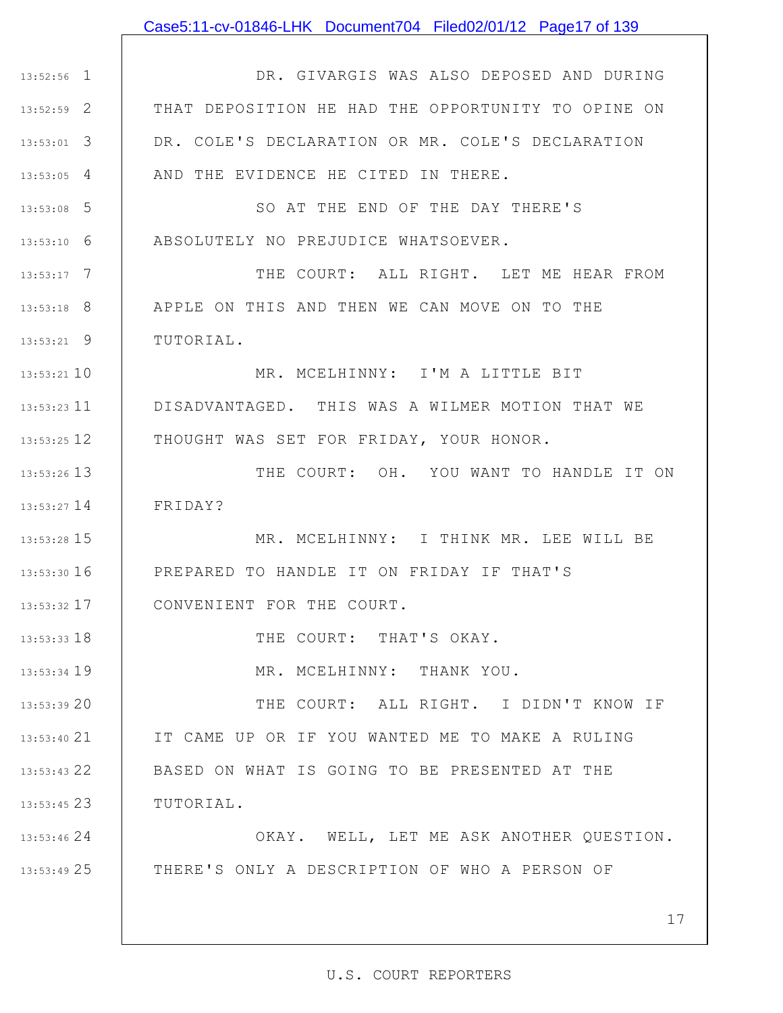### Case5:11-cv-01846-LHK Document704 Filed02/01/12 Page17 of 139

1 13:52:56 2 13:52:59 3 13:53:01 4 13:53:05 DR. GIVARGIS WAS ALSO DEPOSED AND DURING THAT DEPOSITION HE HAD THE OPPORTUNITY TO OPINE ON DR. COLE'S DECLARATION OR MR. COLE'S DECLARATION AND THE EVIDENCE HE CITED IN THERE.

5 13:53:08 6 13:53:10 SO AT THE END OF THE DAY THERE'S ABSOLUTELY NO PREJUDICE WHATSOEVER.

7 13:53:17 8 13:53:18 9 13:53:21 THE COURT: ALL RIGHT. LET ME HEAR FROM APPLE ON THIS AND THEN WE CAN MOVE ON TO THE TUTORIAL.

13:53:21 10 11 13:53:23 12 13:53:25 MR. MCELHINNY: I'M A LITTLE BIT DISADVANTAGED. THIS WAS A WILMER MOTION THAT WE THOUGHT WAS SET FOR FRIDAY, YOUR HONOR.

13 13:53:26 14 13:53:27 THE COURT: OH. YOU WANT TO HANDLE IT ON FRIDAY?

15 13:53:28 13:53:30 16 17 13:53:32 MR. MCELHINNY: I THINK MR. LEE WILL BE PREPARED TO HANDLE IT ON FRIDAY IF THAT'S CONVENIENT FOR THE COURT.

THE COURT: THAT'S OKAY.

MR. MCELHINNY: THANK YOU.

20 13:53:39 21 13:53:40 22 13:53:43 23 13:53:45 THE COURT: ALL RIGHT. I DIDN'T KNOW IF IT CAME UP OR IF YOU WANTED ME TO MAKE A RULING BASED ON WHAT IS GOING TO BE PRESENTED AT THE TUTORIAL.

18 13:53:33

19 13:53:34

24 13:53:46 25 13:53:49 OKAY. WELL, LET ME ASK ANOTHER QUESTION. THERE'S ONLY A DESCRIPTION OF WHO A PERSON OF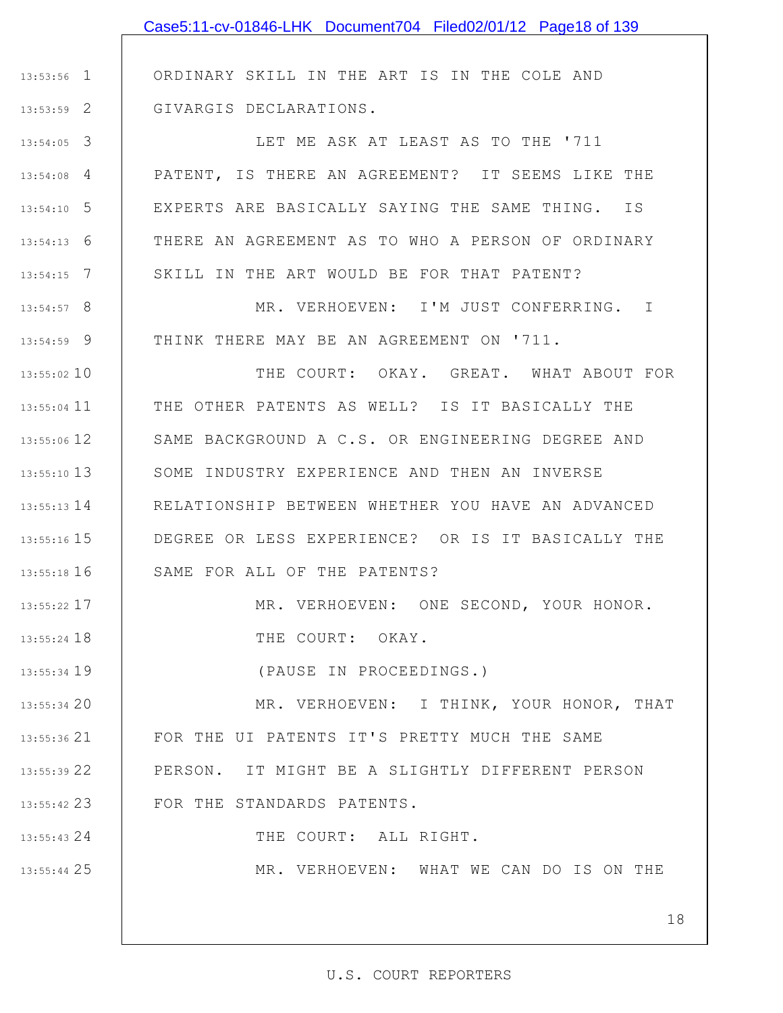|               | Case5:11-cv-01846-LHK Document704 Filed02/01/12 Page18 of 139 |
|---------------|---------------------------------------------------------------|
|               |                                                               |
| $13:53:56$ 1  | ORDINARY SKILL IN THE ART IS IN THE COLE AND                  |
| $13:53:59$ 2  | GIVARGIS DECLARATIONS.                                        |
| $13:54:05$ 3  | LET ME ASK AT LEAST AS TO THE '711                            |
| $13:54:08$ 4  | PATENT, IS THERE AN AGREEMENT? IT SEEMS LIKE THE              |
| $13:54:10$ 5  | EXPERTS ARE BASICALLY SAYING THE SAME THING. IS               |
| $13:54:13$ 6  | THERE AN AGREEMENT AS TO WHO A PERSON OF ORDINARY             |
| $13:54:15$ 7  | SKILL IN THE ART WOULD BE FOR THAT PATENT?                    |
| $13:54:57$ 8  | MR. VERHOEVEN: I'M JUST CONFERRING. I                         |
| $13:54:59$ 9  | THINK THERE MAY BE AN AGREEMENT ON '711.                      |
| 13:55:02 10   | THE COURT: OKAY. GREAT. WHAT ABOUT FOR                        |
| 13:55:04 11   | THE OTHER PATENTS AS WELL? IS IT BASICALLY THE                |
| 13:55:06 12   | SAME BACKGROUND A C.S. OR ENGINEERING DEGREE AND              |
| $13:55:10$ 13 | SOME INDUSTRY EXPERIENCE AND THEN AN INVERSE                  |
| $13:55:13$ 14 | RELATIONSHIP BETWEEN WHETHER YOU HAVE AN ADVANCED             |
| 13:55:16 15   | DEGREE OR LESS EXPERIENCE? OR IS IT BASICALLY THE             |
| 13:55:18 16   | SAME FOR ALL OF THE PATENTS?                                  |
| 13:55:22 17   | MR. VERHOEVEN: ONE SECOND, YOUR HONOR.                        |
| 13:55:24 18   | THE COURT: OKAY.                                              |
| 13:55:34 19   | (PAUSE IN PROCEEDINGS.)                                       |
| 13:55:34 20   | MR. VERHOEVEN: I THINK, YOUR HONOR, THAT                      |
| 13:55:36 21   | FOR THE UI PATENTS IT'S PRETTY MUCH THE SAME                  |
| 13:55:39 22   | PERSON. IT MIGHT BE A SLIGHTLY DIFFERENT PERSON               |
| 13:55:42 23   | FOR THE STANDARDS PATENTS.                                    |
| 13:55:43 24   | THE COURT: ALL RIGHT.                                         |
| 13:55:44 25   | MR. VERHOEVEN: WHAT WE CAN DO IS ON THE                       |
|               |                                                               |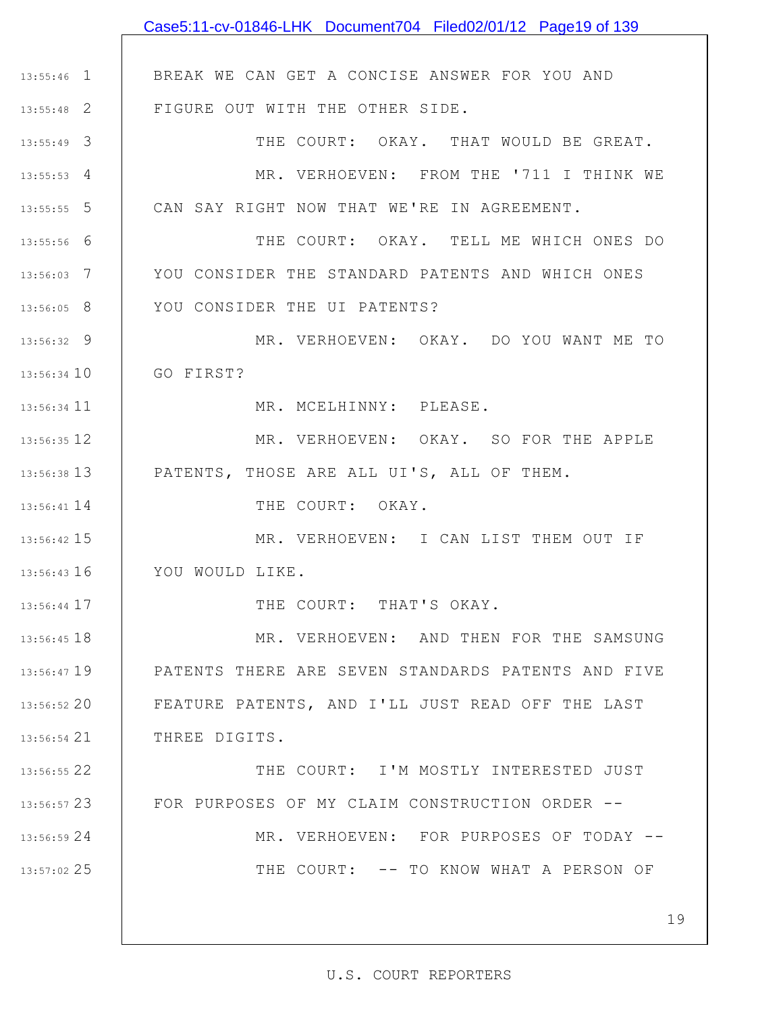|                 | Case5:11-cv-01846-LHK Document704 Filed02/01/12 Page19 of 139 |
|-----------------|---------------------------------------------------------------|
|                 |                                                               |
| $13:55:46$ 1    | BREAK WE CAN GET A CONCISE ANSWER FOR YOU AND                 |
| 13:55:48 2      | FIGURE OUT WITH THE OTHER SIDE.                               |
| $13:55:49$ 3    | THE COURT: OKAY. THAT WOULD BE GREAT.                         |
| $13:55:53$ 4    | MR. VERHOEVEN: FROM THE '711 I THINK WE                       |
| $13:55:55$ 5    | CAN SAY RIGHT NOW THAT WE'RE IN AGREEMENT.                    |
| $13:55:56$ 6    | THE COURT: OKAY. TELL ME WHICH ONES DO                        |
| $13:56:03$ 7    | YOU CONSIDER THE STANDARD PATENTS AND WHICH ONES              |
| 13:56:05 8      | YOU CONSIDER THE UI PATENTS?                                  |
| 13:56:32 9      | MR. VERHOEVEN: OKAY. DO YOU WANT ME TO                        |
| $13:56:34$ 10   | GO FIRST?                                                     |
| $13:56:34$ 11   | MR. MCELHINNY: PLEASE.                                        |
| 13:56:35 12     | MR. VERHOEVEN: OKAY. SO FOR THE APPLE                         |
| $13:56:38$ 13   | PATENTS, THOSE ARE ALL UI'S, ALL OF THEM.                     |
| $13:56:41$ $14$ | THE COURT: OKAY.                                              |
| 13:56:42 15     | MR. VERHOEVEN: I CAN LIST THEM OUT IF                         |
| $13:56:43$ 16   | YOU WOULD LIKE.                                               |
| 13:56:44 17     | THE COURT: THAT'S OKAY.                                       |
| $13:56:45$ 18   | MR. VERHOEVEN: AND THEN FOR THE SAMSUNG                       |
| $13:56:47$ 19   | PATENTS THERE ARE SEVEN STANDARDS PATENTS AND FIVE            |
| 13:56:5220      | FEATURE PATENTS, AND I'LL JUST READ OFF THE LAST              |
| 13:56:54 21     | THREE DIGITS.                                                 |
| 13:56:55 22     | THE COURT: I'M MOSTLY INTERESTED JUST                         |
| 13:56:57 23     | FOR PURPOSES OF MY CLAIM CONSTRUCTION ORDER --                |
| 13:56:5924      | MR. VERHOEVEN: FOR PURPOSES OF TODAY --                       |
| 13:57:02 25     | THE COURT: -- TO KNOW WHAT A PERSON OF                        |
|                 |                                                               |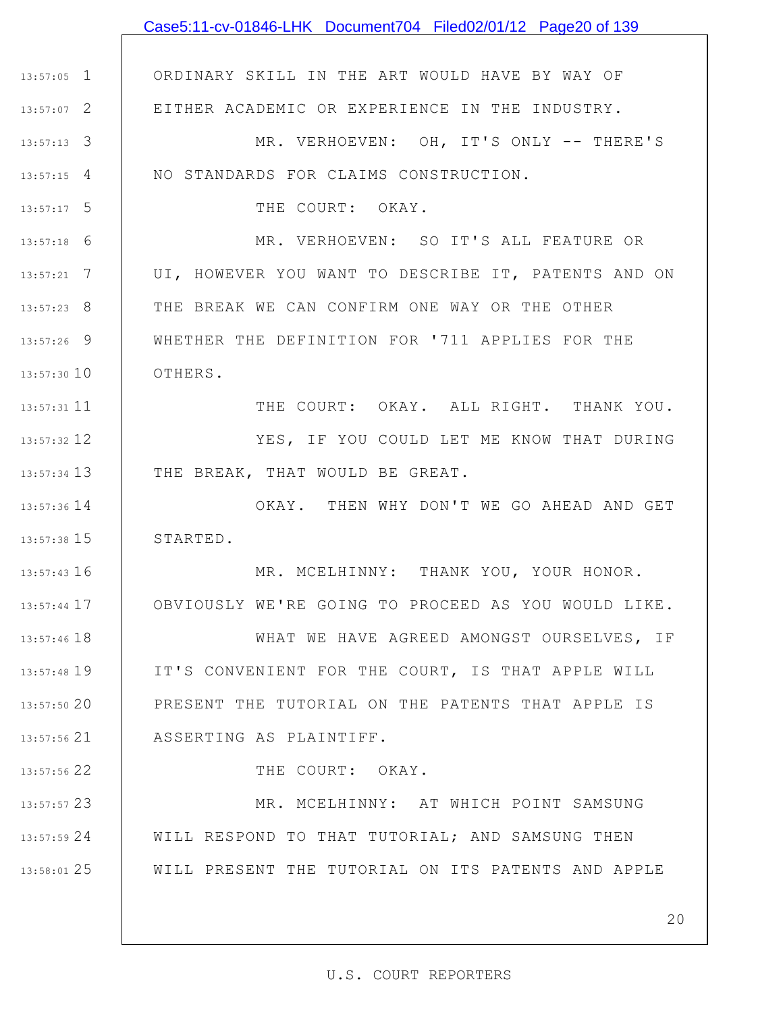|               | Case5:11-cv-01846-LHK Document704 Filed02/01/12 Page20 of 139 |
|---------------|---------------------------------------------------------------|
|               |                                                               |
| $13:57:05$ 1  | ORDINARY SKILL IN THE ART WOULD HAVE BY WAY OF                |
| $13:57:07$ 2  | EITHER ACADEMIC OR EXPERIENCE IN THE INDUSTRY.                |
| $13:57:13$ 3  | MR. VERHOEVEN: OH, IT'S ONLY -- THERE'S                       |
| $13:57:15$ 4  | NO STANDARDS FOR CLAIMS CONSTRUCTION.                         |
| $13:57:17$ 5  | THE COURT: OKAY.                                              |
| $13:57:18$ 6  | MR. VERHOEVEN: SO IT'S ALL FEATURE OR                         |
| $13:57:21$ 7  | UI, HOWEVER YOU WANT TO DESCRIBE IT, PATENTS AND ON           |
| $13:57:23$ 8  | THE BREAK WE CAN CONFIRM ONE WAY OR THE OTHER                 |
| $13:57:26$ 9  | WHETHER THE DEFINITION FOR '711 APPLIES FOR THE               |
| 13:57:30 10   | OTHERS.                                                       |
| $13:57:31$ 11 | THE COURT: OKAY. ALL RIGHT. THANK YOU.                        |
| 13:57:32 12   | YES, IF YOU COULD LET ME KNOW THAT DURING                     |
| $13:57:34$ 13 | THE BREAK, THAT WOULD BE GREAT.                               |
| $13:57:36$ 14 | OKAY. THEN WHY DON'T WE GO AHEAD AND GET                      |
|               | 13:57:38 15   STARTED.                                        |
| $13:57:43$ 16 | MR. MCELHINNY: THANK YOU, YOUR HONOR.                         |
| $13:57:44$ 17 | OBVIOUSLY WE'RE GOING TO PROCEED AS YOU WOULD LIKE.           |
| 13:57:46 18   | WHAT WE HAVE AGREED AMONGST OURSELVES, IF                     |
| 13:57:48 19   | IT'S CONVENIENT FOR THE COURT, IS THAT APPLE WILL             |
| 13:57:50 20   | PRESENT THE TUTORIAL ON THE PATENTS THAT APPLE IS             |
| 13:57:56 21   | ASSERTING AS PLAINTIFF.                                       |
| 13:57:56 22   | THE COURT: OKAY.                                              |
| 13:57:57 23   | MR. MCELHINNY: AT WHICH POINT SAMSUNG                         |
| 13:57:59 24   | WILL RESPOND TO THAT TUTORIAL; AND SAMSUNG THEN               |
| 13:58:01 25   | WILL PRESENT THE TUTORIAL ON ITS PATENTS AND APPLE            |
|               |                                                               |
|               | 20                                                            |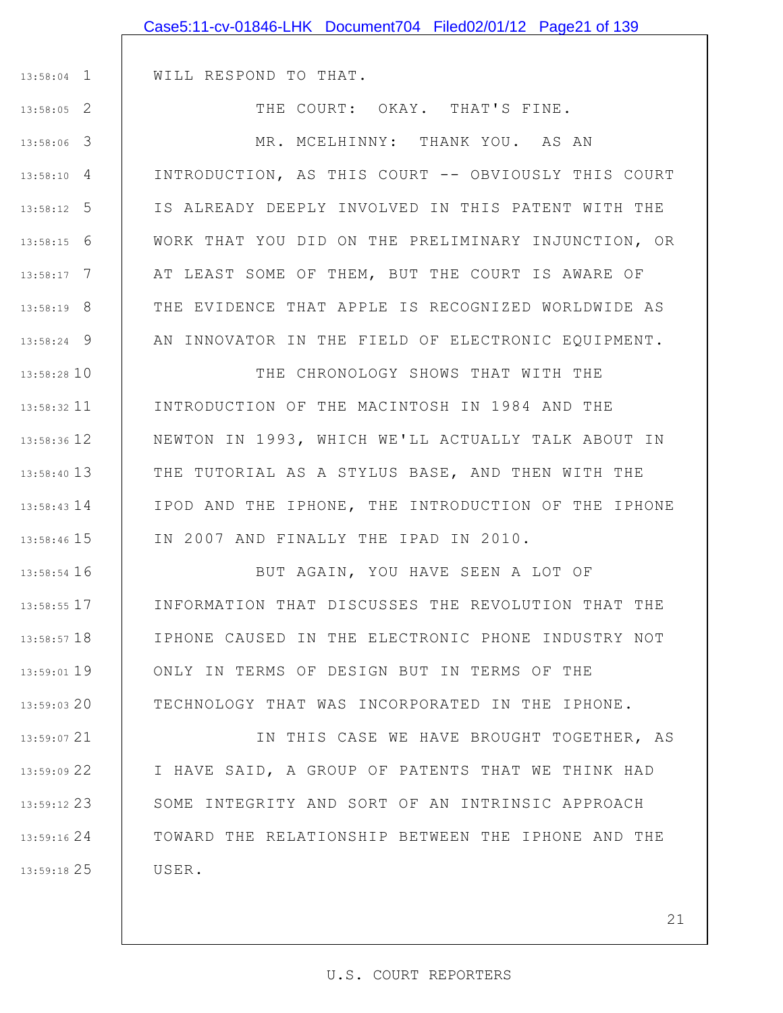|               | Case5:11-cv-01846-LHK Document704 Filed02/01/12 Page21 of 139     |
|---------------|-------------------------------------------------------------------|
|               |                                                                   |
|               | 13:58:04 1   WILL RESPOND TO THAT.                                |
| $13:58:05$ 2  | THE COURT: OKAY. THAT'S FINE.                                     |
| 13:58:06 3    | MR. MCELHINNY: THANK YOU. AS AN                                   |
| $13:58:10$ 4  | INTRODUCTION, AS THIS COURT -- OBVIOUSLY THIS COURT               |
| $13:58:12$ 5  | IS ALREADY DEEPLY INVOLVED IN THIS PATENT WITH THE                |
| $13:58:15$ 6  | WORK THAT YOU DID ON THE PRELIMINARY INJUNCTION, OR               |
| $13:58:17$ 7  | AT LEAST SOME OF THEM, BUT THE COURT IS AWARE OF                  |
| $13:58:19$ 8  | THE EVIDENCE THAT APPLE IS RECOGNIZED WORLDWIDE AS                |
| 13:58:24 9    | AN INNOVATOR IN THE FIELD OF ELECTRONIC EQUIPMENT.                |
| 13:58:28 10   | THE CHRONOLOGY SHOWS THAT WITH THE                                |
|               | 13:58:32 11   INTRODUCTION OF THE MACINTOSH IN 1984 AND THE       |
| $13:58:36$ 12 | NEWTON IN 1993, WHICH WE'LL ACTUALLY TALK ABOUT IN                |
|               | 13:58:40 13 THE TUTORIAL AS A STYLUS BASE, AND THEN WITH THE      |
|               | 13:58:43 14   IPOD AND THE IPHONE, THE INTRODUCTION OF THE IPHONE |
|               | 13:58:46 15   IN 2007 AND FINALLY THE IPAD IN 2010.               |
| $13:58:54$ 16 | BUT AGAIN, YOU HAVE SEEN A LOT OF                                 |
| 13:58:55 17   | INFORMATION THAT DISCUSSES THE REVOLUTION THAT THE                |
| 13:58:57 18   | IPHONE CAUSED IN THE ELECTRONIC PHONE INDUSTRY NOT                |
| 13:59:01 19   | ONLY IN TERMS OF DESIGN BUT IN TERMS OF THE                       |
| 13:59:0320    | TECHNOLOGY THAT WAS INCORPORATED IN THE IPHONE.                   |
| $13:59:07$ 21 | IN THIS CASE WE HAVE BROUGHT TOGETHER, AS                         |
| $13:59:09$ 22 | I HAVE SAID, A GROUP OF PATENTS THAT WE THINK HAD                 |
| 13:59:12 23   | SOME INTEGRITY AND SORT OF AN INTRINSIC APPROACH                  |
| 13:59:16 24   | TOWARD THE RELATIONSHIP BETWEEN THE IPHONE AND THE                |
| 13:59:18 25   | USER.                                                             |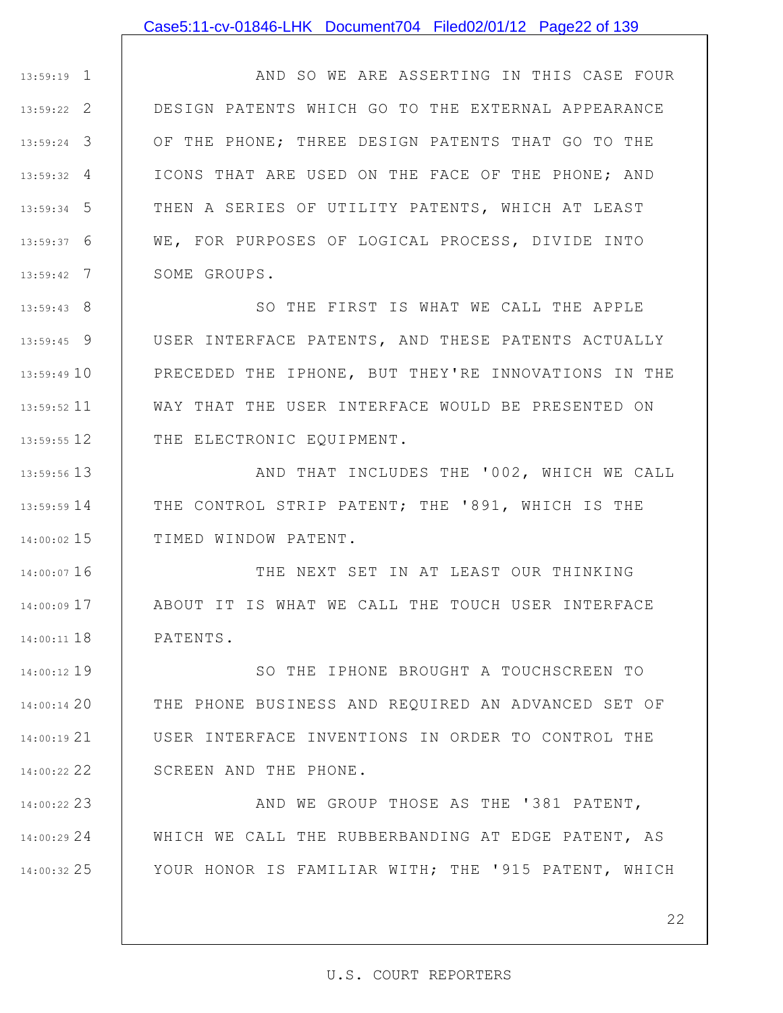1 13:59:19 2 13:59:22 3 13:59:24 4 13:59:32 5 13:59:34 6 13:59:37 7 13:59:42 AND SO WE ARE ASSERTING IN THIS CASE FOUR DESIGN PATENTS WHICH GO TO THE EXTERNAL APPEARANCE OF THE PHONE; THREE DESIGN PATENTS THAT GO TO THE ICONS THAT ARE USED ON THE FACE OF THE PHONE; AND THEN A SERIES OF UTILITY PATENTS, WHICH AT LEAST WE, FOR PURPOSES OF LOGICAL PROCESS, DIVIDE INTO SOME GROUPS.

8 13:59:43 9 13:59:45 13:59:49 10 11 13:59:52 12 13:59:55 SO THE FIRST IS WHAT WE CALL THE APPLE USER INTERFACE PATENTS, AND THESE PATENTS ACTUALLY PRECEDED THE IPHONE, BUT THEY'RE INNOVATIONS IN THE WAY THAT THE USER INTERFACE WOULD BE PRESENTED ON THE ELECTRONIC EQUIPMENT.

13 13:59:56 14 13:59:59 15 14:00:02 AND THAT INCLUDES THE '002, WHICH WE CALL THE CONTROL STRIP PATENT; THE '891, WHICH IS THE TIMED WINDOW PATENT.

16 14:00:07 17 14:00:09 18 14:00:11 THE NEXT SET IN AT LEAST OUR THINKING ABOUT IT IS WHAT WE CALL THE TOUCH USER INTERFACE PATENTS.

19 14:00:12 20 14:00:14 21 14:00:19 22 14:00:22 SO THE IPHONE BROUGHT A TOUCHSCREEN TO THE PHONE BUSINESS AND REQUIRED AN ADVANCED SET OF USER INTERFACE INVENTIONS IN ORDER TO CONTROL THE SCREEN AND THE PHONE.

23 14:00:22 24 14:00:29 25 14:00:32 AND WE GROUP THOSE AS THE '381 PATENT, WHICH WE CALL THE RUBBERBANDING AT EDGE PATENT, AS YOUR HONOR IS FAMILIAR WITH; THE '915 PATENT, WHICH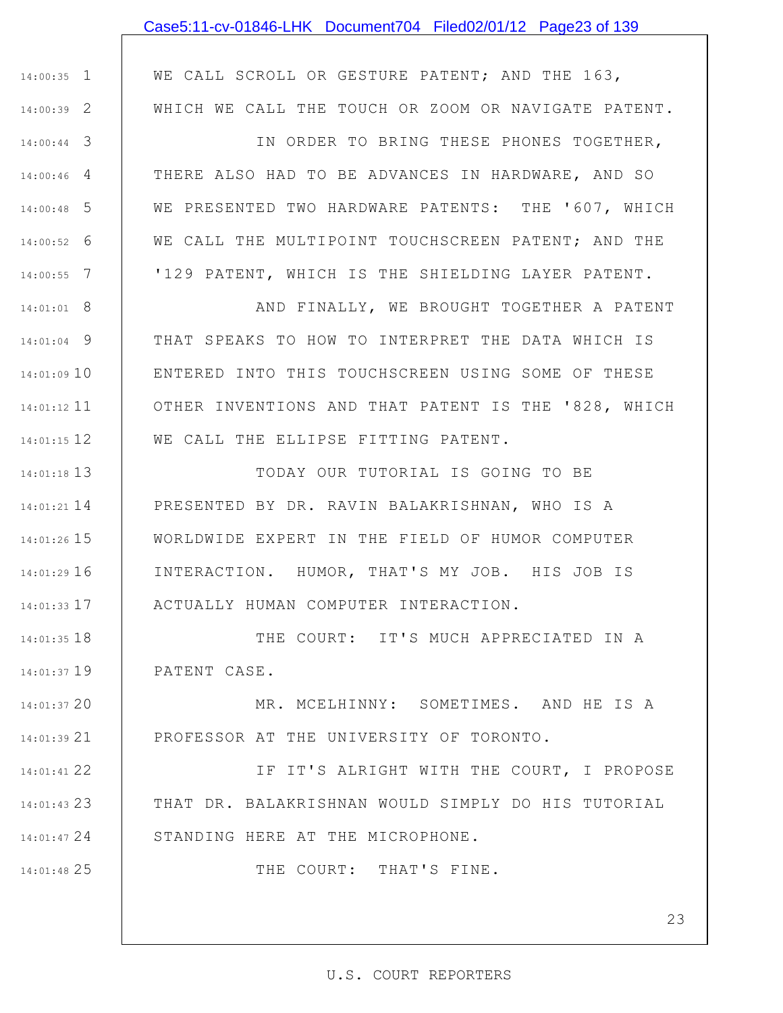### Case5:11-cv-01846-LHK Document704 Filed02/01/12 Page23 of 139

WE CALL SCROLL OR GESTURE PATENT; AND THE 163, WHICH WE CALL THE TOUCH OR ZOOM OR NAVIGATE PATENT.

IN ORDER TO BRING THESE PHONES TOGETHER, THERE ALSO HAD TO BE ADVANCES IN HARDWARE, AND SO WE PRESENTED TWO HARDWARE PATENTS: THE '607, WHICH WE CALL THE MULTIPOINT TOUCHSCREEN PATENT; AND THE '129 PATENT, WHICH IS THE SHIELDING LAYER PATENT.

8 14:01:01 9 14:01:04 14:01:09 10 11 14:01:12 12 14:01:15 AND FINALLY, WE BROUGHT TOGETHER A PATENT THAT SPEAKS TO HOW TO INTERPRET THE DATA WHICH IS ENTERED INTO THIS TOUCHSCREEN USING SOME OF THESE OTHER INVENTIONS AND THAT PATENT IS THE '828, WHICH WE CALL THE ELLIPSE FITTING PATENT.

13 14:01:18 14 14:01:21 PRESENTED BY DR. RAVIN BALAKRISHNAN, WHO IS A 15 14:01:26 16 14:01:29 17 14:01:33 TODAY OUR TUTORIAL IS GOING TO BE WORLDWIDE EXPERT IN THE FIELD OF HUMOR COMPUTER INTERACTION. HUMOR, THAT'S MY JOB. HIS JOB IS ACTUALLY HUMAN COMPUTER INTERACTION.

18 14:01:35 19 14:01:37 THE COURT: IT'S MUCH APPRECIATED IN A PATENT CASE.

20 14:01:37 21 14:01:39 MR. MCELHINNY: SOMETIMES. AND HE IS A PROFESSOR AT THE UNIVERSITY OF TORONTO.

22 14:01:41 23 14:01:43 24 14:01:47 IF IT'S ALRIGHT WITH THE COURT, I PROPOSE THAT DR. BALAKRISHNAN WOULD SIMPLY DO HIS TUTORIAL STANDING HERE AT THE MICROPHONE.

1 14:00:35

2 14:00:39

3 14:00:44

4 14:00:46

5 14:00:48

6 14:00:52

7 14:00:55

25 14:01:48

THE COURT: THAT'S FINE.

23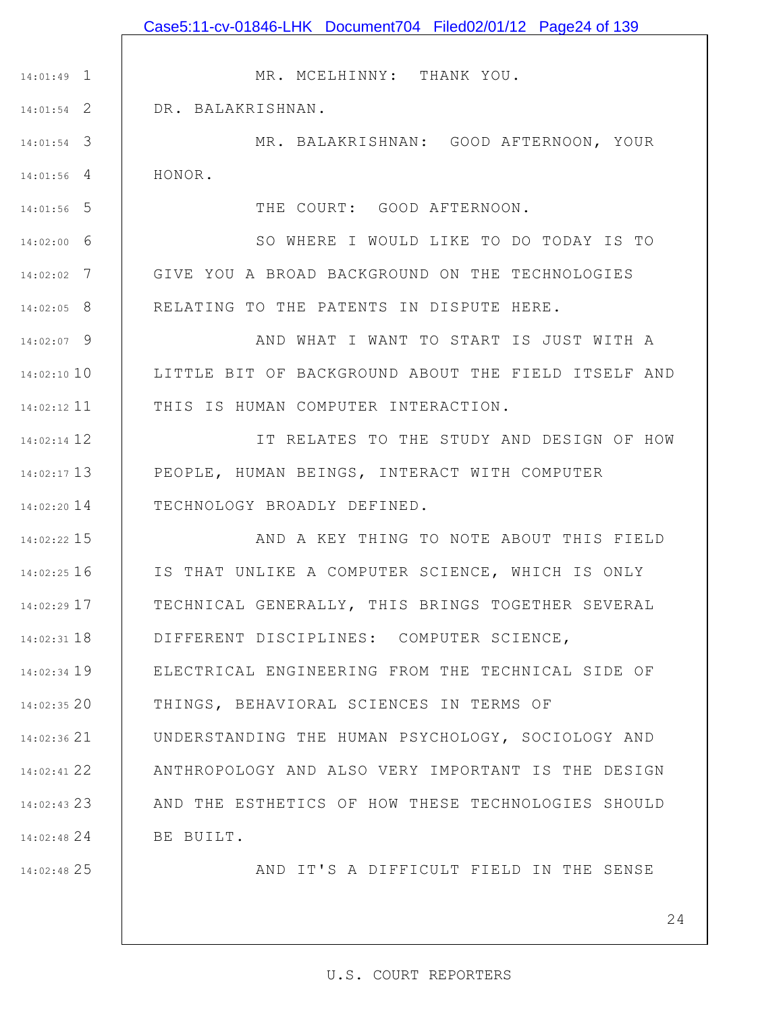|               | Case5:11-cv-01846-LHK Document704 Filed02/01/12 Page24 of 139 |
|---------------|---------------------------------------------------------------|
|               |                                                               |
| $14:01:49$ 1  | MR. MCELHINNY: THANK YOU.                                     |
| $14:01:54$ 2  | DR. BALAKRISHNAN.                                             |
| $14:01:54$ 3  | MR. BALAKRISHNAN: GOOD AFTERNOON, YOUR                        |
| $14:01:56$ 4  | HONOR.                                                        |
| $14:01:56$ 5  | THE COURT: GOOD AFTERNOON.                                    |
| $14:02:00$ 6  | SO WHERE I WOULD LIKE TO DO TODAY IS TO                       |
| $14:02:02$ 7  | GIVE YOU A BROAD BACKGROUND ON THE TECHNOLOGIES               |
| $14:02:05$ 8  | RELATING TO THE PATENTS IN DISPUTE HERE.                      |
| $14:02:07$ 9  | AND WHAT I WANT TO START IS JUST WITH A                       |
| $14:02:10$ 10 | LITTLE BIT OF BACKGROUND ABOUT THE FIELD ITSELF AND           |
| $14:02:12$ 11 | THIS IS HUMAN COMPUTER INTERACTION.                           |
| $14:02:14$ 12 | IT RELATES TO THE STUDY AND DESIGN OF HOW                     |
| $14:02:17$ 13 | PEOPLE, HUMAN BEINGS, INTERACT WITH COMPUTER                  |
| $14:02:20$ 14 | TECHNOLOGY BROADLY DEFINED.                                   |
| 14:02:22 15   | AND A KEY THING TO NOTE ABOUT THIS FIELD                      |
| $14:02:25$ 16 | IS THAT UNLIKE A COMPUTER SCIENCE, WHICH IS ONLY              |
| 14:02:29 17   | TECHNICAL GENERALLY, THIS BRINGS TOGETHER SEVERAL             |
| $14:02:31$ 18 | DIFFERENT DISCIPLINES: COMPUTER SCIENCE,                      |
| $14:02:34$ 19 | ELECTRICAL ENGINEERING FROM THE TECHNICAL SIDE OF             |
| 14:02:35 20   | THINGS, BEHAVIORAL SCIENCES IN TERMS OF                       |
| $14:02:36$ 21 | UNDERSTANDING THE HUMAN PSYCHOLOGY, SOCIOLOGY AND             |
| 14:02:41 22   | ANTHROPOLOGY AND ALSO VERY IMPORTANT IS THE DESIGN            |
| $14:02:43$ 23 | AND THE ESTHETICS OF HOW THESE TECHNOLOGIES SHOULD            |
| 14:02:48 24   | BE BUILT.                                                     |
| $14:02:48$ 25 | AND IT'S A DIFFICULT FIELD IN THE SENSE                       |
|               |                                                               |
|               | 24                                                            |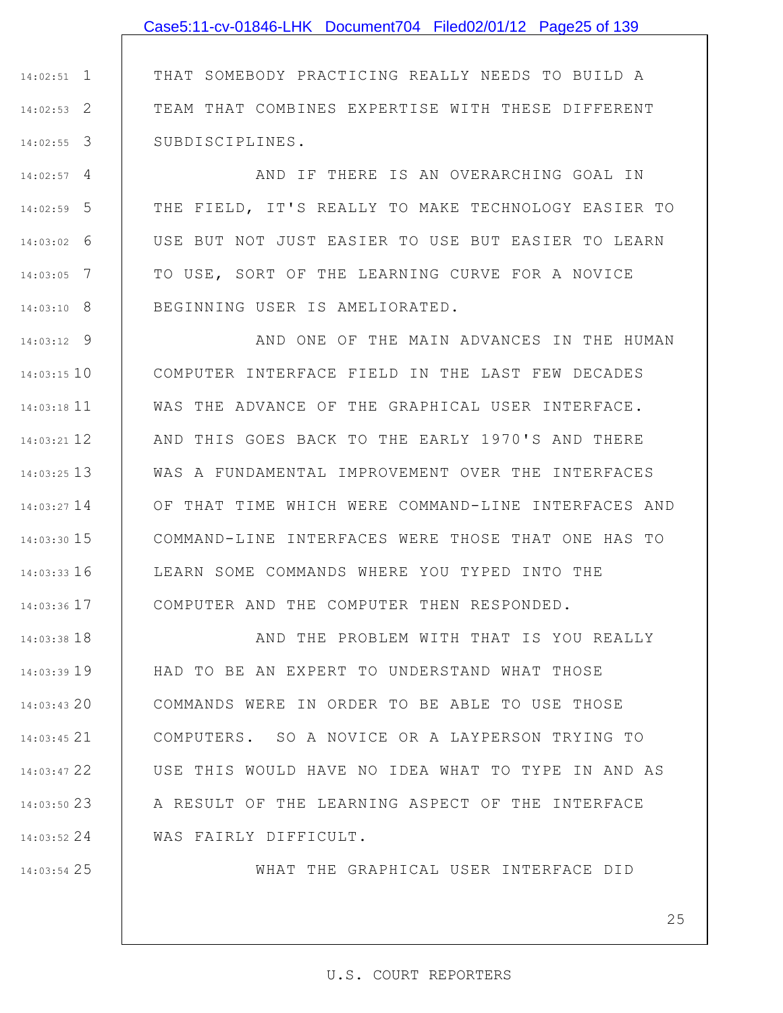1 14:02:51 2 14:02:53 3 14:02:55 THAT SOMEBODY PRACTICING REALLY NEEDS TO BUILD A TEAM THAT COMBINES EXPERTISE WITH THESE DIFFERENT SUBDISCIPLINES.

4 14:02:57 5 14:02:59 6 14:03:02 7 14:03:05 8 14:03:10 AND IF THERE IS AN OVERARCHING GOAL IN THE FIELD, IT'S REALLY TO MAKE TECHNOLOGY EASIER TO USE BUT NOT JUST EASIER TO USE BUT EASIER TO LEARN TO USE, SORT OF THE LEARNING CURVE FOR A NOVICE BEGINNING USER IS AMELIORATED.

9 14:03:12 10 14:03:15 11 14:03:18 12 14:03:21 13 14:03:25 14 14:03:27 15 14:03:30 16 14:03:33 17 14:03:36 AND ONE OF THE MAIN ADVANCES IN THE HUMAN COMPUTER INTERFACE FIELD IN THE LAST FEW DECADES WAS THE ADVANCE OF THE GRAPHICAL USER INTERFACE. AND THIS GOES BACK TO THE EARLY 1970'S AND THERE WAS A FUNDAMENTAL IMPROVEMENT OVER THE INTERFACES OF THAT TIME WHICH WERE COMMAND-LINE INTERFACES AND COMMAND-LINE INTERFACES WERE THOSE THAT ONE HAS TO LEARN SOME COMMANDS WHERE YOU TYPED INTO THE COMPUTER AND THE COMPUTER THEN RESPONDED.

18 14:03:38 19 14:03:39 20 14:03:43 21 14:03:45 22 14:03:47 23 14:03:50 24 14:03:52 AND THE PROBLEM WITH THAT IS YOU REALLY HAD TO BE AN EXPERT TO UNDERSTAND WHAT THOSE COMMANDS WERE IN ORDER TO BE ABLE TO USE THOSE COMPUTERS. SO A NOVICE OR A LAYPERSON TRYING TO USE THIS WOULD HAVE NO IDEA WHAT TO TYPE IN AND AS A RESULT OF THE LEARNING ASPECT OF THE INTERFACE WAS FAIRLY DIFFICULT.

25 14:03:54

WHAT THE GRAPHICAL USER INTERFACE DID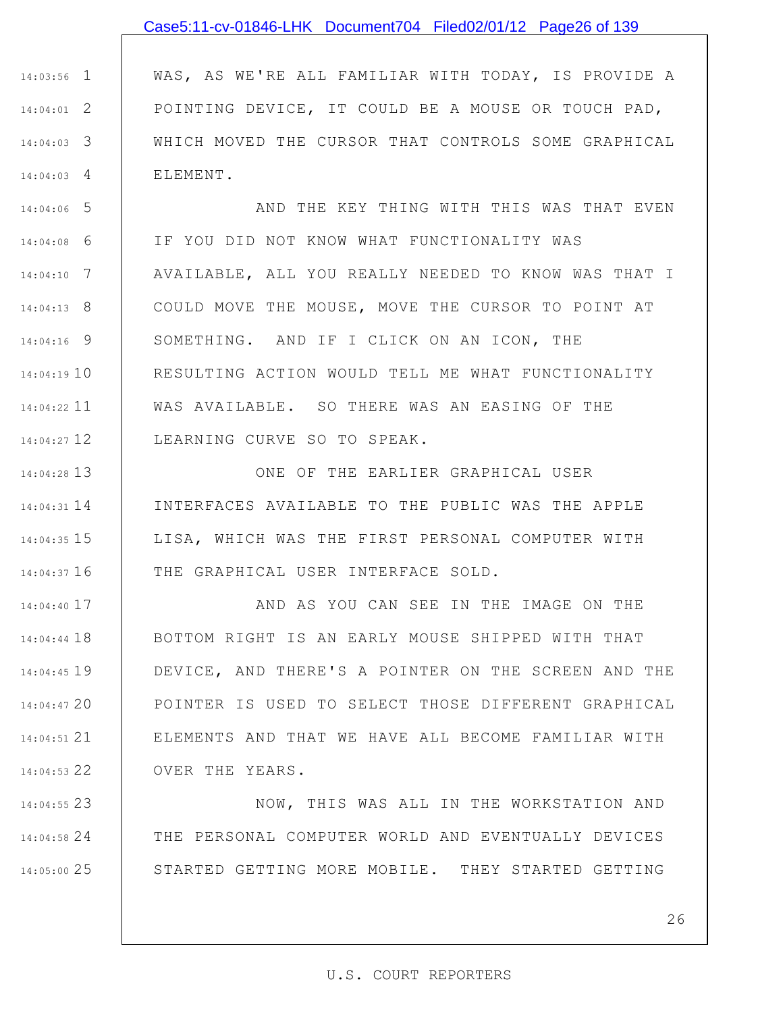# 1 14:03:56 2 14:04:01 WAS, AS WE'RE ALL FAMILIAR WITH TODAY, IS PROVIDE A POINTING DEVICE, IT COULD BE A MOUSE OR TOUCH PAD, Case5:11-cv-01846-LHK Document704 Filed02/01/12 Page26 of 139

3 14:04:03

4 14:04:03

WHICH MOVED THE CURSOR THAT CONTROLS SOME GRAPHICAL ELEMENT.

5 14:04:06 6 14:04:08 7 14:04:10 8 14:04:13 9 14:04:16 10 14:04:19 11 14:04:22 12 14:04:27 AND THE KEY THING WITH THIS WAS THAT EVEN IF YOU DID NOT KNOW WHAT FUNCTIONALITY WAS AVAILABLE, ALL YOU REALLY NEEDED TO KNOW WAS THAT I COULD MOVE THE MOUSE, MOVE THE CURSOR TO POINT AT SOMETHING. AND IF I CLICK ON AN ICON, THE RESULTING ACTION WOULD TELL ME WHAT FUNCTIONALITY WAS AVAILABLE. SO THERE WAS AN EASING OF THE LEARNING CURVE SO TO SPEAK.

13 14:04:28 14 14:04:31 15 14:04:35 16 14:04:37 ONE OF THE EARLIER GRAPHICAL USER INTERFACES AVAILABLE TO THE PUBLIC WAS THE APPLE LISA, WHICH WAS THE FIRST PERSONAL COMPUTER WITH THE GRAPHICAL USER INTERFACE SOLD.

17 14:04:40 18 14:04:44 19 14:04:45 20 14:04:47 21 14:04:51 22 14:04:53 AND AS YOU CAN SEE IN THE IMAGE ON THE BOTTOM RIGHT IS AN EARLY MOUSE SHIPPED WITH THAT DEVICE, AND THERE'S A POINTER ON THE SCREEN AND THE POINTER IS USED TO SELECT THOSE DIFFERENT GRAPHICAL ELEMENTS AND THAT WE HAVE ALL BECOME FAMILIAR WITH OVER THE YEARS.

23 14:04:55 24 14:04:58 25 14:05:00 NOW, THIS WAS ALL IN THE WORKSTATION AND THE PERSONAL COMPUTER WORLD AND EVENTUALLY DEVICES STARTED GETTING MORE MOBILE. THEY STARTED GETTING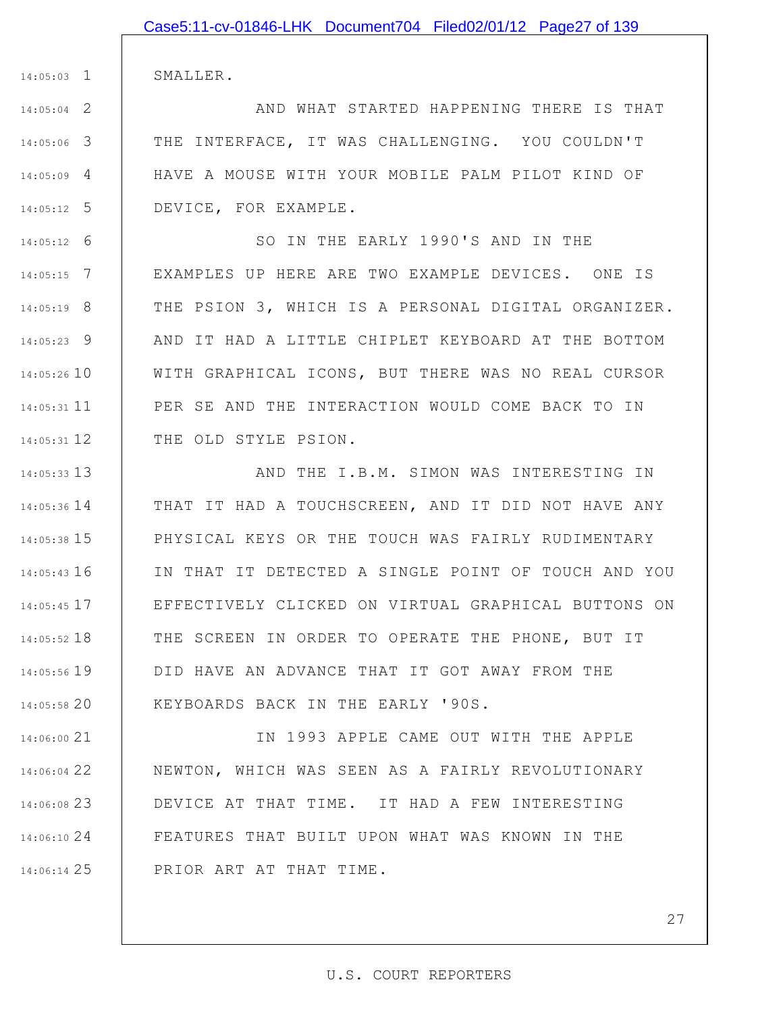|               | Case5:11-cv-01846-LHK Document704 Filed02/01/12 Page27 of 139 |
|---------------|---------------------------------------------------------------|
|               |                                                               |
| $14:05:03$ 1  | SMALLER.                                                      |
| $14:05:04$ 2  | AND WHAT STARTED HAPPENING THERE IS THAT                      |
| 14:05:06 3    | THE INTERFACE, IT WAS CHALLENGING. YOU COULDN'T               |
| 14:05:09 4    | HAVE A MOUSE WITH YOUR MOBILE PALM PILOT KIND OF              |
| 14:05:12 5    | DEVICE, FOR EXAMPLE.                                          |
| 14:05:12<br>6 | SO IN THE EARLY 1990'S AND IN THE                             |
| 14:05:15 7    | EXAMPLES UP HERE ARE TWO EXAMPLE DEVICES. ONE IS              |
| 14:05:19 8    | THE PSION 3, WHICH IS A PERSONAL DIGITAL ORGANIZER.           |
| 14:05:23 9    | AND IT HAD A LITTLE CHIPLET KEYBOARD AT THE BOTTOM            |
| 14:05:26 10   | WITH GRAPHICAL ICONS, BUT THERE WAS NO REAL CURSOR            |
| 14:05:31 11   | PER SE AND THE INTERACTION WOULD COME BACK TO IN              |
| 14:05:31 12   | THE OLD STYLE PSION.                                          |
| 14:05:33 13   | AND THE I.B.M. SIMON WAS INTERESTING IN                       |
| 14:05:36 14   | THAT IT HAD A TOUCHSCREEN, AND IT DID NOT HAVE ANY            |
| 14:05:38 15   | PHYSICAL KEYS OR THE TOUCH WAS FAIRLY RUDIMENTARY             |
| 14:05:43 16   | IN THAT IT DETECTED A SINGLE POINT OF TOUCH AND YOU           |
| 14:05:45 17   | EFFECTIVELY CLICKED ON VIRTUAL GRAPHICAL BUTTONS ON           |
| 14:05:52 18   | THE SCREEN IN ORDER TO OPERATE THE PHONE, BUT IT              |
| 14:05:56 19   | DID HAVE AN ADVANCE THAT IT GOT AWAY FROM THE                 |

20 14:05:58 KEYBOARDS BACK IN THE EARLY '90S.

14:05:03

14:05:04

14:05:06

14:05:09

14:05:12

14:05:12

14:05:15

14:05:19

14:05:23

21 14:06:00 22 14:06:04 23 14:06:08 24 14:06:10 25 14:06:14 IN 1993 APPLE CAME OUT WITH THE APPLE NEWTON, WHICH WAS SEEN AS A FAIRLY REVOLUTIONARY DEVICE AT THAT TIME. IT HAD A FEW INTERESTING FEATURES THAT BUILT UPON WHAT WAS KNOWN IN THE PRIOR ART AT THAT TIME.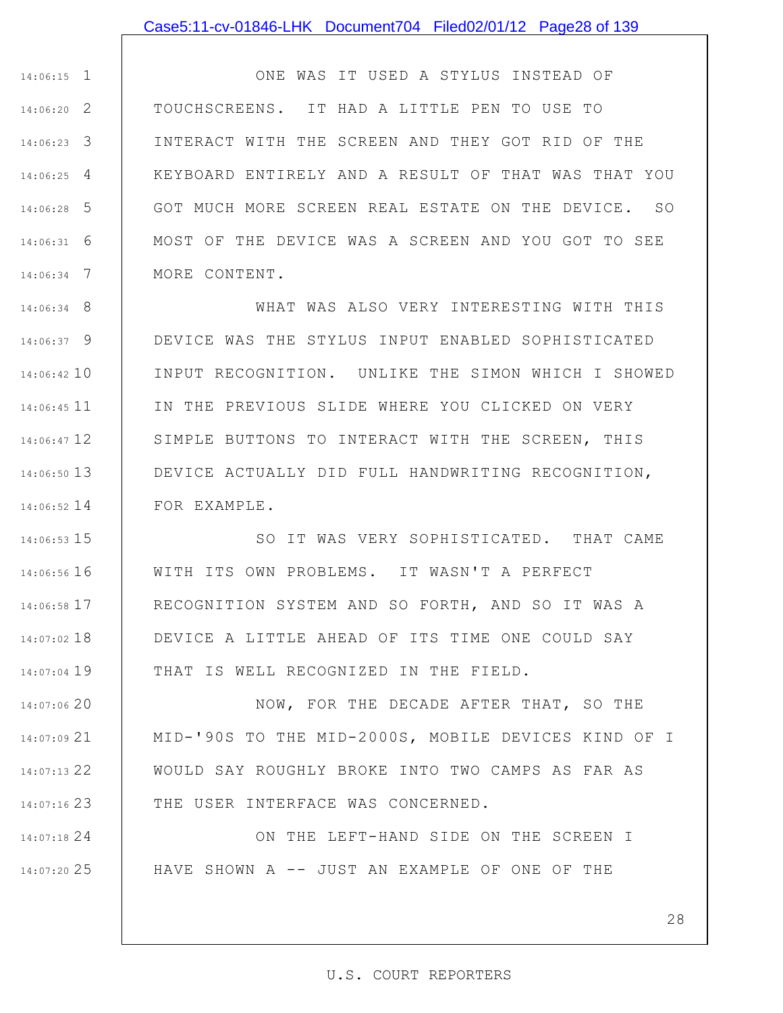#### Case5:11-cv-01846-LHK Document704 Filed02/01/12 Page28 of 139

1 14:06:15 2 14:06:20 3 14:06:23 4 14:06:25 5 14:06:28 6 14:06:31 7 14:06:34 ONE WAS IT USED A STYLUS INSTEAD OF TOUCHSCREENS. IT HAD A LITTLE PEN TO USE TO INTERACT WITH THE SCREEN AND THEY GOT RID OF THE KEYBOARD ENTIRELY AND A RESULT OF THAT WAS THAT YOU GOT MUCH MORE SCREEN REAL ESTATE ON THE DEVICE. SO MOST OF THE DEVICE WAS A SCREEN AND YOU GOT TO SEE MORE CONTENT.

8 14:06:34 9 14:06:37 10 14:06:42 11 14:06:45 12 14:06:47 13 14:06:50 14 14:06:52 WHAT WAS ALSO VERY INTERESTING WITH THIS DEVICE WAS THE STYLUS INPUT ENABLED SOPHISTICATED INPUT RECOGNITION. UNLIKE THE SIMON WHICH I SHOWED IN THE PREVIOUS SLIDE WHERE YOU CLICKED ON VERY SIMPLE BUTTONS TO INTERACT WITH THE SCREEN, THIS DEVICE ACTUALLY DID FULL HANDWRITING RECOGNITION, FOR EXAMPLE.

15 14:06:53 16 14:06:56 17 14:06:58 18 14:07:02 19 14:07:04 SO IT WAS VERY SOPHISTICATED. THAT CAME WITH ITS OWN PROBLEMS. IT WASN'T A PERFECT RECOGNITION SYSTEM AND SO FORTH, AND SO IT WAS A DEVICE A LITTLE AHEAD OF ITS TIME ONE COULD SAY THAT IS WELL RECOGNIZED IN THE FIELD.

20 14:07:06 21 14:07:09 22 14:07:13 23 14:07:16 NOW, FOR THE DECADE AFTER THAT, SO THE MID-'90S TO THE MID-2000S, MOBILE DEVICES KIND OF I WOULD SAY ROUGHLY BROKE INTO TWO CAMPS AS FAR AS THE USER INTERFACE WAS CONCERNED.

24 14:07:18 25 14:07:20 ON THE LEFT-HAND SIDE ON THE SCREEN I HAVE SHOWN A -- JUST AN EXAMPLE OF ONE OF THE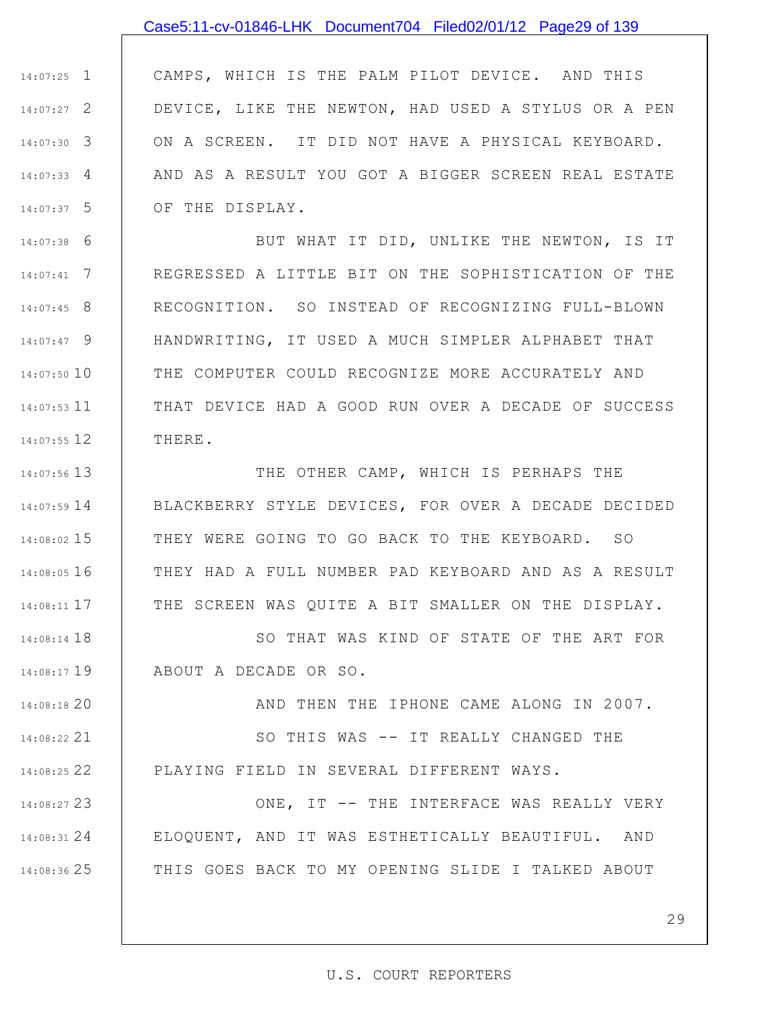#### Case5:11-cv-01846-LHK Document704 Filed02/01/12 Page29 of 139

1 14:07:25 2 14:07:27 3 14:07:30 4 14:07:33 5 14:07:37 CAMPS, WHICH IS THE PALM PILOT DEVICE. AND THIS DEVICE, LIKE THE NEWTON, HAD USED A STYLUS OR A PEN ON A SCREEN. IT DID NOT HAVE A PHYSICAL KEYBOARD. AND AS A RESULT YOU GOT A BIGGER SCREEN REAL ESTATE OF THE DISPLAY.

6 14:07:38 7 14:07:41 8 14:07:45 9 14:07:47 10 14:07:50 11 14:07:53 12 14:07:55 BUT WHAT IT DID, UNLIKE THE NEWTON, IS IT REGRESSED A LITTLE BIT ON THE SOPHISTICATION OF THE RECOGNITION. SO INSTEAD OF RECOGNIZING FULL-BLOWN HANDWRITING, IT USED A MUCH SIMPLER ALPHABET THAT THE COMPUTER COULD RECOGNIZE MORE ACCURATELY AND THAT DEVICE HAD A GOOD RUN OVER A DECADE OF SUCCESS THERE.

13 14:07:56 14 14:07:59 15 14:08:02 16 14:08:05 17 14:08:11 THE OTHER CAMP, WHICH IS PERHAPS THE BLACKBERRY STYLE DEVICES, FOR OVER A DECADE DECIDED THEY WERE GOING TO GO BACK TO THE KEYBOARD. SO THEY HAD A FULL NUMBER PAD KEYBOARD AND AS A RESULT THE SCREEN WAS QUITE A BIT SMALLER ON THE DISPLAY.

18 14:08:14 19 14:08:17 SO THAT WAS KIND OF STATE OF THE ART FOR ABOUT A DECADE OR SO.

AND THEN THE IPHONE CAME ALONG IN 2007.

21 14:08:22 22 14:08:25 SO THIS WAS -- IT REALLY CHANGED THE PLAYING FIELD IN SEVERAL DIFFERENT WAYS.

20 14:08:18

23 14:08:27 24 14:08:31 25 14:08:36 ONE, IT -- THE INTERFACE WAS REALLY VERY ELOQUENT, AND IT WAS ESTHETICALLY BEAUTIFUL. AND THIS GOES BACK TO MY OPENING SLIDE I TALKED ABOUT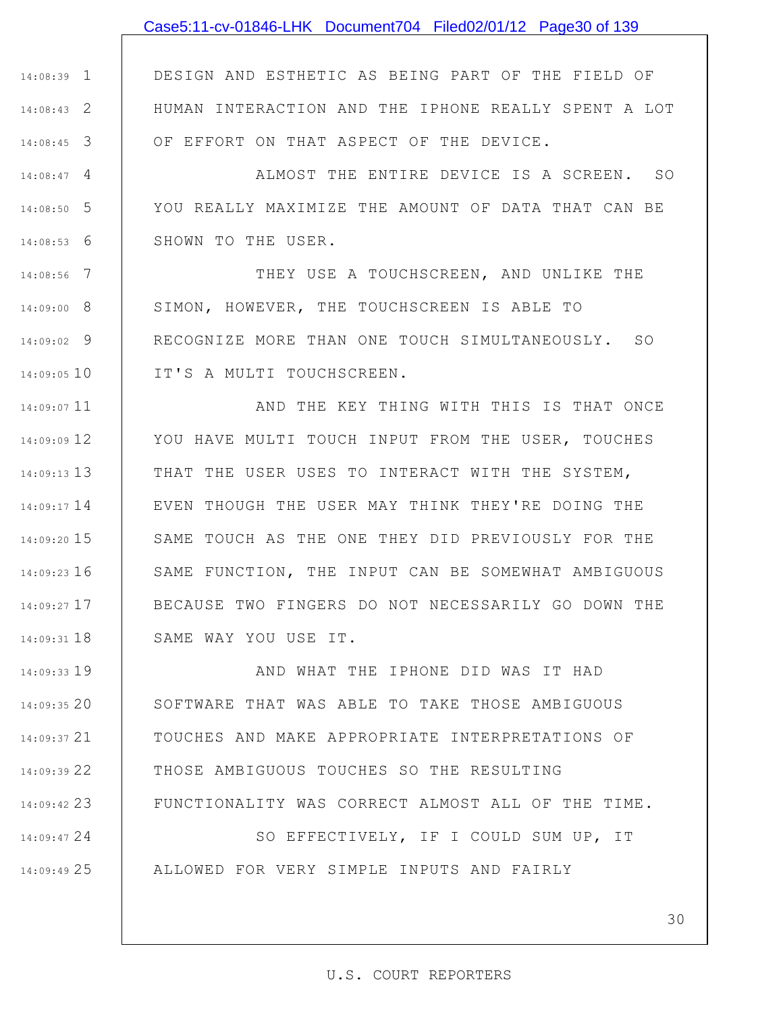# Case5:11-cv-01846-LHK Document704 Filed02/01/12 Page30 of 139

1 14:08:39 2 14:08:43 3 14:08:45 DESIGN AND ESTHETIC AS BEING PART OF THE FIELD OF HUMAN INTERACTION AND THE IPHONE REALLY SPENT A LOT OF EFFORT ON THAT ASPECT OF THE DEVICE.

4 14:08:47 5 14:08:50 6 14:08:53 ALMOST THE ENTIRE DEVICE IS A SCREEN. SO YOU REALLY MAXIMIZE THE AMOUNT OF DATA THAT CAN BE SHOWN TO THE USER.

7 14:08:56 8 14:09:00 9 14:09:02 10 14:09:05 THEY USE A TOUCHSCREEN, AND UNLIKE THE SIMON, HOWEVER, THE TOUCHSCREEN IS ABLE TO RECOGNIZE MORE THAN ONE TOUCH SIMULTANEOUSLY. SO IT'S A MULTI TOUCHSCREEN.

11 14:09:07 12 14:09:09 13 14:09:13 14 14:09:17 15 14:09:20 16 14:09:23 17 14:09:27 18 14:09:31 AND THE KEY THING WITH THIS IS THAT ONCE YOU HAVE MULTI TOUCH INPUT FROM THE USER, TOUCHES THAT THE USER USES TO INTERACT WITH THE SYSTEM, EVEN THOUGH THE USER MAY THINK THEY'RE DOING THE SAME TOUCH AS THE ONE THEY DID PREVIOUSLY FOR THE SAME FUNCTION, THE INPUT CAN BE SOMEWHAT AMBIGUOUS BECAUSE TWO FINGERS DO NOT NECESSARILY GO DOWN THE SAME WAY YOU USE IT.

19 14:09:33 20 14:09:35 21 14:09:37 22 14:09:39 23 14:09:42 24 14:09:47 AND WHAT THE IPHONE DID WAS IT HAD SOFTWARE THAT WAS ABLE TO TAKE THOSE AMBIGUOUS TOUCHES AND MAKE APPROPRIATE INTERPRETATIONS OF THOSE AMBIGUOUS TOUCHES SO THE RESULTING FUNCTIONALITY WAS CORRECT ALMOST ALL OF THE TIME. SO EFFECTIVELY, IF I COULD SUM UP, IT

ALLOWED FOR VERY SIMPLE INPUTS AND FAIRLY

25 14:09:49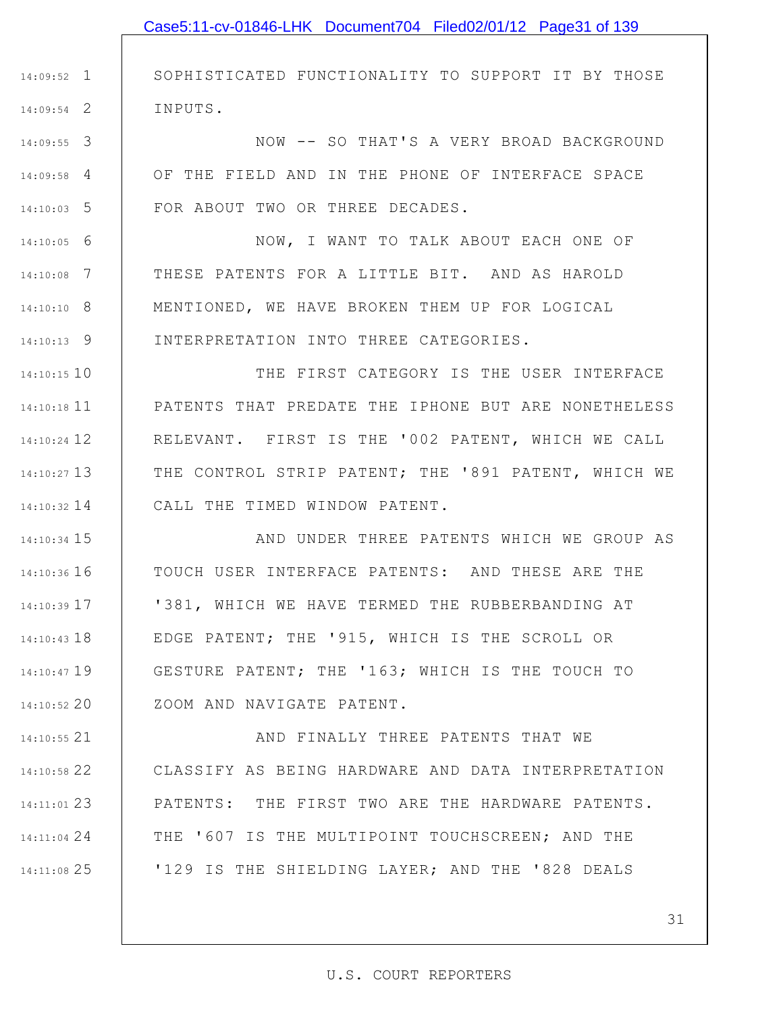SOPHISTICATED FUNCTIONALITY TO SUPPORT IT BY THOSE INPUTS.

3 14:09:55 4 14:09:58 5 14:10:03 NOW -- SO THAT'S A VERY BROAD BACKGROUND OF THE FIELD AND IN THE PHONE OF INTERFACE SPACE FOR ABOUT TWO OR THREE DECADES.

1 14:09:52

2 14:09:54

6 14:10:05 7 14:10:08 8 14:10:10 9 14:10:13 NOW, I WANT TO TALK ABOUT EACH ONE OF THESE PATENTS FOR A LITTLE BIT. AND AS HAROLD MENTIONED, WE HAVE BROKEN THEM UP FOR LOGICAL INTERPRETATION INTO THREE CATEGORIES.

10 14:10:15 11 14:10:18 12 14:10:24 13 14:10:27 14 14:10:32 THE FIRST CATEGORY IS THE USER INTERFACE PATENTS THAT PREDATE THE IPHONE BUT ARE NONETHELESS RELEVANT. FIRST IS THE '002 PATENT, WHICH WE CALL THE CONTROL STRIP PATENT; THE '891 PATENT, WHICH WE CALL THE TIMED WINDOW PATENT.

15 14:10:34 16 14:10:36 17 14:10:39 18 14:10:43 19 14:10:47 20 14:10:52 AND UNDER THREE PATENTS WHICH WE GROUP AS TOUCH USER INTERFACE PATENTS: AND THESE ARE THE '381, WHICH WE HAVE TERMED THE RUBBERBANDING AT EDGE PATENT; THE '915, WHICH IS THE SCROLL OR GESTURE PATENT; THE '163; WHICH IS THE TOUCH TO ZOOM AND NAVIGATE PATENT.

21 14:10:55 22 14:10:58 23 14:11:01 24 14:11:04 25 14:11:08 AND FINALLY THREE PATENTS THAT WE CLASSIFY AS BEING HARDWARE AND DATA INTERPRETATION PATENTS: THE FIRST TWO ARE THE HARDWARE PATENTS. THE '607 IS THE MULTIPOINT TOUCHSCREEN; AND THE '129 IS THE SHIELDING LAYER; AND THE '828 DEALS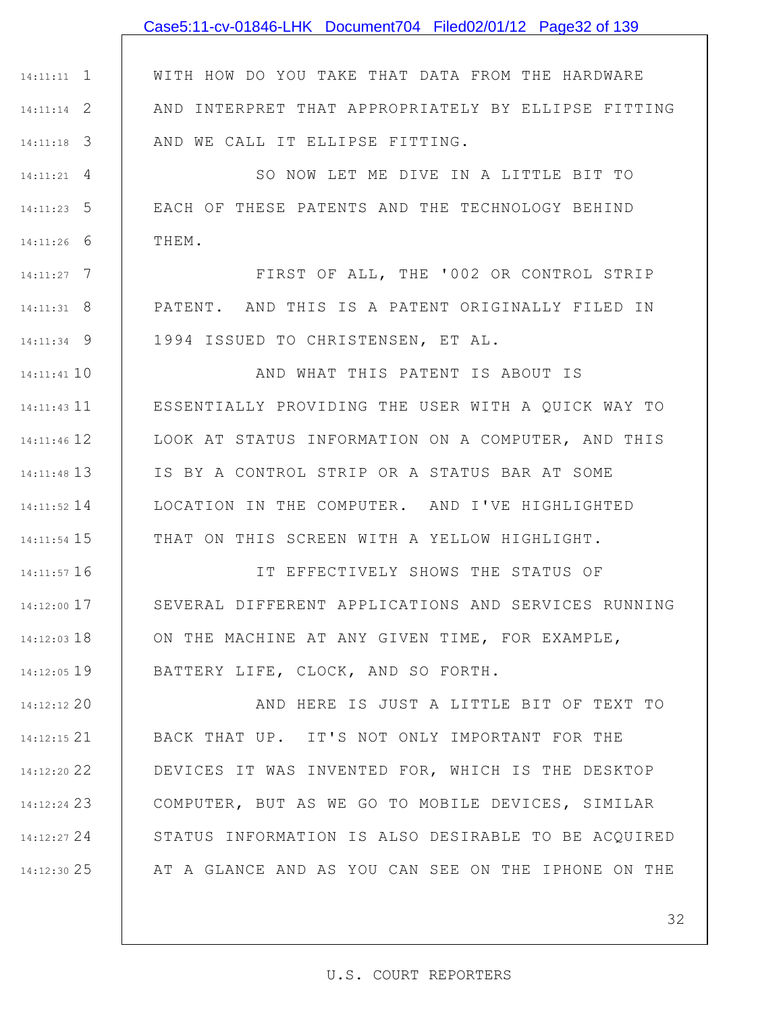|               | Case5:11-cv-01846-LHK Document704 Filed02/01/12 Page32 of 139 |
|---------------|---------------------------------------------------------------|
|               |                                                               |
| $14:11:11$ 1  | WITH HOW DO YOU TAKE THAT DATA FROM THE HARDWARE              |
| $14:11:14$ 2  | AND INTERPRET THAT APPROPRIATELY BY ELLIPSE FITTING           |
| $14:11:18$ 3  | AND WE CALL IT ELLIPSE FITTING.                               |
| $14:11:21$ 4  | SO NOW LET ME DIVE IN A LITTLE BIT TO                         |
| $14:11:23$ 5  | EACH OF THESE PATENTS AND THE TECHNOLOGY BEHIND               |
| $14:11:26$ 6  | THEM.                                                         |
| $14:11:27$ 7  | FIRST OF ALL, THE '002 OR CONTROL STRIP                       |
| $14:11:31$ 8  | PATENT. AND THIS IS A PATENT ORIGINALLY FILED IN              |
| $14:11:34$ 9  | 1994 ISSUED TO CHRISTENSEN, ET AL.                            |
| 14:11:41 10   | AND WHAT THIS PATENT IS ABOUT IS                              |
| 14:11:43 11   | ESSENTIALLY PROVIDING THE USER WITH A QUICK WAY TO            |
| 14:11:46 12   | LOOK AT STATUS INFORMATION ON A COMPUTER, AND THIS            |
| 14:11:48 13   | IS BY A CONTROL STRIP OR A STATUS BAR AT SOME                 |
| 14:11:52 14   | LOCATION IN THE COMPUTER. AND I'VE HIGHLIGHTED                |
| 14:11:54 15   | THAT ON THIS SCREEN WITH A YELLOW HIGHLIGHT.                  |
| 14:11:57 16   | IT EFFECTIVELY SHOWS THE STATUS OF                            |
| $14:12:00$ 17 | SEVERAL DIFFERENT APPLICATIONS AND SERVICES RUNNING           |
| 14:12:03 18   | ON THE MACHINE AT ANY GIVEN TIME, FOR EXAMPLE,                |
| 14:12:05 19   | BATTERY LIFE, CLOCK, AND SO FORTH.                            |
| 14:12:12 20   | AND HERE IS JUST A LITTLE BIT OF TEXT TO                      |
| 14:12:15 21   | BACK THAT UP. IT'S NOT ONLY IMPORTANT FOR THE                 |
| 14:12:20 22   | DEVICES IT WAS INVENTED FOR, WHICH IS THE DESKTOP             |
| 14:12:24 23   | COMPUTER, BUT AS WE GO TO MOBILE DEVICES, SIMILAR             |
| 14:12:27 24   | STATUS INFORMATION IS ALSO DESIRABLE TO BE ACQUIRED           |
| 14:12:30 25   | AT A GLANCE AND AS YOU CAN SEE ON THE IPHONE ON THE           |
|               |                                                               |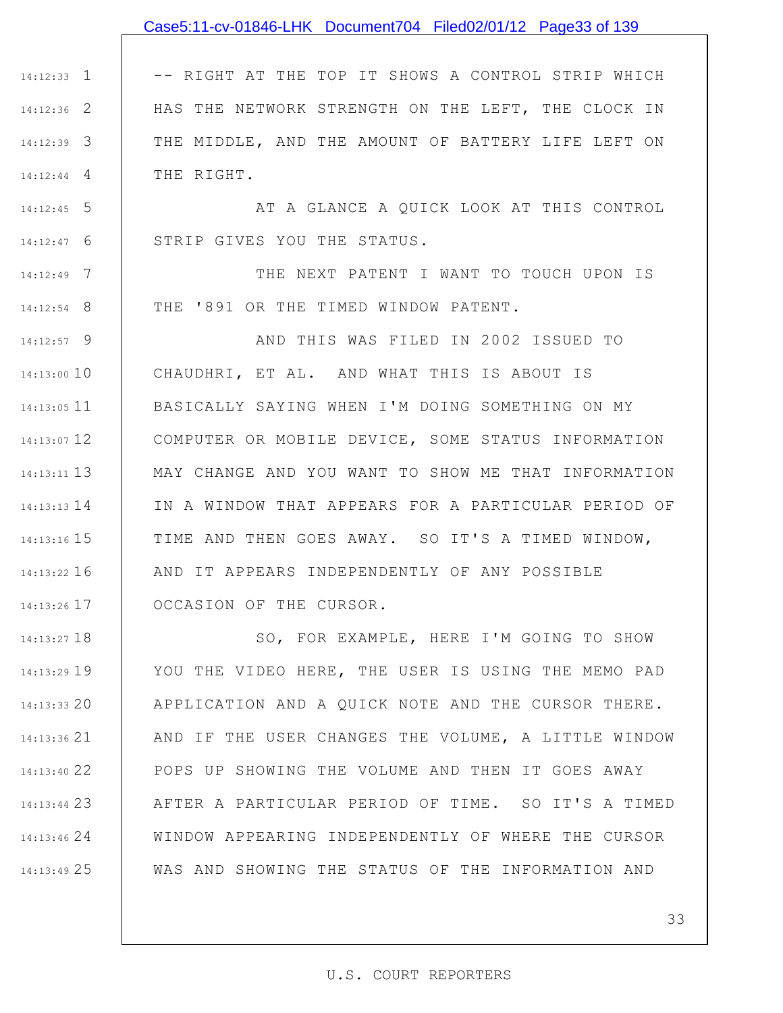### Case5:11-cv-01846-LHK Document704 Filed02/01/12 Page33 of 139

1 14:12:33 2 14:12:36 3 14:12:39 4 14:12:44 -- RIGHT AT THE TOP IT SHOWS A CONTROL STRIP WHICH HAS THE NETWORK STRENGTH ON THE LEFT, THE CLOCK IN THE MIDDLE, AND THE AMOUNT OF BATTERY LIFE LEFT ON THE RIGHT.

5 14:12:45 6 14:12:47 AT A GLANCE A QUICK LOOK AT THIS CONTROL STRIP GIVES YOU THE STATUS.

7 14:12:49 8 14:12:54 THE NEXT PATENT I WANT TO TOUCH UPON IS THE '891 OR THE TIMED WINDOW PATENT.

9 14:12:57 14:13:00 10 11 14:13:05 12 14:13:07 13 14:13:11 14 14:13:13 15 14:13:16 16 14:13:22 17 14:13:26 AND THIS WAS FILED IN 2002 ISSUED TO CHAUDHRI, ET AL. AND WHAT THIS IS ABOUT IS BASICALLY SAYING WHEN I'M DOING SOMETHING ON MY COMPUTER OR MOBILE DEVICE, SOME STATUS INFORMATION MAY CHANGE AND YOU WANT TO SHOW ME THAT INFORMATION IN A WINDOW THAT APPEARS FOR A PARTICULAR PERIOD OF TIME AND THEN GOES AWAY. SO IT'S A TIMED WINDOW, AND IT APPEARS INDEPENDENTLY OF ANY POSSIBLE OCCASION OF THE CURSOR.

18 14:13:27 19 14:13:29 20 14:13:33 21 14:13:36 22 14:13:40 23 14:13:44 24 14:13:46 25 14:13:49 SO, FOR EXAMPLE, HERE I'M GOING TO SHOW YOU THE VIDEO HERE, THE USER IS USING THE MEMO PAD APPLICATION AND A QUICK NOTE AND THE CURSOR THERE. AND IF THE USER CHANGES THE VOLUME, A LITTLE WINDOW POPS UP SHOWING THE VOLUME AND THEN IT GOES AWAY AFTER A PARTICULAR PERIOD OF TIME. SO IT'S A TIMED WINDOW APPEARING INDEPENDENTLY OF WHERE THE CURSOR WAS AND SHOWING THE STATUS OF THE INFORMATION AND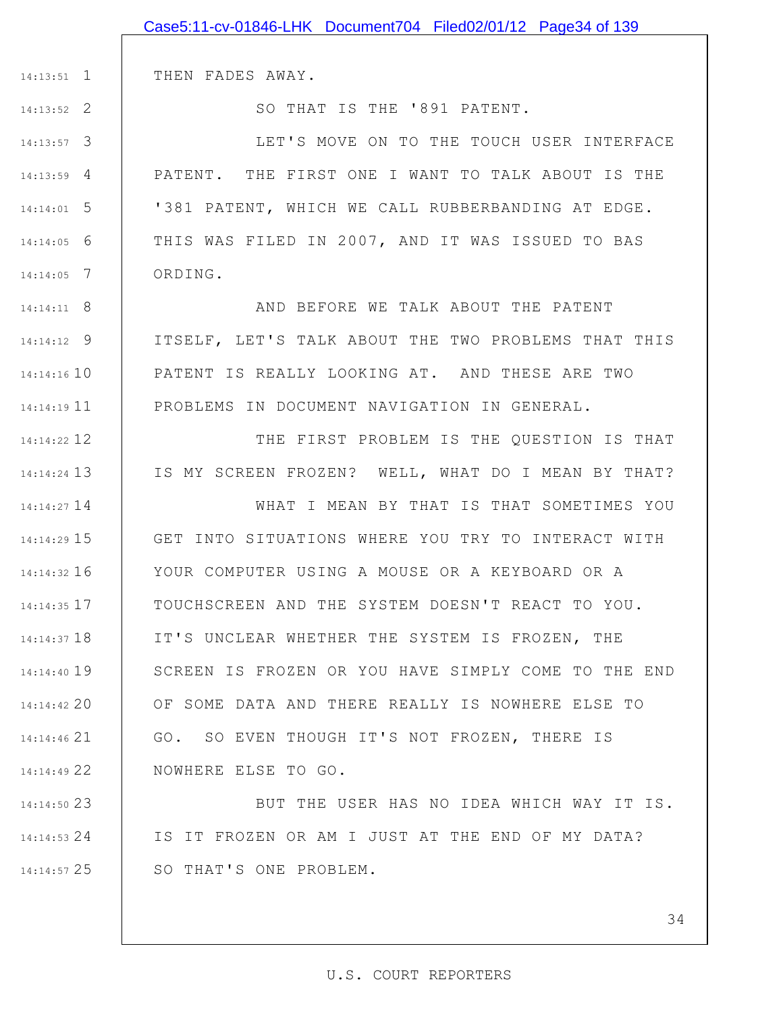# 1 14:13:51 2 14:13:52 3 14:13:57 4 14:13:59 5 14:14:01 6 14:14:05 7 14:14:05 8 14:14:11 9 14:14:12 14:16 10 11 14:14:19 12 14:14:22 13 14:14:24 14 14:14:27 15 14:14:29 16 14:14:32 17 14:14:35 18 14:14:37 19 14:14:40 20 14:14:42 21 14:14:46 22 14:14:49 23 14:14:50 24 14:14:53 25 14:14:57 THEN FADES AWAY. SO THAT IS THE '891 PATENT. LET'S MOVE ON TO THE TOUCH USER INTERFACE PATENT. THE FIRST ONE I WANT TO TALK ABOUT IS THE '381 PATENT, WHICH WE CALL RUBBERBANDING AT EDGE. THIS WAS FILED IN 2007, AND IT WAS ISSUED TO BAS ORDING. AND BEFORE WE TALK ABOUT THE PATENT ITSELF, LET'S TALK ABOUT THE TWO PROBLEMS THAT THIS PATENT IS REALLY LOOKING AT. AND THESE ARE TWO PROBLEMS IN DOCUMENT NAVIGATION IN GENERAL. THE FIRST PROBLEM IS THE QUESTION IS THAT IS MY SCREEN FROZEN? WELL, WHAT DO I MEAN BY THAT? WHAT I MEAN BY THAT IS THAT SOMETIMES YOU GET INTO SITUATIONS WHERE YOU TRY TO INTERACT WITH YOUR COMPUTER USING A MOUSE OR A KEYBOARD OR A TOUCHSCREEN AND THE SYSTEM DOESN'T REACT TO YOU. IT'S UNCLEAR WHETHER THE SYSTEM IS FROZEN, THE SCREEN IS FROZEN OR YOU HAVE SIMPLY COME TO THE END OF SOME DATA AND THERE REALLY IS NOWHERE ELSE TO GO. SO EVEN THOUGH IT'S NOT FROZEN, THERE IS NOWHERE ELSE TO GO. BUT THE USER HAS NO IDEA WHICH WAY IT IS. IS IT FROZEN OR AM I JUST AT THE END OF MY DATA? SO THAT'S ONE PROBLEM. Case5:11-cv-01846-LHK Document704 Filed02/01/12 Page34 of 139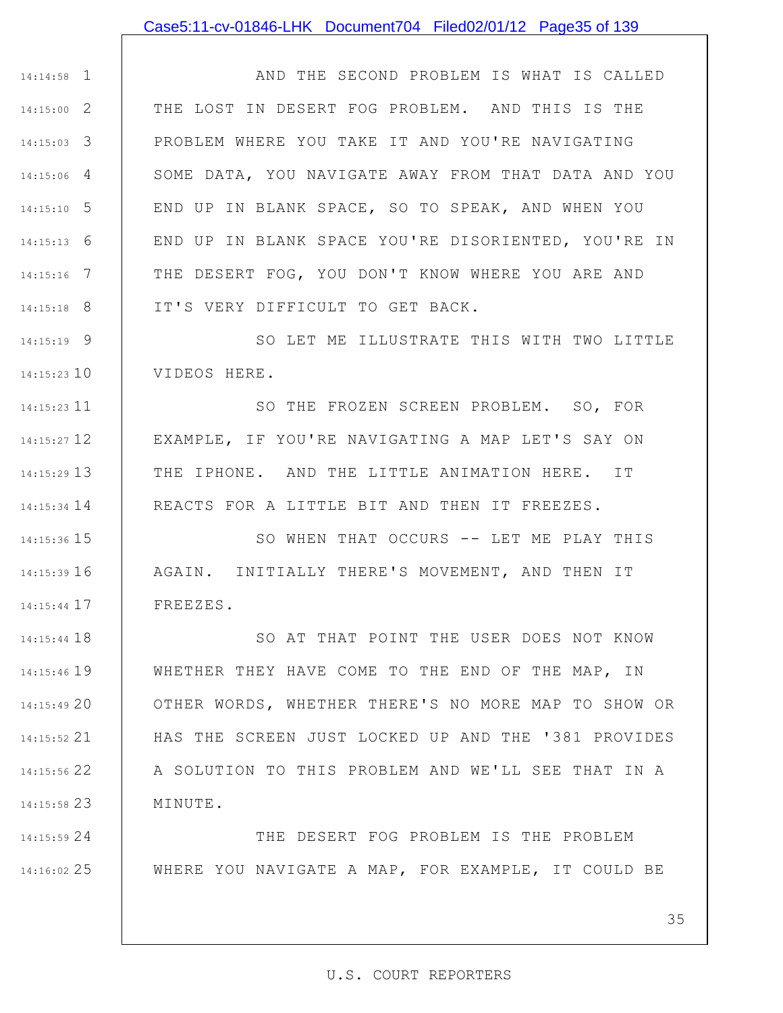#### Case5:11-cv-01846-LHK Document704 Filed02/01/12 Page35 of 139

1 14:14:58 2 14:15:00 3 14:15:03 4 14:15:06 5 14:15:10 6 14:15:13 7 14:15:16 8 14:15:18 AND THE SECOND PROBLEM IS WHAT IS CALLED THE LOST IN DESERT FOG PROBLEM. AND THIS IS THE PROBLEM WHERE YOU TAKE IT AND YOU'RE NAVIGATING SOME DATA, YOU NAVIGATE AWAY FROM THAT DATA AND YOU END UP IN BLANK SPACE, SO TO SPEAK, AND WHEN YOU END UP IN BLANK SPACE YOU'RE DISORIENTED, YOU'RE IN THE DESERT FOG, YOU DON'T KNOW WHERE YOU ARE AND IT'S VERY DIFFICULT TO GET BACK.

9 14:15:19 14:15:23 10 SO LET ME ILLUSTRATE THIS WITH TWO LITTLE VIDEOS HERE.

11 14:15:23 12 14:15:27 13 14:15:29 14 14:15:34 SO THE FROZEN SCREEN PROBLEM. SO, FOR EXAMPLE, IF YOU'RE NAVIGATING A MAP LET'S SAY ON THE IPHONE. AND THE LITTLE ANIMATION HERE. IT REACTS FOR A LITTLE BIT AND THEN IT FREEZES.

15 14:15:36

16 14:15:39

17 14:15:44

SO WHEN THAT OCCURS -- LET ME PLAY THIS AGAIN. INITIALLY THERE'S MOVEMENT, AND THEN IT FREEZES.

18 14:15:44 19 14:15:46 20 14:15:49 21 14:15:52 22 14:15:56 23 14:15:58 SO AT THAT POINT THE USER DOES NOT KNOW WHETHER THEY HAVE COME TO THE END OF THE MAP, IN OTHER WORDS, WHETHER THERE'S NO MORE MAP TO SHOW OR HAS THE SCREEN JUST LOCKED UP AND THE '381 PROVIDES A SOLUTION TO THIS PROBLEM AND WE'LL SEE THAT IN A MINUTE.

24 14:15:59 25 14:16:02 THE DESERT FOG PROBLEM IS THE PROBLEM WHERE YOU NAVIGATE A MAP, FOR EXAMPLE, IT COULD BE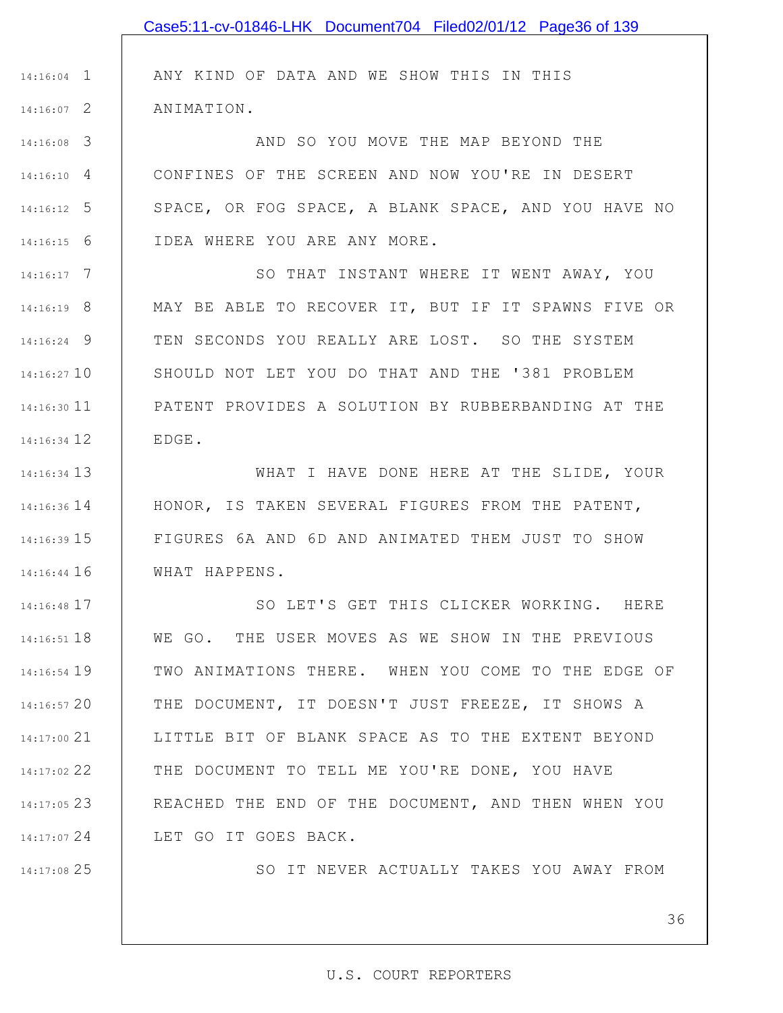|                 | Case5:11-cv-01846-LHK Document704 Filed02/01/12 Page36 of 139 |
|-----------------|---------------------------------------------------------------|
|                 |                                                               |
| $14:16:04$ 1    | ANY KIND OF DATA AND WE SHOW THIS IN THIS                     |
| $14:16:07$ 2    | ANIMATION.                                                    |
| $14:16:08$ 3    | AND SO YOU MOVE THE MAP BEYOND THE                            |
| $14:16:10$ 4    | CONFINES OF THE SCREEN AND NOW YOU'RE IN DESERT               |
| $14:16:12$ 5    | SPACE, OR FOG SPACE, A BLANK SPACE, AND YOU HAVE NO           |
| $14:16:15$ 6    | IDEA WHERE YOU ARE ANY MORE.                                  |
| $14:16:17$ 7    | SO THAT INSTANT WHERE IT WENT AWAY, YOU                       |
| $14:16:19$ 8    | MAY BE ABLE TO RECOVER IT, BUT IF IT SPAWNS FIVE OR           |
| 14:16:24 9      | TEN SECONDS YOU REALLY ARE LOST. SO THE SYSTEM                |
| $14:16:27$ 10   | SHOULD NOT LET YOU DO THAT AND THE '381 PROBLEM               |
| $14:16:30$ 11   | PATENT PROVIDES A SOLUTION BY RUBBERBANDING AT THE            |
| $14:16:34$ 12   | EDGE.                                                         |
| $14:16:34$ 13   | WHAT I HAVE DONE HERE AT THE SLIDE, YOUR                      |
| $14:16:36$ $14$ | HONOR, IS TAKEN SEVERAL FIGURES FROM THE PATENT,              |
| 14:16:39 15     | FIGURES 6A AND 6D AND ANIMATED THEM JUST TO SHOW              |
| $14:16:44$ 16   | WHAT HAPPENS.                                                 |
| $14:16:48$ 17   | SO LET'S GET THIS CLICKER WORKING. HERE                       |
| $14:16:51$ 18   | WE GO. THE USER MOVES AS WE SHOW IN THE PREVIOUS              |
| 14:16:54 19     | TWO ANIMATIONS THERE. WHEN YOU COME TO THE EDGE OF            |
| $14:16:57$ 20   | THE DOCUMENT, IT DOESN'T JUST FREEZE, IT SHOWS A              |
| 14:17:00 21     | LITTLE BIT OF BLANK SPACE AS TO THE EXTENT BEYOND             |
| 14:17:02 22     | THE DOCUMENT TO TELL ME YOU'RE DONE, YOU HAVE                 |
| 14:17:05 23     | REACHED THE END OF THE DOCUMENT, AND THEN WHEN YOU            |
| 14:17:07 24     | LET GO IT GOES BACK.                                          |
| 14:17:08 25     | SO IT NEVER ACTUALLY TAKES YOU AWAY FROM                      |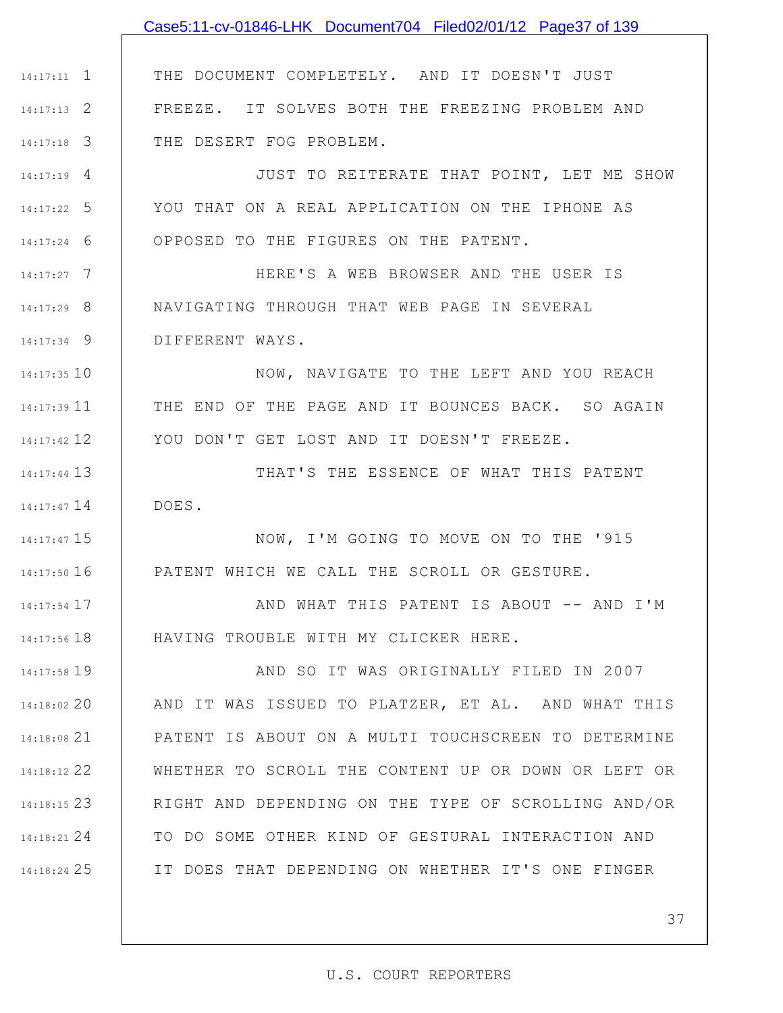# 1 14:17:11 2 14:17:13 3 14:17:18 4 14:17:19 5 14:17:22 6 14:17:24 7 14:17:27 8 14:17:29 9 14:17:34 14:17:35 10 11 14:17:39 12 14:17:42 13 14:17:44 14 14:17:47 15 14:17:47 16 14:17:50 17 14:17:54 18 14:17:56 19 14:17:58 20 14:18:02 21 14:18:08 22 14:18:12 23 14:18:15 24 14:18:21 25 14:18:24 THE DOCUMENT COMPLETELY. AND IT DOESN'T JUST FREEZE. IT SOLVES BOTH THE FREEZING PROBLEM AND THE DESERT FOG PROBLEM. JUST TO REITERATE THAT POINT, LET ME SHOW YOU THAT ON A REAL APPLICATION ON THE IPHONE AS OPPOSED TO THE FIGURES ON THE PATENT. HERE'S A WEB BROWSER AND THE USER IS NAVIGATING THROUGH THAT WEB PAGE IN SEVERAL DIFFERENT WAYS. NOW, NAVIGATE TO THE LEFT AND YOU REACH THE END OF THE PAGE AND IT BOUNCES BACK. SO AGAIN YOU DON'T GET LOST AND IT DOESN'T FREEZE. THAT'S THE ESSENCE OF WHAT THIS PATENT DOES. NOW, I'M GOING TO MOVE ON TO THE '915 PATENT WHICH WE CALL THE SCROLL OR GESTURE. AND WHAT THIS PATENT IS ABOUT -- AND I'M HAVING TROUBLE WITH MY CLICKER HERE. AND SO IT WAS ORIGINALLY FILED IN 2007 AND IT WAS ISSUED TO PLATZER, ET AL. AND WHAT THIS PATENT IS ABOUT ON A MULTI TOUCHSCREEN TO DETERMINE WHETHER TO SCROLL THE CONTENT UP OR DOWN OR LEFT OR RIGHT AND DEPENDING ON THE TYPE OF SCROLLING AND/OR TO DO SOME OTHER KIND OF GESTURAL INTERACTION AND IT DOES THAT DEPENDING ON WHETHER IT'S ONE FINGER Case5:11-cv-01846-LHK Document704 Filed02/01/12 Page37 of 139

#### U.S. COURT REPORTERS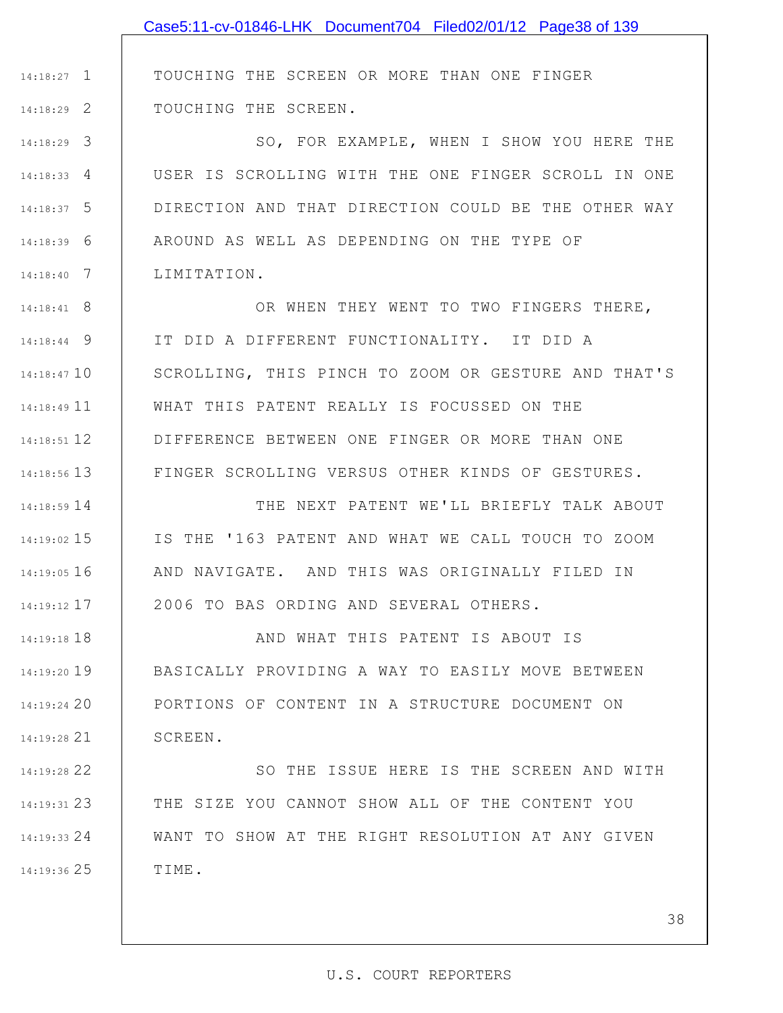# Case5:11-cv-01846-LHK Document704 Filed02/01/12 Page38 of 139

TOUCHING THE SCREEN OR MORE THAN ONE FINGER TOUCHING THE SCREEN.

1 14:18:27

2 14:18:29

3 14:18:29 4 14:18:33 5 14:18:37 6 14:18:39 7 14:18:40 SO, FOR EXAMPLE, WHEN I SHOW YOU HERE THE USER IS SCROLLING WITH THE ONE FINGER SCROLL IN ONE DIRECTION AND THAT DIRECTION COULD BE THE OTHER WAY AROUND AS WELL AS DEPENDING ON THE TYPE OF LIMITATION.

8 14:18:41 9 14:18:44 14:18:47 10 11 14:18:49 12 14:18:51 13 14:18:56 OR WHEN THEY WENT TO TWO FINGERS THERE, IT DID A DIFFERENT FUNCTIONALITY. IT DID A SCROLLING, THIS PINCH TO ZOOM OR GESTURE AND THAT'S WHAT THIS PATENT REALLY IS FOCUSSED ON THE DIFFERENCE BETWEEN ONE FINGER OR MORE THAN ONE FINGER SCROLLING VERSUS OTHER KINDS OF GESTURES.

14 14:18:59 15 14:19:02 16 14:19:05 17 14:19:12 THE NEXT PATENT WE'LL BRIEFLY TALK ABOUT IS THE '163 PATENT AND WHAT WE CALL TOUCH TO ZOOM AND NAVIGATE. AND THIS WAS ORIGINALLY FILED IN 2006 TO BAS ORDING AND SEVERAL OTHERS.

18 14:19:18 19 14:19:20 20 14:19:24 21 14:19:28 AND WHAT THIS PATENT IS ABOUT IS BASICALLY PROVIDING A WAY TO EASILY MOVE BETWEEN PORTIONS OF CONTENT IN A STRUCTURE DOCUMENT ON SCREEN.

22 14:19:28 23 14:19:31 24 14:19:33 25 14:19:36 SO THE ISSUE HERE IS THE SCREEN AND WITH THE SIZE YOU CANNOT SHOW ALL OF THE CONTENT YOU WANT TO SHOW AT THE RIGHT RESOLUTION AT ANY GIVEN TIME.

#### U.S. COURT REPORTERS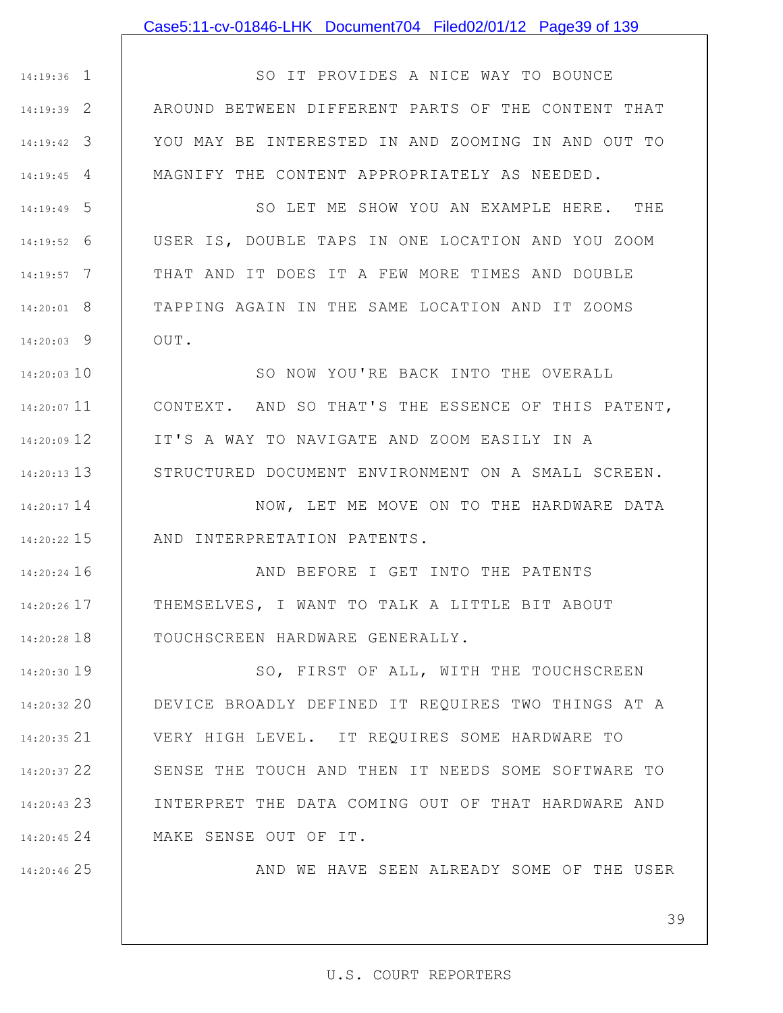### Case5:11-cv-01846-LHK Document704 Filed02/01/12 Page39 of 139

1 14:19:36 2 14:19:39 3 14:19:42 4 14:19:45 SO IT PROVIDES A NICE WAY TO BOUNCE AROUND BETWEEN DIFFERENT PARTS OF THE CONTENT THAT YOU MAY BE INTERESTED IN AND ZOOMING IN AND OUT TO MAGNIFY THE CONTENT APPROPRIATELY AS NEEDED.

5 14:19:49 6 14:19:52 7 14:19:57 8 14:20:01 9 14:20:03 SO LET ME SHOW YOU AN EXAMPLE HERE. THE USER IS, DOUBLE TAPS IN ONE LOCATION AND YOU ZOOM THAT AND IT DOES IT A FEW MORE TIMES AND DOUBLE TAPPING AGAIN IN THE SAME LOCATION AND IT ZOOMS OUT.

14:20:03 10 11 14:20:07 12 14:20:09 13 14:20:13 SO NOW YOU'RE BACK INTO THE OVERALL CONTEXT. AND SO THAT'S THE ESSENCE OF THIS PATENT, IT'S A WAY TO NAVIGATE AND ZOOM EASILY IN A STRUCTURED DOCUMENT ENVIRONMENT ON A SMALL SCREEN.

14 14:20:17 15 14:20:22 NOW, LET ME MOVE ON TO THE HARDWARE DATA AND INTERPRETATION PATENTS.

16 14:20:24 17 14:20:26 18 14:20:28 AND BEFORE I GET INTO THE PATENTS THEMSELVES, I WANT TO TALK A LITTLE BIT ABOUT TOUCHSCREEN HARDWARE GENERALLY.

19 14:20:30 20 14:20:32 21 14:20:35 22 14:20:37 23 14:20:43 24 14:20:45 SO, FIRST OF ALL, WITH THE TOUCHSCREEN DEVICE BROADLY DEFINED IT REQUIRES TWO THINGS AT A VERY HIGH LEVEL. IT REQUIRES SOME HARDWARE TO SENSE THE TOUCH AND THEN IT NEEDS SOME SOFTWARE TO INTERPRET THE DATA COMING OUT OF THAT HARDWARE AND MAKE SENSE OUT OF IT.

25 14:20:46

AND WE HAVE SEEN ALREADY SOME OF THE USER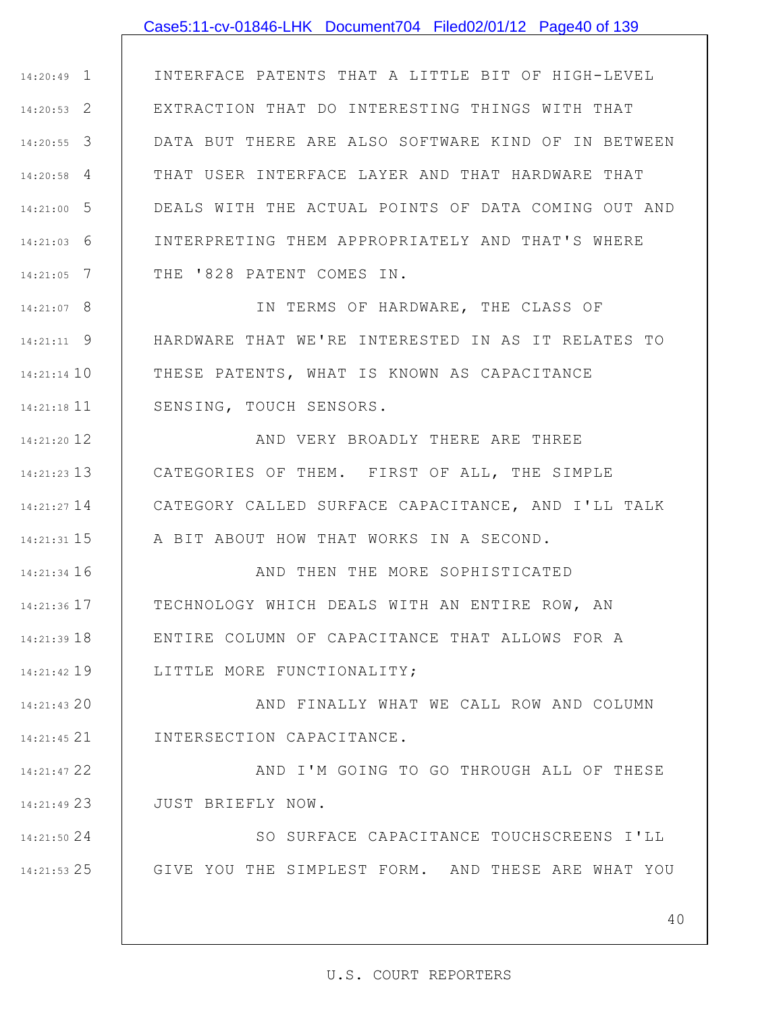## Case5:11-cv-01846-LHK Document704 Filed02/01/12 Page40 of 139

1 14:20:49 2 14:20:53 3 14:20:55 4 14:20:58 5 14:21:00 6 14:21:03 7 14:21:05 INTERFACE PATENTS THAT A LITTLE BIT OF HIGH-LEVEL EXTRACTION THAT DO INTERESTING THINGS WITH THAT DATA BUT THERE ARE ALSO SOFTWARE KIND OF IN BETWEEN THAT USER INTERFACE LAYER AND THAT HARDWARE THAT DEALS WITH THE ACTUAL POINTS OF DATA COMING OUT AND INTERPRETING THEM APPROPRIATELY AND THAT'S WHERE THE '828 PATENT COMES IN.

8 14:21:07 9 14:21:11 10 14:21:14 11 14:21:18 IN TERMS OF HARDWARE, THE CLASS OF HARDWARE THAT WE'RE INTERESTED IN AS IT RELATES TO THESE PATENTS, WHAT IS KNOWN AS CAPACITANCE SENSING, TOUCH SENSORS.

12 14:21:20 13 14:21:23 14 14:21:27 CATEGORY CALLED SURFACE CAPACITANCE, AND I'LL TALK 15 14:21:31 AND VERY BROADLY THERE ARE THREE CATEGORIES OF THEM. FIRST OF ALL, THE SIMPLE A BIT ABOUT HOW THAT WORKS IN A SECOND.

16 14:21:34 17 14:21:36 18 14:21:39 19 14:21:42 AND THEN THE MORE SOPHISTICATED TECHNOLOGY WHICH DEALS WITH AN ENTIRE ROW, AN ENTIRE COLUMN OF CAPACITANCE THAT ALLOWS FOR A LITTLE MORE FUNCTIONALITY:

20 14:21:43 21 14:21:45 AND FINALLY WHAT WE CALL ROW AND COLUMN INTERSECTION CAPACITANCE.

22 14:21:47 23 14:21:49 AND I'M GOING TO GO THROUGH ALL OF THESE JUST BRIEFLY NOW.

24 14:21:50 25 14:21:53 SO SURFACE CAPACITANCE TOUCHSCREENS I'LL GIVE YOU THE SIMPLEST FORM. AND THESE ARE WHAT YOU

40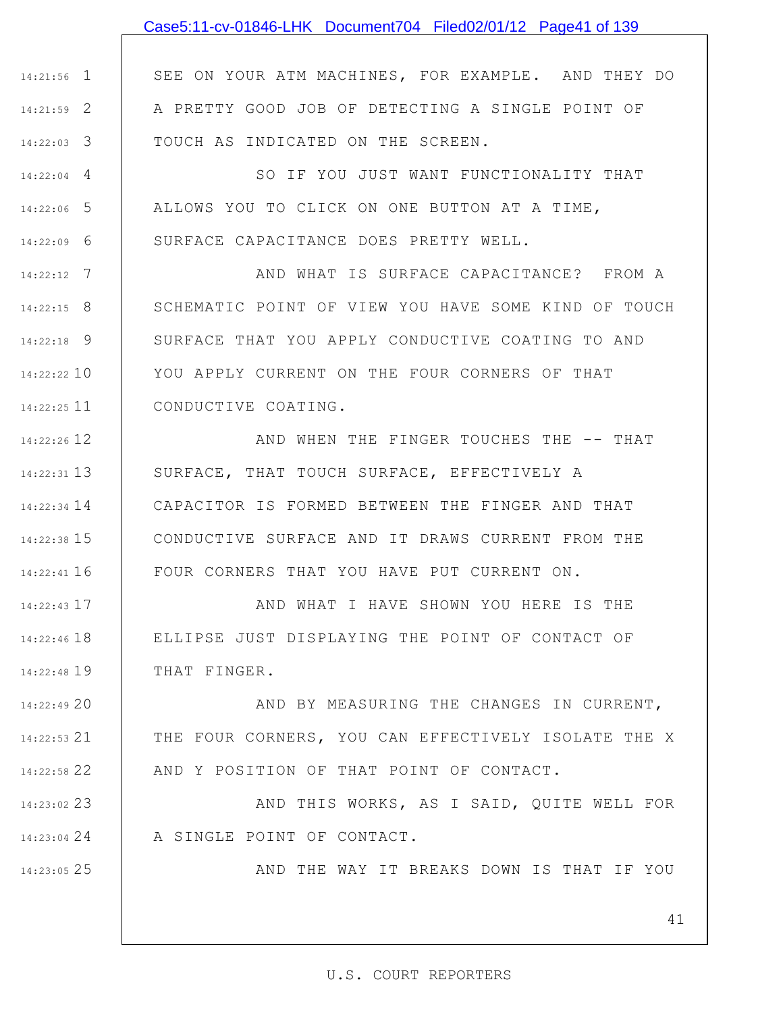# Case5:11-cv-01846-LHK Document704 Filed02/01/12 Page41 of 139

1 14:21:56 2 14:21:59 3 14:22:03 SEE ON YOUR ATM MACHINES, FOR EXAMPLE. AND THEY DO A PRETTY GOOD JOB OF DETECTING A SINGLE POINT OF TOUCH AS INDICATED ON THE SCREEN.

4 14:22:04 5 14:22:06 6 14:22:09 SO IF YOU JUST WANT FUNCTIONALITY THAT ALLOWS YOU TO CLICK ON ONE BUTTON AT A TIME, SURFACE CAPACITANCE DOES PRETTY WELL.

7 14:22:12 8 14:22:15 9 14:22:18 10 14:22:22 11 14:22:25 AND WHAT IS SURFACE CAPACITANCE? FROM A SCHEMATIC POINT OF VIEW YOU HAVE SOME KIND OF TOUCH SURFACE THAT YOU APPLY CONDUCTIVE COATING TO AND YOU APPLY CURRENT ON THE FOUR CORNERS OF THAT CONDUCTIVE COATING.

12 14:22:26 13 14:22:31 14 14:22:34 15 14:22:38 16 14:22:41 AND WHEN THE FINGER TOUCHES THE -- THAT SURFACE, THAT TOUCH SURFACE, EFFECTIVELY A CAPACITOR IS FORMED BETWEEN THE FINGER AND THAT CONDUCTIVE SURFACE AND IT DRAWS CURRENT FROM THE FOUR CORNERS THAT YOU HAVE PUT CURRENT ON.

17 14:22:43 18 14:22:46 19 14:22:48 AND WHAT I HAVE SHOWN YOU HERE IS THE ELLIPSE JUST DISPLAYING THE POINT OF CONTACT OF THAT FINGER.

20 14:22:49 21 14:22:53 22 14:22:58 AND BY MEASURING THE CHANGES IN CURRENT, THE FOUR CORNERS, YOU CAN EFFECTIVELY ISOLATE THE X AND Y POSITION OF THAT POINT OF CONTACT.

23 14:23:02 24 14:23:04 AND THIS WORKS, AS I SAID, QUITE WELL FOR A SINGLE POINT OF CONTACT.

25 14:23:05

AND THE WAY IT BREAKS DOWN IS THAT IF YOU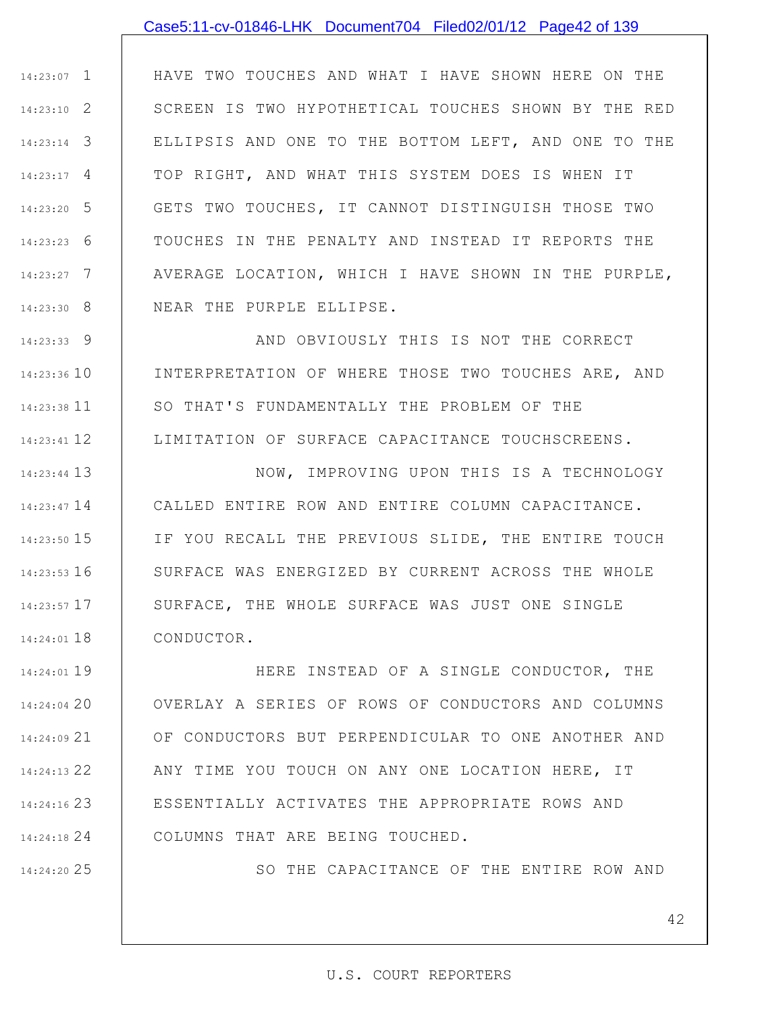### Case5:11-cv-01846-LHK Document704 Filed02/01/12 Page42 of 139

1 14:23:07 2 14:23:10 3 14:23:14 4 14:23:17 5 14:23:20 6 14:23:23 7 14:23:27 8 14:23:30 HAVE TWO TOUCHES AND WHAT I HAVE SHOWN HERE ON THE SCREEN IS TWO HYPOTHETICAL TOUCHES SHOWN BY THE RED ELLIPSIS AND ONE TO THE BOTTOM LEFT, AND ONE TO THE TOP RIGHT, AND WHAT THIS SYSTEM DOES IS WHEN IT GETS TWO TOUCHES, IT CANNOT DISTINGUISH THOSE TWO TOUCHES IN THE PENALTY AND INSTEAD IT REPORTS THE AVERAGE LOCATION, WHICH I HAVE SHOWN IN THE PURPLE, NEAR THE PURPLE ELLIPSE.

9 14:23:33 14:23:36 10 11 14:23:38 12 14:23:41 AND OBVIOUSLY THIS IS NOT THE CORRECT INTERPRETATION OF WHERE THOSE TWO TOUCHES ARE, AND SO THAT'S FUNDAMENTALLY THE PROBLEM OF THE LIMITATION OF SURFACE CAPACITANCE TOUCHSCREENS.

13 14:23:44 14 14:23:47 15 14:23:50 16 14:23:53 17 14:23:57 18 14:24:01 NOW, IMPROVING UPON THIS IS A TECHNOLOGY CALLED ENTIRE ROW AND ENTIRE COLUMN CAPACITANCE. IF YOU RECALL THE PREVIOUS SLIDE, THE ENTIRE TOUCH SURFACE WAS ENERGIZED BY CURRENT ACROSS THE WHOLE SURFACE, THE WHOLE SURFACE WAS JUST ONE SINGLE CONDUCTOR.

19 14:24:01 20 14:24:04 21 14:24:09 22 14:24:13 23 14:24:16 24 14:24:18 HERE INSTEAD OF A SINGLE CONDUCTOR, THE OVERLAY A SERIES OF ROWS OF CONDUCTORS AND COLUMNS OF CONDUCTORS BUT PERPENDICULAR TO ONE ANOTHER AND ANY TIME YOU TOUCH ON ANY ONE LOCATION HERE, IT ESSENTIALLY ACTIVATES THE APPROPRIATE ROWS AND COLUMNS THAT ARE BEING TOUCHED.

25 14:24:20

SO THE CAPACITANCE OF THE ENTIRE ROW AND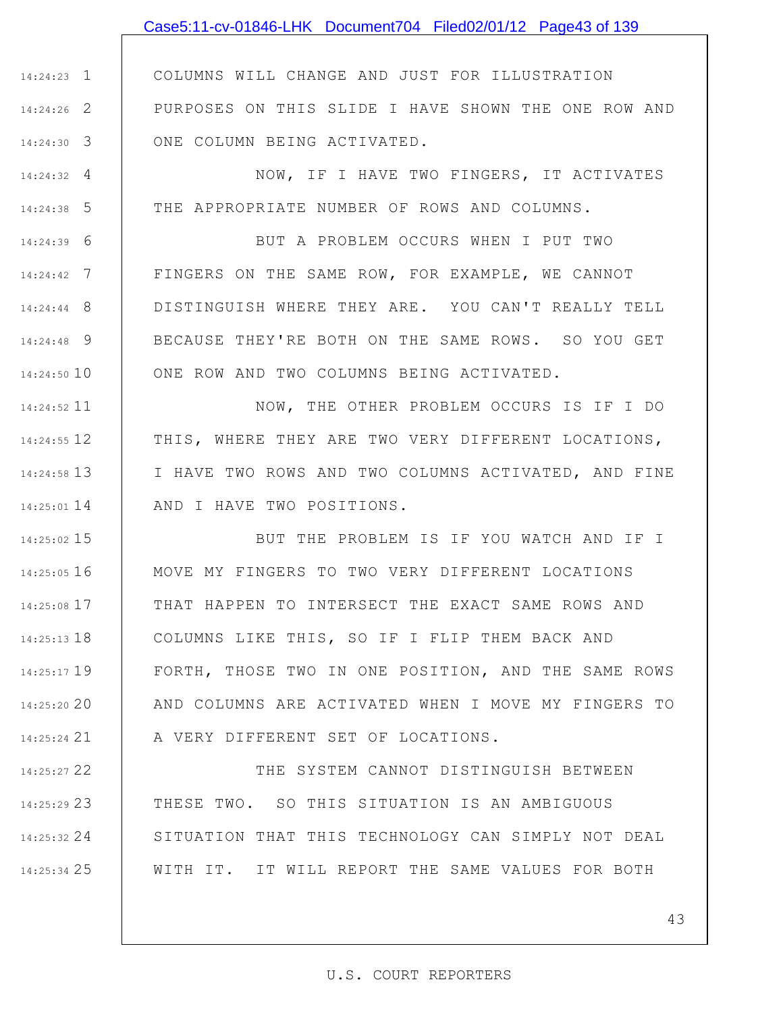# Case5:11-cv-01846-LHK Document704 Filed02/01/12 Page43 of 139

1 14:24:23 2 14:24:26 3 14:24:30 COLUMNS WILL CHANGE AND JUST FOR ILLUSTRATION PURPOSES ON THIS SLIDE I HAVE SHOWN THE ONE ROW AND ONE COLUMN BEING ACTIVATED.

4 14:24:32 5 14:24:38 NOW, IF I HAVE TWO FINGERS, IT ACTIVATES THE APPROPRIATE NUMBER OF ROWS AND COLUMNS.

6 14:24:39 7 14:24:42 8 14:24:44 9 14:24:48 14:24:50 10 BUT A PROBLEM OCCURS WHEN I PUT TWO FINGERS ON THE SAME ROW, FOR EXAMPLE, WE CANNOT DISTINGUISH WHERE THEY ARE. YOU CAN'T REALLY TELL BECAUSE THEY'RE BOTH ON THE SAME ROWS. SO YOU GET ONE ROW AND TWO COLUMNS BEING ACTIVATED.

11 14:24:52 12 14:24:55 13 14:24:58 14 14:25:01 NOW, THE OTHER PROBLEM OCCURS IS IF I DO THIS, WHERE THEY ARE TWO VERY DIFFERENT LOCATIONS, I HAVE TWO ROWS AND TWO COLUMNS ACTIVATED, AND FINE AND I HAVE TWO POSITIONS.

15 14:25:02 16 14:25:05 17 14:25:08 18 14:25:13 19 14:25:17 20 14:25:20 21 14:25:24 BUT THE PROBLEM IS IF YOU WATCH AND IF I MOVE MY FINGERS TO TWO VERY DIFFERENT LOCATIONS THAT HAPPEN TO INTERSECT THE EXACT SAME ROWS AND COLUMNS LIKE THIS, SO IF I FLIP THEM BACK AND FORTH, THOSE TWO IN ONE POSITION, AND THE SAME ROWS AND COLUMNS ARE ACTIVATED WHEN I MOVE MY FINGERS TO A VERY DIFFERENT SET OF LOCATIONS.

22 14:25:27 23 14:25:29 24 14:25:32 25 14:25:34 THE SYSTEM CANNOT DISTINGUISH BETWEEN THESE TWO. SO THIS SITUATION IS AN AMBIGUOUS SITUATION THAT THIS TECHNOLOGY CAN SIMPLY NOT DEAL WITH IT. IT WILL REPORT THE SAME VALUES FOR BOTH

43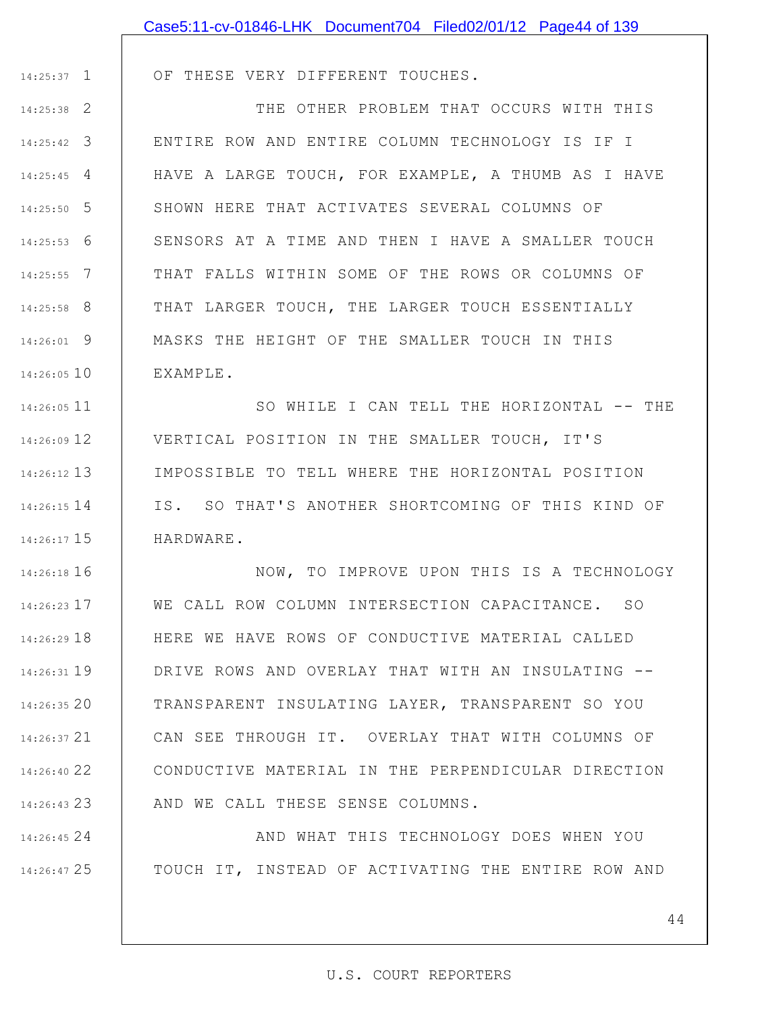|               | Case5:11-cv-01846-LHK Document704 Filed02/01/12 Page44 of 139 |
|---------------|---------------------------------------------------------------|
|               |                                                               |
| $14:25:37$ 1  | OF THESE VERY DIFFERENT TOUCHES.                              |
| $14:25:38$ 2  | THE OTHER PROBLEM THAT OCCURS WITH THIS                       |
| $14:25:42$ 3  | ENTIRE ROW AND ENTIRE COLUMN TECHNOLOGY IS IF I               |
| $14:25:45$ 4  | HAVE A LARGE TOUCH, FOR EXAMPLE, A THUMB AS I HAVE            |
| $14:25:50$ 5  | SHOWN HERE THAT ACTIVATES SEVERAL COLUMNS OF                  |
| $14:25:53$ 6  | SENSORS AT A TIME AND THEN I HAVE A SMALLER TOUCH             |
| $14:25:55$ 7  | THAT FALLS WITHIN SOME OF THE ROWS OR COLUMNS OF              |
| $14:25:58$ 8  | THAT LARGER TOUCH, THE LARGER TOUCH ESSENTIALLY               |
| $14:26:01$ 9  | MASKS THE HEIGHT OF THE SMALLER TOUCH IN THIS                 |
| 14:26:0510    | EXAMPLE.                                                      |
| $14:26:05$ 11 | SO WHILE I CAN TELL THE HORIZONTAL -- THE                     |
| 14:26:09 12   | VERTICAL POSITION IN THE SMALLER TOUCH, IT'S                  |
| 14:26:12 13   | IMPOSSIBLE TO TELL WHERE THE HORIZONTAL POSITION              |
| 14:26:15 14   | IS. SO THAT'S ANOTHER SHORTCOMING OF THIS KIND OF             |
| 14:26:17 15   | HARDWARE.                                                     |
| $14:26:18$ 16 | NOW, TO IMPROVE UPON THIS IS A TECHNOLOGY                     |
| 14:26:23 17   | WE CALL ROW COLUMN INTERSECTION CAPACITANCE. SO               |
| $14:26:29$ 18 | HERE WE HAVE ROWS OF CONDUCTIVE MATERIAL CALLED               |
| $14:26:31$ 19 | DRIVE ROWS AND OVERLAY THAT WITH AN INSULATING --             |
| 14:26:35 20   | TRANSPARENT INSULATING LAYER, TRANSPARENT SO YOU              |
| 14:26:37 21   | CAN SEE THROUGH IT. OVERLAY THAT WITH COLUMNS OF              |
| 14:26:40 22   | CONDUCTIVE MATERIAL IN THE PERPENDICULAR DIRECTION            |
| 14:26:43 23   | AND WE CALL THESE SENSE COLUMNS.                              |
|               |                                                               |

AND WHAT THIS TECHNOLOGY DOES WHEN YOU TOUCH IT, INSTEAD OF ACTIVATING THE ENTIRE ROW AND

24 14:26:45

25 14:26:47

44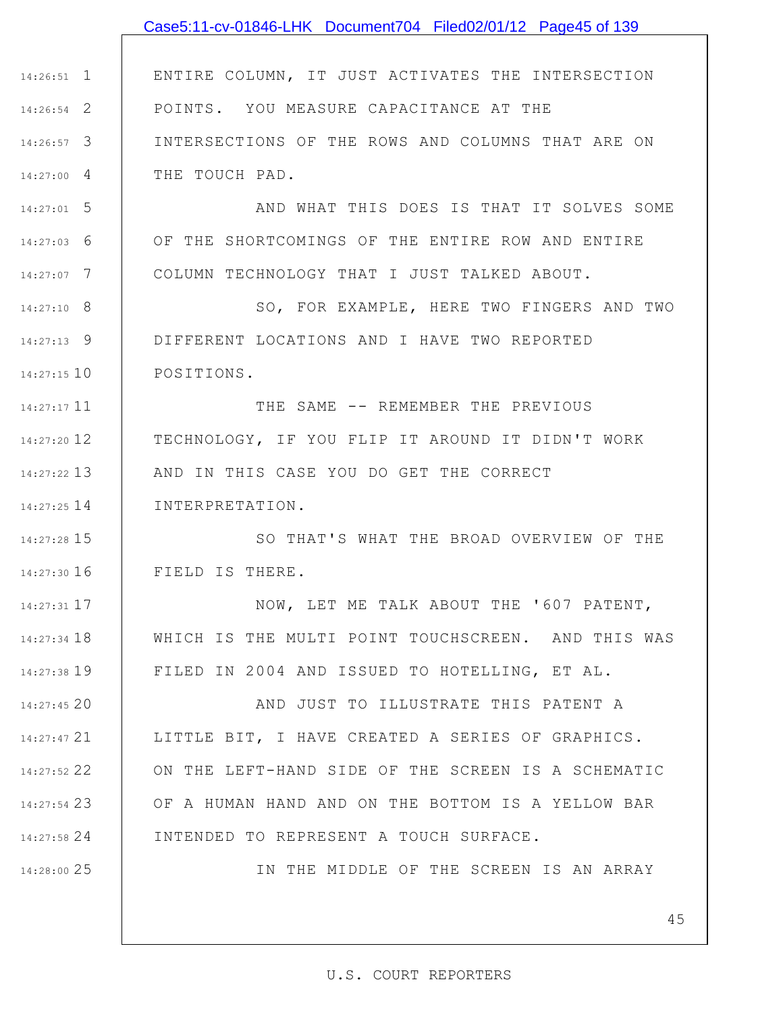# 1 14:26:51 2 14:26:54 3 14:26:57 4 14:27:00 5 14:27:01 6 14:27:03 7 14:27:07 8 14:27:10 9 14:27:13 10 14:27:15 11 14:27:17 12 14:27:20 13 14:27:22 14 14:27:25 15 14:27:28 16 14:27:30 17 14:27:31 18 14:27:34 19 14:27:38 20 14:27:45 21 14:27:47 22 14:27:52 23 14:27:54 24 14:27:58 25 14:28:00 ENTIRE COLUMN, IT JUST ACTIVATES THE INTERSECTION POINTS. YOU MEASURE CAPACITANCE AT THE INTERSECTIONS OF THE ROWS AND COLUMNS THAT ARE ON THE TOUCH PAD. AND WHAT THIS DOES IS THAT IT SOLVES SOME OF THE SHORTCOMINGS OF THE ENTIRE ROW AND ENTIRE COLUMN TECHNOLOGY THAT I JUST TALKED ABOUT. SO, FOR EXAMPLE, HERE TWO FINGERS AND TWO DIFFERENT LOCATIONS AND I HAVE TWO REPORTED POSITIONS. THE SAME -- REMEMBER THE PREVIOUS TECHNOLOGY, IF YOU FLIP IT AROUND IT DIDN'T WORK AND IN THIS CASE YOU DO GET THE CORRECT INTERPRETATION. SO THAT'S WHAT THE BROAD OVERVIEW OF THE FIELD IS THERE. NOW, LET ME TALK ABOUT THE '607 PATENT, WHICH IS THE MULTI POINT TOUCHSCREEN. AND THIS WAS FILED IN 2004 AND ISSUED TO HOTELLING, ET AL. AND JUST TO ILLUSTRATE THIS PATENT A LITTLE BIT, I HAVE CREATED A SERIES OF GRAPHICS. ON THE LEFT-HAND SIDE OF THE SCREEN IS A SCHEMATIC OF A HUMAN HAND AND ON THE BOTTOM IS A YELLOW BAR INTENDED TO REPRESENT A TOUCH SURFACE. IN THE MIDDLE OF THE SCREEN IS AN ARRAY Case5:11-cv-01846-LHK Document704 Filed02/01/12 Page45 of 139

#### U.S. COURT REPORTERS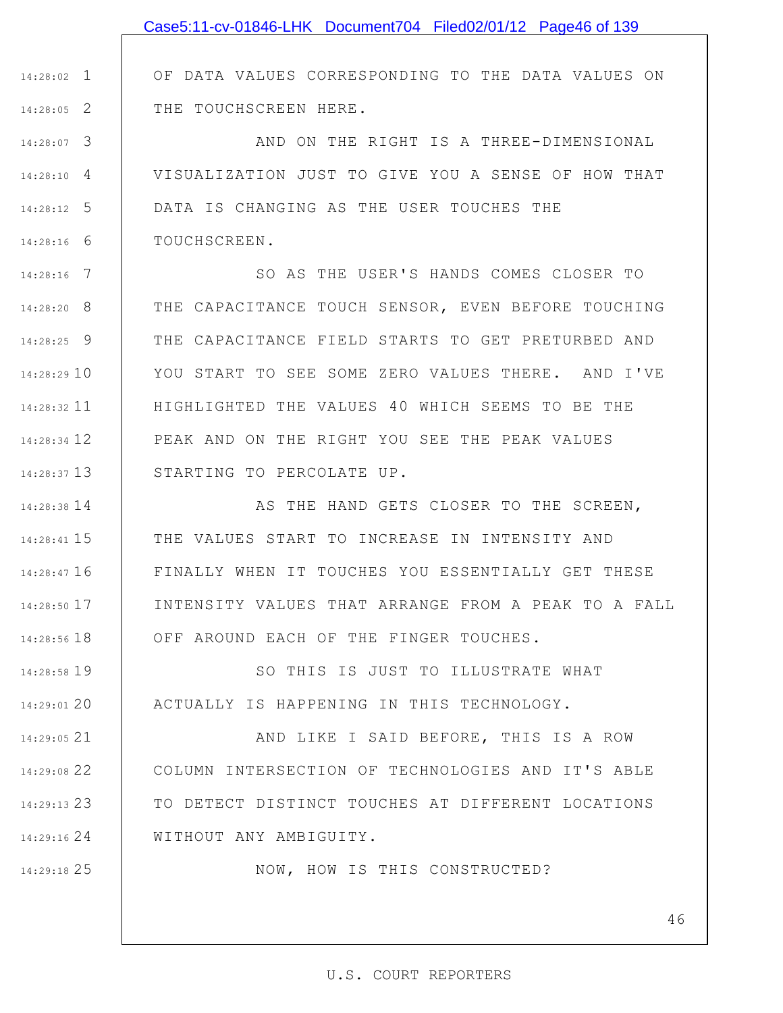3 14:28:07 4 14:28:10 5 14:28:12 6 14:28:16 DATA IS CHANGING AS THE USER TOUCHES THE TOUCHSCREEN.

7 14:28:16 8 14:28:20 9 14:28:25 10 14:28:29 11 14:28:32 12 14:28:34 13 14:28:37 SO AS THE USER'S HANDS COMES CLOSER TO THE CAPACITANCE TOUCH SENSOR, EVEN BEFORE TOUCHING THE CAPACITANCE FIELD STARTS TO GET PRETURBED AND YOU START TO SEE SOME ZERO VALUES THERE. AND I'VE HIGHLIGHTED THE VALUES 40 WHICH SEEMS TO BE THE PEAK AND ON THE RIGHT YOU SEE THE PEAK VALUES STARTING TO PERCOLATE UP.

14 14:28:38 15 14:28:41 16 14:28:47 17 14:28:50 18 14:28:56 AS THE HAND GETS CLOSER TO THE SCREEN, THE VALUES START TO INCREASE IN INTENSITY AND FINALLY WHEN IT TOUCHES YOU ESSENTIALLY GET THESE INTENSITY VALUES THAT ARRANGE FROM A PEAK TO A FALL OFF AROUND EACH OF THE FINGER TOUCHES.

19 14:28:58 20 14:29:01 SO THIS IS JUST TO ILLUSTRATE WHAT ACTUALLY IS HAPPENING IN THIS TECHNOLOGY.

21 14:29:05 22 14:29:08 23 14:29:13 24 14:29:16 AND LIKE I SAID BEFORE, THIS IS A ROW COLUMN INTERSECTION OF TECHNOLOGIES AND IT'S ABLE TO DETECT DISTINCT TOUCHES AT DIFFERENT LOCATIONS WITHOUT ANY AMBIGUITY.

25 14:29:18

NOW, HOW IS THIS CONSTRUCTED?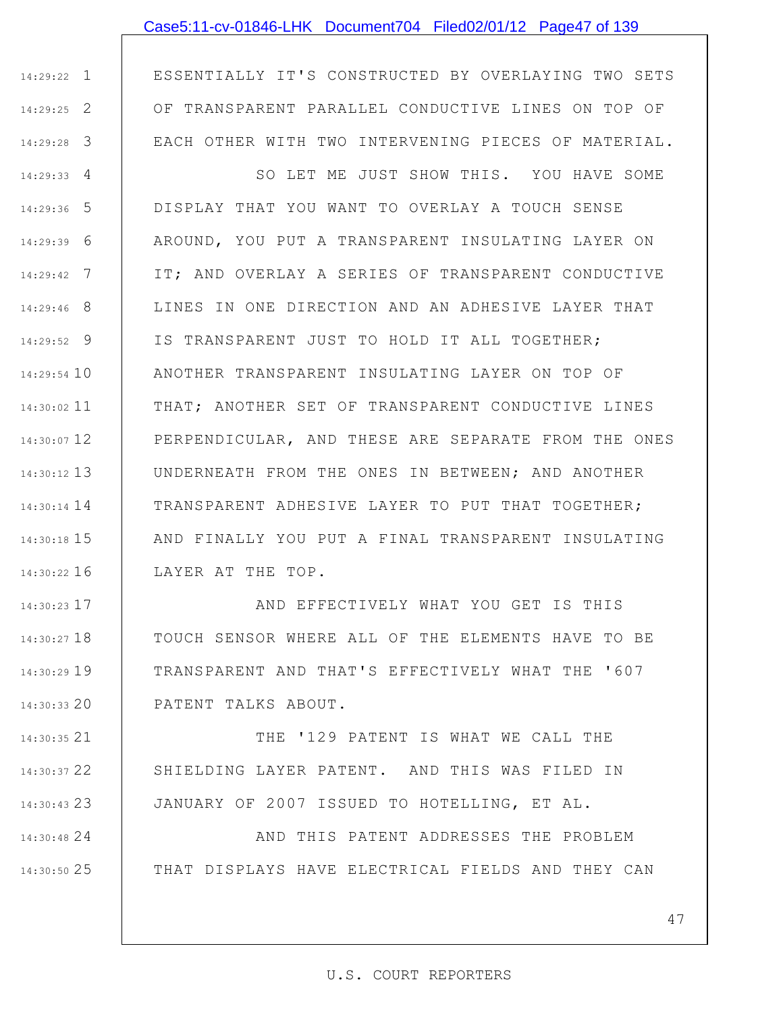## Case5:11-cv-01846-LHK Document704 Filed02/01/12 Page47 of 139

1 14:29:22 2 14:29:25 3 14:29:28 ESSENTIALLY IT'S CONSTRUCTED BY OVERLAYING TWO SETS OF TRANSPARENT PARALLEL CONDUCTIVE LINES ON TOP OF EACH OTHER WITH TWO INTERVENING PIECES OF MATERIAL.

4 14:29:33 5 14:29:36 6 14:29:39 7 14:29:42 8 14:29:46 9 14:29:52 10 14:29:54 11 14:30:02 12 14:30:07 13 14:30:12 14 14:30:14 15 14:30:18 16 14:30:22 SO LET ME JUST SHOW THIS. YOU HAVE SOME DISPLAY THAT YOU WANT TO OVERLAY A TOUCH SENSE AROUND, YOU PUT A TRANSPARENT INSULATING LAYER ON IT; AND OVERLAY A SERIES OF TRANSPARENT CONDUCTIVE LINES IN ONE DIRECTION AND AN ADHESIVE LAYER THAT IS TRANSPARENT JUST TO HOLD IT ALL TOGETHER; ANOTHER TRANSPARENT INSULATING LAYER ON TOP OF THAT; ANOTHER SET OF TRANSPARENT CONDUCTIVE LINES PERPENDICULAR, AND THESE ARE SEPARATE FROM THE ONES UNDERNEATH FROM THE ONES IN BETWEEN; AND ANOTHER TRANSPARENT ADHESIVE LAYER TO PUT THAT TOGETHER; AND FINALLY YOU PUT A FINAL TRANSPARENT INSULATING LAYER AT THE TOP.

17 14:30:23 18 14:30:27 19 14:30:29 20 14:30:33 AND EFFECTIVELY WHAT YOU GET IS THIS TOUCH SENSOR WHERE ALL OF THE ELEMENTS HAVE TO BE TRANSPARENT AND THAT'S EFFECTIVELY WHAT THE '607 PATENT TALKS ABOUT.

21 14:30:35 22 14:30:37 23 14:30:43 THE '129 PATENT IS WHAT WE CALL THE SHIELDING LAYER PATENT. AND THIS WAS FILED IN JANUARY OF 2007 ISSUED TO HOTELLING, ET AL.

24 14:30:48 25 14:30:50 AND THIS PATENT ADDRESSES THE PROBLEM THAT DISPLAYS HAVE ELECTRICAL FIELDS AND THEY CAN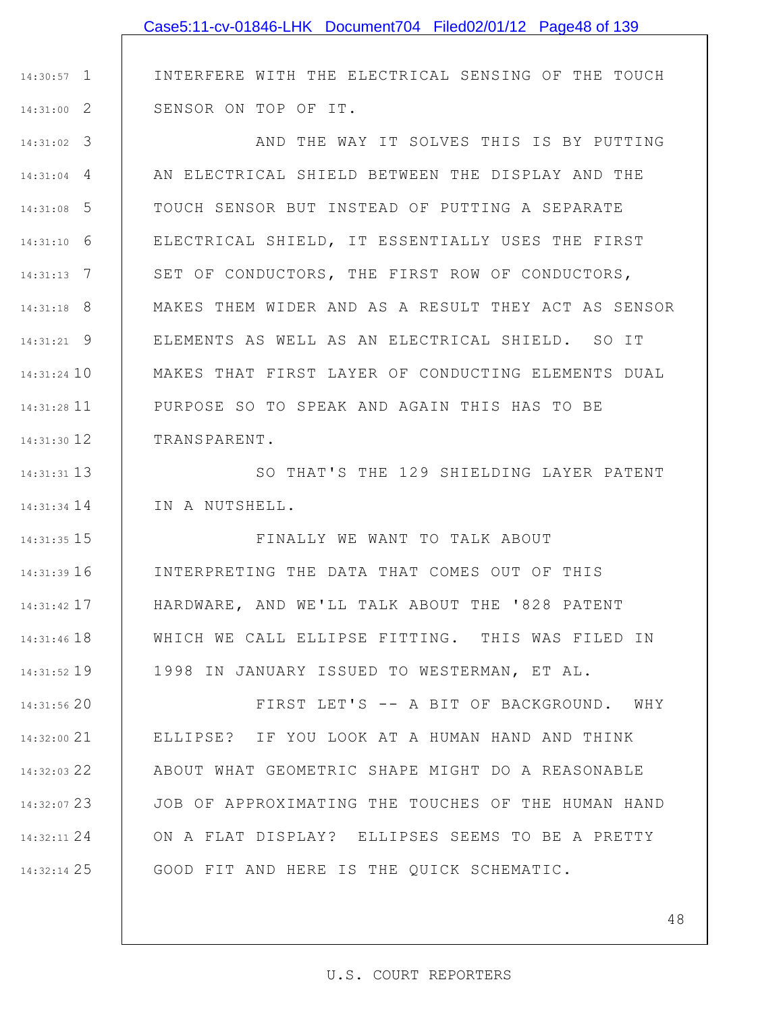INTERFERE WITH THE ELECTRICAL SENSING OF THE TOUCH SENSOR ON TOP OF IT.

1 14:30:57

2 14:31:00

3 14:31:02 4 14:31:04 5 14:31:08 6 14:31:10 7 14:31:13 8 14:31:18 9 14:31:21 14:31:24 10 11 14:31:28 12 14:31:30 AND THE WAY IT SOLVES THIS IS BY PUTTING AN ELECTRICAL SHIELD BETWEEN THE DISPLAY AND THE TOUCH SENSOR BUT INSTEAD OF PUTTING A SEPARATE ELECTRICAL SHIELD, IT ESSENTIALLY USES THE FIRST SET OF CONDUCTORS, THE FIRST ROW OF CONDUCTORS, MAKES THEM WIDER AND AS A RESULT THEY ACT AS SENSOR ELEMENTS AS WELL AS AN ELECTRICAL SHIELD. SO IT MAKES THAT FIRST LAYER OF CONDUCTING ELEMENTS DUAL PURPOSE SO TO SPEAK AND AGAIN THIS HAS TO BE TRANSPARENT.

13 14:31:31 14 14:31:34 SO THAT'S THE 129 SHIELDING LAYER PATENT IN A NUTSHELL.

15 14:31:35 16 14:31:39 17 14:31:42 18 14:31:46 19 14:31:52 FINALLY WE WANT TO TALK ABOUT INTERPRETING THE DATA THAT COMES OUT OF THIS HARDWARE, AND WE'LL TALK ABOUT THE '828 PATENT WHICH WE CALL ELLIPSE FITTING. THIS WAS FILED IN 1998 IN JANUARY ISSUED TO WESTERMAN, ET AL.

20 14:31:56 21 14:32:00 22 14:32:03 23 14:32:07 24 14:32:11 25 14:32:14 FIRST LET'S -- A BIT OF BACKGROUND. WHY ELLIPSE? IF YOU LOOK AT A HUMAN HAND AND THINK ABOUT WHAT GEOMETRIC SHAPE MIGHT DO A REASONABLE JOB OF APPROXIMATING THE TOUCHES OF THE HUMAN HAND ON A FLAT DISPLAY? ELLIPSES SEEMS TO BE A PRETTY GOOD FIT AND HERE IS THE QUICK SCHEMATIC.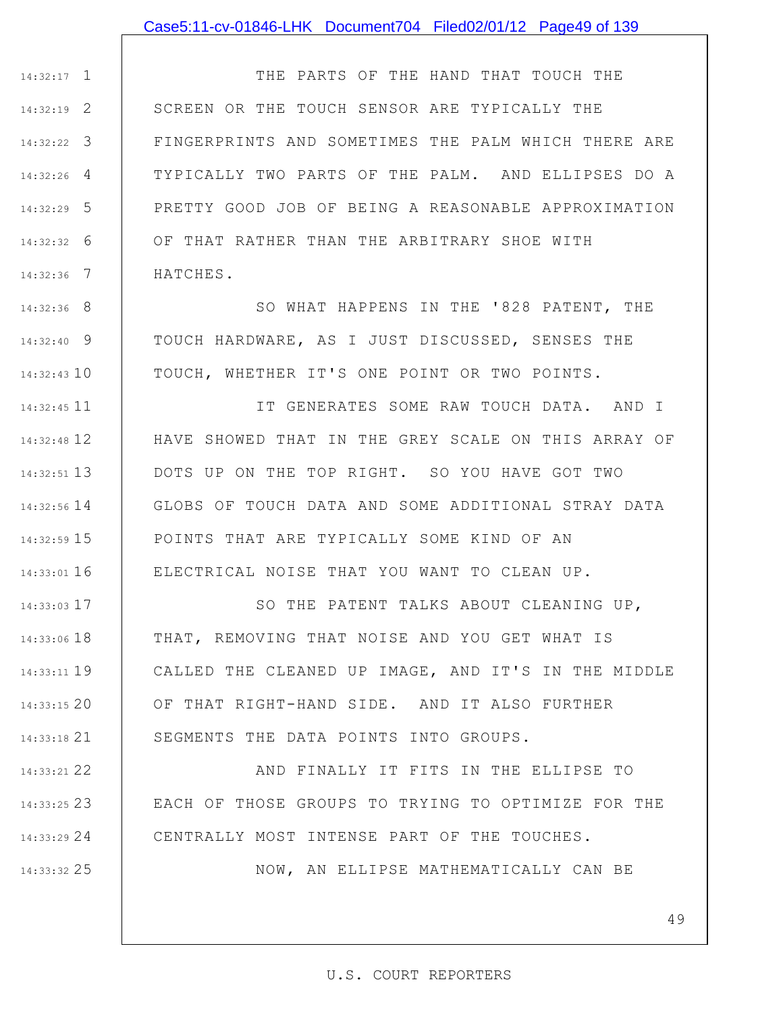1 14:32:17 2 14:32:19 3 14:32:22 4 14:32:26 5 14:32:29 6 14:32:32 7 14:32:36 THE PARTS OF THE HAND THAT TOUCH THE SCREEN OR THE TOUCH SENSOR ARE TYPICALLY THE FINGERPRINTS AND SOMETIMES THE PALM WHICH THERE ARE TYPICALLY TWO PARTS OF THE PALM. AND ELLIPSES DO A PRETTY GOOD JOB OF BEING A REASONABLE APPROXIMATION OF THAT RATHER THAN THE ARBITRARY SHOE WITH HATCHES.

8 14:32:36 9 14:32:40 14:32:43 10 SO WHAT HAPPENS IN THE '828 PATENT, THE TOUCH HARDWARE, AS I JUST DISCUSSED, SENSES THE TOUCH, WHETHER IT'S ONE POINT OR TWO POINTS.

11 14:32:45 12 14:32:48 13 14:32:51 14 14:32:56 15 14:32:59 16 14:33:01 IT GENERATES SOME RAW TOUCH DATA. AND I HAVE SHOWED THAT IN THE GREY SCALE ON THIS ARRAY OF DOTS UP ON THE TOP RIGHT. SO YOU HAVE GOT TWO GLOBS OF TOUCH DATA AND SOME ADDITIONAL STRAY DATA POINTS THAT ARE TYPICALLY SOME KIND OF AN ELECTRICAL NOISE THAT YOU WANT TO CLEAN UP.

17 14:33:03 18 14:33:06 19 14:33:11 20 14:33:15 21 14:33:18 SO THE PATENT TALKS ABOUT CLEANING UP, THAT, REMOVING THAT NOISE AND YOU GET WHAT IS CALLED THE CLEANED UP IMAGE, AND IT'S IN THE MIDDLE OF THAT RIGHT-HAND SIDE. AND IT ALSO FURTHER SEGMENTS THE DATA POINTS INTO GROUPS.

22 14:33:21 23 14:33:25 24 14:33:29 AND FINALLY IT FITS IN THE ELLIPSE TO EACH OF THOSE GROUPS TO TRYING TO OPTIMIZE FOR THE CENTRALLY MOST INTENSE PART OF THE TOUCHES.

25 14:33:32

NOW, AN ELLIPSE MATHEMATICALLY CAN BE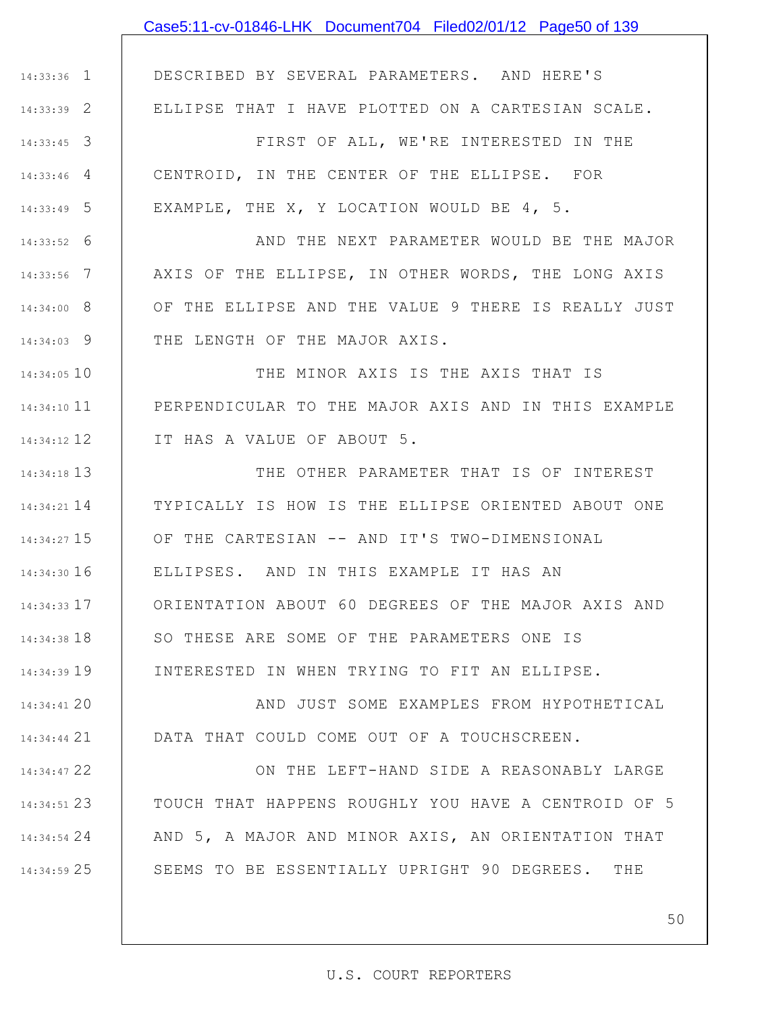# 1 14:33:36 2 14:33:39 3 14:33:45 4 14:33:46 5 14:33:49 6 14:33:52 7 14:33:56 8 14:34:00 9 14:34:03 14:34:05 10 11 14:34:10 12 14:34:12 13 14:34:18 14 14:34:21 15 14:34:27 16 14:34:30 17 14:34:33 18 14:34:38 19 14:34:39 20 14:34:41 21 14:34:44 22 14:34:47 23 14:34:51 24 14:34:54 25 14:34:59 DESCRIBED BY SEVERAL PARAMETERS. AND HERE'S ELLIPSE THAT I HAVE PLOTTED ON A CARTESIAN SCALE. FIRST OF ALL, WE'RE INTERESTED IN THE CENTROID, IN THE CENTER OF THE ELLIPSE. FOR EXAMPLE, THE X, Y LOCATION WOULD BE 4, 5. AND THE NEXT PARAMETER WOULD BE THE MAJOR AXIS OF THE ELLIPSE, IN OTHER WORDS, THE LONG AXIS OF THE ELLIPSE AND THE VALUE 9 THERE IS REALLY JUST THE LENGTH OF THE MAJOR AXIS. THE MINOR AXIS IS THE AXIS THAT IS PERPENDICULAR TO THE MAJOR AXIS AND IN THIS EXAMPLE IT HAS A VALUE OF ABOUT 5. THE OTHER PARAMETER THAT IS OF INTEREST TYPICALLY IS HOW IS THE ELLIPSE ORIENTED ABOUT ONE OF THE CARTESIAN -- AND IT'S TWO-DIMENSIONAL ELLIPSES. AND IN THIS EXAMPLE IT HAS AN ORIENTATION ABOUT 60 DEGREES OF THE MAJOR AXIS AND SO THESE ARE SOME OF THE PARAMETERS ONE IS INTERESTED IN WHEN TRYING TO FIT AN ELLIPSE. AND JUST SOME EXAMPLES FROM HYPOTHETICAL DATA THAT COULD COME OUT OF A TOUCHSCREEN. ON THE LEFT-HAND SIDE A REASONABLY LARGE TOUCH THAT HAPPENS ROUGHLY YOU HAVE A CENTROID OF 5 AND 5, A MAJOR AND MINOR AXIS, AN ORIENTATION THAT SEEMS TO BE ESSENTIALLY UPRIGHT 90 DEGREES. THE Case5:11-cv-01846-LHK Document704 Filed02/01/12 Page50 of 139

#### U.S. COURT REPORTERS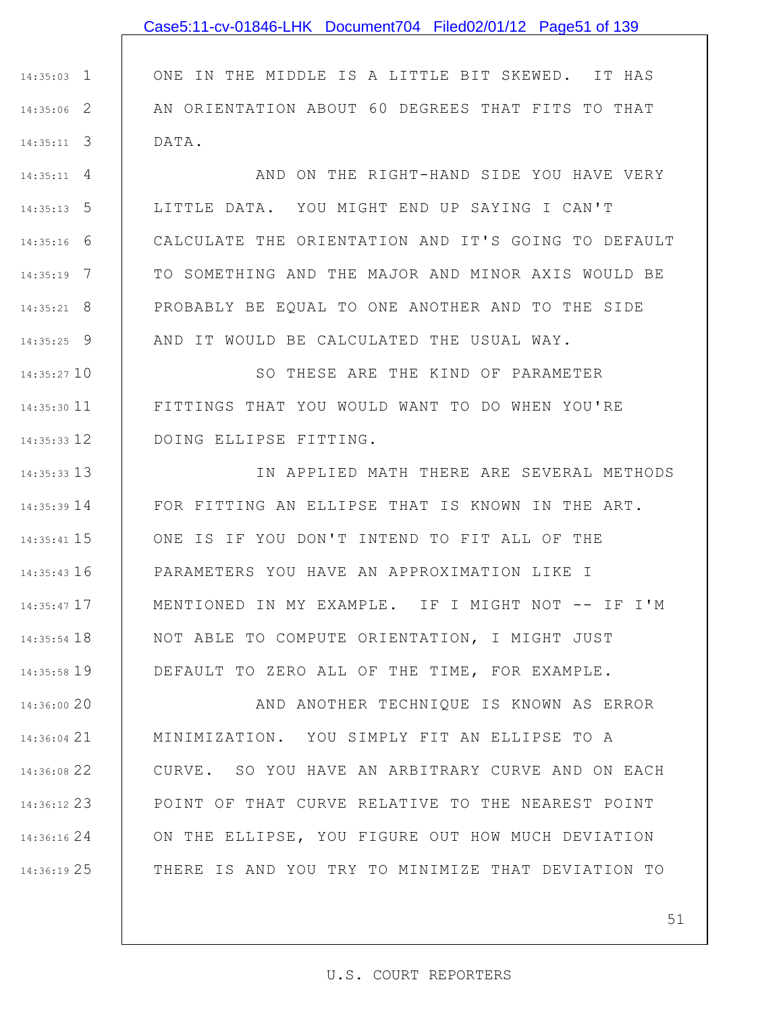# Case5:11-cv-01846-LHK Document704 Filed02/01/12 Page51 of 139

ONE IN THE MIDDLE IS A LITTLE BIT SKEWED. IT HAS AN ORIENTATION ABOUT 60 DEGREES THAT FITS TO THAT DATA.

1 14:35:03

2 14:35:06

3 14:35:11

4 14:35:11 5 14:35:13 6 14:35:16 7 14:35:19 8 14:35:21 9 14:35:25 AND ON THE RIGHT-HAND SIDE YOU HAVE VERY LITTLE DATA. YOU MIGHT END UP SAYING I CAN'T CALCULATE THE ORIENTATION AND IT'S GOING TO DEFAULT TO SOMETHING AND THE MAJOR AND MINOR AXIS WOULD BE PROBABLY BE EQUAL TO ONE ANOTHER AND TO THE SIDE AND IT WOULD BE CALCULATED THE USUAL WAY.

14:35:27 10 11 14:35:30 12 14:35:33 SO THESE ARE THE KIND OF PARAMETER FITTINGS THAT YOU WOULD WANT TO DO WHEN YOU'RE DOING ELLIPSE FITTING.

13 14:35:33 14 14:35:39 15 14:35:41 16 14:35:43 17 14:35:47 18 14:35:54 19 14:35:58 IN APPLIED MATH THERE ARE SEVERAL METHODS FOR FITTING AN ELLIPSE THAT IS KNOWN IN THE ART. ONE IS IF YOU DON'T INTEND TO FIT ALL OF THE PARAMETERS YOU HAVE AN APPROXIMATION LIKE I MENTIONED IN MY EXAMPLE. IF I MIGHT NOT -- IF I'M NOT ABLE TO COMPUTE ORIENTATION, I MIGHT JUST DEFAULT TO ZERO ALL OF THE TIME, FOR EXAMPLE.

20 14:36:00 21 14:36:04 22 14:36:08 23 14:36:12 24 14:36:16 25 14:36:19 AND ANOTHER TECHNIQUE IS KNOWN AS ERROR MINIMIZATION. YOU SIMPLY FIT AN ELLIPSE TO A CURVE. SO YOU HAVE AN ARBITRARY CURVE AND ON EACH POINT OF THAT CURVE RELATIVE TO THE NEAREST POINT ON THE ELLIPSE, YOU FIGURE OUT HOW MUCH DEVIATION THERE IS AND YOU TRY TO MINIMIZE THAT DEVIATION TO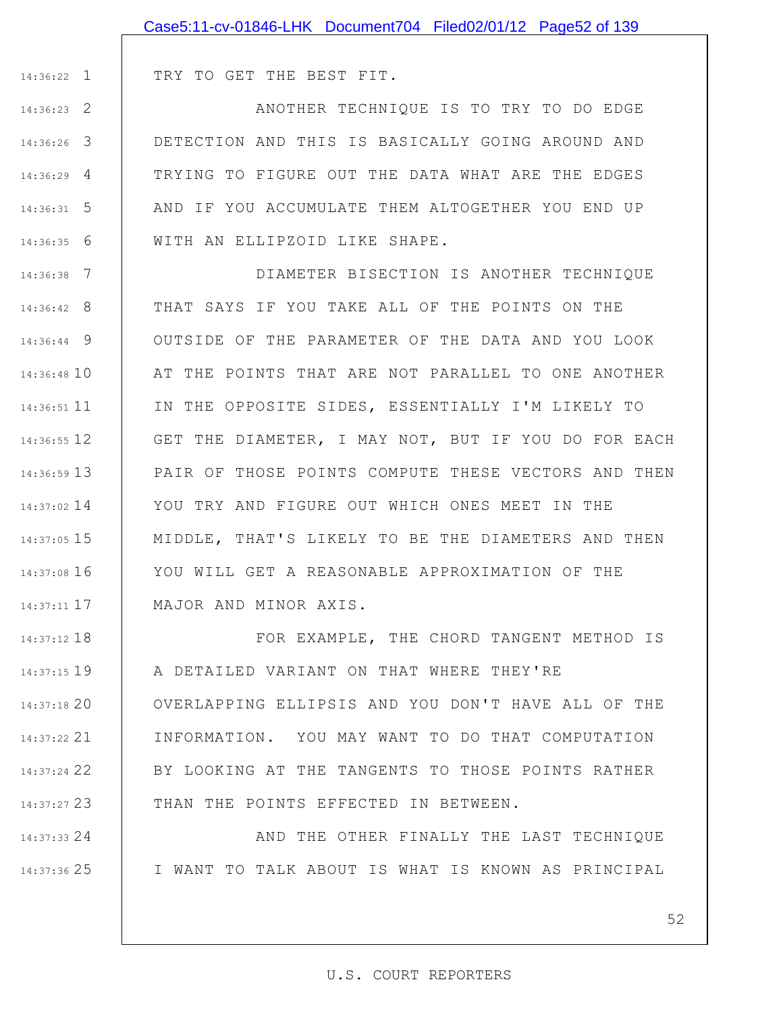|               | Case5:11-cv-01846-LHK Document704 Filed02/01/12 Page52 of 139 |
|---------------|---------------------------------------------------------------|
|               |                                                               |
| $14:36:22$ 1  | TRY TO GET THE BEST FIT.                                      |
| $14:36:23$ 2  | ANOTHER TECHNIQUE IS TO TRY TO DO EDGE                        |
| $14:36:26$ 3  | DETECTION AND THIS IS BASICALLY GOING AROUND AND              |
| $14:36:29$ 4  | TRYING TO FIGURE OUT THE DATA WHAT ARE THE EDGES              |
| $14:36:31$ 5  | AND IF YOU ACCUMULATE THEM ALTOGETHER YOU END UP              |
| $14:36:35$ 6  | WITH AN ELLIPZOID LIKE SHAPE.                                 |
| $14:36:38$ 7  | DIAMETER BISECTION IS ANOTHER TECHNIQUE                       |
| $14:36:42$ 8  | THAT SAYS IF YOU TAKE ALL OF THE POINTS ON THE                |
| 14:36:44 9    | OUTSIDE OF THE PARAMETER OF THE DATA AND YOU LOOK             |
| 14:36:48 10   | AT THE POINTS THAT ARE NOT PARALLEL TO ONE ANOTHER            |
| 14:36:51 11   | IN THE OPPOSITE SIDES, ESSENTIALLY I'M LIKELY TO              |
| 14:36:55 12   | GET THE DIAMETER, I MAY NOT, BUT IF YOU DO FOR EACH           |
| 14:36:59 13   | PAIR OF THOSE POINTS COMPUTE THESE VECTORS AND THEN           |
| $14:37:02$ 14 | YOU TRY AND FIGURE OUT WHICH ONES MEET IN THE                 |
| $14:37:05$ 15 | MIDDLE, THAT'S LIKELY TO BE THE DIAMETERS AND THEN            |
| $14:37:08$ 16 | YOU WILL GET A REASONABLE APPROXIMATION OF THE                |
| $14:37:11$ 17 | MAJOR AND MINOR AXIS.                                         |
| 14:37:12 18   | FOR EXAMPLE, THE CHORD TANGENT METHOD IS                      |
| 14:37:15 19   | A DETAILED VARIANT ON THAT WHERE THEY'RE                      |
| 14:37:1820    | OVERLAPPING ELLIPSIS AND YOU DON'T HAVE ALL OF THE            |
| 14:37:22 21   | INFORMATION. YOU MAY WANT TO DO THAT COMPUTATION              |
| 14:37:24 22   | BY LOOKING AT THE TANGENTS TO THOSE POINTS RATHER             |
| 14:37:27 23   | THAN THE POINTS EFFECTED IN BETWEEN.                          |
| $14:37:33$ 24 | AND THE OTHER FINALLY THE LAST TECHNIQUE                      |

25 14:37:36

52

I WANT TO TALK ABOUT IS WHAT IS KNOWN AS PRINCIPAL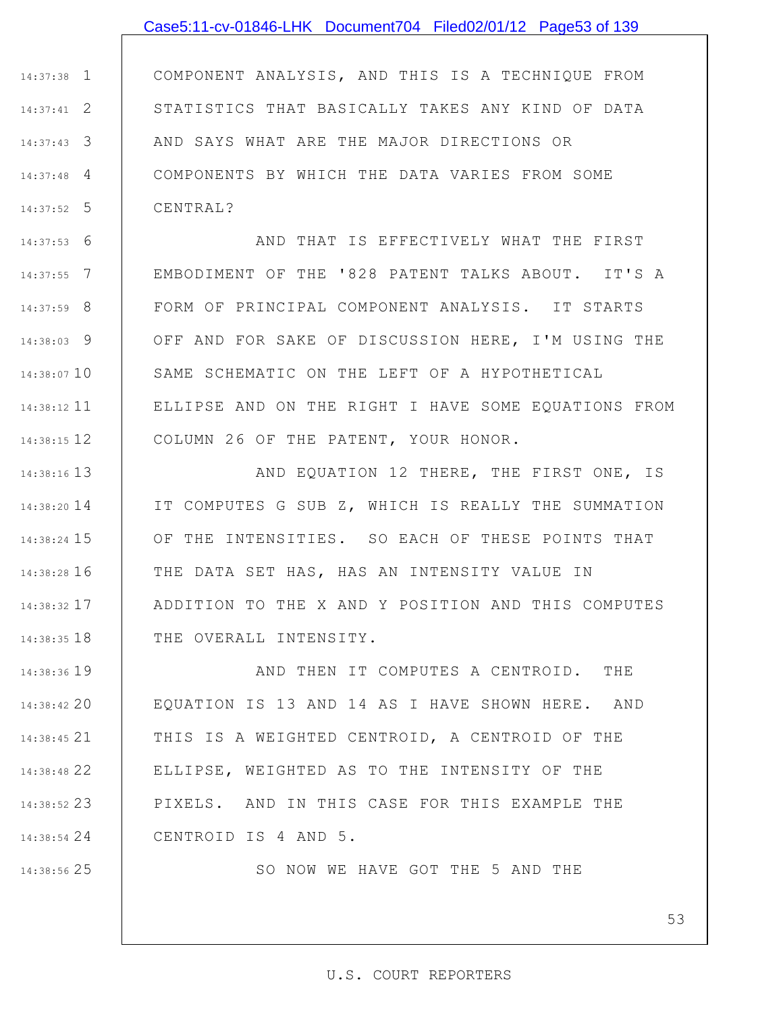# Case5:11-cv-01846-LHK Document704 Filed02/01/12 Page53 of 139

1 14:37:38 2 14:37:41 3 14:37:43 4 14:37:48 5 14:37:52 COMPONENT ANALYSIS, AND THIS IS A TECHNIQUE FROM STATISTICS THAT BASICALLY TAKES ANY KIND OF DATA AND SAYS WHAT ARE THE MAJOR DIRECTIONS OR COMPONENTS BY WHICH THE DATA VARIES FROM SOME CENTRAL?

6 14:37:53 7 14:37:55 8 14:37:59 9 14:38:03 14:38:07 10 11 14:38:12 12 14:38:15 AND THAT IS EFFECTIVELY WHAT THE FIRST EMBODIMENT OF THE '828 PATENT TALKS ABOUT. IT'S A FORM OF PRINCIPAL COMPONENT ANALYSIS. IT STARTS OFF AND FOR SAKE OF DISCUSSION HERE, I'M USING THE SAME SCHEMATIC ON THE LEFT OF A HYPOTHETICAL ELLIPSE AND ON THE RIGHT I HAVE SOME EQUATIONS FROM COLUMN 26 OF THE PATENT, YOUR HONOR.

13 14:38:16 14 14:38:20 15 14:38:24 16 14:38:28 17 14:38:32 18 14:38:35 AND EQUATION 12 THERE, THE FIRST ONE, IS IT COMPUTES G SUB Z, WHICH IS REALLY THE SUMMATION OF THE INTENSITIES. SO EACH OF THESE POINTS THAT THE DATA SET HAS, HAS AN INTENSITY VALUE IN ADDITION TO THE X AND Y POSITION AND THIS COMPUTES THE OVERALL INTENSITY.

19 14:38:36 20 14:38:42 21 14:38:45 22 14:38:48 23 14:38:52 24 14:38:54 AND THEN IT COMPUTES A CENTROID. THE EQUATION IS 13 AND 14 AS I HAVE SHOWN HERE. AND THIS IS A WEIGHTED CENTROID, A CENTROID OF THE ELLIPSE, WEIGHTED AS TO THE INTENSITY OF THE PIXELS. AND IN THIS CASE FOR THIS EXAMPLE THE CENTROID IS 4 AND 5.

25 14:38:56

SO NOW WE HAVE GOT THE 5 AND THE

#### 53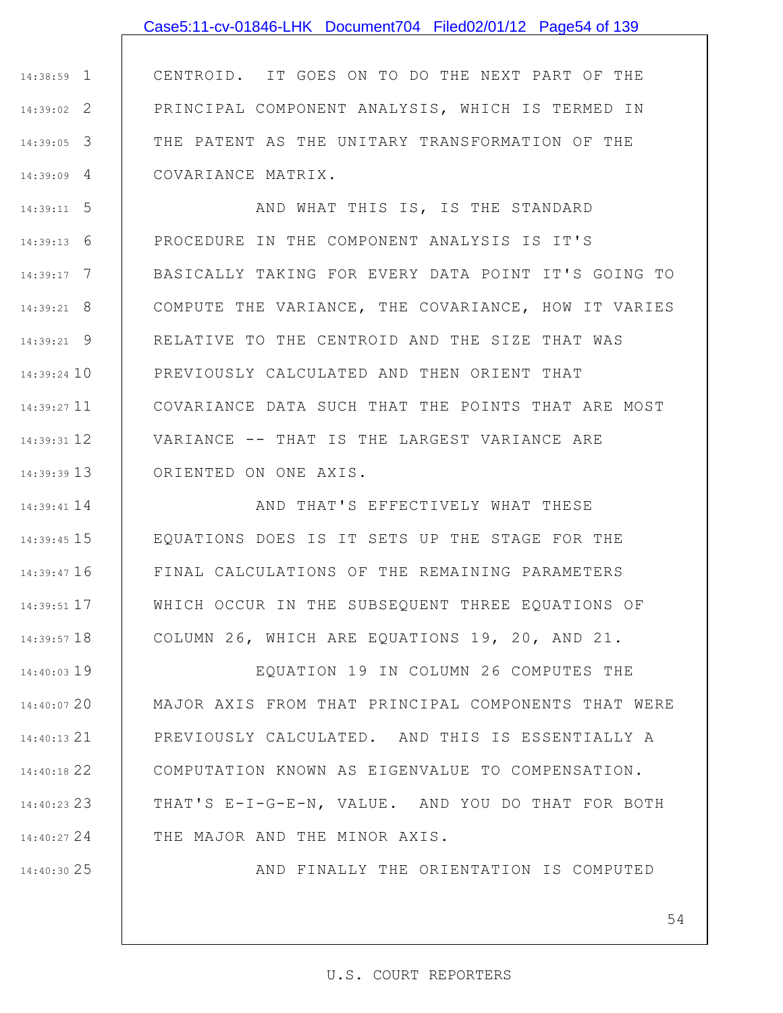## Case5:11-cv-01846-LHK Document704 Filed02/01/12 Page54 of 139

1 14:38:59 2 14:39:02 3 14:39:05 4 14:39:09 CENTROID. IT GOES ON TO DO THE NEXT PART OF THE PRINCIPAL COMPONENT ANALYSIS, WHICH IS TERMED IN THE PATENT AS THE UNITARY TRANSFORMATION OF THE COVARIANCE MATRIX.

5 14:39:11 6 14:39:13 7 14:39:17 8 14:39:21 9 14:39:21 14:39:24 10 11 14:39:27 12 14:39:31 13 14:39:39 AND WHAT THIS IS, IS THE STANDARD PROCEDURE IN THE COMPONENT ANALYSIS IS IT'S BASICALLY TAKING FOR EVERY DATA POINT IT'S GOING TO COMPUTE THE VARIANCE, THE COVARIANCE, HOW IT VARIES RELATIVE TO THE CENTROID AND THE SIZE THAT WAS PREVIOUSLY CALCULATED AND THEN ORIENT THAT COVARIANCE DATA SUCH THAT THE POINTS THAT ARE MOST VARIANCE -- THAT IS THE LARGEST VARIANCE ARE ORIENTED ON ONE AXIS.

14 14:39:41 15 14:39:45 16 14:39:47 17 14:39:51 18 14:39:57 AND THAT'S EFFECTIVELY WHAT THESE EQUATIONS DOES IS IT SETS UP THE STAGE FOR THE FINAL CALCULATIONS OF THE REMAINING PARAMETERS WHICH OCCUR IN THE SUBSEQUENT THREE EQUATIONS OF COLUMN 26, WHICH ARE EQUATIONS 19, 20, AND 21.

19 14:40:03 20 14:40:07 21 14:40:13 22 14:40:18 23 14:40:23 24 14:40:27 EQUATION 19 IN COLUMN 26 COMPUTES THE MAJOR AXIS FROM THAT PRINCIPAL COMPONENTS THAT WERE PREVIOUSLY CALCULATED. AND THIS IS ESSENTIALLY A COMPUTATION KNOWN AS EIGENVALUE TO COMPENSATION. THAT'S E-I-G-E-N, VALUE. AND YOU DO THAT FOR BOTH THE MAJOR AND THE MINOR AXIS.

25 14:40:30

AND FINALLY THE ORIENTATION IS COMPUTED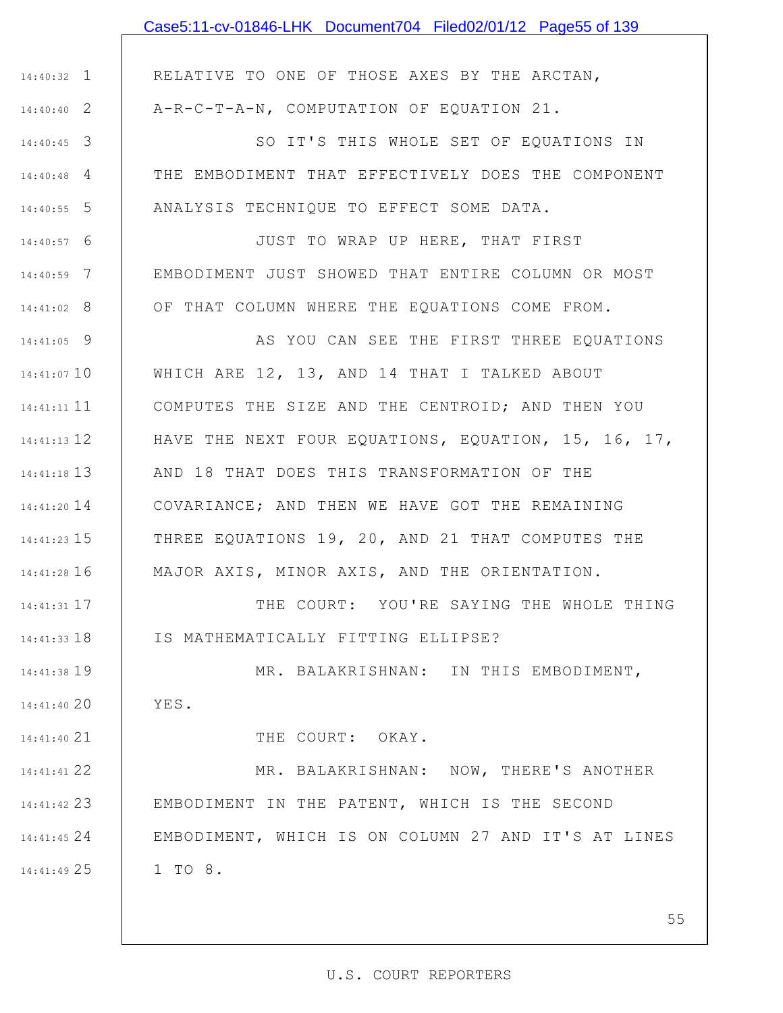# Case5:11-cv-01846-LHK Document704 Filed02/01/12 Page55 of 139

1 14:40:32

2 14:40:40

3 14:40:45

4 14:40:48

5 14:40:55

17 14:41:31

18 14:41:33

19 14:41:38

20 14:41:40

21 14:41:40

RELATIVE TO ONE OF THOSE AXES BY THE ARCTAN, A-R-C-T-A-N, COMPUTATION OF EQUATION 21.

SO IT'S THIS WHOLE SET OF EQUATIONS IN THE EMBODIMENT THAT EFFECTIVELY DOES THE COMPONENT ANALYSIS TECHNIQUE TO EFFECT SOME DATA.

6 14:40:57 7 14:40:59 8 14:41:02 JUST TO WRAP UP HERE, THAT FIRST EMBODIMENT JUST SHOWED THAT ENTIRE COLUMN OR MOST OF THAT COLUMN WHERE THE EQUATIONS COME FROM.

9 14:41:05 14:41:07 10 11 14:41:11 12 14:41:13 13 14:41:18 14 14:41:20 15 14:41:23 16 14:41:28 AS YOU CAN SEE THE FIRST THREE EQUATIONS WHICH ARE 12, 13, AND 14 THAT I TALKED ABOUT COMPUTES THE SIZE AND THE CENTROID; AND THEN YOU HAVE THE NEXT FOUR EQUATIONS, EQUATION, 15, 16, 17, AND 18 THAT DOES THIS TRANSFORMATION OF THE COVARIANCE; AND THEN WE HAVE GOT THE REMAINING THREE EQUATIONS 19, 20, AND 21 THAT COMPUTES THE MAJOR AXIS, MINOR AXIS, AND THE ORIENTATION.

> THE COURT: YOU'RE SAYING THE WHOLE THING IS MATHEMATICALLY FITTING ELLIPSE?

MR. BALAKRISHNAN: IN THIS EMBODIMENT, YES.

THE COURT: OKAY.

22 14:41:41 14:41:42 23 | EMBODIMENT IN THE PATENT, WHICH IS THE SECOND 24 14:41:45 25 14:41:49 MR. BALAKRISHNAN: NOW, THERE'S ANOTHER EMBODIMENT, WHICH IS ON COLUMN 27 AND IT'S AT LINES 1 TO 8.

#### U.S. COURT REPORTERS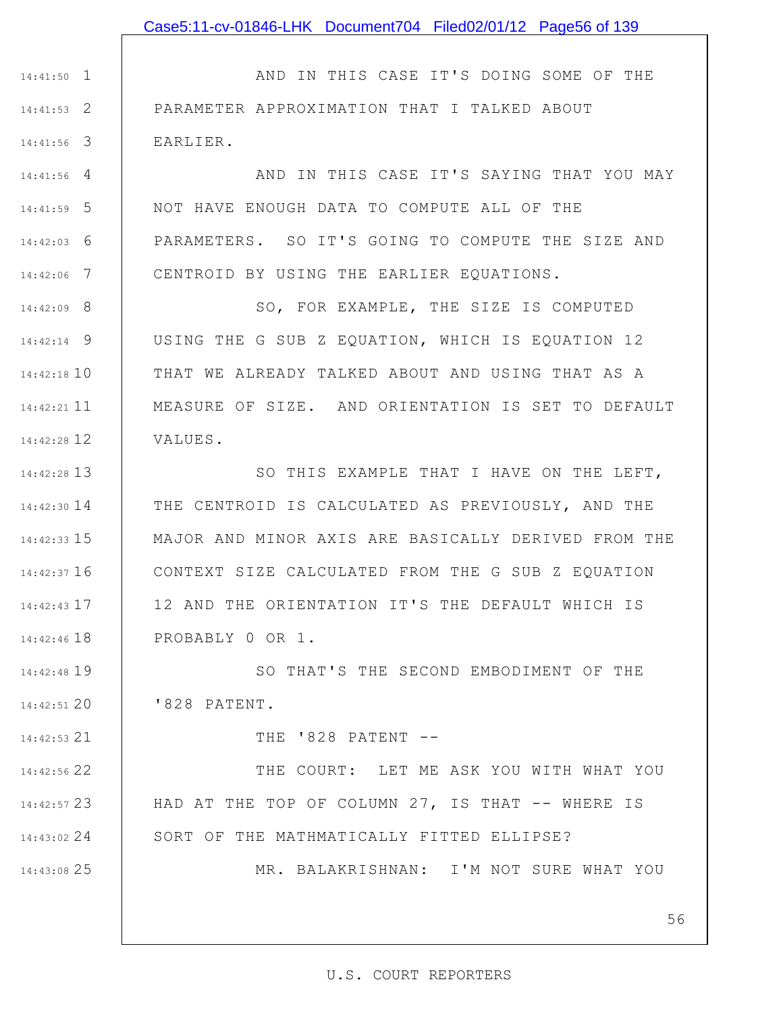1 14:41:50 2 14:41:53 3 14:41:56 AND IN THIS CASE IT'S DOING SOME OF THE PARAMETER APPROXIMATION THAT I TALKED ABOUT EARLIER.

4 14:41:56 5 14:41:59 6 14:42:03 7 14:42:06 AND IN THIS CASE IT'S SAYING THAT YOU MAY NOT HAVE ENOUGH DATA TO COMPUTE ALL OF THE PARAMETERS. SO IT'S GOING TO COMPUTE THE SIZE AND CENTROID BY USING THE EARLIER EQUATIONS.

8 14:42:09 9 14:42:14 14:42:18 10 11 14:42:21 12 14:42:28 SO, FOR EXAMPLE, THE SIZE IS COMPUTED USING THE G SUB Z EQUATION, WHICH IS EQUATION 12 THAT WE ALREADY TALKED ABOUT AND USING THAT AS A MEASURE OF SIZE. AND ORIENTATION IS SET TO DEFAULT VALUES.

13 14:42:28 14 14:42:30 15 14:42:33 16 14:42:37 17 14:42:43 18 14:42:46 SO THIS EXAMPLE THAT I HAVE ON THE LEFT, THE CENTROID IS CALCULATED AS PREVIOUSLY, AND THE MAJOR AND MINOR AXIS ARE BASICALLY DERIVED FROM THE CONTEXT SIZE CALCULATED FROM THE G SUB Z EQUATION 12 AND THE ORIENTATION IT'S THE DEFAULT WHICH IS PROBABLY 0 OR 1.

19 14:42:48 20 14:42:51 SO THAT'S THE SECOND EMBODIMENT OF THE '828 PATENT.

THE  $'828$  PATENT  $-$ 

21 14:42:53

25 14:43:08

22 14:42:56 23 14:42:57 24 14:43:02 THE COURT: LET ME ASK YOU WITH WHAT YOU HAD AT THE TOP OF COLUMN 27, IS THAT -- WHERE IS SORT OF THE MATHMATICALLY FITTED ELLIPSE?

MR. BALAKRISHNAN: I'M NOT SURE WHAT YOU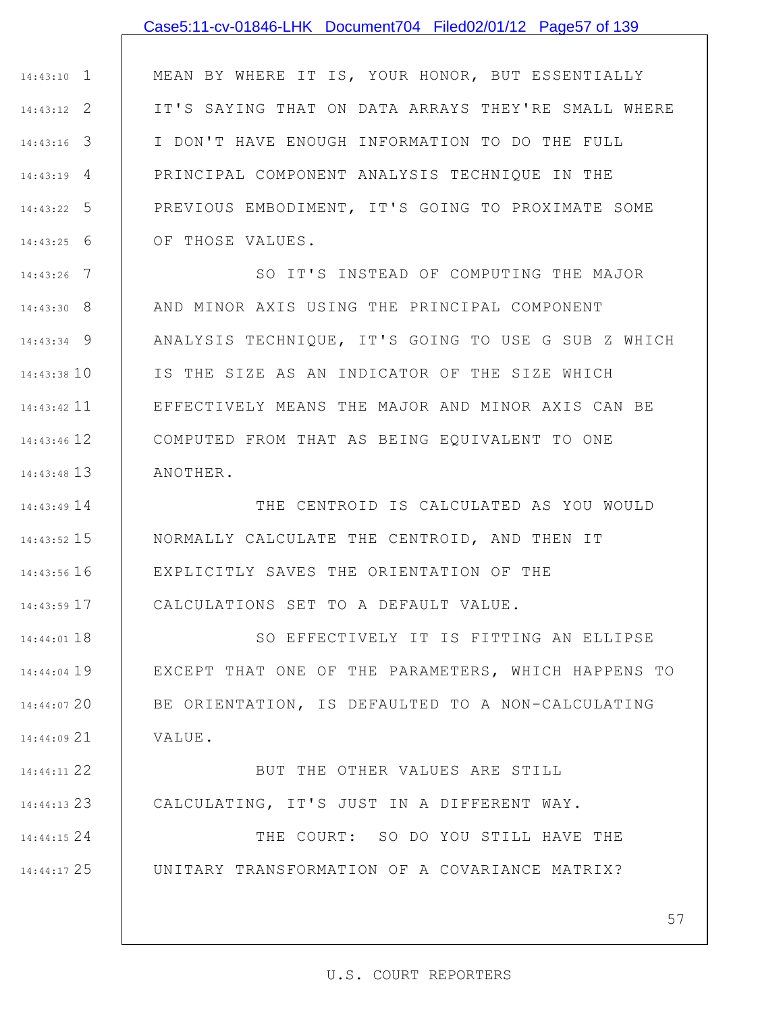# Case5:11-cv-01846-LHK Document704 Filed02/01/12 Page57 of 139

1 14:43:10 2 14:43:12 3 14:43:16 4 14:43:19 5 14:43:22 6 14:43:25 MEAN BY WHERE IT IS, YOUR HONOR, BUT ESSENTIALLY IT'S SAYING THAT ON DATA ARRAYS THEY'RE SMALL WHERE I DON'T HAVE ENOUGH INFORMATION TO DO THE FULL PRINCIPAL COMPONENT ANALYSIS TECHNIQUE IN THE PREVIOUS EMBODIMENT, IT'S GOING TO PROXIMATE SOME OF THOSE VALUES.

7 14:43:26 8 14:43:30 9 14:43:34 14:43:38 10 11 14:43:42 12 14:43:46 13 14:43:48 SO IT'S INSTEAD OF COMPUTING THE MAJOR AND MINOR AXIS USING THE PRINCIPAL COMPONENT ANALYSIS TECHNIQUE, IT'S GOING TO USE G SUB Z WHICH IS THE SIZE AS AN INDICATOR OF THE SIZE WHICH EFFECTIVELY MEANS THE MAJOR AND MINOR AXIS CAN BE COMPUTED FROM THAT AS BEING EQUIVALENT TO ONE ANOTHER.

14 14:43:49 15 14:43:52 16 14:43:56 17 14:43:59 THE CENTROID IS CALCULATED AS YOU WOULD NORMALLY CALCULATE THE CENTROID, AND THEN IT EXPLICITLY SAVES THE ORIENTATION OF THE CALCULATIONS SET TO A DEFAULT VALUE.

18 14:44:01 19 14:44:04 20 14:44:07 21 14:44:09 SO EFFECTIVELY IT IS FITTING AN ELLIPSE EXCEPT THAT ONE OF THE PARAMETERS, WHICH HAPPENS TO BE ORIENTATION, IS DEFAULTED TO A NON-CALCULATING VALUE.

22 14:44:11 23 14:44:13 BUT THE OTHER VALUES ARE STILL CALCULATING, IT'S JUST IN A DIFFERENT WAY.

24 14:44:15

25 14:44:17

THE COURT: SO DO YOU STILL HAVE THE UNITARY TRANSFORMATION OF A COVARIANCE MATRIX?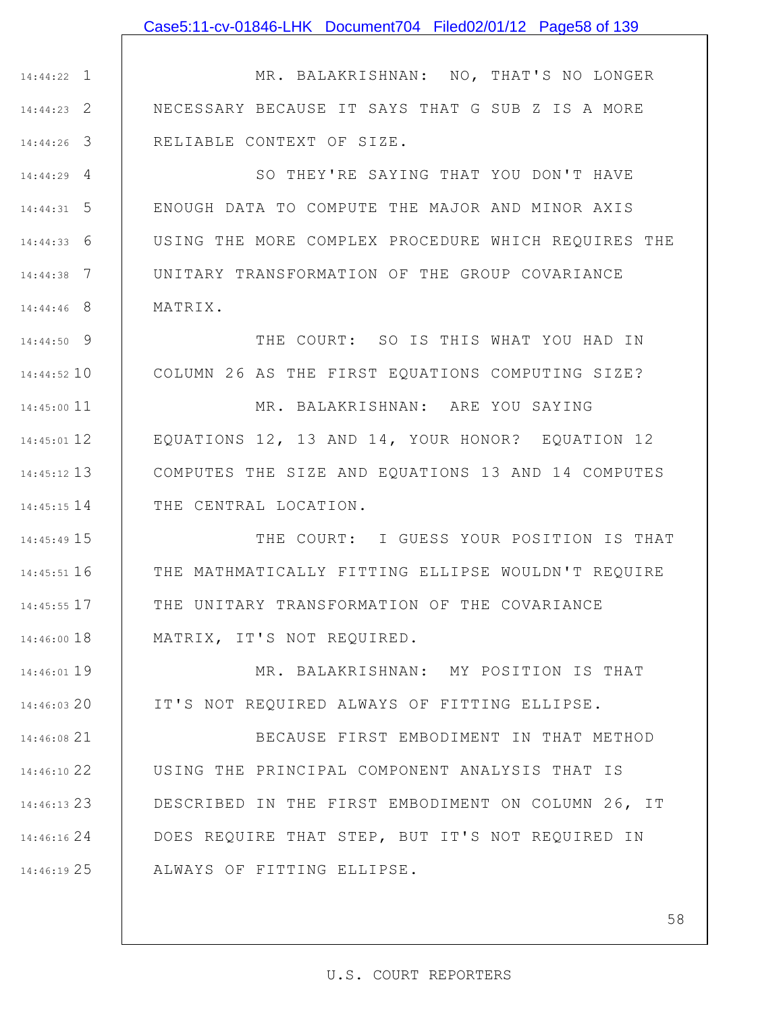1 14:44:22 2 14:44:23 3 14:44:26 MR. BALAKRISHNAN: NO, THAT'S NO LONGER NECESSARY BECAUSE IT SAYS THAT G SUB Z IS A MORE RELIABLE CONTEXT OF SIZE.

4 14:44:29 5 14:44:31 6 14:44:33 7 14:44:38 8 14:44:46 SO THEY'RE SAYING THAT YOU DON'T HAVE ENOUGH DATA TO COMPUTE THE MAJOR AND MINOR AXIS USING THE MORE COMPLEX PROCEDURE WHICH REQUIRES THE UNITARY TRANSFORMATION OF THE GROUP COVARIANCE MATRIX.

9 14:44:50 10 14:44:52 THE COURT: SO IS THIS WHAT YOU HAD IN COLUMN 26 AS THE FIRST EQUATIONS COMPUTING SIZE?

11 14:45:00 12 14:45:01 13 14:45:12 14 14:45:15 MR. BALAKRISHNAN: ARE YOU SAYING EQUATIONS 12, 13 AND 14, YOUR HONOR? EQUATION 12 COMPUTES THE SIZE AND EQUATIONS 13 AND 14 COMPUTES THE CENTRAL LOCATION.

15 14:45:49 16 14:45:51 17 14:45:55 18 14:46:00 THE COURT: I GUESS YOUR POSITION IS THAT THE MATHMATICALLY FITTING ELLIPSE WOULDN'T REQUIRE THE UNITARY TRANSFORMATION OF THE COVARIANCE MATRIX, IT'S NOT REQUIRED.

19 14:46:01 20 14:46:03 MR. BALAKRISHNAN: MY POSITION IS THAT IT'S NOT REQUIRED ALWAYS OF FITTING ELLIPSE.

21 14:46:08 22 14:46:10 23 14:46:13 24 14:46:16 25 14:46:19 BECAUSE FIRST EMBODIMENT IN THAT METHOD USING THE PRINCIPAL COMPONENT ANALYSIS THAT IS DESCRIBED IN THE FIRST EMBODIMENT ON COLUMN 26, IT DOES REQUIRE THAT STEP, BUT IT'S NOT REQUIRED IN ALWAYS OF FITTING ELLIPSE.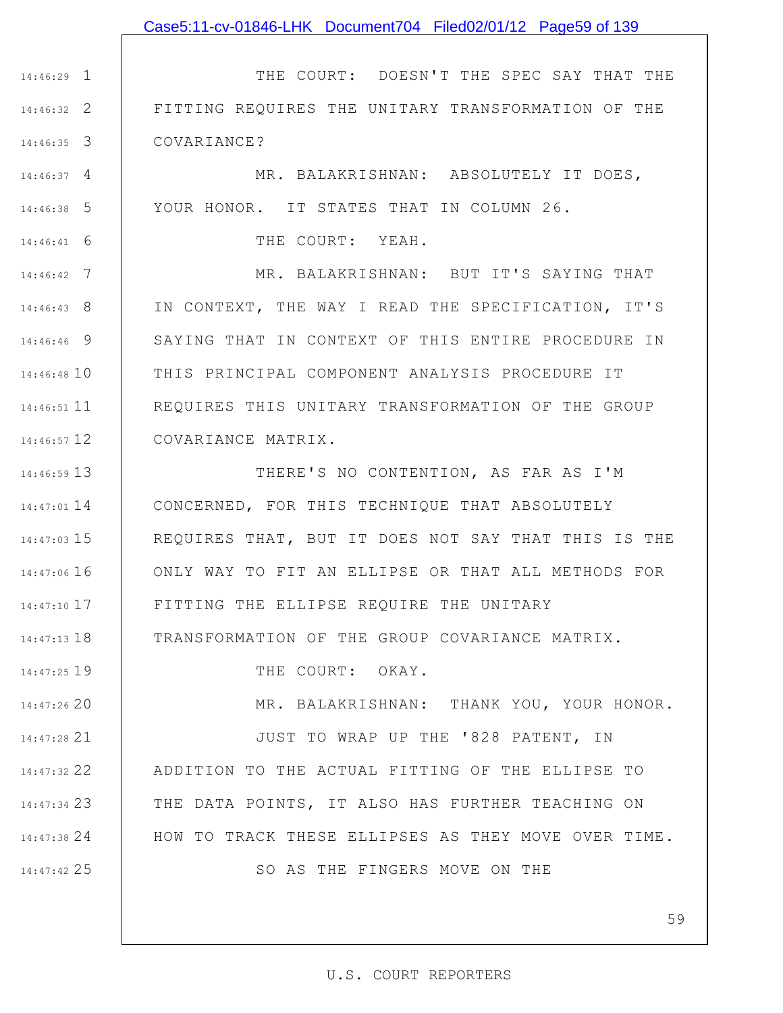### Case5:11-cv-01846-LHK Document704 Filed02/01/12 Page59 of 139

1 14:46:29 2 14:46:32 3 14:46:35 THE COURT: DOESN'T THE SPEC SAY THAT THE FITTING REQUIRES THE UNITARY TRANSFORMATION OF THE COVARIANCE?

4 14:46:37 5 14:46:38 MR. BALAKRISHNAN: ABSOLUTELY IT DOES, YOUR HONOR. IT STATES THAT IN COLUMN 26.

THE COURT: YEAH.

6 14:46:41

19 14:47:25

7 14:46:42 8 14:46:43 9 14:46:46 14:46:48 10 11 14:46:51 12 14:46:57 MR. BALAKRISHNAN: BUT IT'S SAYING THAT IN CONTEXT, THE WAY I READ THE SPECIFICATION, IT'S SAYING THAT IN CONTEXT OF THIS ENTIRE PROCEDURE IN THIS PRINCIPAL COMPONENT ANALYSIS PROCEDURE IT REQUIRES THIS UNITARY TRANSFORMATION OF THE GROUP COVARIANCE MATRIX.

13 14:46:59 14 14:47:01 15 14:47:03 16 14:47:06 17 14:47:10 18 14:47:13 THERE'S NO CONTENTION, AS FAR AS I'M CONCERNED, FOR THIS TECHNIQUE THAT ABSOLUTELY REQUIRES THAT, BUT IT DOES NOT SAY THAT THIS IS THE ONLY WAY TO FIT AN ELLIPSE OR THAT ALL METHODS FOR FITTING THE ELLIPSE REQUIRE THE UNITARY TRANSFORMATION OF THE GROUP COVARIANCE MATRIX.

THE COURT: OKAY.

20 14:47:26 21 14:47:28 22 14:47:32 23 14:47:34 24 14:47:38 25 14:47:42 MR. BALAKRISHNAN: THANK YOU, YOUR HONOR. JUST TO WRAP UP THE '828 PATENT, IN ADDITION TO THE ACTUAL FITTING OF THE ELLIPSE TO THE DATA POINTS, IT ALSO HAS FURTHER TEACHING ON HOW TO TRACK THESE ELLIPSES AS THEY MOVE OVER TIME. SO AS THE FINGERS MOVE ON THE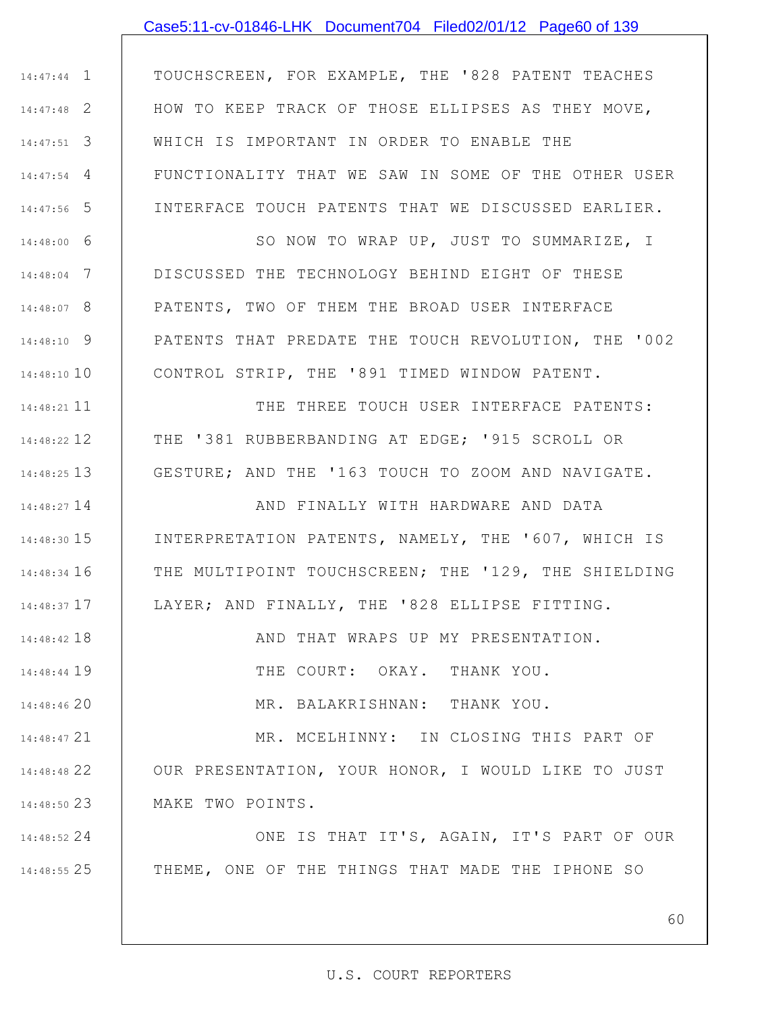## Case5:11-cv-01846-LHK Document704 Filed02/01/12 Page60 of 139

1 14:47:44 2 14:47:48 3 14:47:51 4 14:47:54 5 14:47:56 TOUCHSCREEN, FOR EXAMPLE, THE '828 PATENT TEACHES HOW TO KEEP TRACK OF THOSE ELLIPSES AS THEY MOVE, WHICH IS IMPORTANT IN ORDER TO ENABLE THE FUNCTIONALITY THAT WE SAW IN SOME OF THE OTHER USER INTERFACE TOUCH PATENTS THAT WE DISCUSSED EARLIER.

6 14:48:00 7 14:48:04 8 14:48:07 9 14:48:10 14:48:10 10 SO NOW TO WRAP UP, JUST TO SUMMARIZE, I DISCUSSED THE TECHNOLOGY BEHIND EIGHT OF THESE PATENTS, TWO OF THEM THE BROAD USER INTERFACE PATENTS THAT PREDATE THE TOUCH REVOLUTION, THE '002 CONTROL STRIP, THE '891 TIMED WINDOW PATENT.

11 14:48:21 12 14:48:22 13 14:48:25 THE THREE TOUCH USER INTERFACE PATENTS: THE '381 RUBBERBANDING AT EDGE; '915 SCROLL OR GESTURE; AND THE '163 TOUCH TO ZOOM AND NAVIGATE.

> AND FINALLY WITH HARDWARE AND DATA INTERPRETATION PATENTS, NAMELY, THE '607, WHICH IS THE MULTIPOINT TOUCHSCREEN; THE '129, THE SHIELDING LAYER; AND FINALLY, THE '828 ELLIPSE FITTING.

18 14:48:42 19 14:48:44 20 14:48:46 AND THAT WRAPS UP MY PRESENTATION. THE COURT: OKAY. THANK YOU. MR. BALAKRISHNAN: THANK YOU.

14 14:48:27

15 14:48:30

16 14:48:34

17 14:48:37

21 14:48:47 22 14:48:48 23 14:48:50 MR. MCELHINNY: IN CLOSING THIS PART OF OUR PRESENTATION, YOUR HONOR, I WOULD LIKE TO JUST MAKE TWO POINTS.

24 14:48:52 25 14:48:55 ONE IS THAT IT'S, AGAIN, IT'S PART OF OUR THEME, ONE OF THE THINGS THAT MADE THE IPHONE SO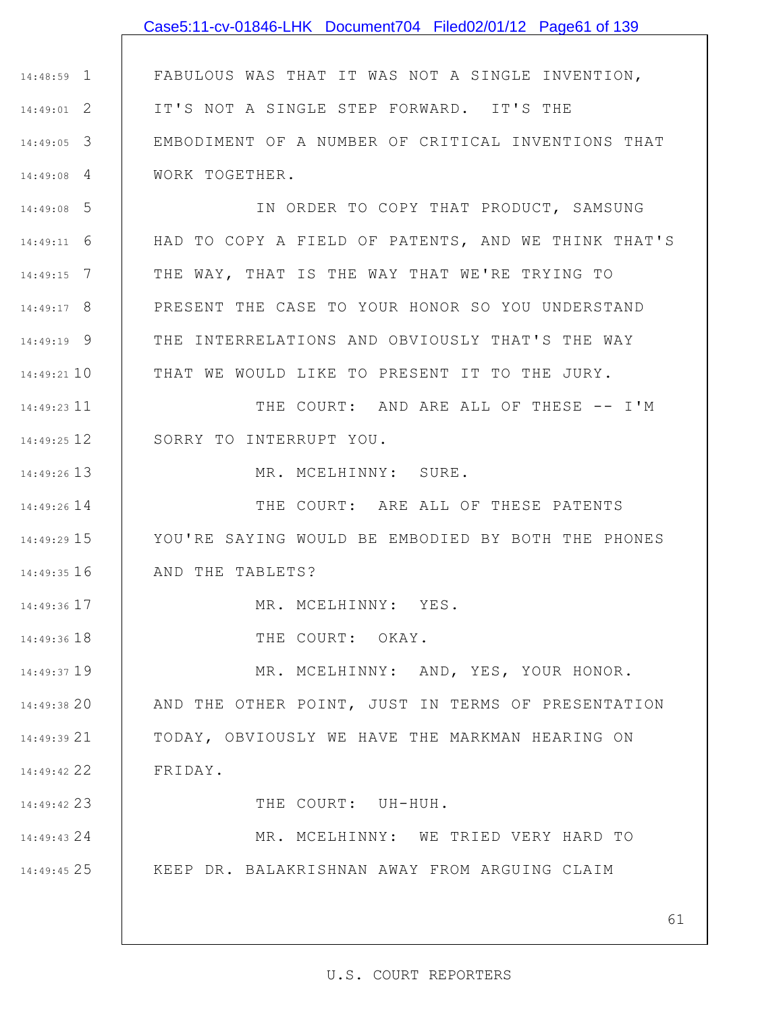|              | Case5:11-cv-01846-LHK Document704 Filed02/01/12 Page61 of 139 |
|--------------|---------------------------------------------------------------|
|              |                                                               |
| $14:48:59$ 1 | FABULOUS WAS THAT IT WAS NOT A SINGLE INVENTION,              |
| $14:49:01$ 2 | IT'S NOT A SINGLE STEP FORWARD. IT'S THE                      |
| $14:49:05$ 3 | EMBODIMENT OF A NUMBER OF CRITICAL INVENTIONS THAT            |
| $14:49:08$ 4 | WORK TOGETHER.                                                |
| 14:49:08 5   | IN ORDER TO COPY THAT PRODUCT, SAMSUNG                        |
| $14:49:11$ 6 | HAD TO COPY A FIELD OF PATENTS, AND WE THINK THAT'S           |
| $14:49:15$ 7 | THE WAY, THAT IS THE WAY THAT WE'RE TRYING TO                 |
| $14:49:17$ 8 | PRESENT THE CASE TO YOUR HONOR SO YOU UNDERSTAND              |
| 14:49:19 9   | THE INTERRELATIONS AND OBVIOUSLY THAT'S THE WAY               |
| 14:49:21 10  | THAT WE WOULD LIKE TO PRESENT IT TO THE JURY.                 |
| 14:49:23 11  | THE COURT: AND ARE ALL OF THESE -- I'M                        |
| 14:49:25 12  | SORRY TO INTERRUPT YOU.                                       |
| 14:49:26 13  | MR. MCELHINNY: SURE.                                          |
| 14:49:26 14  | THE COURT: ARE ALL OF THESE PATENTS                           |
| 14:49:29 15  | YOU'RE SAYING WOULD BE EMBODIED BY BOTH THE PHONES            |
| 14:49:35 16  | AND THE TABLETS?                                              |
| 14:49:36 17  | MR. MCELHINNY: YES.                                           |
| 14:49:36 18  | THE COURT: OKAY.                                              |
| 14:49:37 19  | MR. MCELHINNY: AND, YES, YOUR HONOR.                          |
| 14:49:38 20  | AND THE OTHER POINT, JUST IN TERMS OF PRESENTATION            |
| 14:49:39 21  | TODAY, OBVIOUSLY WE HAVE THE MARKMAN HEARING ON               |
| 14:49:42 22  | FRIDAY.                                                       |
| 14:49:42 23  | THE COURT: UH-HUH.                                            |
| 14:49:43 24  | MR. MCELHINNY: WE TRIED VERY HARD TO                          |
| 14:49:45 25  | KEEP DR. BALAKRISHNAN AWAY FROM ARGUING CLAIM                 |
|              |                                                               |

# U.S. COURT REPORTERS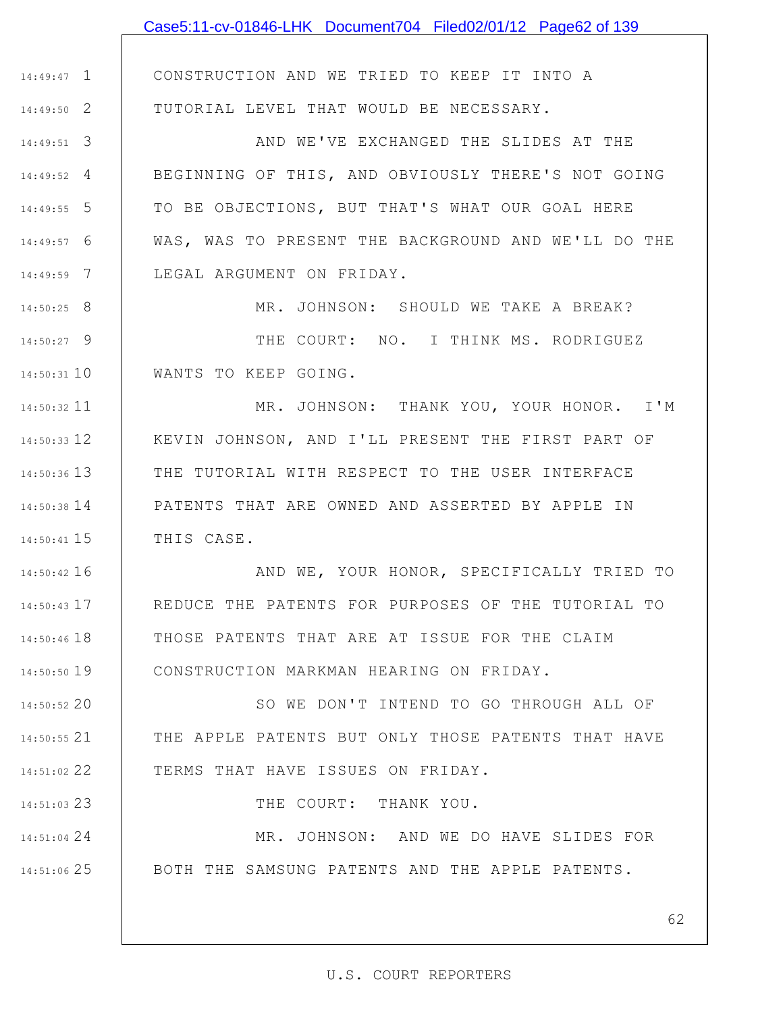|                    | Case5:11-cv-01846-LHK Document704 Filed02/01/12 Page62 of 139 |
|--------------------|---------------------------------------------------------------|
|                    |                                                               |
| $14:49:47$ 1       | CONSTRUCTION AND WE TRIED TO KEEP IT INTO A                   |
| $14:49:50$ 2       | TUTORIAL LEVEL THAT WOULD BE NECESSARY.                       |
| $14:49:51$ 3       | AND WE'VE EXCHANGED THE SLIDES AT THE                         |
| $14:49:52 \quad 4$ | BEGINNING OF THIS, AND OBVIOUSLY THERE'S NOT GOING            |
| $14:49:55$ 5       | TO BE OBJECTIONS, BUT THAT'S WHAT OUR GOAL HERE               |
| $14:49:57$ 6       | WAS, WAS TO PRESENT THE BACKGROUND AND WE'LL DO THE           |
| 14:49:59 7         | LEGAL ARGUMENT ON FRIDAY.                                     |
| $14:50:25$ 8       | MR. JOHNSON: SHOULD WE TAKE A BREAK?                          |
| 14:50:27 9         | THE COURT: NO. I THINK MS. RODRIGUEZ                          |
| $14:50:31$ 10      | WANTS TO KEEP GOING.                                          |
| 14:50:32 11        | MR. JOHNSON: THANK YOU, YOUR HONOR. I'M                       |
| $14:50:33$ 12      | KEVIN JOHNSON, AND I'LL PRESENT THE FIRST PART OF             |
| 14:50:36 13        | THE TUTORIAL WITH RESPECT TO THE USER INTERFACE               |
| $14:50:38$ 14      | PATENTS THAT ARE OWNED AND ASSERTED BY APPLE IN               |
| $14:50:41$ 15      | THIS CASE.                                                    |
| 14:50:42 16        | AND WE, YOUR HONOR, SPECIFICALLY TRIED TO                     |
| 14:50:43 17        | REDUCE THE PATENTS FOR PURPOSES OF THE TUTORIAL TO            |
| 14:50:46 18        | THOSE PATENTS THAT ARE AT ISSUE FOR THE CLAIM                 |
| 14:50:50 19        | CONSTRUCTION MARKMAN HEARING ON FRIDAY.                       |
| 14:50:52 20        | SO WE DON'T INTEND TO GO THROUGH ALL OF                       |
| 14:50:55 21        | THE APPLE PATENTS BUT ONLY THOSE PATENTS THAT HAVE            |
| 14:51:02 22        | TERMS THAT HAVE ISSUES ON FRIDAY.                             |
| 14:51:03 23        | THE COURT: THANK YOU.                                         |
| 14:51:04 24        | MR. JOHNSON: AND WE DO HAVE SLIDES FOR                        |
| 14:51:06 25        | BOTH THE SAMSUNG PATENTS AND THE APPLE PATENTS.               |
|                    |                                                               |

# U.S. COURT REPORTERS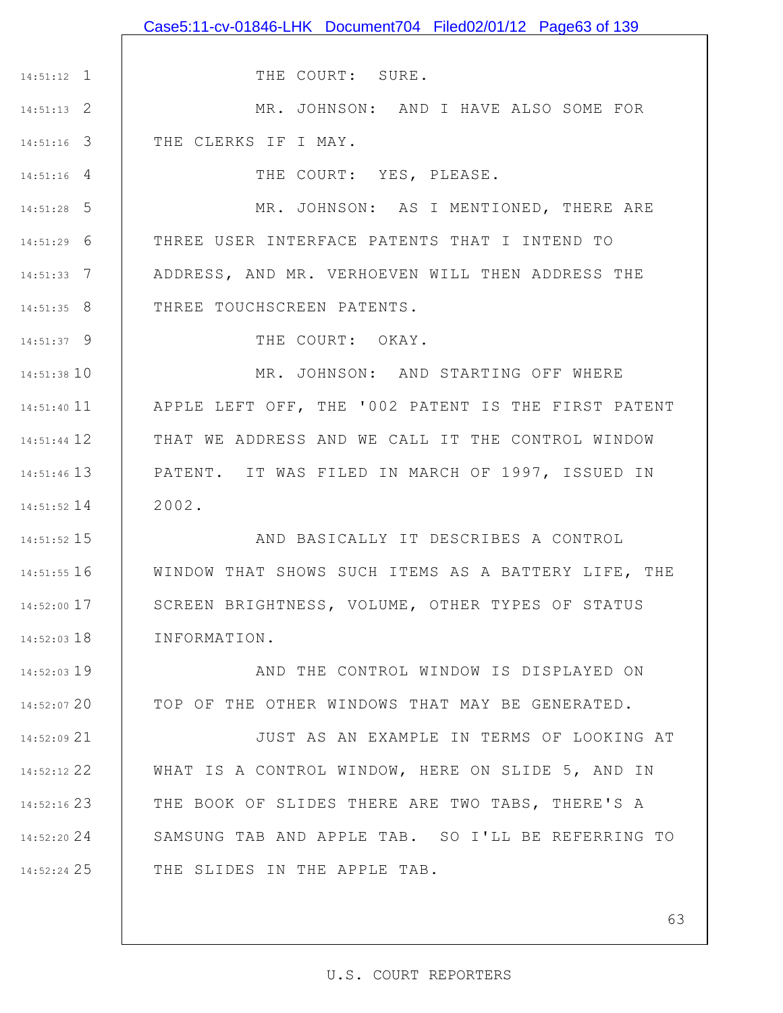1 14:51:12 2 14:51:13 3 14:51:16 4 14:51:16 5 14:51:28 6 14:51:29 7 14:51:33 8 14:51:35 9 14:51:37 14:51:38 10 11 14:51:40 12 14:51:44 13 14:51:46 14 14:51:52 15 14:51:52 16 14:51:55 17 14:52:00 18 14:52:03 19 14:52:03 20 14:52:07 21 14:52:09 22 14:52:12 14:52:16 23 | THE BOOK OF SLIDES THERE ARE TWO TABS, THERE'S A 24 14:52:20 25 14:52:24 THE COURT: SURE. MR. JOHNSON: AND I HAVE ALSO SOME FOR THE CLERKS IF I MAY. THE COURT: YES, PLEASE. MR. JOHNSON: AS I MENTIONED, THERE ARE THREE USER INTERFACE PATENTS THAT I INTEND TO ADDRESS, AND MR. VERHOEVEN WILL THEN ADDRESS THE THREE TOUCHSCREEN PATENTS. THE COURT: OKAY. MR. JOHNSON: AND STARTING OFF WHERE APPLE LEFT OFF, THE '002 PATENT IS THE FIRST PATENT THAT WE ADDRESS AND WE CALL IT THE CONTROL WINDOW PATENT. IT WAS FILED IN MARCH OF 1997, ISSUED IN 2002. AND BASICALLY IT DESCRIBES A CONTROL WINDOW THAT SHOWS SUCH ITEMS AS A BATTERY LIFE, THE SCREEN BRIGHTNESS, VOLUME, OTHER TYPES OF STATUS INFORMATION. AND THE CONTROL WINDOW IS DISPLAYED ON TOP OF THE OTHER WINDOWS THAT MAY BE GENERATED. JUST AS AN EXAMPLE IN TERMS OF LOOKING AT WHAT IS A CONTROL WINDOW, HERE ON SLIDE 5, AND IN SAMSUNG TAB AND APPLE TAB. SO I'LL BE REFERRING TO THE SLIDES IN THE APPLE TAB.

Case5:11-cv-01846-LHK Document704 Filed02/01/12 Page63 of 139

#### U.S. COURT REPORTERS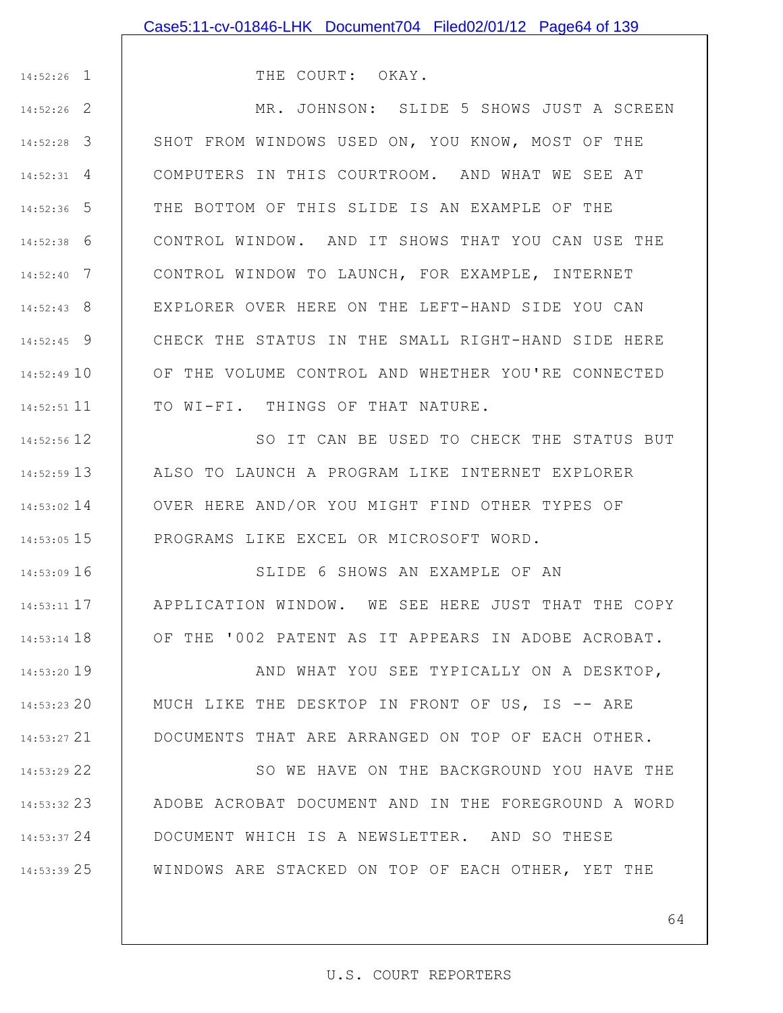1 14:52:26

THE COURT: OKAY.

2 14:52:26 3 14:52:28 4 14:52:31 5 14:52:36 6 14:52:38 7 14:52:40 8 14:52:43 9 14:52:45 14:52:49 10 11 14:52:51 MR. JOHNSON: SLIDE 5 SHOWS JUST A SCREEN SHOT FROM WINDOWS USED ON, YOU KNOW, MOST OF THE COMPUTERS IN THIS COURTROOM. AND WHAT WE SEE AT THE BOTTOM OF THIS SLIDE IS AN EXAMPLE OF THE CONTROL WINDOW. AND IT SHOWS THAT YOU CAN USE THE CONTROL WINDOW TO LAUNCH, FOR EXAMPLE, INTERNET EXPLORER OVER HERE ON THE LEFT-HAND SIDE YOU CAN CHECK THE STATUS IN THE SMALL RIGHT-HAND SIDE HERE OF THE VOLUME CONTROL AND WHETHER YOU'RE CONNECTED TO WI-FI. THINGS OF THAT NATURE.

12 14:52:56 13 14:52:59 14 14:53:02 15 14:53:05 SO IT CAN BE USED TO CHECK THE STATUS BUT ALSO TO LAUNCH A PROGRAM LIKE INTERNET EXPLORER OVER HERE AND/OR YOU MIGHT FIND OTHER TYPES OF PROGRAMS LIKE EXCEL OR MICROSOFT WORD.

16 14:53:09 17 14:53:11 18 14:53:14 SLIDE 6 SHOWS AN EXAMPLE OF AN APPLICATION WINDOW. WE SEE HERE JUST THAT THE COPY OF THE '002 PATENT AS IT APPEARS IN ADOBE ACROBAT.

19 14:53:20 20 14:53:23 21 14:53:27 AND WHAT YOU SEE TYPICALLY ON A DESKTOP, MUCH LIKE THE DESKTOP IN FRONT OF US, IS -- ARE DOCUMENTS THAT ARE ARRANGED ON TOP OF EACH OTHER.

22 14:53:29 23 14:53:32 24 14:53:37 25 14:53:39 SO WE HAVE ON THE BACKGROUND YOU HAVE THE ADOBE ACROBAT DOCUMENT AND IN THE FOREGROUND A WORD DOCUMENT WHICH IS A NEWSLETTER. AND SO THESE WINDOWS ARE STACKED ON TOP OF EACH OTHER, YET THE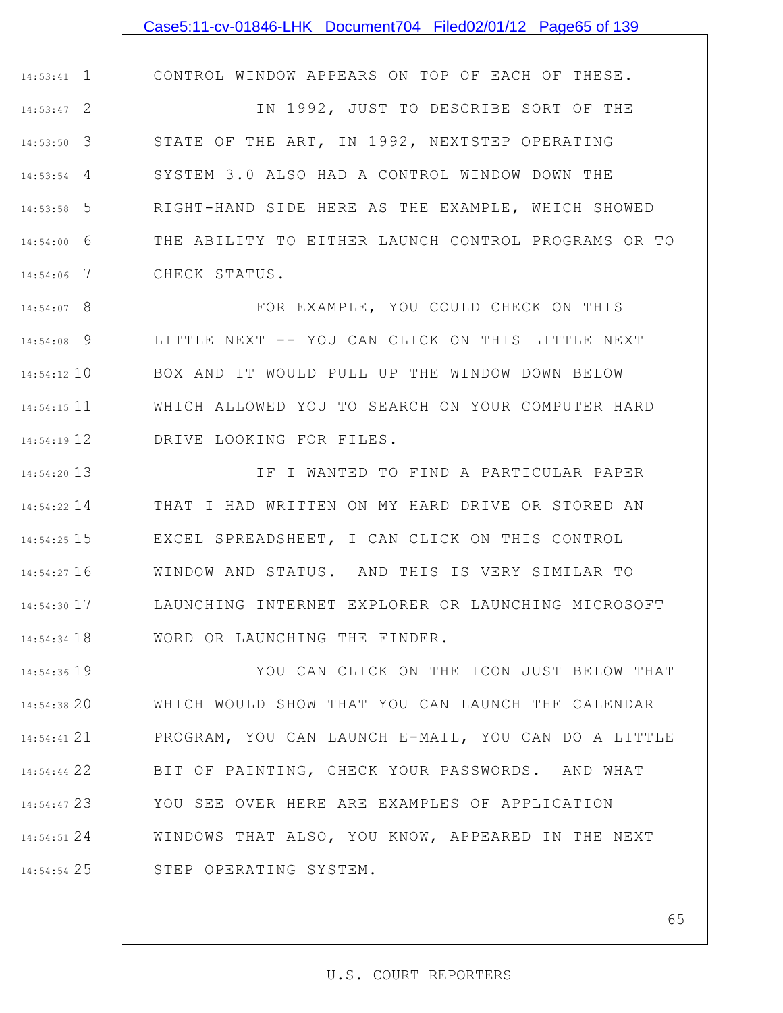## Case5:11-cv-01846-LHK Document704 Filed02/01/12 Page65 of 139

CONTROL WINDOW APPEARS ON TOP OF EACH OF THESE.

1 14:53:41

2 14:53:47 3 14:53:50 4 14:53:54 5 14:53:58 6 14:54:00 7 14:54:06 IN 1992, JUST TO DESCRIBE SORT OF THE STATE OF THE ART, IN 1992, NEXTSTEP OPERATING SYSTEM 3.0 ALSO HAD A CONTROL WINDOW DOWN THE RIGHT-HAND SIDE HERE AS THE EXAMPLE, WHICH SHOWED THE ABILITY TO EITHER LAUNCH CONTROL PROGRAMS OR TO CHECK STATUS.

8 14:54:07 9 14:54:08 10 14:54:12 11 14:54:15 12 14:54:19 FOR EXAMPLE, YOU COULD CHECK ON THIS LITTLE NEXT -- YOU CAN CLICK ON THIS LITTLE NEXT BOX AND IT WOULD PULL UP THE WINDOW DOWN BELOW WHICH ALLOWED YOU TO SEARCH ON YOUR COMPUTER HARD DRIVE LOOKING FOR FILES.

13 14:54:20 14 14:54:22 15 14:54:25 16 14:54:27 17 14:54:30 18 14:54:34 IF I WANTED TO FIND A PARTICULAR PAPER THAT I HAD WRITTEN ON MY HARD DRIVE OR STORED AN EXCEL SPREADSHEET, I CAN CLICK ON THIS CONTROL WINDOW AND STATUS. AND THIS IS VERY SIMILAR TO LAUNCHING INTERNET EXPLORER OR LAUNCHING MICROSOFT WORD OR LAUNCHING THE FINDER.

19 14:54:36 20 14:54:38 21 14:54:41 22 14:54:44 23 14:54:47 24 14:54:51 25 14:54:54 YOU CAN CLICK ON THE ICON JUST BELOW THAT WHICH WOULD SHOW THAT YOU CAN LAUNCH THE CALENDAR PROGRAM, YOU CAN LAUNCH E-MAIL, YOU CAN DO A LITTLE BIT OF PAINTING, CHECK YOUR PASSWORDS. AND WHAT YOU SEE OVER HERE ARE EXAMPLES OF APPLICATION WINDOWS THAT ALSO, YOU KNOW, APPEARED IN THE NEXT STEP OPERATING SYSTEM.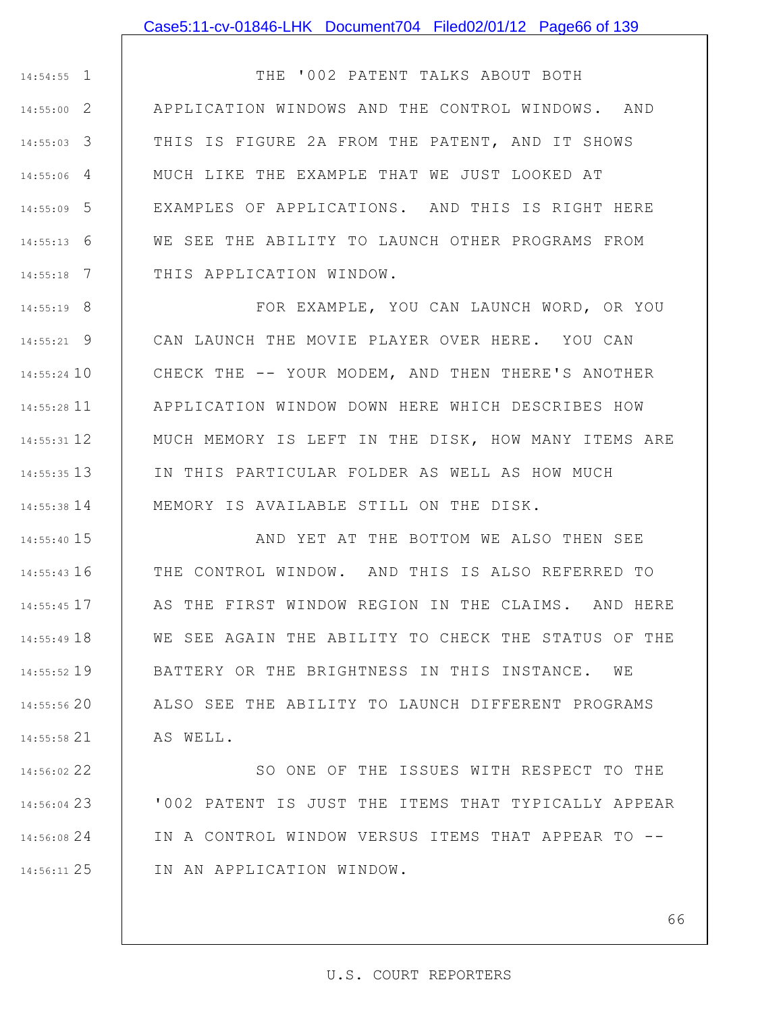1 14:54:55 2 14:55:00 3 14:55:03 4 14:55:06 5 14:55:09 6 14:55:13 7 14:55:18 THE '002 PATENT TALKS ABOUT BOTH APPLICATION WINDOWS AND THE CONTROL WINDOWS. AND THIS IS FIGURE 2A FROM THE PATENT, AND IT SHOWS MUCH LIKE THE EXAMPLE THAT WE JUST LOOKED AT EXAMPLES OF APPLICATIONS. AND THIS IS RIGHT HERE WE SEE THE ABILITY TO LAUNCH OTHER PROGRAMS FROM THIS APPLICATION WINDOW.

8 14:55:19 9 14:55:21 14:55:24 10 11 14:55:28 12 14:55:31 13 14:55:35 14 14:55:38 FOR EXAMPLE, YOU CAN LAUNCH WORD, OR YOU CAN LAUNCH THE MOVIE PLAYER OVER HERE. YOU CAN CHECK THE -- YOUR MODEM, AND THEN THERE'S ANOTHER APPLICATION WINDOW DOWN HERE WHICH DESCRIBES HOW MUCH MEMORY IS LEFT IN THE DISK, HOW MANY ITEMS ARE IN THIS PARTICULAR FOLDER AS WELL AS HOW MUCH MEMORY IS AVAILABLE STILL ON THE DISK.

15 14:55:40 16 14:55:43 17 14:55:45 18 14:55:49 19 14:55:52 20 14:55:56 21 14:55:58 AND YET AT THE BOTTOM WE ALSO THEN SEE THE CONTROL WINDOW. AND THIS IS ALSO REFERRED TO AS THE FIRST WINDOW REGION IN THE CLAIMS. AND HERE WE SEE AGAIN THE ABILITY TO CHECK THE STATUS OF THE BATTERY OR THE BRIGHTNESS IN THIS INSTANCE. WE ALSO SEE THE ABILITY TO LAUNCH DIFFERENT PROGRAMS AS WELL.

22 14:56:02 23 14:56:04 24 14:56:08 25 14:56:11 SO ONE OF THE ISSUES WITH RESPECT TO THE '002 PATENT IS JUST THE ITEMS THAT TYPICALLY APPEAR IN A CONTROL WINDOW VERSUS ITEMS THAT APPEAR TO -- IN AN APPLICATION WINDOW.

## 66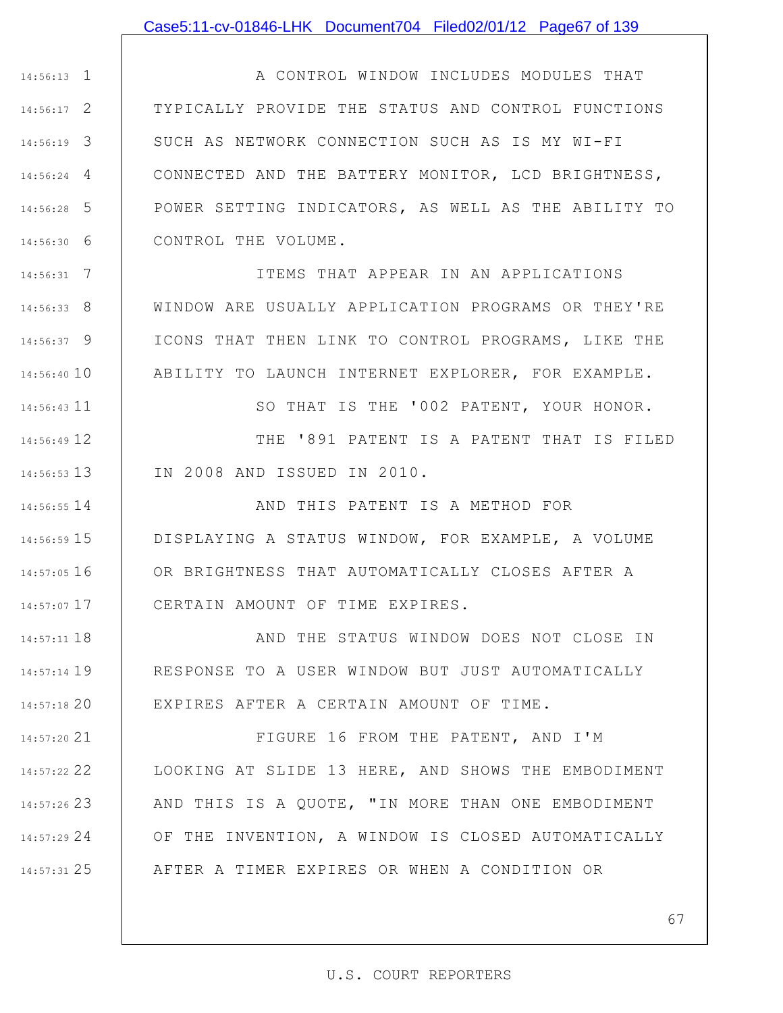1 14:56:13 2 14:56:17 3 14:56:19 4 14:56:24 5 14:56:28 6 14:56:30 A CONTROL WINDOW INCLUDES MODULES THAT TYPICALLY PROVIDE THE STATUS AND CONTROL FUNCTIONS SUCH AS NETWORK CONNECTION SUCH AS IS MY WI-FI CONNECTED AND THE BATTERY MONITOR, LCD BRIGHTNESS, POWER SETTING INDICATORS, AS WELL AS THE ABILITY TO CONTROL THE VOLUME.

7 14:56:31 8 14:56:33 9 14:56:37 14:56:40 10 ITEMS THAT APPEAR IN AN APPLICATIONS WINDOW ARE USUALLY APPLICATION PROGRAMS OR THEY'RE ICONS THAT THEN LINK TO CONTROL PROGRAMS, LIKE THE ABILITY TO LAUNCH INTERNET EXPLORER, FOR EXAMPLE.

11 14:56:43

12 14:56:49

13 14:56:53

SO THAT IS THE '002 PATENT, YOUR HONOR. THE '891 PATENT IS A PATENT THAT IS FILED IN 2008 AND ISSUED IN 2010.

14 14:56:55 15 14:56:59 16 14:57:05 17 14:57:07 AND THIS PATENT IS A METHOD FOR DISPLAYING A STATUS WINDOW, FOR EXAMPLE, A VOLUME OR BRIGHTNESS THAT AUTOMATICALLY CLOSES AFTER A CERTAIN AMOUNT OF TIME EXPIRES.

18 14:57:11 19 14:57:14 20 14:57:18 AND THE STATUS WINDOW DOES NOT CLOSE IN RESPONSE TO A USER WINDOW BUT JUST AUTOMATICALLY EXPIRES AFTER A CERTAIN AMOUNT OF TIME.

21 14:57:20 22 14:57:22 23 14:57:26 24 14:57:29 25 14:57:31 FIGURE 16 FROM THE PATENT, AND I'M LOOKING AT SLIDE 13 HERE, AND SHOWS THE EMBODIMENT AND THIS IS A QUOTE, "IN MORE THAN ONE EMBODIMENT OF THE INVENTION, A WINDOW IS CLOSED AUTOMATICALLY AFTER A TIMER EXPIRES OR WHEN A CONDITION OR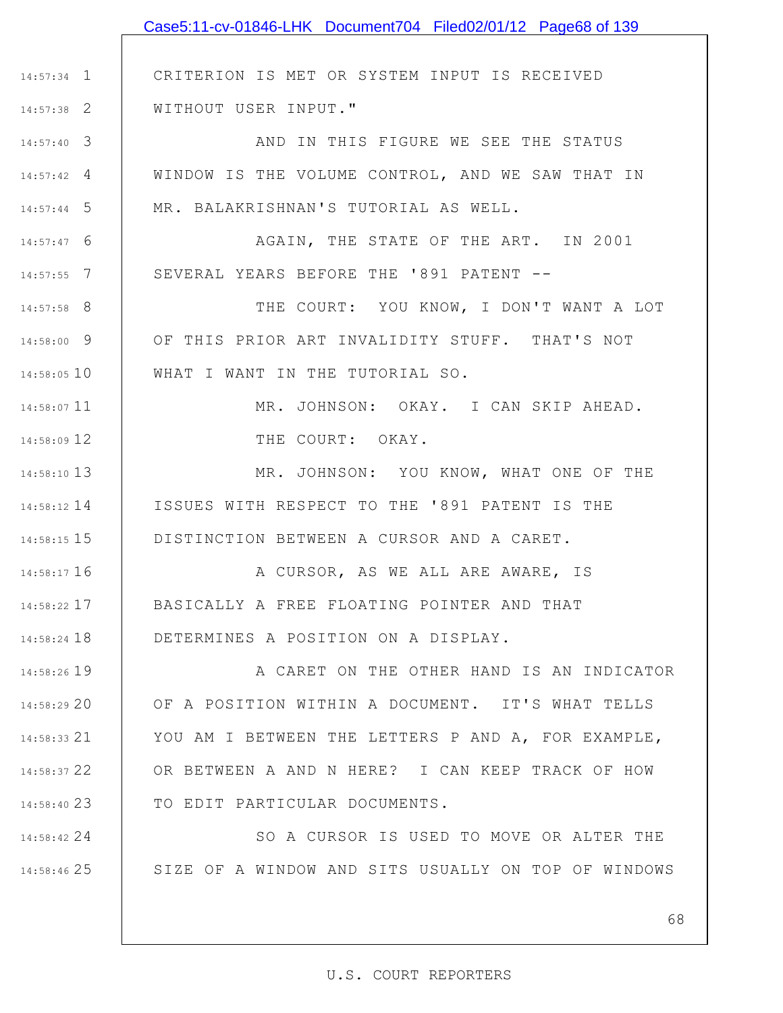|                    | Case5:11-cv-01846-LHK Document704 Filed02/01/12 Page68 of 139 |
|--------------------|---------------------------------------------------------------|
|                    |                                                               |
| $14:57:34$ 1       | CRITERION IS MET OR SYSTEM INPUT IS RECEIVED                  |
| $14:57:38$ 2       | WITHOUT USER INPUT."                                          |
| $14:57:40$ 3       | AND IN THIS FIGURE WE SEE THE STATUS                          |
| $14:57:42 \quad 4$ | WINDOW IS THE VOLUME CONTROL, AND WE SAW THAT IN              |
| $14:57:44$ 5       | MR. BALAKRISHNAN'S TUTORIAL AS WELL.                          |
| $14:57:47$ 6       | AGAIN, THE STATE OF THE ART. IN 2001                          |
| $14:57:55$ 7       | SEVERAL YEARS BEFORE THE '891 PATENT --                       |
| $14:57:58$ 8       | THE COURT: YOU KNOW, I DON'T WANT A LOT                       |
| 14:58:00 9         | OF THIS PRIOR ART INVALIDITY STUFF. THAT'S NOT                |
| $14:58:05$ $10$    | WHAT I WANT IN THE TUTORIAL SO.                               |
| 14:58:07 11        | MR. JOHNSON: OKAY. I CAN SKIP AHEAD.                          |
| 14:58:09 12        | THE COURT: OKAY.                                              |
| 14:58:10 13        | MR. JOHNSON: YOU KNOW, WHAT ONE OF THE                        |
| 14:58:12 14        | ISSUES WITH RESPECT TO THE '891 PATENT IS THE                 |
| 14:58:15 15        | DISTINCTION BETWEEN A CURSOR AND A CARET.                     |
| 14:58:17 16        | A CURSOR, AS WE ALL ARE AWARE, IS                             |
| 14:58:22 17        | BASICALLY A FREE FLOATING POINTER AND THAT                    |
| 14:58:24 18        | DETERMINES A POSITION ON A DISPLAY.                           |
| 14:58:26 19        | A CARET ON THE OTHER HAND IS AN INDICATOR                     |
| 14:58:29 20        | OF A POSITION WITHIN A DOCUMENT. IT'S WHAT TELLS              |
| 14:58:33 21        | YOU AM I BETWEEN THE LETTERS P AND A, FOR EXAMPLE,            |
| 14:58:37 22        | OR BETWEEN A AND N HERE? I CAN KEEP TRACK OF HOW              |
| 14:58:40 23        | TO EDIT PARTICULAR DOCUMENTS.                                 |
| 14:58:42 24        | SO A CURSOR IS USED TO MOVE OR ALTER THE                      |
| 14:58:46 25        | SIZE OF A WINDOW AND SITS USUALLY ON TOP OF WINDOWS           |
|                    |                                                               |
|                    | 68                                                            |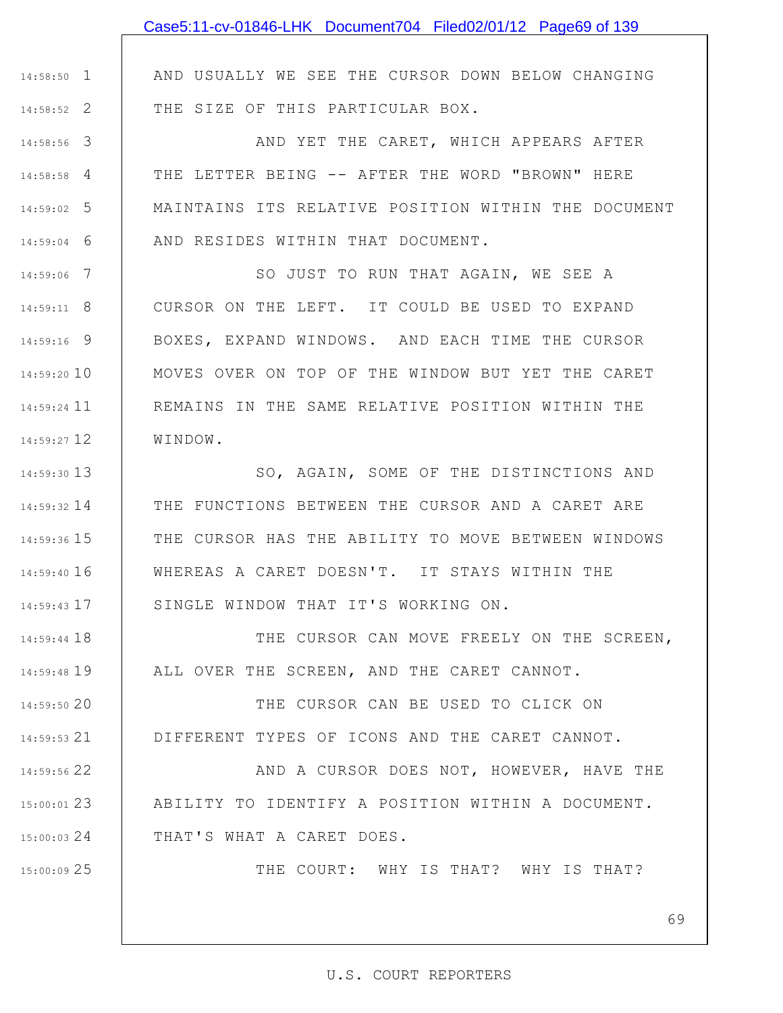AND USUALLY WE SEE THE CURSOR DOWN BELOW CHANGING THE SIZE OF THIS PARTICULAR BOX.

1 14:58:50

2 14:58:52

25 15:00:09

3 14:58:56 4 14:58:58 5 14:59:02 6 14:59:04 AND YET THE CARET, WHICH APPEARS AFTER THE LETTER BEING -- AFTER THE WORD "BROWN" HERE MAINTAINS ITS RELATIVE POSITION WITHIN THE DOCUMENT AND RESIDES WITHIN THAT DOCUMENT.

7 14:59:06 8 14:59:11 9 14:59:16 14:59:20 10 11 14:59:24 12 14:59:27 SO JUST TO RUN THAT AGAIN, WE SEE A CURSOR ON THE LEFT. IT COULD BE USED TO EXPAND BOXES, EXPAND WINDOWS. AND EACH TIME THE CURSOR MOVES OVER ON TOP OF THE WINDOW BUT YET THE CARET REMAINS IN THE SAME RELATIVE POSITION WITHIN THE WINDOW.

13 14:59:30 14:59:32 14 | THE FUNCTIONS BETWEEN THE CURSOR AND A CARET ARE 15 14:59:36 16 14:59:40 17 14:59:43 SO, AGAIN, SOME OF THE DISTINCTIONS AND THE CURSOR HAS THE ABILITY TO MOVE BETWEEN WINDOWS WHEREAS A CARET DOESN'T. IT STAYS WITHIN THE SINGLE WINDOW THAT IT'S WORKING ON.

18 14:59:44 19 14:59:48 THE CURSOR CAN MOVE FREELY ON THE SCREEN, ALL OVER THE SCREEN, AND THE CARET CANNOT.

20 14:59:50 21 14:59:53 THE CURSOR CAN BE USED TO CLICK ON DIFFERENT TYPES OF ICONS AND THE CARET CANNOT.

22 14:59:56 23 15:00:01 24 15:00:03 AND A CURSOR DOES NOT, HOWEVER, HAVE THE ABILITY TO IDENTIFY A POSITION WITHIN A DOCUMENT. THAT'S WHAT A CARET DOES.

THE COURT: WHY IS THAT? WHY IS THAT?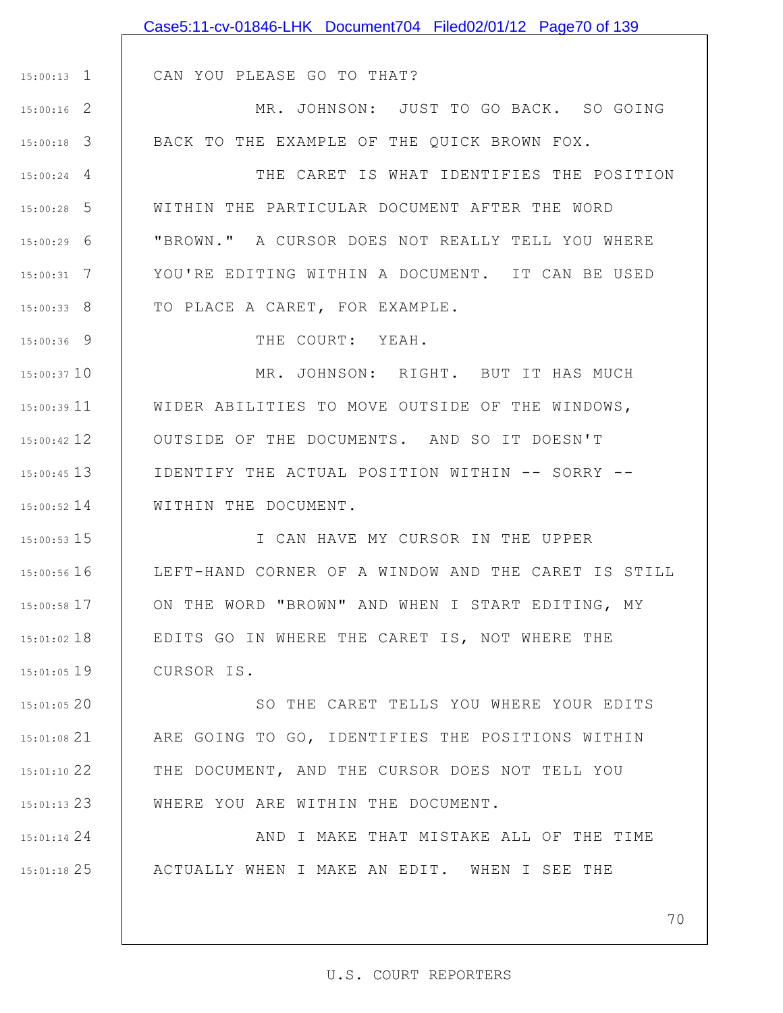|               | Case5:11-cv-01846-LHK Document704 Filed02/01/12 Page70 of 139 |
|---------------|---------------------------------------------------------------|
|               |                                                               |
| $15:00:13$ 1  | CAN YOU PLEASE GO TO THAT?                                    |
| $15:00:16$ 2  | MR. JOHNSON: JUST TO GO BACK. SO GOING                        |
| $15:00:18$ 3  | BACK TO THE EXAMPLE OF THE QUICK BROWN FOX.                   |
| $15:00:24$ 4  | THE CARET IS WHAT IDENTIFIES THE POSITION                     |
| $15:00:28$ 5  | WITHIN THE PARTICULAR DOCUMENT AFTER THE WORD                 |
| $15:00:29$ 6  | "BROWN." A CURSOR DOES NOT REALLY TELL YOU WHERE              |
| $15:00:31$ 7  | YOU'RE EDITING WITHIN A DOCUMENT. IT CAN BE USED              |
| $15:00:33$ 8  | TO PLACE A CARET, FOR EXAMPLE.                                |
| $15:00:36$ 9  | THE COURT: YEAH.                                              |
| $15:00:37$ 10 | MR. JOHNSON: RIGHT. BUT IT HAS MUCH                           |
| $15:00:39$ 11 | WIDER ABILITIES TO MOVE OUTSIDE OF THE WINDOWS,               |
| $15:00:42$ 12 | OUTSIDE OF THE DOCUMENTS. AND SO IT DOESN'T                   |
| $15:00:45$ 13 | IDENTIFY THE ACTUAL POSITION WITHIN -- SORRY --               |
| $15:00:52$ 14 | WITHIN THE DOCUMENT.                                          |
| $15:00:53$ 15 | I CAN HAVE MY CURSOR IN THE UPPER                             |
| $15:00:56$ 16 | LEFT-HAND CORNER OF A WINDOW AND THE CARET IS STILL           |
| 15:00:58 17   | ON THE WORD "BROWN" AND WHEN I START EDITING, MY              |
| $15:01:02$ 18 | EDITS GO IN WHERE THE CARET IS, NOT WHERE THE                 |
| 15:01:05 19   | CURSOR IS.                                                    |
| 15:01:05 20   | SO THE CARET TELLS YOU WHERE YOUR EDITS                       |
| $15:01:08$ 21 | ARE GOING TO GO, IDENTIFIES THE POSITIONS WITHIN              |
| $15:01:10$ 22 | THE DOCUMENT, AND THE CURSOR DOES NOT TELL YOU                |
| $15:01:13$ 23 | WHERE YOU ARE WITHIN THE DOCUMENT.                            |
| $15:01:14$ 24 | AND I MAKE THAT MISTAKE ALL OF THE TIME                       |
| 15:01:18 25   | ACTUALLY WHEN I MAKE AN EDIT. WHEN I SEE THE                  |

U.S. COURT REPORTERS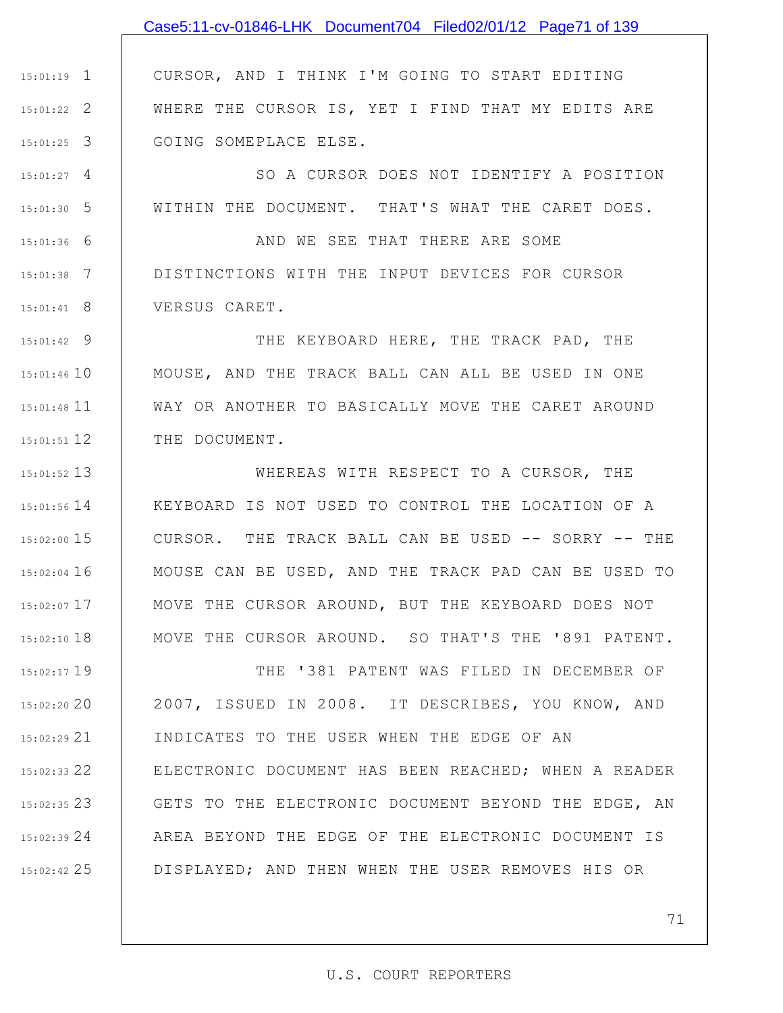# 1 15:01:19 2 15:01:22 3 15:01:25 CURSOR, AND I THINK I'M GOING TO START EDITING WHERE THE CURSOR IS, YET I FIND THAT MY EDITS ARE GOING SOMEPLACE ELSE.

Case5:11-cv-01846-LHK Document704 Filed02/01/12 Page71 of 139

4 15:01:27 5 15:01:30 6 15:01:36 7 15:01:38 8 15:01:41 SO A CURSOR DOES NOT IDENTIFY A POSITION WITHIN THE DOCUMENT. THAT'S WHAT THE CARET DOES. AND WE SEE THAT THERE ARE SOME DISTINCTIONS WITH THE INPUT DEVICES FOR CURSOR VERSUS CARET.

9 15:01:42 15:01:46 10 15:01:48 11 12 15:01:51 THE KEYBOARD HERE, THE TRACK PAD, THE MOUSE, AND THE TRACK BALL CAN ALL BE USED IN ONE WAY OR ANOTHER TO BASICALLY MOVE THE CARET AROUND THE DOCUMENT.

13 15:01:52 14 15:01:56 15 15:02:00 16 15:02:04 17 15:02:07 18 15:02:10 WHEREAS WITH RESPECT TO A CURSOR, THE KEYBOARD IS NOT USED TO CONTROL THE LOCATION OF A CURSOR. THE TRACK BALL CAN BE USED -- SORRY -- THE MOUSE CAN BE USED, AND THE TRACK PAD CAN BE USED TO MOVE THE CURSOR AROUND, BUT THE KEYBOARD DOES NOT MOVE THE CURSOR AROUND. SO THAT'S THE '891 PATENT.

19 15:02:17 20 15:02:20 21 15:02:29 22 15:02:33 23 15:02:35 24 15:02:39 25 15:02:42 THE '381 PATENT WAS FILED IN DECEMBER OF 2007, ISSUED IN 2008. IT DESCRIBES, YOU KNOW, AND INDICATES TO THE USER WHEN THE EDGE OF AN ELECTRONIC DOCUMENT HAS BEEN REACHED; WHEN A READER GETS TO THE ELECTRONIC DOCUMENT BEYOND THE EDGE, AN AREA BEYOND THE EDGE OF THE ELECTRONIC DOCUMENT IS DISPLAYED; AND THEN WHEN THE USER REMOVES HIS OR

## 71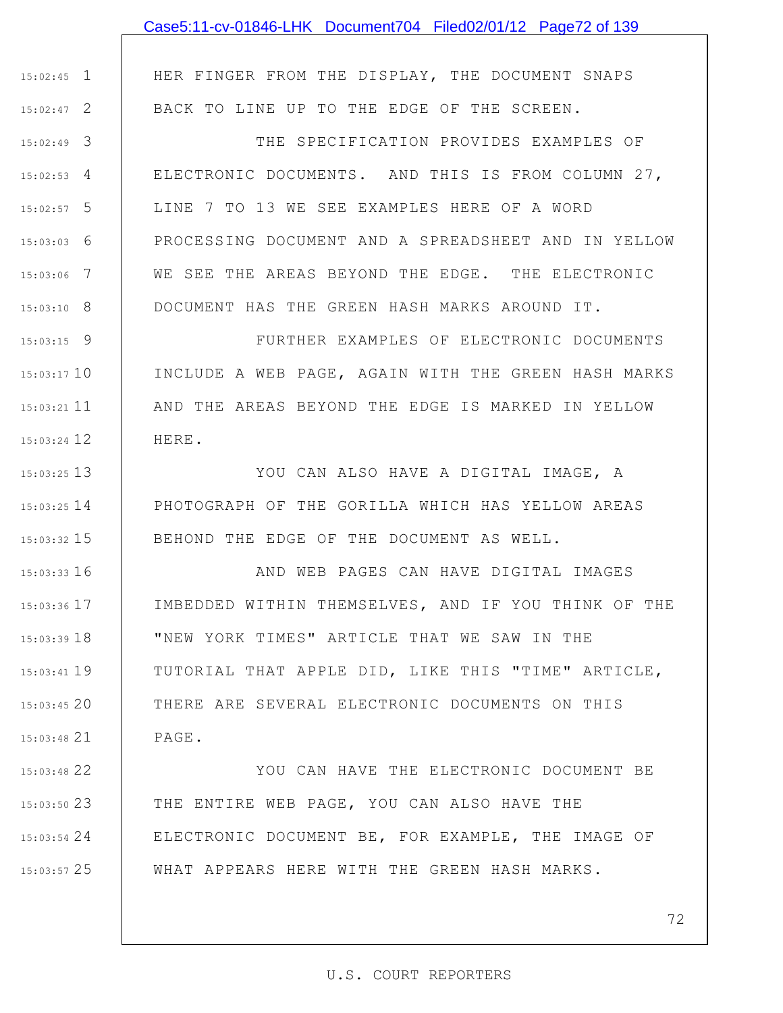|                 | Case5:11-cv-01846-LHK Document704 Filed02/01/12 Page72 of 139 |
|-----------------|---------------------------------------------------------------|
|                 |                                                               |
| $15:02:45$ 1    | HER FINGER FROM THE DISPLAY, THE DOCUMENT SNAPS               |
| $15:02:47$ 2    | BACK TO LINE UP TO THE EDGE OF THE SCREEN.                    |
| $15:02:49$ 3    | THE SPECIFICATION PROVIDES EXAMPLES OF                        |
| $15:02:53$ 4    | ELECTRONIC DOCUMENTS. AND THIS IS FROM COLUMN 27,             |
| $15:02:57$ 5    | LINE 7 TO 13 WE SEE EXAMPLES HERE OF A WORD                   |
| $15:03:03$ 6    | PROCESSING DOCUMENT AND A SPREADSHEET AND IN YELLOW           |
| $15:03:06$ 7    | WE SEE THE AREAS BEYOND THE EDGE. THE ELECTRONIC              |
| $15:03:10$ 8    | DOCUMENT HAS THE GREEN HASH MARKS AROUND IT.                  |
| $15:03:15$ 9    | FURTHER EXAMPLES OF ELECTRONIC DOCUMENTS                      |
| $15:03:17$ 10   | INCLUDE A WEB PAGE, AGAIN WITH THE GREEN HASH MARKS           |
| 15:03:21 11     | AND THE AREAS BEYOND THE EDGE IS MARKED IN YELLOW             |
| 15:03:24 12     | HERE.                                                         |
| 15:03:25 13     | YOU CAN ALSO HAVE A DIGITAL IMAGE, A                          |
| 15:03:25 14     | PHOTOGRAPH OF THE GORILLA WHICH HAS YELLOW AREAS              |
| $15:03:32$ 15   | BEHOND THE EDGE OF THE DOCUMENT AS WELL.                      |
| $15:03:33$ 16   | AND WEB PAGES CAN HAVE DIGITAL IMAGES                         |
| $15:03:36$ 17   | IMBEDDED WITHIN THEMSELVES, AND IF YOU THINK OF THE           |
| $15:03:39$ $18$ | "NEW YORK TIMES" ARTICLE THAT WE SAW IN THE                   |
| $15:03:41$ 19   | TUTORIAL THAT APPLE DID, LIKE THIS "TIME" ARTICLE,            |
| $15:03:45$ 20   | THERE ARE SEVERAL ELECTRONIC DOCUMENTS ON THIS                |
| $15:03:48$ 21   | PAGE.                                                         |
| 15:03:48 22     | YOU CAN HAVE THE ELECTRONIC DOCUMENT BE                       |
| $15:03:50$ 23   | THE ENTIRE WEB PAGE, YOU CAN ALSO HAVE THE                    |
| $15:03:54$ 24   | ELECTRONIC DOCUMENT BE, FOR EXAMPLE, THE IMAGE OF             |
| 15:03:57 25     | WHAT APPEARS HERE WITH THE GREEN HASH MARKS.                  |
|                 |                                                               |

## U.S. COURT REPORTERS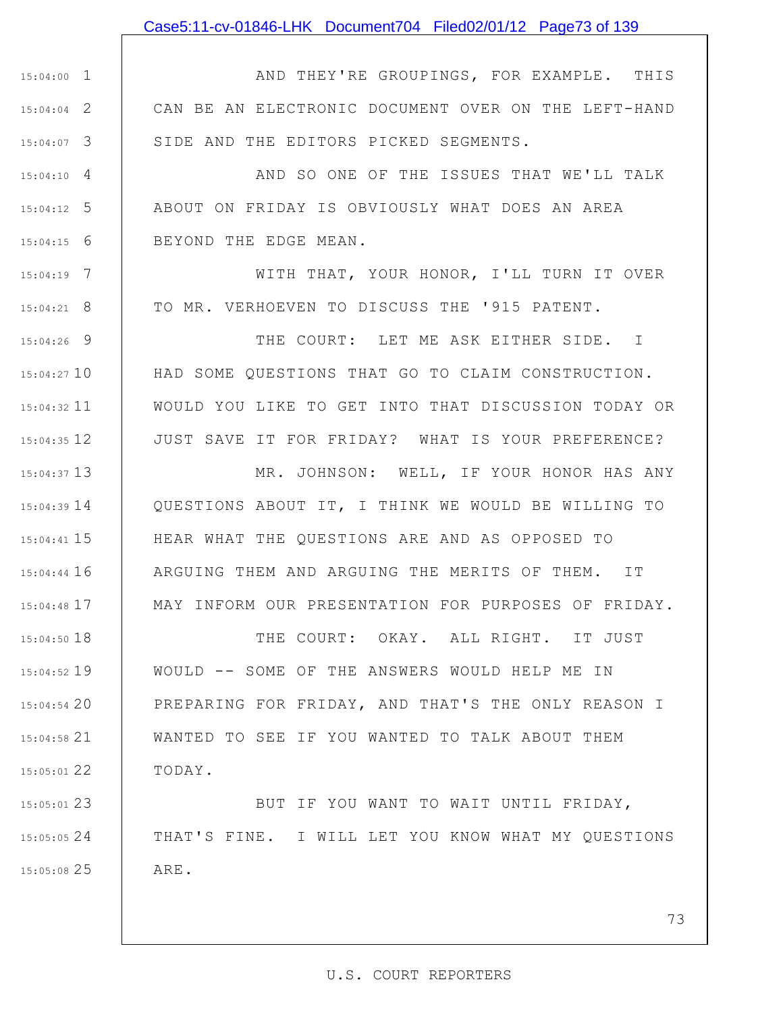#### Case5:11-cv-01846-LHK Document704 Filed02/01/12 Page73 of 139

1 15:04:00 2 15:04:04 3 15:04:07 AND THEY'RE GROUPINGS, FOR EXAMPLE. THIS CAN BE AN ELECTRONIC DOCUMENT OVER ON THE LEFT-HAND SIDE AND THE EDITORS PICKED SEGMENTS.

4 15:04:10 5 15:04:12 6 15:04:15 AND SO ONE OF THE ISSUES THAT WE'LL TALK ABOUT ON FRIDAY IS OBVIOUSLY WHAT DOES AN AREA BEYOND THE EDGE MEAN.

7 15:04:19 8 15:04:21 WITH THAT, YOUR HONOR, I'LL TURN IT OVER TO MR. VERHOEVEN TO DISCUSS THE '915 PATENT.

9 15:04:26 15:04:27 10 11 15:04:32 12 15:04:35 THE COURT: LET ME ASK EITHER SIDE. I HAD SOME QUESTIONS THAT GO TO CLAIM CONSTRUCTION. WOULD YOU LIKE TO GET INTO THAT DISCUSSION TODAY OR JUST SAVE IT FOR FRIDAY? WHAT IS YOUR PREFERENCE?

13 15:04:37

14 15:04:39

15 15:04:41

16 15:04:44

17 15:04:48

MR. JOHNSON: WELL, IF YOUR HONOR HAS ANY QUESTIONS ABOUT IT, I THINK WE WOULD BE WILLING TO HEAR WHAT THE QUESTIONS ARE AND AS OPPOSED TO ARGUING THEM AND ARGUING THE MERITS OF THEM. IT MAY INFORM OUR PRESENTATION FOR PURPOSES OF FRIDAY.

18 15:04:50 19 15:04:52 20 15:04:54 21 15:04:58 22 15:05:01 THE COURT: OKAY. ALL RIGHT. IT JUST WOULD -- SOME OF THE ANSWERS WOULD HELP ME IN PREPARING FOR FRIDAY, AND THAT'S THE ONLY REASON I WANTED TO SEE IF YOU WANTED TO TALK ABOUT THEM TODAY.

23 15:05:01 24 15:05:05 25 15:05:08 BUT IF YOU WANT TO WAIT UNTIL FRIDAY, THAT'S FINE. I WILL LET YOU KNOW WHAT MY QUESTIONS ARE.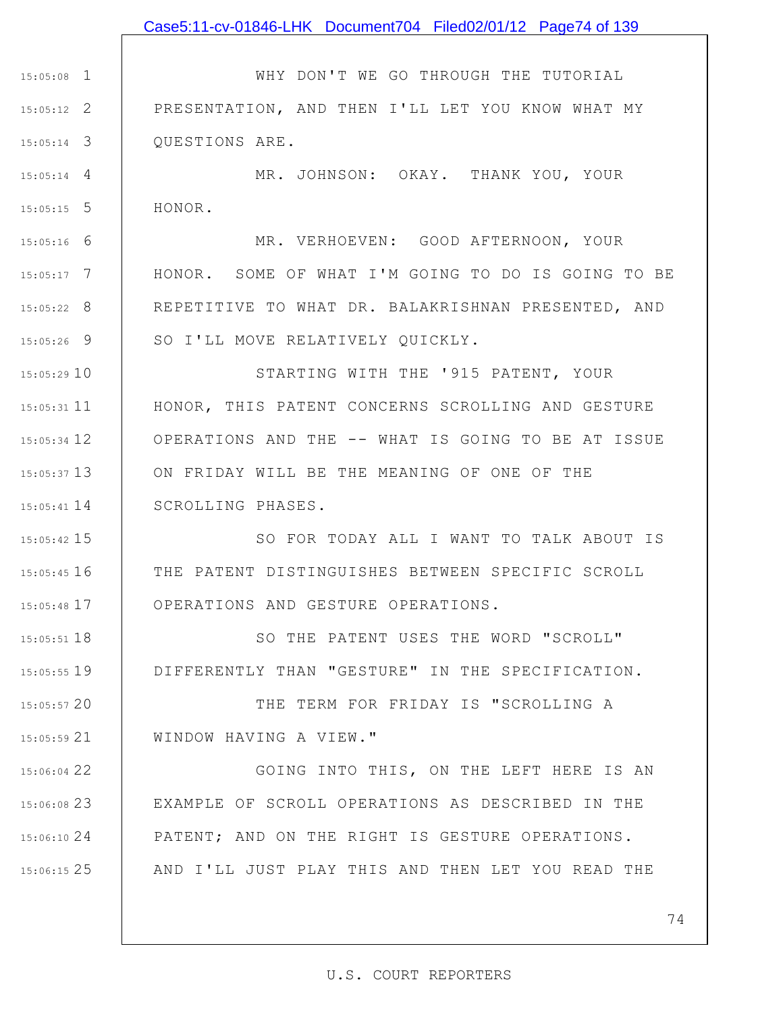Case5:11-cv-01846-LHK Document704 Filed02/01/12 Page74 of 139

1 15:05:08 2 15:05:12 3 15:05:14 WHY DON'T WE GO THROUGH THE TUTORIAL PRESENTATION, AND THEN I'LL LET YOU KNOW WHAT MY QUESTIONS ARE.

4 15:05:14 5 15:05:15 MR. JOHNSON: OKAY. THANK YOU, YOUR HONOR.

6 15:05:16 7 15:05:17 8 15:05:22 9 15:05:26 MR. VERHOEVEN: GOOD AFTERNOON, YOUR HONOR. SOME OF WHAT I'M GOING TO DO IS GOING TO BE REPETITIVE TO WHAT DR. BALAKRISHNAN PRESENTED, AND SO I'LL MOVE RELATIVELY QUICKLY.

10 15:05:29 11 15:05:31 12 15:05:34 13 15:05:37 14 15:05:41 STARTING WITH THE '915 PATENT, YOUR HONOR, THIS PATENT CONCERNS SCROLLING AND GESTURE OPERATIONS AND THE -- WHAT IS GOING TO BE AT ISSUE ON FRIDAY WILL BE THE MEANING OF ONE OF THE SCROLLING PHASES.

15 15:05:42 16 15:05:45 17 15:05:48 SO FOR TODAY ALL I WANT TO TALK ABOUT IS THE PATENT DISTINGUISHES BETWEEN SPECIFIC SCROLL OPERATIONS AND GESTURE OPERATIONS.

18 15:05:51 19 15:05:55 SO THE PATENT USES THE WORD "SCROLL" DIFFERENTLY THAN "GESTURE" IN THE SPECIFICATION.

20 15:05:57 21 15:05:59 THE TERM FOR FRIDAY IS "SCROLLING A WINDOW HAVING A VIEW."

22 15:06:04 23 15:06:08 24 15:06:10 25 15:06:15 GOING INTO THIS, ON THE LEFT HERE IS AN EXAMPLE OF SCROLL OPERATIONS AS DESCRIBED IN THE PATENT; AND ON THE RIGHT IS GESTURE OPERATIONS. AND I'LL JUST PLAY THIS AND THEN LET YOU READ THE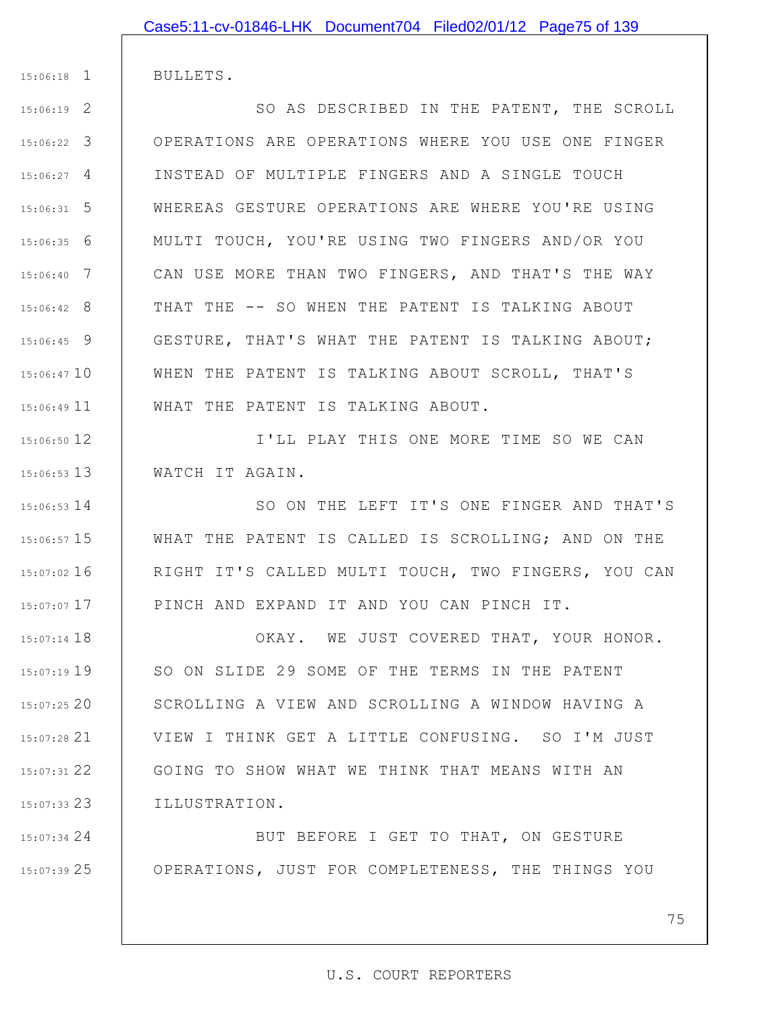BULLETS.

1 15:06:18

2 15:06:19 3 15:06:22 4 15:06:27 5 15:06:31 6 15:06:35 7 15:06:40 8 15:06:42 9 15:06:45 15:06:47 10 11 15:06:49 SO AS DESCRIBED IN THE PATENT, THE SCROLL OPERATIONS ARE OPERATIONS WHERE YOU USE ONE FINGER INSTEAD OF MULTIPLE FINGERS AND A SINGLE TOUCH WHEREAS GESTURE OPERATIONS ARE WHERE YOU'RE USING MULTI TOUCH, YOU'RE USING TWO FINGERS AND/OR YOU CAN USE MORE THAN TWO FINGERS, AND THAT'S THE WAY THAT THE -- SO WHEN THE PATENT IS TALKING ABOUT GESTURE, THAT'S WHAT THE PATENT IS TALKING ABOUT; WHEN THE PATENT IS TALKING ABOUT SCROLL, THAT'S WHAT THE PATENT IS TALKING ABOUT.

12 15:06:50 13 15:06:53 I'LL PLAY THIS ONE MORE TIME SO WE CAN WATCH IT AGAIN.

14 15:06:53 15 15:06:57 16 15:07:02 17 15:07:07 SO ON THE LEFT IT'S ONE FINGER AND THAT'S WHAT THE PATENT IS CALLED IS SCROLLING; AND ON THE RIGHT IT'S CALLED MULTI TOUCH, TWO FINGERS, YOU CAN PINCH AND EXPAND IT AND YOU CAN PINCH IT.

18 15:07:14 19 15:07:19 20 15:07:25 21 15:07:28 22 15:07:31 23 15:07:33 OKAY. WE JUST COVERED THAT, YOUR HONOR. SO ON SLIDE 29 SOME OF THE TERMS IN THE PATENT SCROLLING A VIEW AND SCROLLING A WINDOW HAVING A VIEW I THINK GET A LITTLE CONFUSING. SO I'M JUST GOING TO SHOW WHAT WE THINK THAT MEANS WITH AN ILLUSTRATION.

24 15:07:34 25 15:07:39 BUT BEFORE I GET TO THAT, ON GESTURE OPERATIONS, JUST FOR COMPLETENESS, THE THINGS YOU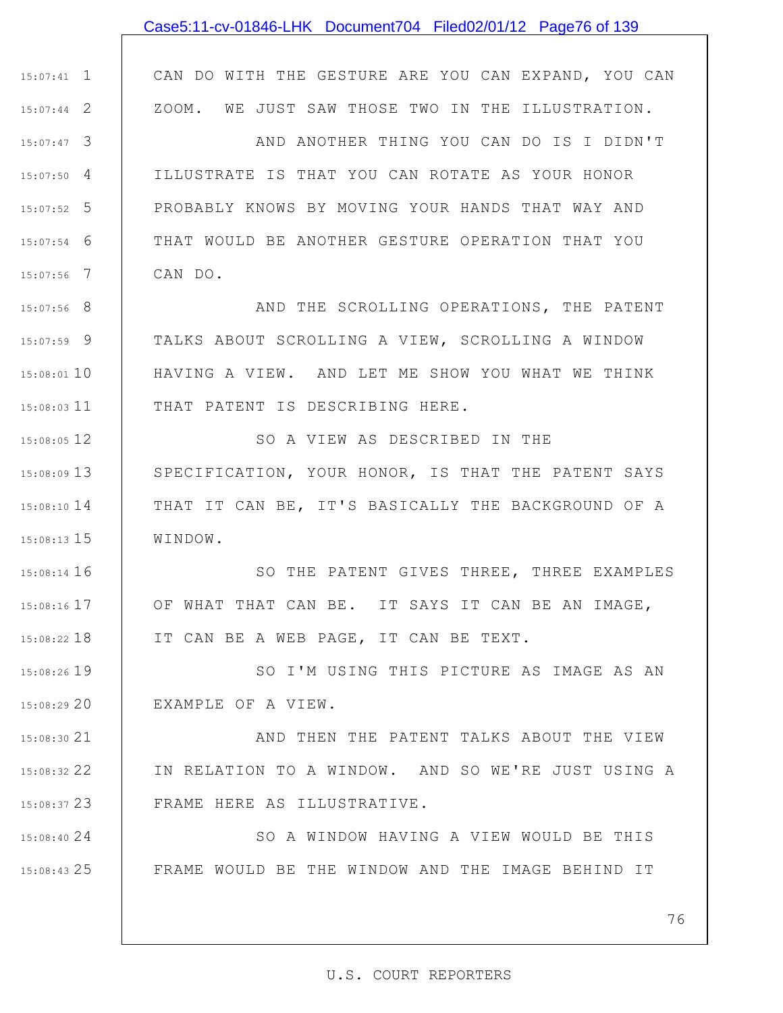|               | Case5:11-cv-01846-LHK Document704 Filed02/01/12 Page76 of 139   |
|---------------|-----------------------------------------------------------------|
|               |                                                                 |
| $15:07:41$ 1  | CAN DO WITH THE GESTURE ARE YOU CAN EXPAND, YOU CAN             |
| $15:07:44$ 2  | ZOOM. WE JUST SAW THOSE TWO IN THE ILLUSTRATION.                |
| $15:07:47$ 3  | AND ANOTHER THING YOU CAN DO IS I DIDN'T                        |
| $15:07:50$ 4  | ILLUSTRATE IS THAT YOU CAN ROTATE AS YOUR HONOR                 |
| $15:07:52$ 5  | PROBABLY KNOWS BY MOVING YOUR HANDS THAT WAY AND                |
| $15:07:54$ 6  | THAT WOULD BE ANOTHER GESTURE OPERATION THAT YOU                |
| $15:07:56$ 7  | CAN DO.                                                         |
| $15:07:56$ 8  | AND THE SCROLLING OPERATIONS, THE PATENT                        |
| $15:07:59$ 9  | TALKS ABOUT SCROLLING A VIEW, SCROLLING A WINDOW                |
| 15:08:01 10   | HAVING A VIEW. AND LET ME SHOW YOU WHAT WE THINK                |
| $15:08:03$ 11 | THAT PATENT IS DESCRIBING HERE.                                 |
| 15:08:05 12   | SO A VIEW AS DESCRIBED IN THE                                   |
| $15:08:09$ 13 | SPECIFICATION, YOUR HONOR, IS THAT THE PATENT SAYS              |
| $15:08:10$ 14 | THAT IT CAN BE, IT'S BASICALLY THE BACKGROUND OF A              |
| 15:08:13 15   | WINDOW.                                                         |
| 15:08:14 16   | SO THE PATENT GIVES THREE, THREE EXAMPLES                       |
| $15:08:16$ 17 | OF WHAT THAT CAN BE. IT SAYS IT CAN BE AN IMAGE,                |
| 15:08:22 18   | IT CAN BE A WEB PAGE, IT CAN BE TEXT.                           |
| 15:08:26 19   | SO I'M USING THIS PICTURE AS IMAGE AS AN                        |
| 15:08:29 20   | EXAMPLE OF A VIEW.                                              |
| 15:08:30 21   | AND THEN THE PATENT TALKS ABOUT THE VIEW                        |
| 15:08:32 22   | IN RELATION TO A WINDOW. AND SO WE'RE JUST USING A              |
| $15:08:37$ 23 | FRAME HERE AS ILLUSTRATIVE.                                     |
| 15:08:40 24   | SO A WINDOW HAVING A VIEW WOULD BE THIS                         |
|               | 15:08:43 25   FRAME WOULD BE THE WINDOW AND THE IMAGE BEHIND IT |
|               |                                                                 |
|               | 76                                                              |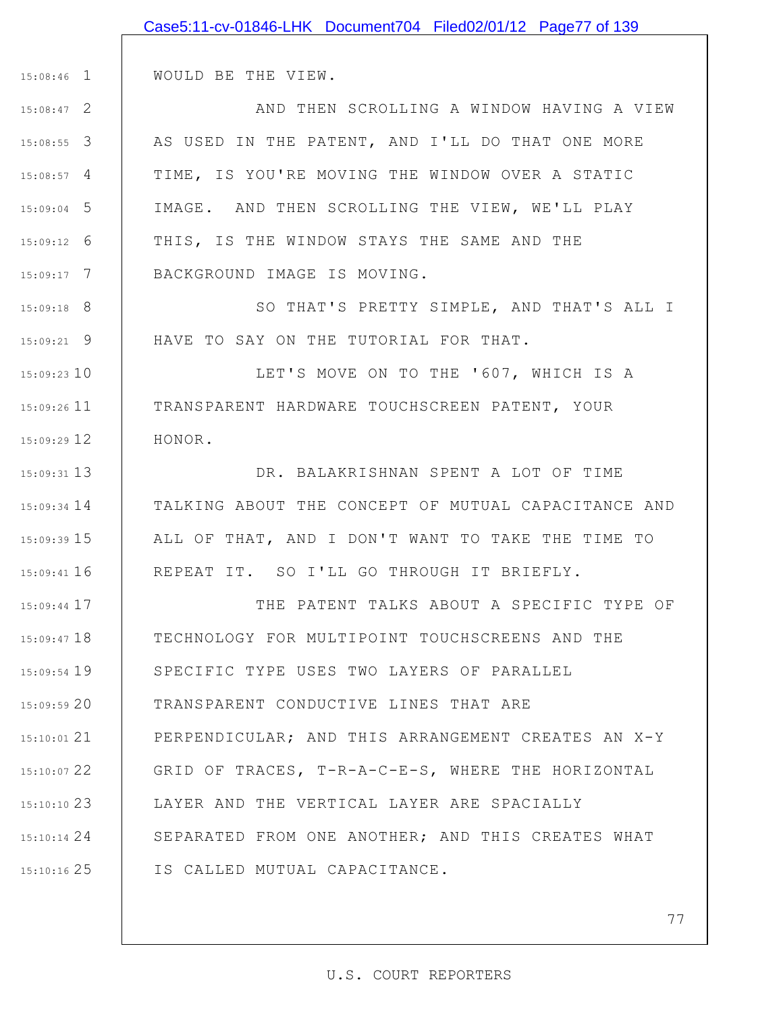|                 | Case5:11-cv-01846-LHK Document704 Filed02/01/12 Page77 of 139 |
|-----------------|---------------------------------------------------------------|
|                 |                                                               |
|                 | 15:08:46 1   WOULD BE THE VIEW.                               |
| 15:08:47 2      | AND THEN SCROLLING A WINDOW HAVING A VIEW                     |
| $15:08:55$ 3    | AS USED IN THE PATENT, AND I'LL DO THAT ONE MORE              |
| $15:08:57$ 4    | TIME, IS YOU'RE MOVING THE WINDOW OVER A STATIC               |
| $15:09:04$ 5    | IMAGE. AND THEN SCROLLING THE VIEW, WE'LL PLAY                |
| $15:09:12$ 6    | THIS, IS THE WINDOW STAYS THE SAME AND THE                    |
| $15:09:17$ 7    | BACKGROUND IMAGE IS MOVING.                                   |
| $15:09:18$ 8    | SO THAT'S PRETTY SIMPLE, AND THAT'S ALL I                     |
| $15:09:21$ 9    | HAVE TO SAY ON THE TUTORIAL FOR THAT.                         |
| 15:09:23 10     | LET'S MOVE ON TO THE '607, WHICH IS A                         |
| $15:09:26$ 11   | TRANSPARENT HARDWARE TOUCHSCREEN PATENT, YOUR                 |
| 15:09:29 12     | HONOR.                                                        |
| $15:09:31$ 13   | DR. BALAKRISHNAN SPENT A LOT OF TIME                          |
| $15:09:34$ 14   | TALKING ABOUT THE CONCEPT OF MUTUAL CAPACITANCE AND           |
| 15:09:39 15     | ALL OF THAT, AND I DON'T WANT TO TAKE THE TIME TO             |
| 15:09:41 16     | REPEAT IT. SO I'LL GO THROUGH IT BRIEFLY.                     |
| 15:09:44 17     | THE PATENT TALKS ABOUT A SPECIFIC TYPE OF                     |
| 15:09:47 18     | TECHNOLOGY FOR MULTIPOINT TOUCHSCREENS AND THE                |
| 15:09:54 19     | SPECIFIC TYPE USES TWO LAYERS OF PARALLEL                     |
| 15:09:59 20     | TRANSPARENT CONDUCTIVE LINES THAT ARE                         |
| $15:10:01$ $21$ | PERPENDICULAR; AND THIS ARRANGEMENT CREATES AN X-Y            |
| 15:10:07 22     | GRID OF TRACES, T-R-A-C-E-S, WHERE THE HORIZONTAL             |
| 15:10:10 23     | LAYER AND THE VERTICAL LAYER ARE SPACIALLY                    |
| $15:10:14$ 24   | SEPARATED FROM ONE ANOTHER; AND THIS CREATES WHAT             |
| $15:10:16$ 25   | IS CALLED MUTUAL CAPACITANCE.                                 |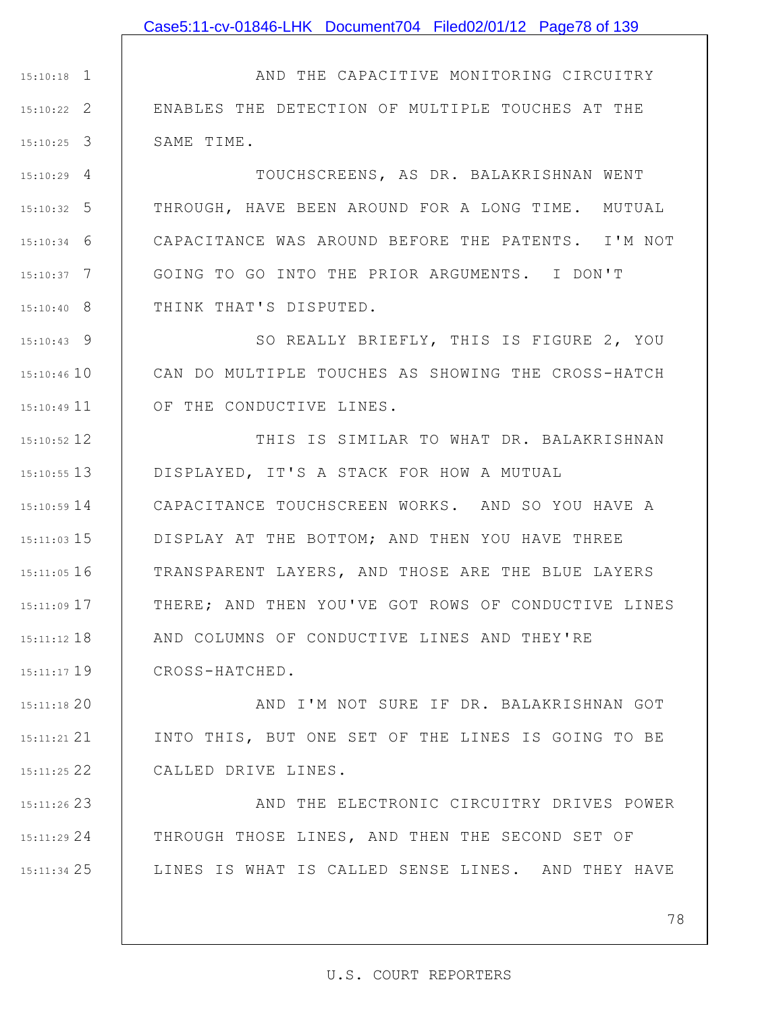1 15:10:18 2 15:10:22 3 15:10:25 AND THE CAPACITIVE MONITORING CIRCUITRY ENABLES THE DETECTION OF MULTIPLE TOUCHES AT THE SAME TIME.

4 15:10:29 5 15:10:32 6 15:10:34 7 15:10:37 8 15:10:40 TOUCHSCREENS, AS DR. BALAKRISHNAN WENT THROUGH, HAVE BEEN AROUND FOR A LONG TIME. MUTUAL CAPACITANCE WAS AROUND BEFORE THE PATENTS. I'M NOT GOING TO GO INTO THE PRIOR ARGUMENTS. I DON'T THINK THAT'S DISPUTED.

9 15:10:43 15:10:46 10 15:10:49 11 SO REALLY BRIEFLY, THIS IS FIGURE 2, YOU CAN DO MULTIPLE TOUCHES AS SHOWING THE CROSS-HATCH OF THE CONDUCTIVE LINES.

12 15:10:52 13 15:10:55 14 15:10:59 15 15:11:03 16 15:11:05 17 15:11:09 18 15:11:12 19 15:11:17 THIS IS SIMILAR TO WHAT DR. BALAKRISHNAN DISPLAYED, IT'S A STACK FOR HOW A MUTUAL CAPACITANCE TOUCHSCREEN WORKS. AND SO YOU HAVE A DISPLAY AT THE BOTTOM; AND THEN YOU HAVE THREE TRANSPARENT LAYERS, AND THOSE ARE THE BLUE LAYERS THERE; AND THEN YOU'VE GOT ROWS OF CONDUCTIVE LINES AND COLUMNS OF CONDUCTIVE LINES AND THEY'RE CROSS-HATCHED.

20 15:11:18 21 15:11:21 22 15:11:25 AND I'M NOT SURE IF DR. BALAKRISHNAN GOT INTO THIS, BUT ONE SET OF THE LINES IS GOING TO BE CALLED DRIVE LINES.

23 15:11:26 24 15:11:29 25 15:11:34 AND THE ELECTRONIC CIRCUITRY DRIVES POWER THROUGH THOSE LINES, AND THEN THE SECOND SET OF LINES IS WHAT IS CALLED SENSE LINES. AND THEY HAVE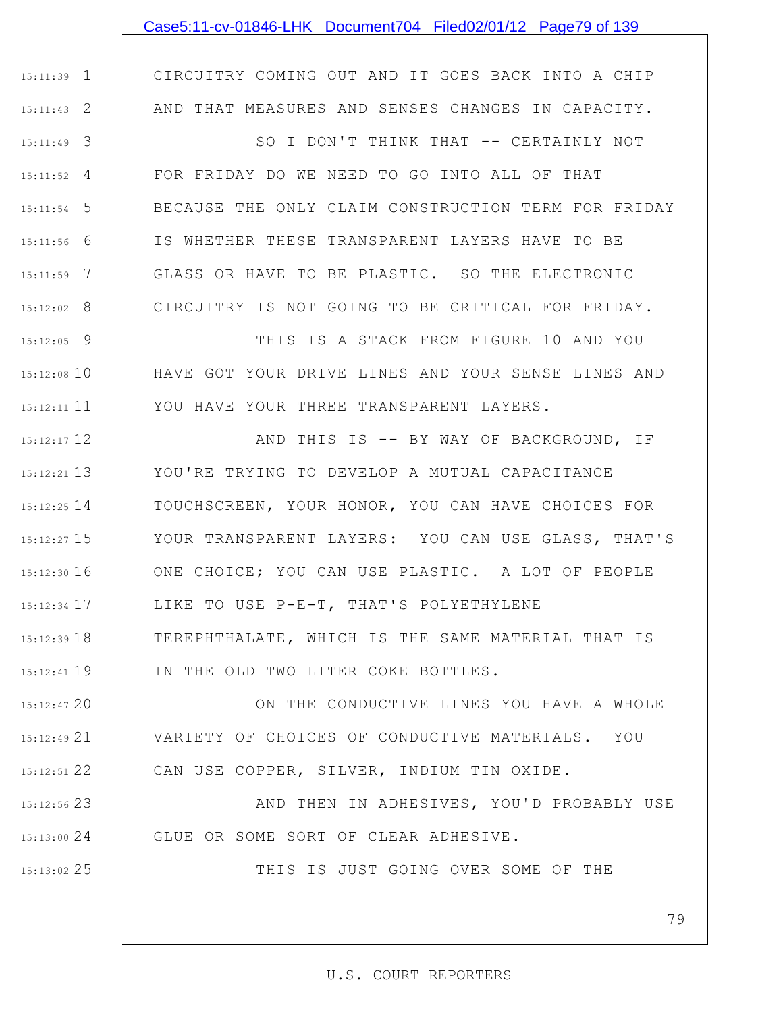# Case5:11-cv-01846-LHK Document704 Filed02/01/12 Page79 of 139

CIRCUITRY COMING OUT AND IT GOES BACK INTO A CHIP AND THAT MEASURES AND SENSES CHANGES IN CAPACITY.

1 15:11:39

2 15:11:43

25 15:13:02

3 15:11:49 4 15:11:52 5 15:11:54 6 15:11:56 7 15:11:59 8 15:12:02 SO I DON'T THINK THAT -- CERTAINLY NOT FOR FRIDAY DO WE NEED TO GO INTO ALL OF THAT BECAUSE THE ONLY CLAIM CONSTRUCTION TERM FOR FRIDAY IS WHETHER THESE TRANSPARENT LAYERS HAVE TO BE GLASS OR HAVE TO BE PLASTIC. SO THE ELECTRONIC CIRCUITRY IS NOT GOING TO BE CRITICAL FOR FRIDAY.

9 15:12:05 15:12:08 10 15:12:11 11 THIS IS A STACK FROM FIGURE 10 AND YOU HAVE GOT YOUR DRIVE LINES AND YOUR SENSE LINES AND YOU HAVE YOUR THREE TRANSPARENT LAYERS.

12 15:12:17 13 15:12:21 14 15:12:25 15 15:12:27 16 15:12:30 17 15:12:34 18 15:12:39 19 15:12:41 AND THIS IS -- BY WAY OF BACKGROUND, IF YOU'RE TRYING TO DEVELOP A MUTUAL CAPACITANCE TOUCHSCREEN, YOUR HONOR, YOU CAN HAVE CHOICES FOR YOUR TRANSPARENT LAYERS: YOU CAN USE GLASS, THAT'S ONE CHOICE; YOU CAN USE PLASTIC. A LOT OF PEOPLE LIKE TO USE P-E-T, THAT'S POLYETHYLENE TEREPHTHALATE, WHICH IS THE SAME MATERIAL THAT IS IN THE OLD TWO LITER COKE BOTTLES.

15:12:47 20 21 15:12:49 22 15:12:51 ON THE CONDUCTIVE LINES YOU HAVE A WHOLE VARIETY OF CHOICES OF CONDUCTIVE MATERIALS. YOU CAN USE COPPER, SILVER, INDIUM TIN OXIDE.

23 15:12:56 24 15:13:00 AND THEN IN ADHESIVES, YOU'D PROBABLY USE GLUE OR SOME SORT OF CLEAR ADHESIVE.

THIS IS JUST GOING OVER SOME OF THE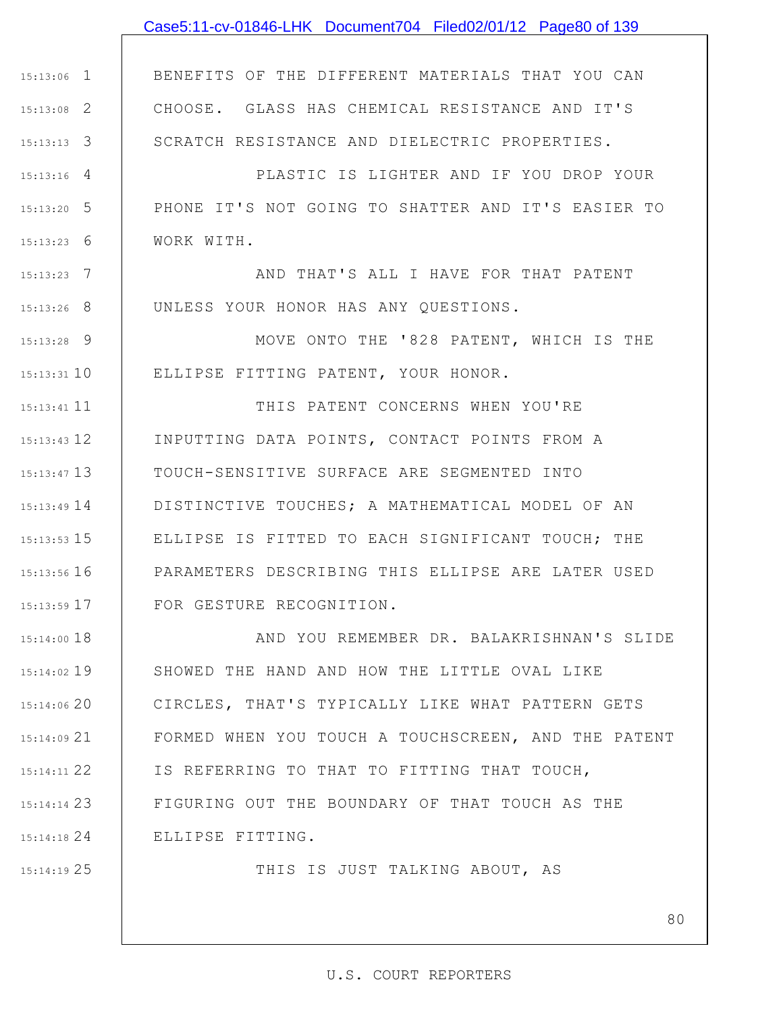|               | Case5:11-cv-01846-LHK Document704 Filed02/01/12 Page80 of 139 |
|---------------|---------------------------------------------------------------|
|               |                                                               |
| $15:13:06$ 1  | BENEFITS OF THE DIFFERENT MATERIALS THAT YOU CAN              |
| $15:13:08$ 2  | CHOOSE. GLASS HAS CHEMICAL RESISTANCE AND IT'S                |
| $15:13:13$ 3  | SCRATCH RESISTANCE AND DIELECTRIC PROPERTIES.                 |
| $15:13:16$ 4  | PLASTIC IS LIGHTER AND IF YOU DROP YOUR                       |
| $15:13:20$ 5  | PHONE IT'S NOT GOING TO SHATTER AND IT'S EASIER TO            |
| $15:13:23$ 6  | WORK WITH.                                                    |
| $15:13:23$ 7  | AND THAT'S ALL I HAVE FOR THAT PATENT                         |
| $15:13:26$ 8  | UNLESS YOUR HONOR HAS ANY QUESTIONS.                          |
| $15:13:28$ 9  | MOVE ONTO THE '828 PATENT, WHICH IS THE                       |
| 15:13:31 10   | ELLIPSE FITTING PATENT, YOUR HONOR.                           |
| 15:13:41 11   | THIS PATENT CONCERNS WHEN YOU'RE                              |
| $15:13:43$ 12 | INPUTTING DATA POINTS, CONTACT POINTS FROM A                  |
| $15:13:47$ 13 | TOUCH-SENSITIVE SURFACE ARE SEGMENTED INTO                    |
| $15:13:49$ 14 | DISTINCTIVE TOUCHES; A MATHEMATICAL MODEL OF AN               |
| $15:13:53$ 15 | ELLIPSE IS FITTED TO EACH SIGNIFICANT TOUCH; THE              |
| $15:13:56$ 16 | PARAMETERS DESCRIBING THIS ELLIPSE ARE LATER USED             |
| 15:13:59 17   | FOR GESTURE RECOGNITION.                                      |
| $15:14:00$ 18 | AND YOU REMEMBER DR. BALAKRISHNAN'S SLIDE                     |
| $15:14:02$ 19 | SHOWED THE HAND AND HOW THE LITTLE OVAL LIKE                  |
| 15:14:06 20   | CIRCLES, THAT'S TYPICALLY LIKE WHAT PATTERN GETS              |
| $15:14:09$ 21 | FORMED WHEN YOU TOUCH A TOUCHSCREEN, AND THE PATENT           |
| 15:14:11 22   | IS REFERRING TO THAT TO FITTING THAT TOUCH,                   |
| 15:14:14 23   | FIGURING OUT THE BOUNDARY OF THAT TOUCH AS THE                |
| 15:14:1824    | ELLIPSE FITTING.                                              |
| $15:14:19$ 25 | THIS IS JUST TALKING ABOUT, AS                                |
|               |                                                               |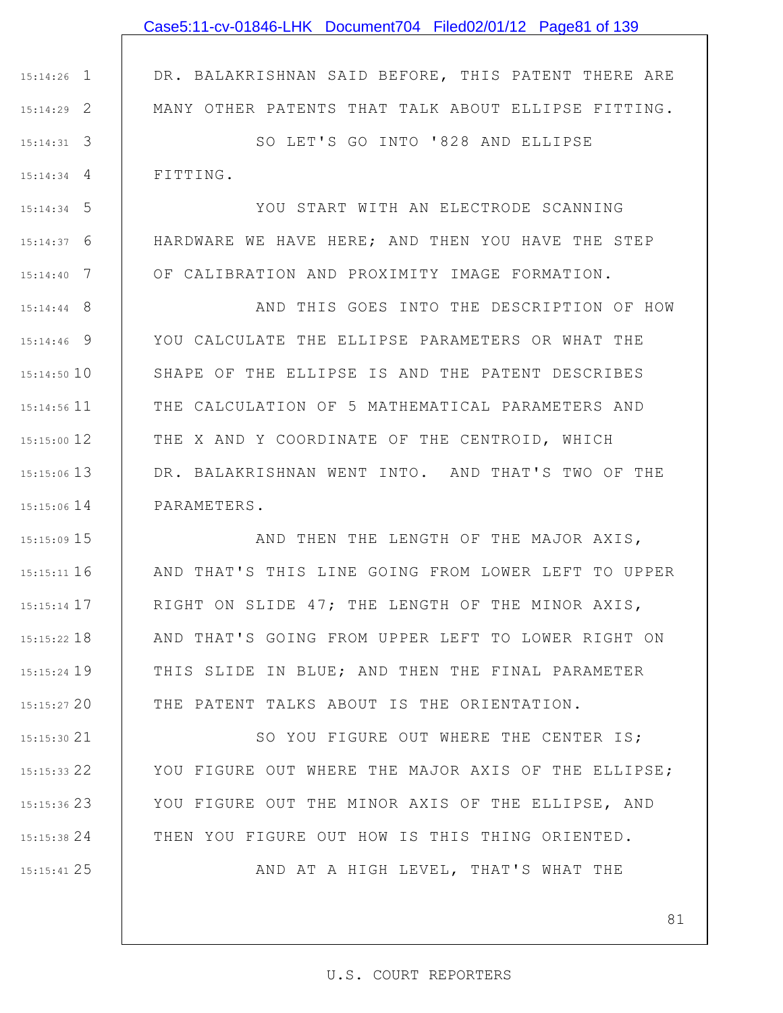|               | Case5:11-cv-01846-LHK Document704 Filed02/01/12 Page81 of 139 |
|---------------|---------------------------------------------------------------|
|               |                                                               |
| $15:14:26$ 1  | DR. BALAKRISHNAN SAID BEFORE, THIS PATENT THERE ARE           |
| $15:14:29$ 2  | MANY OTHER PATENTS THAT TALK ABOUT ELLIPSE FITTING.           |
| $15:14:31$ 3  | SO LET'S GO INTO '828 AND ELLIPSE                             |
| $15:14:34$ 4  | FITTING.                                                      |
| $15:14:34$ 5  | YOU START WITH AN ELECTRODE SCANNING                          |
| $15:14:37$ 6  | HARDWARE WE HAVE HERE; AND THEN YOU HAVE THE STEP             |
| $15:14:40$ 7  | OF CALIBRATION AND PROXIMITY IMAGE FORMATION.                 |
| $15:14:44$ 8  | AND THIS GOES INTO THE DESCRIPTION OF HOW                     |
| $15:14:46$ 9  | YOU CALCULATE THE ELLIPSE PARAMETERS OR WHAT THE              |
| $15:14:50$ 10 | SHAPE OF THE ELLIPSE IS AND THE PATENT DESCRIBES              |
| $15:14:56$ 11 | THE CALCULATION OF 5 MATHEMATICAL PARAMETERS AND              |
| 15:15:00 12   | THE X AND Y COORDINATE OF THE CENTROID, WHICH                 |
| 15:15:06 13   | DR. BALAKRISHNAN WENT INTO. AND THAT'S TWO OF THE             |
| 15:15:06 14   | PARAMETERS.                                                   |
| 15:15:09 15   | AND THEN THE LENGTH OF THE MAJOR AXIS,                        |
| $15:15:11$ 16 | AND THAT'S THIS LINE GOING FROM LOWER LEFT TO UPPER           |
| $15:15:14$ 17 | RIGHT ON SLIDE 47; THE LENGTH OF THE MINOR AXIS,              |
| $15:15:22$ 18 | AND THAT'S GOING FROM UPPER LEFT TO LOWER RIGHT ON            |
| 15:15:24 19   | THIS SLIDE IN BLUE; AND THEN THE FINAL PARAMETER              |
| 15:15:27 20   | THE PATENT TALKS ABOUT IS THE ORIENTATION.                    |
| 15:15:30 21   | SO YOU FIGURE OUT WHERE THE CENTER IS;                        |

22 15:15:33 23 15:15:36 24 15:15:38 YOU FIGURE OUT WHERE THE MAJOR AXIS OF THE ELLIPSE; YOU FIGURE OUT THE MINOR AXIS OF THE ELLIPSE, AND THEN YOU FIGURE OUT HOW IS THIS THING ORIENTED.

25 15:15:41

AND AT A HIGH LEVEL, THAT'S WHAT THE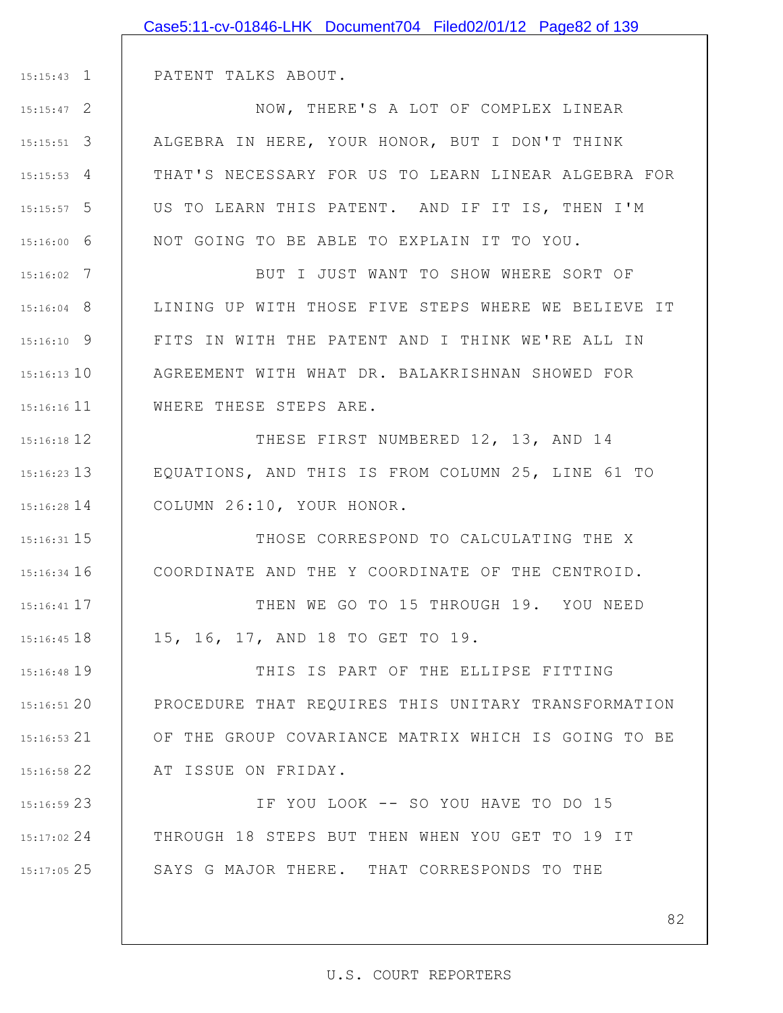|               | Case5:11-cv-01846-LHK Document704 Filed02/01/12 Page82 of 139 |
|---------------|---------------------------------------------------------------|
|               |                                                               |
| $15:15:43$ 1  | PATENT TALKS ABOUT.                                           |
| $15:15:47$ 2  | NOW, THERE'S A LOT OF COMPLEX LINEAR                          |
| $15:15:51$ 3  | ALGEBRA IN HERE, YOUR HONOR, BUT I DON'T THINK                |
| $15:15:53$ 4  | THAT'S NECESSARY FOR US TO LEARN LINEAR ALGEBRA FOR           |
| $15:15:57$ 5  | US TO LEARN THIS PATENT. AND IF IT IS, THEN I'M               |
| $15:16:00$ 6  | NOT GOING TO BE ABLE TO EXPLAIN IT TO YOU.                    |
| $15:16:02$ 7  | BUT I JUST WANT TO SHOW WHERE SORT OF                         |
| $15:16:04$ 8  | LINING UP WITH THOSE FIVE STEPS WHERE WE BELIEVE IT           |
| $15:16:10$ 9  | FITS IN WITH THE PATENT AND I THINK WE'RE ALL IN              |
| $15:16:13$ 10 | AGREEMENT WITH WHAT DR. BALAKRISHNAN SHOWED FOR               |
| $15:16:16$ 11 | WHERE THESE STEPS ARE.                                        |
| $15:16:18$ 12 | THESE FIRST NUMBERED 12, 13, AND 14                           |
| $15:16:23$ 13 | EQUATIONS, AND THIS IS FROM COLUMN 25, LINE 61 TO             |
| $15:16:28$ 14 | COLUMN 26:10, YOUR HONOR.                                     |
| 15:16:31 15   | THOSE CORRESPOND TO CALCULATING THE X                         |
| $15:16:34$ 16 | COORDINATE AND THE Y COORDINATE OF THE CENTROID.              |
| $15:16:41$ 17 | THEN WE GO TO 15 THROUGH 19. YOU NEED                         |
| $15:16:45$ 18 | 15, 16, 17, AND 18 TO GET TO 19.                              |
| 15:16:48 19   | THIS IS PART OF THE ELLIPSE FITTING                           |
| 15:16:5120    | PROCEDURE THAT REQUIRES THIS UNITARY TRANSFORMATION           |
| 15:16:53 21   | OF THE GROUP COVARIANCE MATRIX WHICH IS GOING TO BE           |
| 15:16:58 22   | AT ISSUE ON FRIDAY.                                           |
| 15:16:59 23   | IF YOU LOOK -- SO YOU HAVE TO DO 15                           |
| 15:17:02 24   | THROUGH 18 STEPS BUT THEN WHEN YOU GET TO 19 IT               |
| $15:17:05$ 25 | SAYS G MAJOR THERE. THAT CORRESPONDS TO THE                   |
|               |                                                               |
|               | 82                                                            |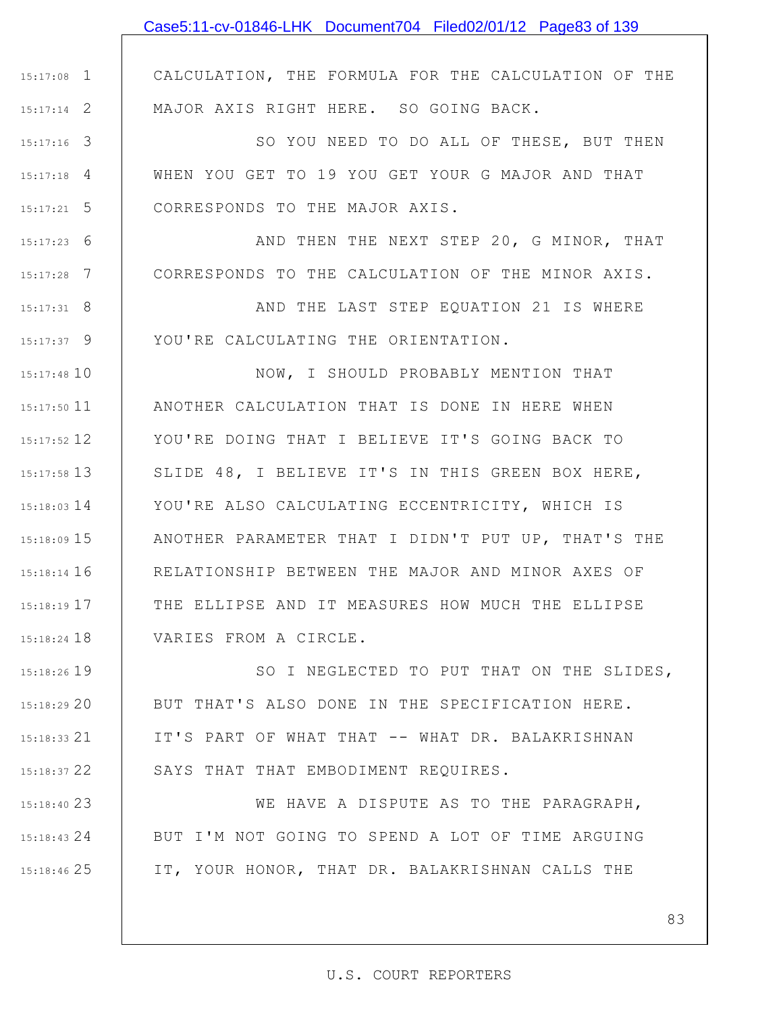|               | Case5:11-cv-01846-LHK Document704 Filed02/01/12 Page83 of 139    |
|---------------|------------------------------------------------------------------|
|               |                                                                  |
| $15:17:08$ 1  | CALCULATION, THE FORMULA FOR THE CALCULATION OF THE              |
| $15:17:14$ 2  | MAJOR AXIS RIGHT HERE. SO GOING BACK.                            |
| $15:17:16$ 3  | SO YOU NEED TO DO ALL OF THESE, BUT THEN                         |
| $15:17:18$ 4  | WHEN YOU GET TO 19 YOU GET YOUR G MAJOR AND THAT                 |
| $15:17:21$ 5  | CORRESPONDS TO THE MAJOR AXIS.                                   |
| $15:17:23$ 6  | AND THEN THE NEXT STEP 20, G MINOR, THAT                         |
| $15:17:28$ 7  | CORRESPONDS TO THE CALCULATION OF THE MINOR AXIS.                |
| $15:17:31$ 8  | AND THE LAST STEP EQUATION 21 IS WHERE                           |
| $15:17:37$ 9  | YOU'RE CALCULATING THE ORIENTATION.                              |
| $15:17:48$ 10 | NOW, I SHOULD PROBABLY MENTION THAT                              |
|               | 15:17:50 11   ANOTHER CALCULATION THAT IS DONE IN HERE WHEN      |
| 15:17:52 12   | YOU'RE DOING THAT I BELIEVE IT'S GOING BACK TO                   |
| 15:17:58 13   | SLIDE 48, I BELIEVE IT'S IN THIS GREEN BOX HERE,                 |
| 15:18:03 14   | YOU'RE ALSO CALCULATING ECCENTRICITY, WHICH IS                   |
|               | 15:18:09 15   ANOTHER PARAMETER THAT I DIDN'T PUT UP, THAT'S THE |
| 15:18:14 16   | RELATIONSHIP BETWEEN THE MAJOR AND MINOR AXES OF                 |
| $15:18:19$ 17 | THE ELLIPSE AND IT MEASURES HOW MUCH THE ELLIPSE                 |
| $15:18:24$ 18 | VARIES FROM A CIRCLE.                                            |
| 15:18:26 19   | SO I NEGLECTED TO PUT THAT ON THE SLIDES,                        |
| 15:18:29 20   | BUT THAT'S ALSO DONE IN THE SPECIFICATION HERE.                  |
| $15:18:33$ 21 | IT'S PART OF WHAT THAT -- WHAT DR. BALAKRISHNAN                  |
| 15:18:37 22   | SAYS THAT THAT EMBODIMENT REQUIRES.                              |

23 15:18:40 24 15:18:43 25 15:18:46 WE HAVE A DISPUTE AS TO THE PARAGRAPH, BUT I'M NOT GOING TO SPEND A LOT OF TIME ARGUING IT, YOUR HONOR, THAT DR. BALAKRISHNAN CALLS THE

#### U.S. COURT REPORTERS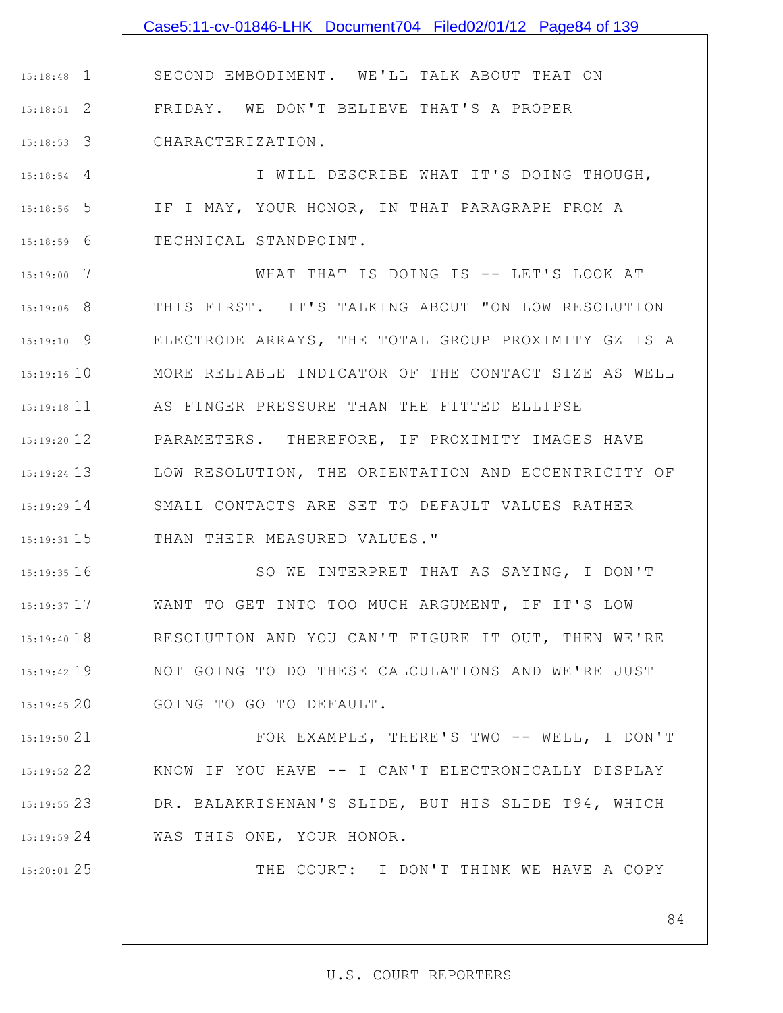# Case5:11-cv-01846-LHK Document704 Filed02/01/12 Page84 of 139

SECOND EMBODIMENT. WE'LL TALK ABOUT THAT ON FRIDAY. WE DON'T BELIEVE THAT'S A PROPER CHARACTERIZATION.

1 15:18:48

2 15:18:51

3 15:18:53

25 15:20:01

4 15:18:54 5 15:18:56 6 15:18:59 I WILL DESCRIBE WHAT IT'S DOING THOUGH, IF I MAY, YOUR HONOR, IN THAT PARAGRAPH FROM A TECHNICAL STANDPOINT.

7 15:19:00 8 15:19:06 9 15:19:10 15:19:16 10 15:19:18 11 15:19:20 12 13 15:19:24 14 15:19:29 15 15:19:31 WHAT THAT IS DOING IS -- LET'S LOOK AT THIS FIRST. IT'S TALKING ABOUT "ON LOW RESOLUTION ELECTRODE ARRAYS, THE TOTAL GROUP PROXIMITY GZ IS A MORE RELIABLE INDICATOR OF THE CONTACT SIZE AS WELL AS FINGER PRESSURE THAN THE FITTED ELLIPSE PARAMETERS. THEREFORE, IF PROXIMITY IMAGES HAVE LOW RESOLUTION, THE ORIENTATION AND ECCENTRICITY OF SMALL CONTACTS ARE SET TO DEFAULT VALUES RATHER THAN THEIR MEASURED VALUES."

16 15:19:35 17 15:19:37 18 15:19:40 19 15:19:42 20 15:19:45 SO WE INTERPRET THAT AS SAYING, I DON'T WANT TO GET INTO TOO MUCH ARGUMENT, IF IT'S LOW RESOLUTION AND YOU CAN'T FIGURE IT OUT, THEN WE'RE NOT GOING TO DO THESE CALCULATIONS AND WE'RE JUST GOING TO GO TO DEFAULT.

21 15:19:50 22 15:19:52 23 15:19:55 24 15:19:59 FOR EXAMPLE, THERE'S TWO -- WELL, I DON'T KNOW IF YOU HAVE -- I CAN'T ELECTRONICALLY DISPLAY DR. BALAKRISHNAN'S SLIDE, BUT HIS SLIDE T94, WHICH WAS THIS ONE, YOUR HONOR.

THE COURT: I DON'T THINK WE HAVE A COPY

84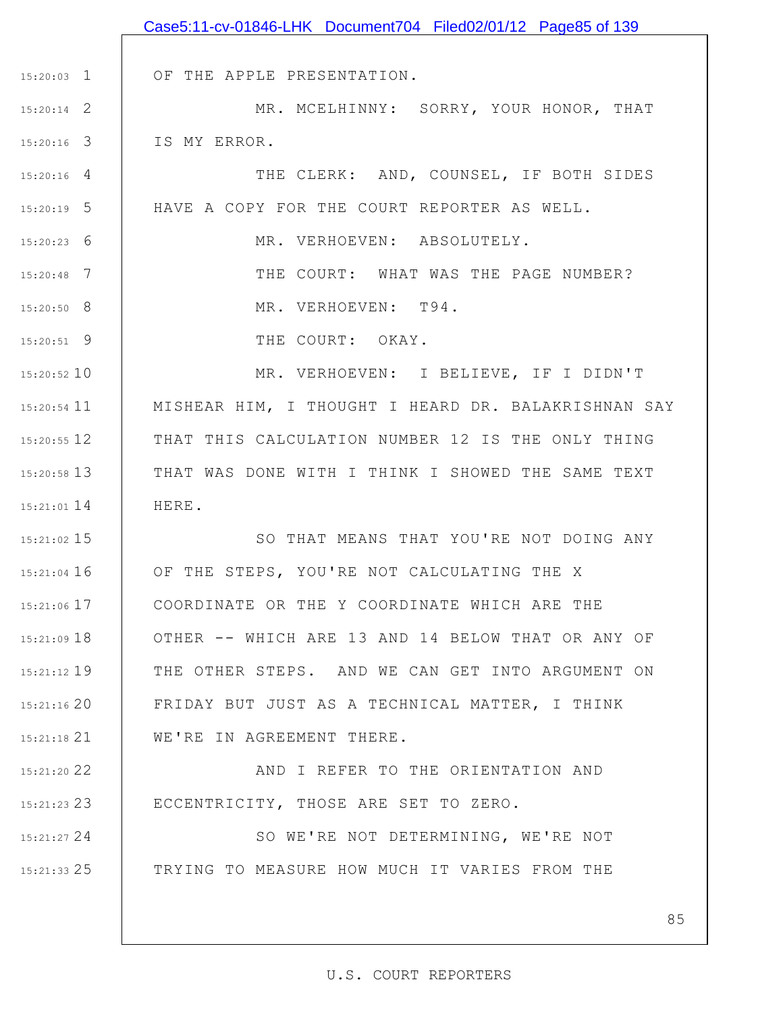|               | Case5:11-cv-01846-LHK Document704 Filed02/01/12 Page85 of 139 |
|---------------|---------------------------------------------------------------|
|               |                                                               |
| $15:20:03$ 1  | OF THE APPLE PRESENTATION.                                    |
| $15:20:14$ 2  | MR. MCELHINNY: SORRY, YOUR HONOR, THAT                        |
| $15:20:16$ 3  | IS MY ERROR.                                                  |
| $15:20:16$ 4  | THE CLERK: AND, COUNSEL, IF BOTH SIDES                        |
| $15:20:19$ 5  | HAVE A COPY FOR THE COURT REPORTER AS WELL.                   |
| $15:20:23$ 6  | MR. VERHOEVEN: ABSOLUTELY.                                    |
| $15:20:48$ 7  | THE COURT: WHAT WAS THE PAGE NUMBER?                          |
| $15:20:50$ 8  | MR. VERHOEVEN: T94.                                           |
| $15:20:51$ 9  | THE COURT: OKAY.                                              |
| 15:20:52 10   | MR. VERHOEVEN: I BELIEVE, IF I DIDN'T                         |
| $15:20:54$ 11 | MISHEAR HIM, I THOUGHT I HEARD DR. BALAKRISHNAN SAY           |
| 15:20:55 12   | THAT THIS CALCULATION NUMBER 12 IS THE ONLY THING             |
| $15:20:58$ 13 | THAT WAS DONE WITH I THINK I SHOWED THE SAME TEXT             |
| $15:21:01$ 14 | HERE.                                                         |
| $15:21:02$ 15 | SO THAT MEANS THAT YOU'RE NOT DOING ANY                       |
| 15:21:04 16   | OF THE STEPS, YOU'RE NOT CALCULATING THE X                    |
| 15:21:06 17   | COORDINATE OR THE Y COORDINATE WHICH ARE THE                  |
| $15:21:09$ 18 | OTHER -- WHICH ARE 13 AND 14 BELOW THAT OR ANY OF             |
| 15:21:12 19   | THE OTHER STEPS. AND WE CAN GET INTO ARGUMENT ON              |
| 15:21:16 20   | FRIDAY BUT JUST AS A TECHNICAL MATTER, I THINK                |
| $15:21:18$ 21 | WE'RE IN AGREEMENT THERE.                                     |
| 15:21:20 22   | AND I REFER TO THE ORIENTATION AND                            |
| $15:21:23$ 23 | ECCENTRICITY, THOSE ARE SET TO ZERO.                          |
| $15:21:27$ 24 | SO WE'RE NOT DETERMINING, WE'RE NOT                           |
| $15:21:33$ 25 | TRYING TO MEASURE HOW MUCH IT VARIES FROM THE                 |
|               |                                                               |
|               | 85                                                            |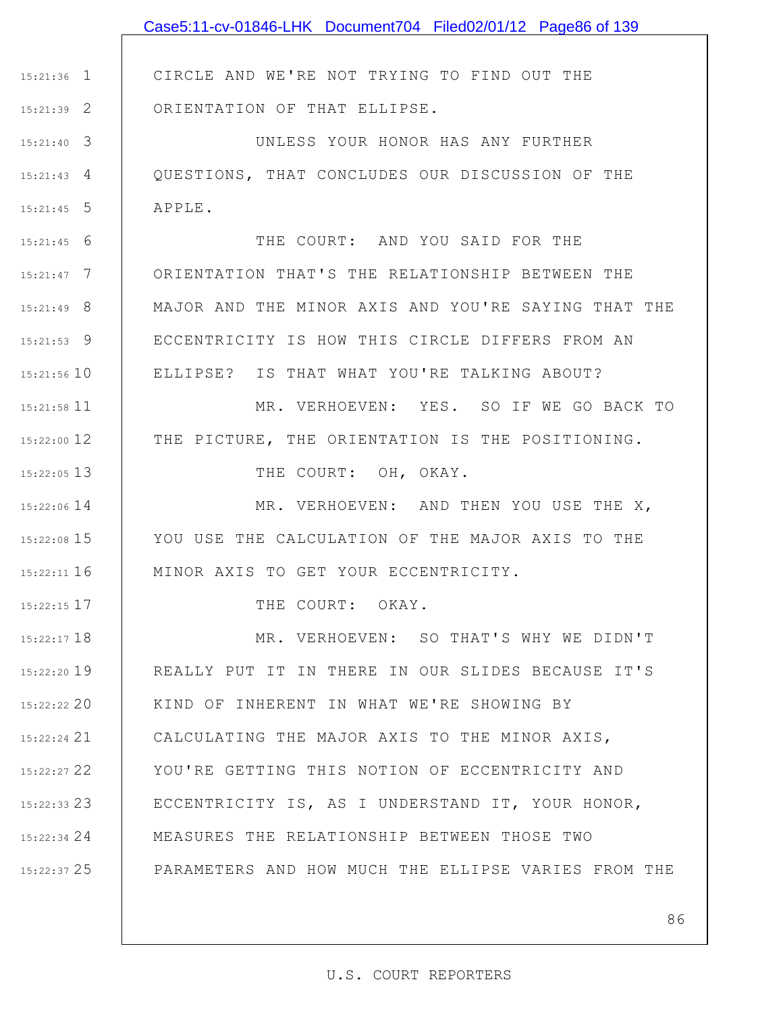|               | Case5:11-cv-01846-LHK Document704 Filed02/01/12 Page86 of 139 |
|---------------|---------------------------------------------------------------|
|               |                                                               |
| $15:21:36$ 1  | CIRCLE AND WE'RE NOT TRYING TO FIND OUT THE                   |
| $15:21:39$ 2  | ORIENTATION OF THAT ELLIPSE.                                  |
| $15:21:40$ 3  | UNLESS YOUR HONOR HAS ANY FURTHER                             |
| $15:21:43$ 4  | QUESTIONS, THAT CONCLUDES OUR DISCUSSION OF THE               |
| $15:21:45$ 5  | APPLE.                                                        |
| $15:21:45$ 6  | THE COURT: AND YOU SAID FOR THE                               |
| $15:21:47$ 7  | ORIENTATION THAT'S THE RELATIONSHIP BETWEEN THE               |
| $15:21:49$ 8  | MAJOR AND THE MINOR AXIS AND YOU'RE SAYING THAT THE           |
| $15:21:53$ 9  | ECCENTRICITY IS HOW THIS CIRCLE DIFFERS FROM AN               |
| 15:21:56 10   | ELLIPSE? IS THAT WHAT YOU'RE TALKING ABOUT?                   |
| $15:21:58$ 11 | MR. VERHOEVEN: YES. SO IF WE GO BACK TO                       |
| $15:22:00$ 12 | THE PICTURE, THE ORIENTATION IS THE POSITIONING.              |
| $15:22:05$ 13 | THE COURT: OH, OKAY.                                          |
| $15:22:06$ 14 | MR. VERHOEVEN: AND THEN YOU USE THE X,                        |
| $15:22:08$ 15 | YOU USE THE CALCULATION OF THE MAJOR AXIS TO THE              |
| $15:22:11$ 16 | MINOR AXIS TO GET YOUR ECCENTRICITY.                          |
| $15:22:15$ 17 | THE COURT: OKAY.                                              |
| $15:22:17$ 18 | MR. VERHOEVEN: SO THAT'S WHY WE DIDN'T                        |
| $15:22:20$ 19 | REALLY PUT IT IN THERE IN OUR SLIDES BECAUSE IT'S             |
| 15:22:22.20   | KIND OF INHERENT IN WHAT WE'RE SHOWING BY                     |
| 15:22:24 21   | CALCULATING THE MAJOR AXIS TO THE MINOR AXIS,                 |
| $15:22:27$ 22 | YOU'RE GETTING THIS NOTION OF ECCENTRICITY AND                |
| 15:22:33 23   | ECCENTRICITY IS, AS I UNDERSTAND IT, YOUR HONOR,              |
| $15:22:34$ 24 | MEASURES THE RELATIONSHIP BETWEEN THOSE TWO                   |
| 15:22:37 25   | PARAMETERS AND HOW MUCH THE ELLIPSE VARIES FROM THE           |
|               |                                                               |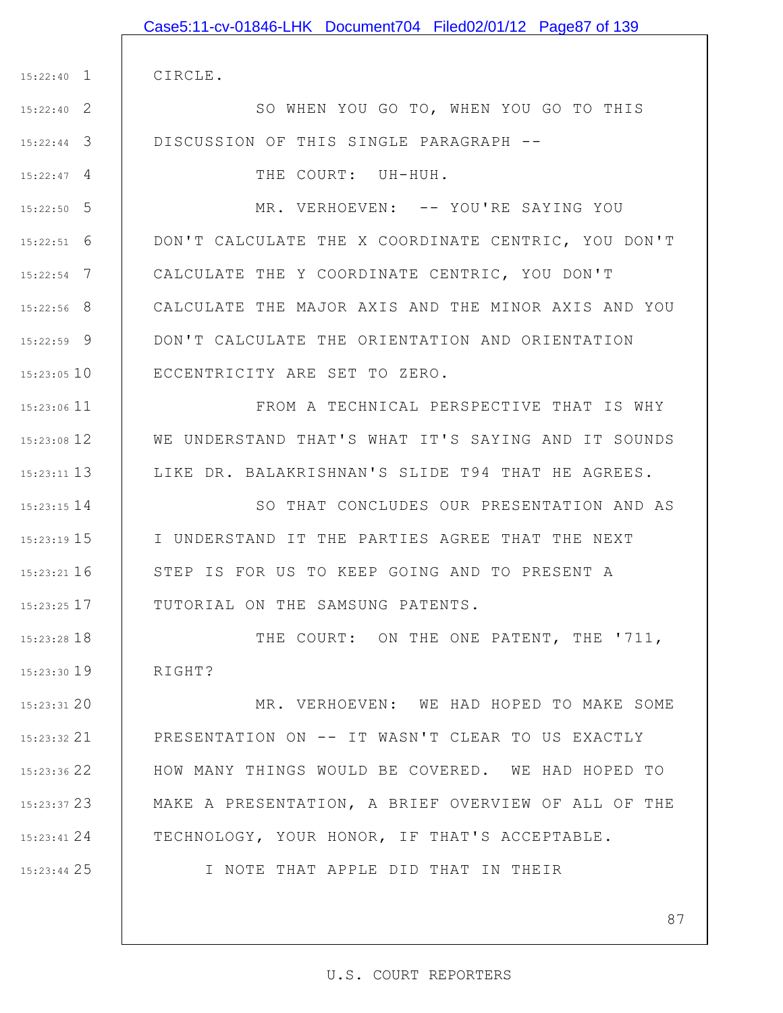|               | Case5:11-cv-01846-LHK Document704 Filed02/01/12 Page87 of 139 |
|---------------|---------------------------------------------------------------|
|               |                                                               |
| $15:22:40$ 1  | CIRCLE.                                                       |
| $15:22:40$ 2  | SO WHEN YOU GO TO, WHEN YOU GO TO THIS                        |
| $15:22:44$ 3  | DISCUSSION OF THIS SINGLE PARAGRAPH --                        |
| $15:22:47$ 4  | THE COURT: UH-HUH.                                            |
| $15:22:50$ 5  | MR. VERHOEVEN: -- YOU'RE SAYING YOU                           |
| $15:22:51$ 6  | DON'T CALCULATE THE X COORDINATE CENTRIC, YOU DON'T           |
| $15:22:54$ 7  | CALCULATE THE Y COORDINATE CENTRIC, YOU DON'T                 |
| $15:22:56$ 8  | CALCULATE THE MAJOR AXIS AND THE MINOR AXIS AND YOU           |
| $15:22:59$ 9  | DON'T CALCULATE THE ORIENTATION AND ORIENTATION               |
| $15:23:05$ 10 | ECCENTRICITY ARE SET TO ZERO.                                 |
| $15:23:06$ 11 | FROM A TECHNICAL PERSPECTIVE THAT IS WHY                      |
| $15:23:08$ 12 | WE UNDERSTAND THAT'S WHAT IT'S SAYING AND IT SOUNDS           |
| $15:23:11$ 13 | LIKE DR. BALAKRISHNAN'S SLIDE T94 THAT HE AGREES.             |
| $15:23:15$ 14 | SO THAT CONCLUDES OUR PRESENTATION AND AS                     |
| 15:23:19 15   | I UNDERSTAND IT THE PARTIES AGREE THAT THE NEXT               |
| $15:23:21$ 16 | STEP IS FOR US TO KEEP GOING AND TO PRESENT A                 |
| $15:23:25$ 17 | TUTORIAL ON THE SAMSUNG PATENTS.                              |
| 15:23:28 18   | THE COURT: ON THE ONE PATENT, THE '711,                       |
| 15:23:30 19   | RIGHT?                                                        |
| 15:23:31 20   | MR. VERHOEVEN: WE HAD HOPED TO MAKE SOME                      |
| 15:23:32 21   | PRESENTATION ON -- IT WASN'T CLEAR TO US EXACTLY              |
| 15:23:36 22   | HOW MANY THINGS WOULD BE COVERED. WE HAD HOPED TO             |
| 15:23:37 23   | MAKE A PRESENTATION, A BRIEF OVERVIEW OF ALL OF THE           |
| $15:23:41$ 24 | TECHNOLOGY, YOUR HONOR, IF THAT'S ACCEPTABLE.                 |
| 15:23:44 25   | I NOTE THAT APPLE DID THAT IN THEIR                           |
|               |                                                               |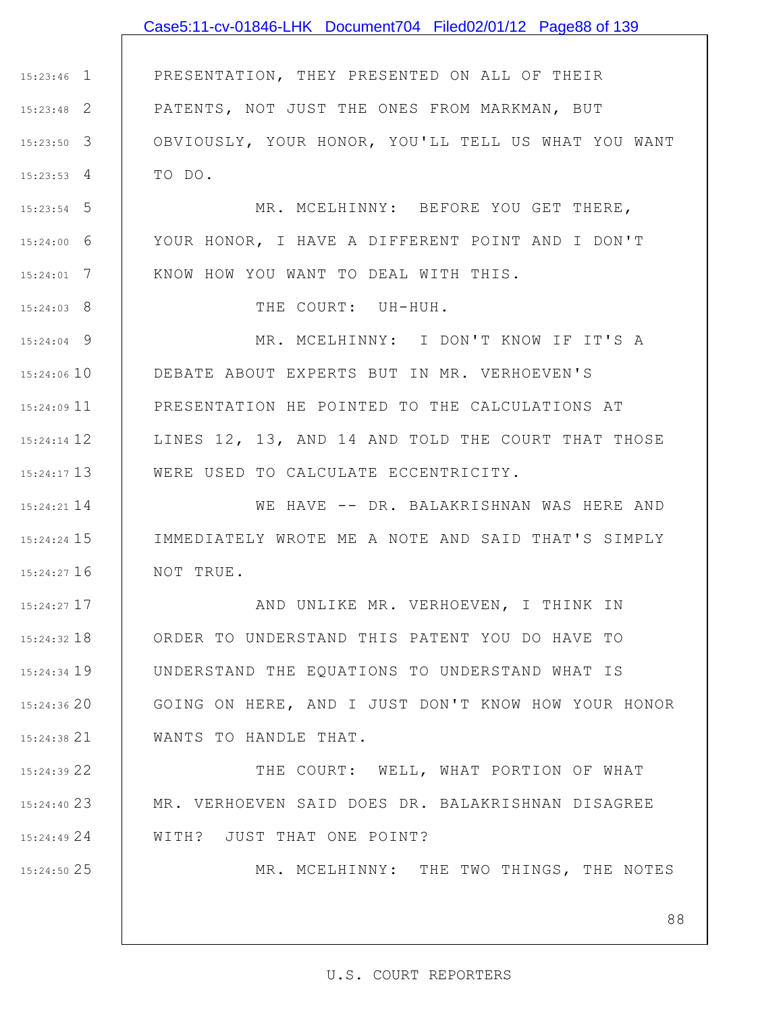1 15:23:46 2 15:23:48 3 15:23:50 4 15:23:53 5 15:23:54 6 15:24:00 7 15:24:01 8 15:24:03 9 15:24:04 15:24:06 10 11 15:24:09 12 15:24:14 13 15:24:17 14 15:24:21 15 15:24:24 16 15:24:27 17 15:24:27 18 15:24:32 19 15:24:34 20 15:24:36 21 15:24:38 22 15:24:39 23 15:24:40 24 15:24:49 25 15:24:50 88 PRESENTATION, THEY PRESENTED ON ALL OF THEIR PATENTS, NOT JUST THE ONES FROM MARKMAN, BUT OBVIOUSLY, YOUR HONOR, YOU'LL TELL US WHAT YOU WANT TO DO. MR. MCELHINNY: BEFORE YOU GET THERE, YOUR HONOR, I HAVE A DIFFERENT POINT AND I DON'T KNOW HOW YOU WANT TO DEAL WITH THIS. THE COURT: UH-HUH. MR. MCELHINNY: I DON'T KNOW IF IT'S A DEBATE ABOUT EXPERTS BUT IN MR. VERHOEVEN'S PRESENTATION HE POINTED TO THE CALCULATIONS AT LINES 12, 13, AND 14 AND TOLD THE COURT THAT THOSE WERE USED TO CALCULATE ECCENTRICITY. WE HAVE -- DR. BALAKRISHNAN WAS HERE AND IMMEDIATELY WROTE ME A NOTE AND SAID THAT'S SIMPLY NOT TRUE. AND UNLIKE MR. VERHOEVEN, I THINK IN ORDER TO UNDERSTAND THIS PATENT YOU DO HAVE TO UNDERSTAND THE EQUATIONS TO UNDERSTAND WHAT IS GOING ON HERE, AND I JUST DON'T KNOW HOW YOUR HONOR WANTS TO HANDLE THAT. THE COURT: WELL, WHAT PORTION OF WHAT MR. VERHOEVEN SAID DOES DR. BALAKRISHNAN DISAGREE WITH? JUST THAT ONE POINT? MR. MCELHINNY: THE TWO THINGS, THE NOTES Case5:11-cv-01846-LHK Document704 Filed02/01/12 Page88 of 139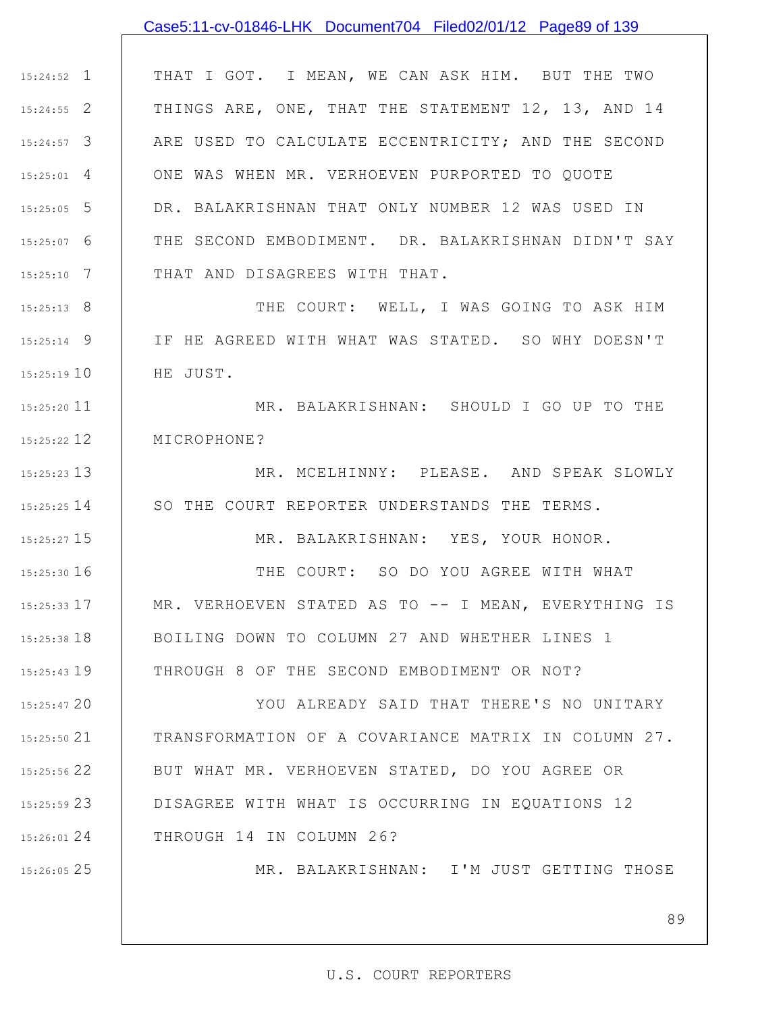## Case5:11-cv-01846-LHK Document704 Filed02/01/12 Page89 of 139

1 15:24:52 2 15:24:55 3 15:24:57 4 15:25:01 5 15:25:05 6 15:25:07 7 15:25:10 THAT I GOT. I MEAN, WE CAN ASK HIM. BUT THE TWO THINGS ARE, ONE, THAT THE STATEMENT 12, 13, AND 14 ARE USED TO CALCULATE ECCENTRICITY; AND THE SECOND ONE WAS WHEN MR. VERHOEVEN PURPORTED TO QUOTE DR. BALAKRISHNAN THAT ONLY NUMBER 12 WAS USED IN THE SECOND EMBODIMENT. DR. BALAKRISHNAN DIDN'T SAY THAT AND DISAGREES WITH THAT.

8 15:25:13 9 15:25:14 15:25:19 10 THE COURT: WELL, I WAS GOING TO ASK HIM IF HE AGREED WITH WHAT WAS STATED. SO WHY DOESN'T HE JUST.

11 15:25:20 12 15:25:22 MR. BALAKRISHNAN: SHOULD I GO UP TO THE MICROPHONE?

13 15:25:23 14 15:25:25 MR. MCELHINNY: PLEASE. AND SPEAK SLOWLY | SO THE COURT REPORTER UNDERSTANDS THE TERMS.

MR. BALAKRISHNAN: YES, YOUR HONOR.

16 15:25:30 17 15:25:33 18 15:25:38 19 15:25:43 THE COURT: SO DO YOU AGREE WITH WHAT MR. VERHOEVEN STATED AS TO -- I MEAN, EVERYTHING IS BOILING DOWN TO COLUMN 27 AND WHETHER LINES 1 THROUGH 8 OF THE SECOND EMBODIMENT OR NOT?

15 15:25:27

25 15:26:05

20 15:25:47 21 15:25:50 22 15:25:56 23 15:25:59 24 15:26:01 YOU ALREADY SAID THAT THERE'S NO UNITARY TRANSFORMATION OF A COVARIANCE MATRIX IN COLUMN 27. BUT WHAT MR. VERHOEVEN STATED, DO YOU AGREE OR DISAGREE WITH WHAT IS OCCURRING IN EQUATIONS 12 THROUGH 14 IN COLUMN 26?

MR. BALAKRISHNAN: I'M JUST GETTING THOSE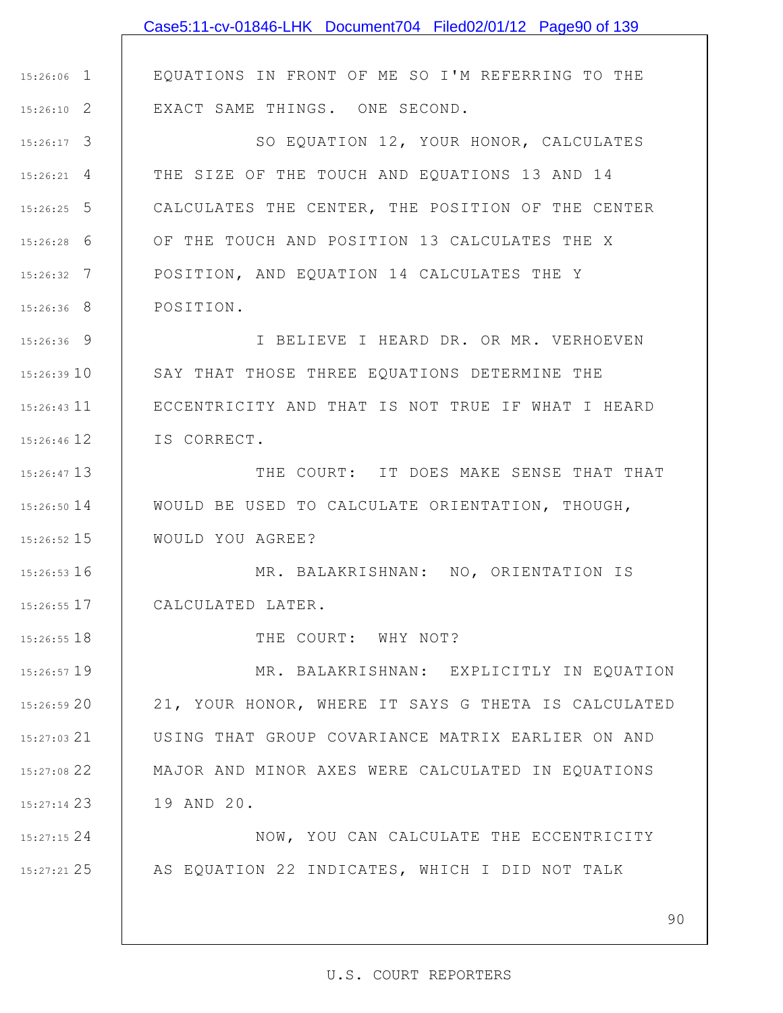|               | Case5:11-cv-01846-LHK Document704 Filed02/01/12 Page90 of 139 |
|---------------|---------------------------------------------------------------|
|               |                                                               |
| $15:26:06$ 1  | EQUATIONS IN FRONT OF ME SO I'M REFERRING TO THE              |
| $15:26:10$ 2  | EXACT SAME THINGS. ONE SECOND.                                |
| $15:26:17$ 3  | SO EQUATION 12, YOUR HONOR, CALCULATES                        |
| $15:26:21$ 4  | THE SIZE OF THE TOUCH AND EQUATIONS 13 AND 14                 |
| $15:26:25$ 5  | CALCULATES THE CENTER, THE POSITION OF THE CENTER             |
| $15:26:28$ 6  | OF THE TOUCH AND POSITION 13 CALCULATES THE X                 |
| $15:26:32$ 7  | POSITION, AND EQUATION 14 CALCULATES THE Y                    |
| $15:26:36$ 8  | POSITION.                                                     |
| $15:26:36$ 9  | I BELIEVE I HEARD DR. OR MR. VERHOEVEN                        |
| 15:26:3910    | SAY THAT THOSE THREE EQUATIONS DETERMINE THE                  |
| $15:26:43$ 11 | ECCENTRICITY AND THAT IS NOT TRUE IF WHAT I HEARD             |
| 15:26:46 12   | IS CORRECT.                                                   |
| 15:26:47 13   | THE COURT: IT DOES MAKE SENSE THAT THAT                       |
| $15:26:50$ 14 | WOULD BE USED TO CALCULATE ORIENTATION, THOUGH,               |
| $15:26:52$ 15 | WOULD YOU AGREE?                                              |
| 15:26:53 16   | MR. BALAKRISHNAN: NO, ORIENTATION IS                          |
| 15:26:55 17   | CALCULATED LATER.                                             |
| 15:26:55 18   | THE COURT: WHY NOT?                                           |
| 15:26:57 19   | MR. BALAKRISHNAN: EXPLICITLY IN EQUATION                      |
| 15:26:59 20   | 21, YOUR HONOR, WHERE IT SAYS G THETA IS CALCULATED           |
| 15:27:03 21   | USING THAT GROUP COVARIANCE MATRIX EARLIER ON AND             |
| 15:27:08 22   | MAJOR AND MINOR AXES WERE CALCULATED IN EQUATIONS             |
| 15:27:14 23   | 19 AND 20.                                                    |
| 15:27:1524    | NOW, YOU CAN CALCULATE THE ECCENTRICITY                       |
| 15:27:21 25   | AS EQUATION 22 INDICATES, WHICH I DID NOT TALK                |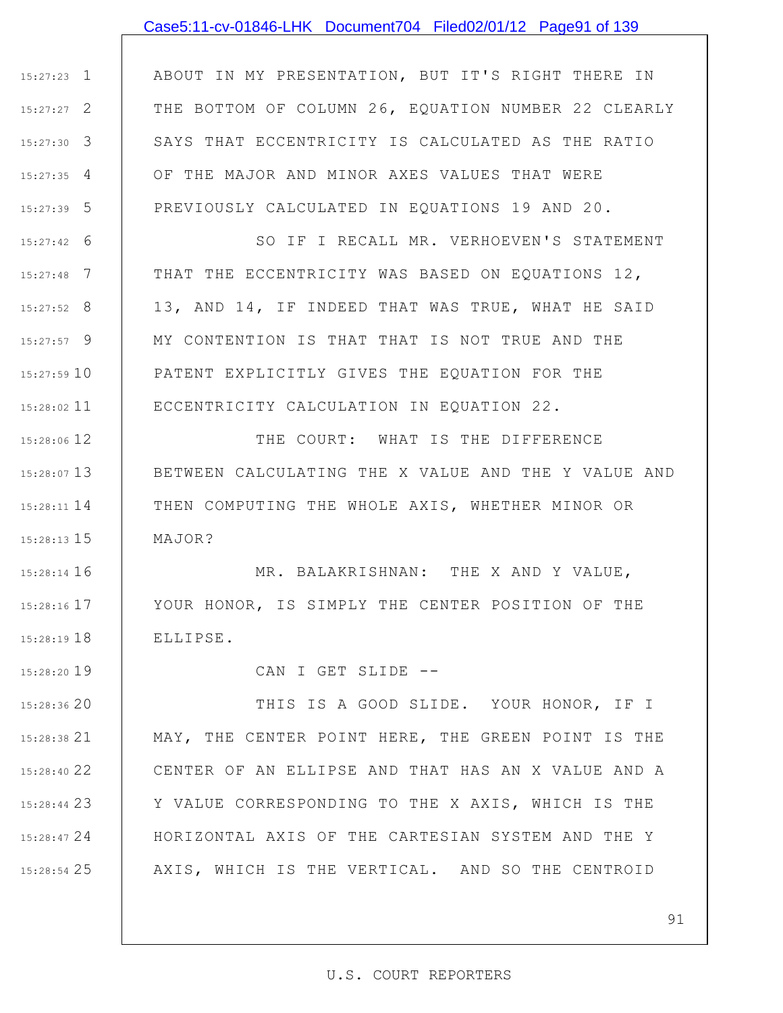## Case5:11-cv-01846-LHK Document704 Filed02/01/12 Page91 of 139

1 15:27:23 2 15:27:27 3 15:27:30 4 15:27:35 5 15:27:39 ABOUT IN MY PRESENTATION, BUT IT'S RIGHT THERE IN THE BOTTOM OF COLUMN 26, EQUATION NUMBER 22 CLEARLY SAYS THAT ECCENTRICITY IS CALCULATED AS THE RATIO OF THE MAJOR AND MINOR AXES VALUES THAT WERE PREVIOUSLY CALCULATED IN EQUATIONS 19 AND 20.

6 15:27:42 7 15:27:48 8 15:27:52 9 15:27:57 15:27:59 10 11 15:28:02 SO IF I RECALL MR. VERHOEVEN'S STATEMENT THAT THE ECCENTRICITY WAS BASED ON EQUATIONS 12, 13, AND 14, IF INDEED THAT WAS TRUE, WHAT HE SAID MY CONTENTION IS THAT THAT IS NOT TRUE AND THE PATENT EXPLICITLY GIVES THE EQUATION FOR THE ECCENTRICITY CALCULATION IN EQUATION 22.

12 15:28:06 13 15:28:07 14 15:28:11 15 15:28:13 THE COURT: WHAT IS THE DIFFERENCE BETWEEN CALCULATING THE X VALUE AND THE Y VALUE AND THEN COMPUTING THE WHOLE AXIS, WHETHER MINOR OR MAJOR?

16 15:28:14 17 15:28:16 18 15:28:19 MR. BALAKRISHNAN: THE X AND Y VALUE, YOUR HONOR, IS SIMPLY THE CENTER POSITION OF THE ELLIPSE.

CAN I GET SLIDE --

19 15:28:20

20 15:28:36 21 15:28:38 22 15:28:40 23 15:28:44 24 15:28:47 25 15:28:54 THIS IS A GOOD SLIDE. YOUR HONOR, IF I MAY, THE CENTER POINT HERE, THE GREEN POINT IS THE CENTER OF AN ELLIPSE AND THAT HAS AN X VALUE AND A Y VALUE CORRESPONDING TO THE X AXIS, WHICH IS THE HORIZONTAL AXIS OF THE CARTESIAN SYSTEM AND THE Y AXIS, WHICH IS THE VERTICAL. AND SO THE CENTROID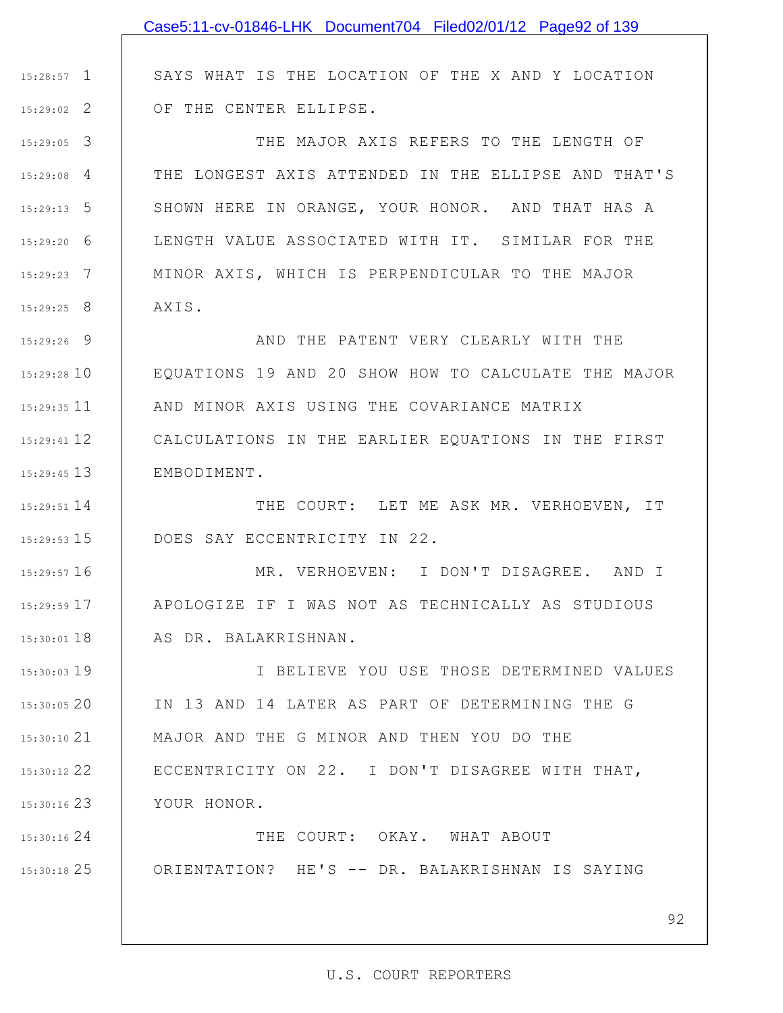|               | Case5:11-cv-01846-LHK Document704 Filed02/01/12 Page92 of 139 |
|---------------|---------------------------------------------------------------|
|               |                                                               |
| $15:28:57$ 1  | SAYS WHAT IS THE LOCATION OF THE X AND Y LOCATION             |
| $15:29:02$ 2  | OF THE CENTER ELLIPSE.                                        |
| $15:29:05$ 3  | THE MAJOR AXIS REFERS TO THE LENGTH OF                        |
| $15:29:08$ 4  | THE LONGEST AXIS ATTENDED IN THE ELLIPSE AND THAT'S           |
| $15:29:13$ 5  | SHOWN HERE IN ORANGE, YOUR HONOR. AND THAT HAS A              |
| $15:29:20$ 6  | LENGTH VALUE ASSOCIATED WITH IT. SIMILAR FOR THE              |
| $15:29:23$ 7  | MINOR AXIS, WHICH IS PERPENDICULAR TO THE MAJOR               |
| $15:29:25$ 8  | AXIS.                                                         |
| $15:29:26$ 9  | AND THE PATENT VERY CLEARLY WITH THE                          |
| $15:29:28$ 10 | EQUATIONS 19 AND 20 SHOW HOW TO CALCULATE THE MAJOR           |
| 15:29:35 11   | AND MINOR AXIS USING THE COVARIANCE MATRIX                    |
| 15:29:41 12   | CALCULATIONS IN THE EARLIER EQUATIONS IN THE FIRST            |
| 15:29:45 13   | EMBODIMENT.                                                   |
| $15:29:51$ 14 | THE COURT: LET ME ASK MR. VERHOEVEN, IT                       |
| $15:29:53$ 15 | DOES SAY ECCENTRICITY IN 22.                                  |
| 15:29:57 16   | MR. VERHOEVEN: I DON'T DISAGREE. AND I                        |
| $15:29:59$ 17 | APOLOGIZE IF I WAS NOT AS TECHNICALLY AS STUDIOUS             |
| $15:30:01$ 18 | AS DR. BALAKRISHNAN.                                          |
| 15:30:03 19   | I BELIEVE YOU USE THOSE DETERMINED VALUES                     |
| 15:30:0520    | IN 13 AND 14 LATER AS PART OF DETERMINING THE G               |
| 15:30:10 21   | MAJOR AND THE G MINOR AND THEN YOU DO THE                     |
| 15:30:12 22   | ECCENTRICITY ON 22. I DON'T DISAGREE WITH THAT,               |
| 15:30:16 23   | YOUR HONOR.                                                   |
| 15:30:16 24   | THE COURT: OKAY. WHAT ABOUT                                   |
| $15:30:18$ 25 | ORIENTATION? HE'S -- DR. BALAKRISHNAN IS SAYING               |
|               |                                                               |
|               | 92                                                            |

 $\mathbf l$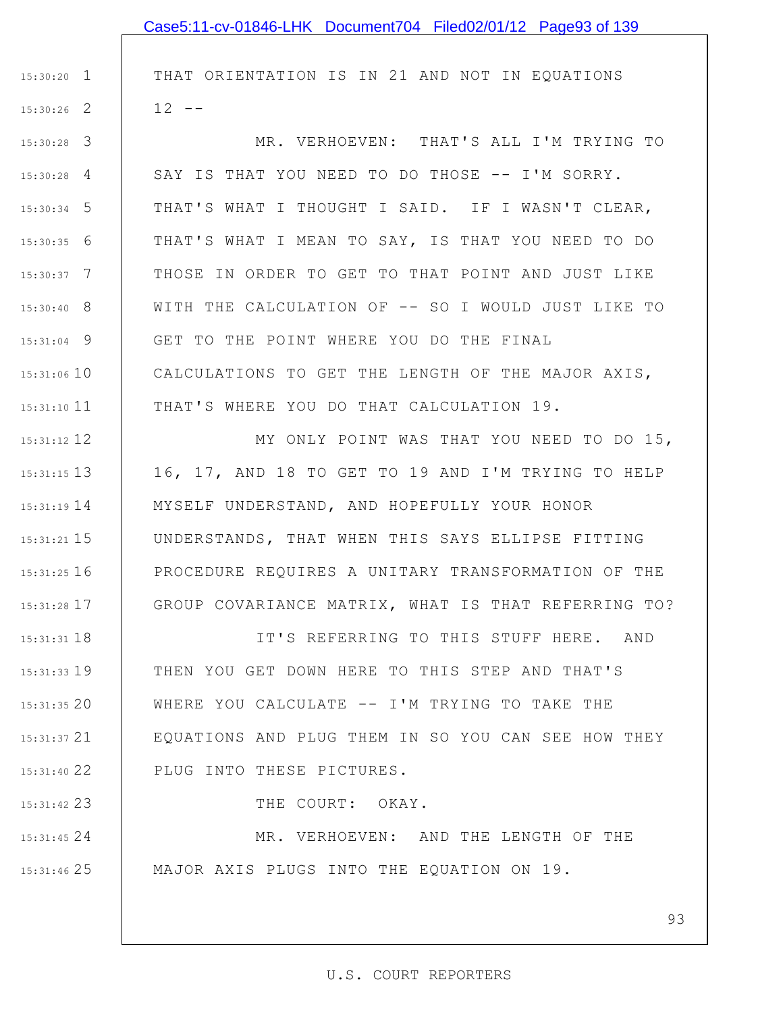|                 | Case5:11-cv-01846-LHK Document704 Filed02/01/12 Page93 of 139 |
|-----------------|---------------------------------------------------------------|
|                 |                                                               |
| $15:30:20$ 1    | THAT ORIENTATION IS IN 21 AND NOT IN EQUATIONS                |
| $15:30:26$ 2    | $12 - -$                                                      |
| $15:30:28$ 3    | MR. VERHOEVEN: THAT'S ALL I'M TRYING TO                       |
| $15:30:28$ 4    | SAY IS THAT YOU NEED TO DO THOSE -- I'M SORRY.                |
| $15:30:34$ 5    | THAT'S WHAT I THOUGHT I SAID. IF I WASN'T CLEAR,              |
| $15:30:35$ 6    | THAT'S WHAT I MEAN TO SAY, IS THAT YOU NEED TO DO             |
| $15:30:37$ 7    | THOSE IN ORDER TO GET TO THAT POINT AND JUST LIKE             |
| $15:30:40$ 8    | WITH THE CALCULATION OF -- SO I WOULD JUST LIKE TO            |
| $15:31:04$ 9    | GET TO THE POINT WHERE YOU DO THE FINAL                       |
| $15:31:06$ 10   | CALCULATIONS TO GET THE LENGTH OF THE MAJOR AXIS,             |
| $15:31:10$ 11   | THAT'S WHERE YOU DO THAT CALCULATION 19.                      |
| 15:31:12 12     | MY ONLY POINT WAS THAT YOU NEED TO DO 15,                     |
| $15:31:15$ 13   | 16, 17, AND 18 TO GET TO 19 AND I'M TRYING TO HELP            |
| $15:31:19$ $14$ | MYSELF UNDERSTAND, AND HOPEFULLY YOUR HONOR                   |
| $15:31:21$ $15$ | UNDERSTANDS, THAT WHEN THIS SAYS ELLIPSE FITTING              |
| $15:31:25$ 16   | PROCEDURE REQUIRES A UNITARY TRANSFORMATION OF THE            |
| $15:31:28$ 17   | GROUP COVARIANCE MATRIX, WHAT IS THAT REFERRING TO?           |
| $15:31:31$ 18   | IT'S REFERRING TO THIS STUFF HERE. AND                        |
| 15:31:33 19     | THEN YOU GET DOWN HERE TO THIS STEP AND THAT'S                |
| 15:31:35 20     | WHERE YOU CALCULATE -- I'M TRYING TO TAKE THE                 |
| $15:31:37$ $21$ | EQUATIONS AND PLUG THEM IN SO YOU CAN SEE HOW THEY            |
| 15:31:40 22     | PLUG INTO THESE PICTURES.                                     |
| $15:31:42$ 23   | THE COURT: OKAY.                                              |
| $15:31:45$ 24   | MR. VERHOEVEN: AND THE LENGTH OF THE                          |

MAJOR AXIS PLUGS INTO THE EQUATION ON 19.

25 15:31:46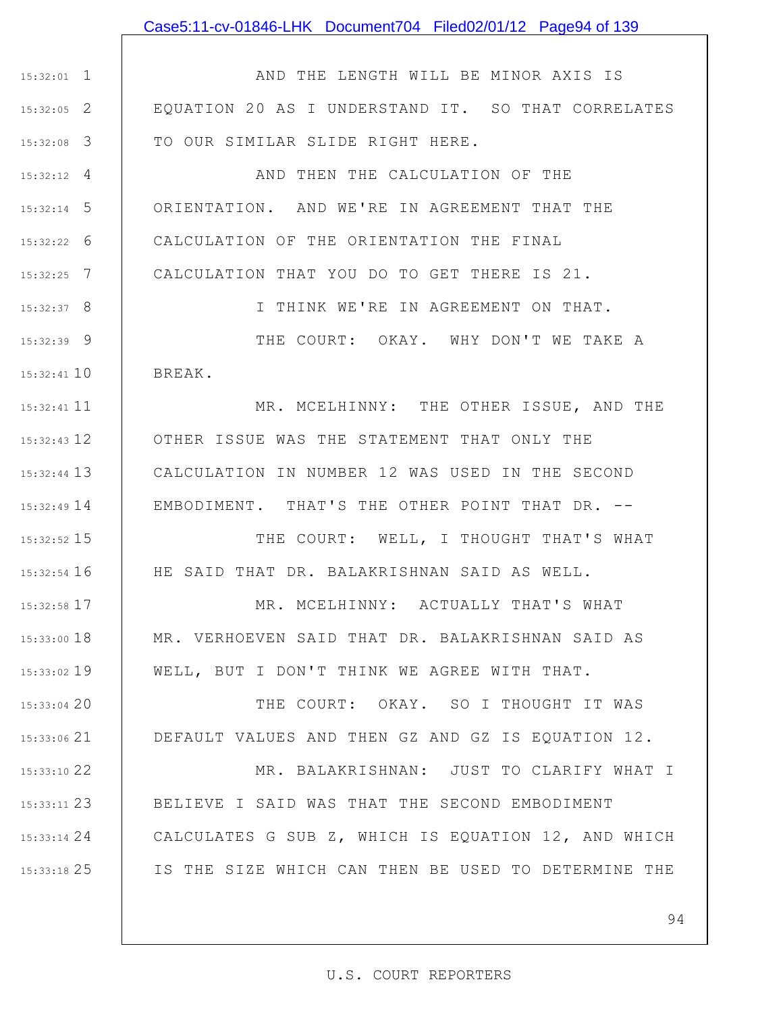### Case5:11-cv-01846-LHK Document704 Filed02/01/12 Page94 of 139

1 15:32:01 2 15:32:05 3 15:32:08 AND THE LENGTH WILL BE MINOR AXIS IS EQUATION 20 AS I UNDERSTAND IT. SO THAT CORRELATES TO OUR SIMILAR SLIDE RIGHT HERE.

4 15:32:12 5 15:32:14 6 15:32:22 7 15:32:25 AND THEN THE CALCULATION OF THE ORIENTATION. AND WE'RE IN AGREEMENT THAT THE CALCULATION OF THE ORIENTATION THE FINAL CALCULATION THAT YOU DO TO GET THERE IS 21.

8 15:32:37

9 15:32:39

15:32:41 10

15:32:41 11

15:32:43 12

13 15:32:44

15:32:49 14

15 15:32:52

16 15:32:54

17 15:32:58

18 15:33:00

19 15:33:02

20 15:33:04

21 15:33:06

I THINK WE'RE IN AGREEMENT ON THAT.

THE COURT: OKAY. WHY DON'T WE TAKE A BREAK.

MR. MCELHINNY: THE OTHER ISSUE, AND THE OTHER ISSUE WAS THE STATEMENT THAT ONLY THE CALCULATION IN NUMBER 12 WAS USED IN THE SECOND EMBODIMENT. THAT'S THE OTHER POINT THAT DR. --

THE COURT: WELL, I THOUGHT THAT'S WHAT HE SAID THAT DR. BALAKRISHNAN SAID AS WELL.

MR. MCELHINNY: ACTUALLY THAT'S WHAT MR. VERHOEVEN SAID THAT DR. BALAKRISHNAN SAID AS WELL, BUT I DON'T THINK WE AGREE WITH THAT.

THE COURT: OKAY. SO I THOUGHT IT WAS DEFAULT VALUES AND THEN GZ AND GZ IS EQUATION 12.

22 15:33:10 23 15:33:11 24 15:33:14 25 15:33:18 MR. BALAKRISHNAN: JUST TO CLARIFY WHAT I BELIEVE I SAID WAS THAT THE SECOND EMBODIMENT CALCULATES G SUB Z, WHICH IS EQUATION 12, AND WHICH IS THE SIZE WHICH CAN THEN BE USED TO DETERMINE THE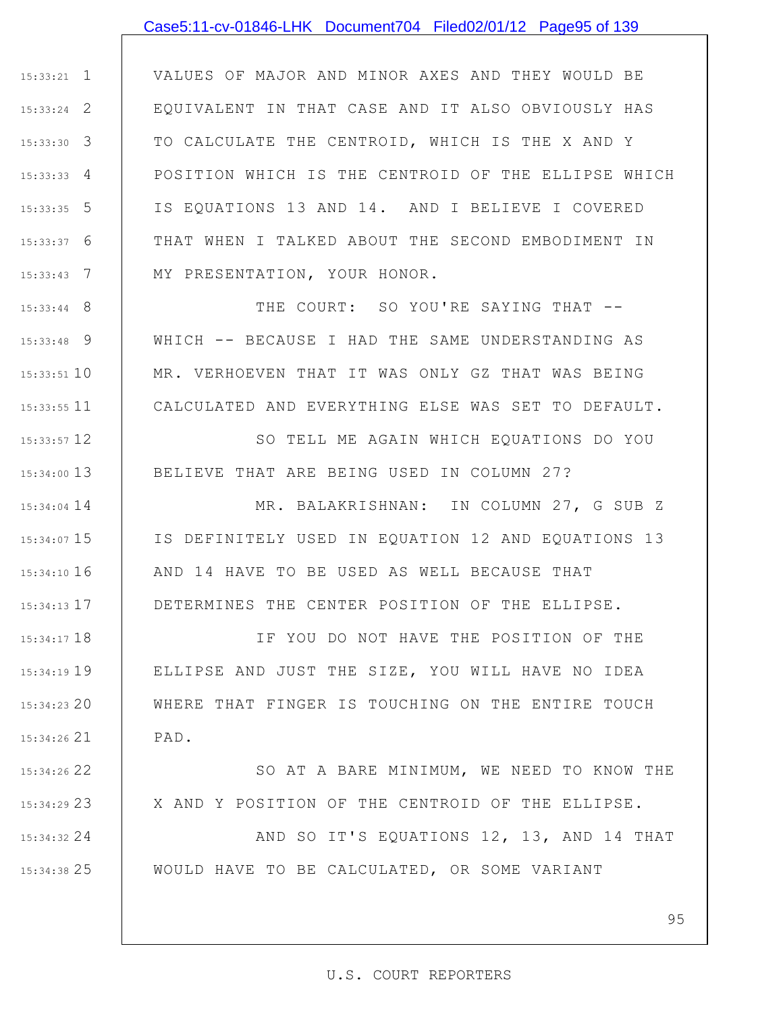#### Case5:11-cv-01846-LHK Document704 Filed02/01/12 Page95 of 139

1 15:33:21 2 15:33:24 3 15:33:30 4 15:33:33 5 15:33:35 6 15:33:37 7 15:33:43 VALUES OF MAJOR AND MINOR AXES AND THEY WOULD BE EQUIVALENT IN THAT CASE AND IT ALSO OBVIOUSLY HAS TO CALCULATE THE CENTROID, WHICH IS THE X AND Y POSITION WHICH IS THE CENTROID OF THE ELLIPSE WHICH IS EQUATIONS 13 AND 14. AND I BELIEVE I COVERED THAT WHEN I TALKED ABOUT THE SECOND EMBODIMENT IN MY PRESENTATION, YOUR HONOR.

> THE COURT: SO YOU'RE SAYING THAT --WHICH -- BECAUSE I HAD THE SAME UNDERSTANDING AS MR. VERHOEVEN THAT IT WAS ONLY GZ THAT WAS BEING CALCULATED AND EVERYTHING ELSE WAS SET TO DEFAULT.

8 15:33:44

9 15:33:48

10 15:33:51

11 15:33:55

12 15:33:57

13 15:34:00

22 15:34:26

23 15:34:29

SO TELL ME AGAIN WHICH EQUATIONS DO YOU BELIEVE THAT ARE BEING USED IN COLUMN 27?

15:34:04 14 15 15:34:07 16 15:34:10 17 15:34:13 MR. BALAKRISHNAN: IN COLUMN 27, G SUB Z IS DEFINITELY USED IN EQUATION 12 AND EQUATIONS 13 AND 14 HAVE TO BE USED AS WELL BECAUSE THAT DETERMINES THE CENTER POSITION OF THE ELLIPSE.

18 15:34:17 19 15:34:19 20 15:34:23 21 15:34:26 IF YOU DO NOT HAVE THE POSITION OF THE ELLIPSE AND JUST THE SIZE, YOU WILL HAVE NO IDEA WHERE THAT FINGER IS TOUCHING ON THE ENTIRE TOUCH PAD.

> SO AT A BARE MINIMUM, WE NEED TO KNOW THE | X AND Y POSITION OF THE CENTROID OF THE ELLIPSE.

24 15:34:32 25 15:34:38 AND SO IT'S EQUATIONS 12, 13, AND 14 THAT WOULD HAVE TO BE CALCULATED, OR SOME VARIANT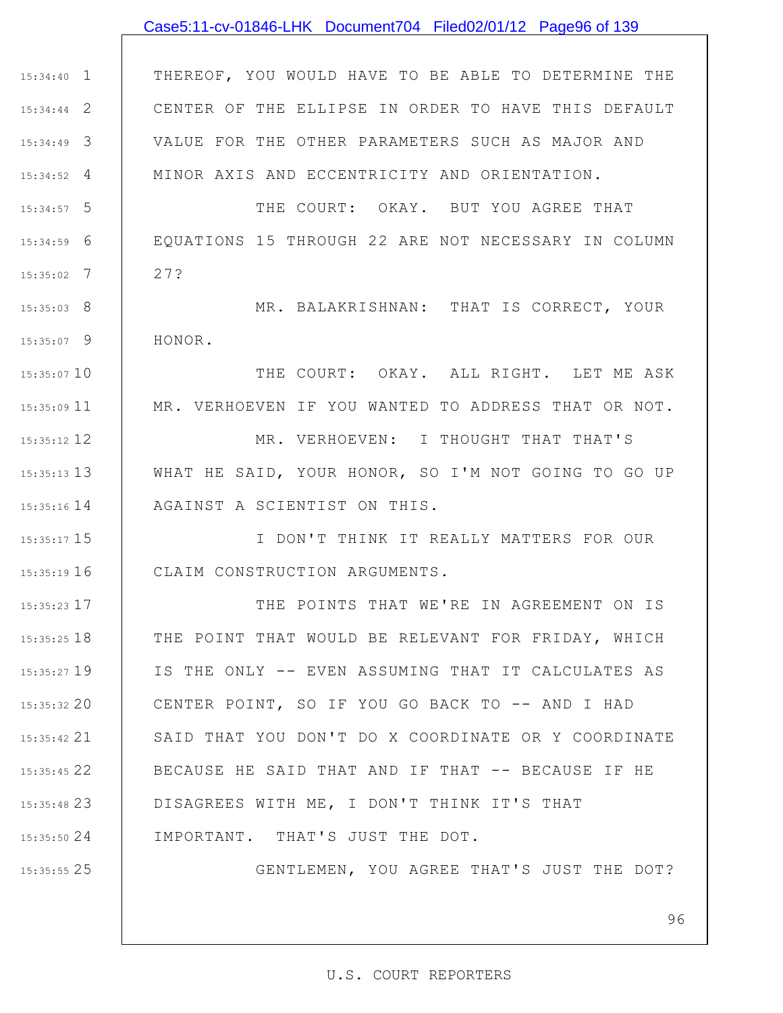### Case5:11-cv-01846-LHK Document704 Filed02/01/12 Page96 of 139

1 15:34:40 2 15:34:44 3 15:34:49 4 15:34:52 THEREOF, YOU WOULD HAVE TO BE ABLE TO DETERMINE THE CENTER OF THE ELLIPSE IN ORDER TO HAVE THIS DEFAULT VALUE FOR THE OTHER PARAMETERS SUCH AS MAJOR AND MINOR AXIS AND ECCENTRICITY AND ORIENTATION.

5 15:34:57 6 15:34:59 7 15:35:02 THE COURT: OKAY. BUT YOU AGREE THAT EQUATIONS 15 THROUGH 22 ARE NOT NECESSARY IN COLUMN 27?

8 15:35:03 9 15:35:07 MR. BALAKRISHNAN: THAT IS CORRECT, YOUR HONOR.

> THE COURT: OKAY. ALL RIGHT. LET ME ASK MR. VERHOEVEN IF YOU WANTED TO ADDRESS THAT OR NOT.

12 15:35:12 13 15:35:13 14 15:35:16 MR. VERHOEVEN: I THOUGHT THAT THAT'S WHAT HE SAID, YOUR HONOR, SO I'M NOT GOING TO GO UP AGAINST A SCIENTIST ON THIS.

15 15:35:17 16 15:35:19 I DON'T THINK IT REALLY MATTERS FOR OUR CLAIM CONSTRUCTION ARGUMENTS.

17 15:35:23 18 15:35:25 19 15:35:27 20 15:35:32 21 15:35:42 22 15:35:45 23 15:35:48 24 15:35:50 THE POINTS THAT WE'RE IN AGREEMENT ON IS THE POINT THAT WOULD BE RELEVANT FOR FRIDAY, WHICH IS THE ONLY -- EVEN ASSUMING THAT IT CALCULATES AS CENTER POINT, SO IF YOU GO BACK TO -- AND I HAD SAID THAT YOU DON'T DO X COORDINATE OR Y COORDINATE BECAUSE HE SAID THAT AND IF THAT -- BECAUSE IF HE DISAGREES WITH ME, I DON'T THINK IT'S THAT IMPORTANT. THAT'S JUST THE DOT.

25 15:35:55

15:35:07 10

11 15:35:09

GENTLEMEN, YOU AGREE THAT'S JUST THE DOT?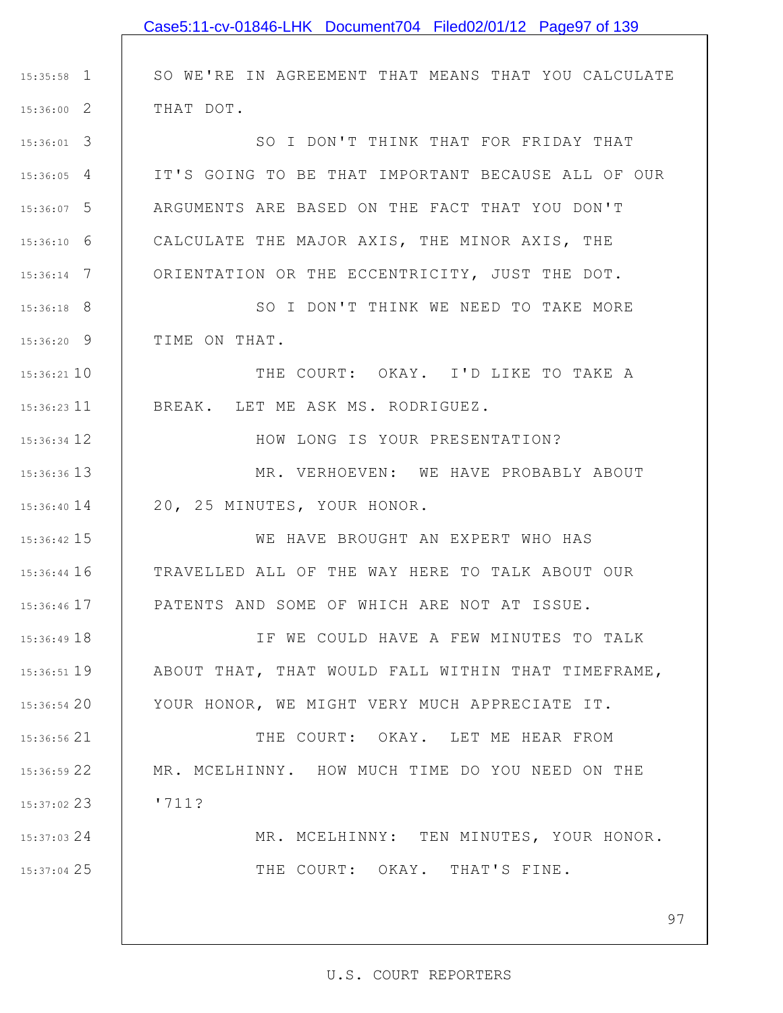| SO WE'RE IN AGREEMENT THAT MEANS THAT YOU CALCULATE |
|-----------------------------------------------------|
| THAT DOT.                                           |
| SO I DON'T THINK THAT FOR FRIDAY THAT               |
| IT'S GOING TO BE THAT IMPORTANT BECAUSE ALL OF OUR  |
| ARGUMENTS ARE BASED ON THE FACT THAT YOU DON'T      |
| CALCULATE THE MAJOR AXIS, THE MINOR AXIS, THE       |
| ORIENTATION OR THE ECCENTRICITY, JUST THE DOT.      |
| SO I DON'T THINK WE NEED TO TAKE MORE               |
| TIME ON THAT.                                       |
| THE COURT: OKAY. I'D LIKE TO TAKE A                 |
| BREAK. LET ME ASK MS. RODRIGUEZ.                    |
| HOW LONG IS YOUR PRESENTATION?                      |
| MR. VERHOEVEN: WE HAVE PROBABLY ABOUT               |
| 20, 25 MINUTES, YOUR HONOR.                         |
| WE HAVE BROUGHT AN EXPERT WHO HAS                   |
| TRAVELLED ALL OF THE WAY HERE TO TALK ABOUT OUR     |
| PATENTS AND SOME OF WHICH ARE NOT AT ISSUE.         |
| IF WE COULD HAVE A FEW MINUTES TO TALK              |
| ABOUT THAT, THAT WOULD FALL WITHIN THAT TIMEFRAME,  |
| YOUR HONOR, WE MIGHT VERY MUCH APPRECIATE IT.       |
| THE COURT: OKAY. LET ME HEAR FROM                   |
| MR. MCELHINNY. HOW MUCH TIME DO YOU NEED ON THE     |
| '711?                                               |
| MR. MCELHINNY: TEN MINUTES, YOUR HONOR.             |
| THE COURT: OKAY. THAT'S FINE.                       |
|                                                     |
|                                                     |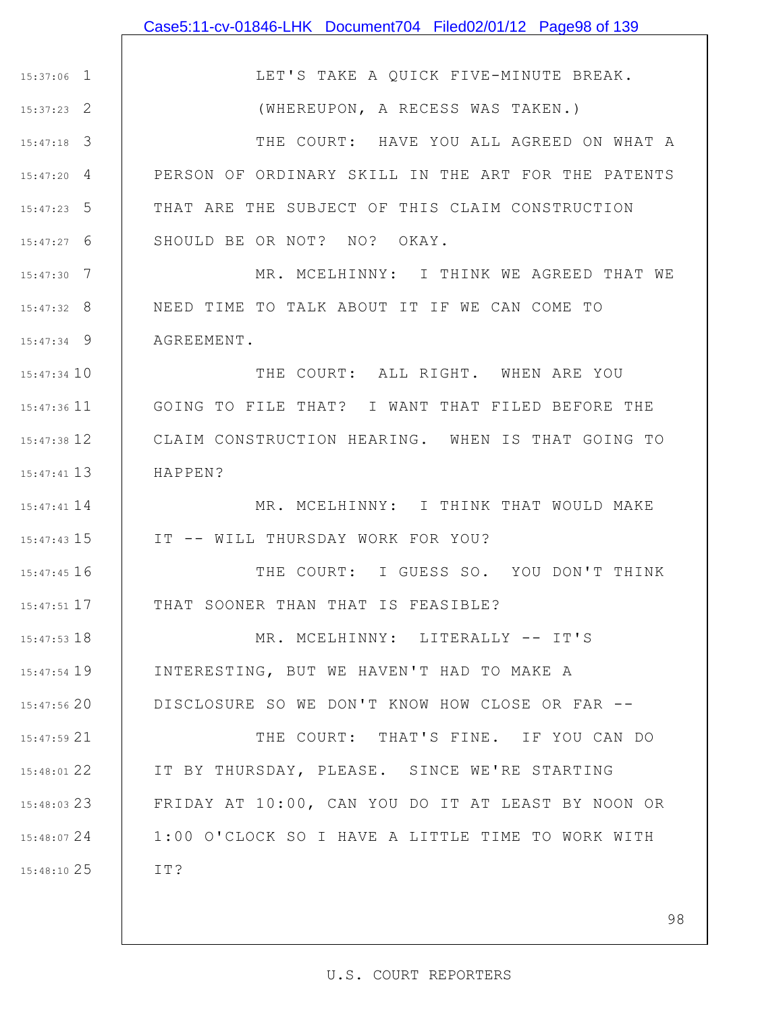1 15:37:06 2 15:37:23 LET'S TAKE A QUICK FIVE-MINUTE BREAK. (WHEREUPON, A RECESS WAS TAKEN.)

3 15:47:18 4 15:47:20 5 15:47:23 6 15:47:27 THE COURT: HAVE YOU ALL AGREED ON WHAT A PERSON OF ORDINARY SKILL IN THE ART FOR THE PATENTS THAT ARE THE SUBJECT OF THIS CLAIM CONSTRUCTION SHOULD BE OR NOT? NO? OKAY.

7 15:47:30 8 15:47:32 9 15:47:34 MR. MCELHINNY: I THINK WE AGREED THAT WE NEED TIME TO TALK ABOUT IT IF WE CAN COME TO AGREEMENT.

15:47:34 10 15:47:36 11 12 15:47:38 13 15:47:41 THE COURT: ALL RIGHT. WHEN ARE YOU GOING TO FILE THAT? I WANT THAT FILED BEFORE THE CLAIM CONSTRUCTION HEARING. WHEN IS THAT GOING TO HAPPEN?

15:47:41 14 15 15:47:43 MR. MCELHINNY: I THINK THAT WOULD MAKE IT -- WILL THURSDAY WORK FOR YOU?

16 15:47:45 17 15:47:51 THE COURT: I GUESS SO. YOU DON'T THINK THAT SOONER THAN THAT IS FEASIBLE?

18 15:47:53 19 15:47:54 20 15:47:56 MR. MCELHINNY: LITERALLY -- IT'S INTERESTING, BUT WE HAVEN'T HAD TO MAKE A DISCLOSURE SO WE DON'T KNOW HOW CLOSE OR FAR --

21 15:47:59 22 15:48:01 23 15:48:03 FRIDAY AT 10:00, CAN YOU DO IT AT LEAST BY NOON OR 24 15:48:07 25 15:48:10 THE COURT: THAT'S FINE. IF YOU CAN DO IT BY THURSDAY, PLEASE. SINCE WE'RE STARTING 1:00 O'CLOCK SO I HAVE A LITTLE TIME TO WORK WITH IT?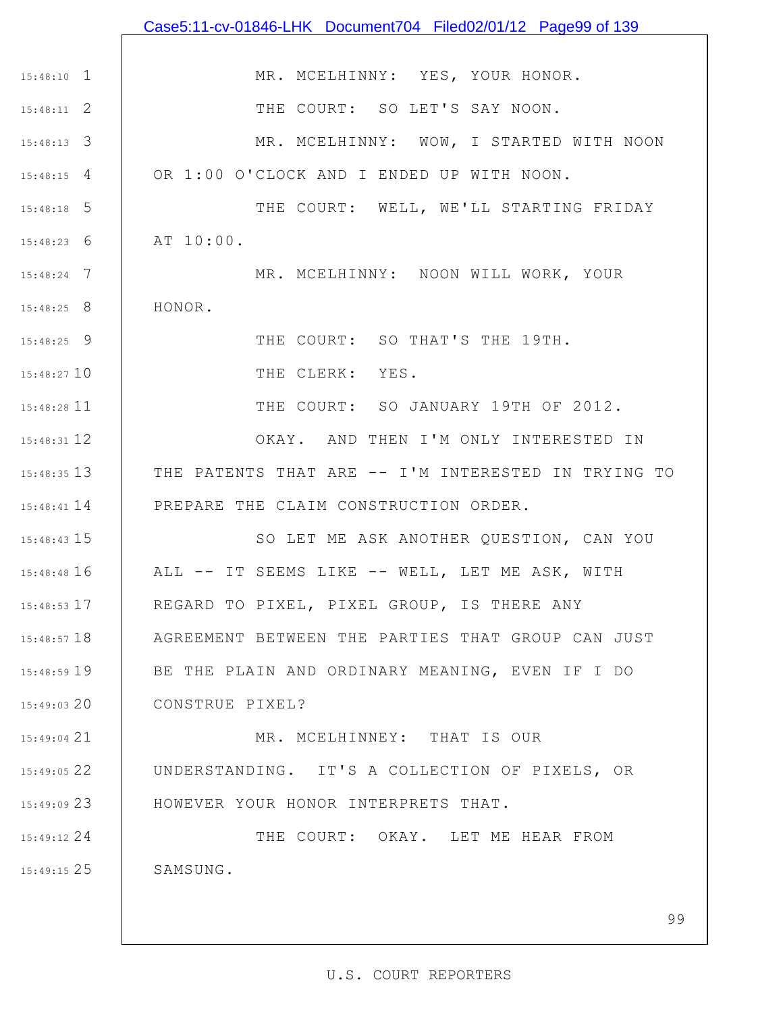|                 | Case5:11-cv-01846-LHK Document704 Filed02/01/12 Page99 of 139 |
|-----------------|---------------------------------------------------------------|
|                 |                                                               |
| $15:48:10$ 1    | MR. MCELHINNY: YES, YOUR HONOR.                               |
| $15:48:11$ 2    | THE COURT: SO LET'S SAY NOON.                                 |
| 15:48:13 3      | MR. MCELHINNY: WOW, I STARTED WITH NOON                       |
| $15:48:15$ 4    | OR 1:00 O'CLOCK AND I ENDED UP WITH NOON.                     |
| $15:48:18$ 5    | THE COURT: WELL, WE'LL STARTING FRIDAY                        |
| $15:48:23$ 6    | AT 10:00.                                                     |
| $15:48:24$ 7    | MR. MCELHINNY: NOON WILL WORK, YOUR                           |
| $15:48:25$ 8    | HONOR.                                                        |
| 15:48:25 9      | THE COURT: SO THAT'S THE 19TH.                                |
| 15:48:27 10     | THE CLERK: YES.                                               |
| 15:48:28 11     | THE COURT: SO JANUARY 19TH OF 2012.                           |
| 15:48:31 12     | OKAY. AND THEN I'M ONLY INTERESTED IN                         |
| 15:48:35 13     | THE PATENTS THAT ARE -- I'M INTERESTED IN TRYING TO           |
| $15:48:41$ $14$ | PREPARE THE CLAIM CONSTRUCTION ORDER.                         |
| 15:48:43 15     | SO LET ME ASK ANOTHER QUESTION, CAN YOU                       |
| 15:48:48 16     | ALL -- IT SEEMS LIKE -- WELL, LET ME ASK, WITH                |
| 15:48:53 17     | REGARD TO PIXEL, PIXEL GROUP, IS THERE ANY                    |
| $15:48:57$ 18   | AGREEMENT BETWEEN THE PARTIES THAT GROUP CAN JUST             |
| 15:48:59 19     | BE THE PLAIN AND ORDINARY MEANING, EVEN IF I DO               |
| 15:49:03 20     | CONSTRUE PIXEL?                                               |
| 15:49:04 21     | MR. MCELHINNEY: THAT IS OUR                                   |
| $15:49:05$ 22   | UNDERSTANDING. IT'S A COLLECTION OF PIXELS, OR                |
| 15:49:0923      | HOWEVER YOUR HONOR INTERPRETS THAT.                           |
| 15:49:12 24     | THE COURT: OKAY. LET ME HEAR FROM                             |
| $15:49:15$ 25   | SAMSUNG.                                                      |
|                 |                                                               |
|                 | 99                                                            |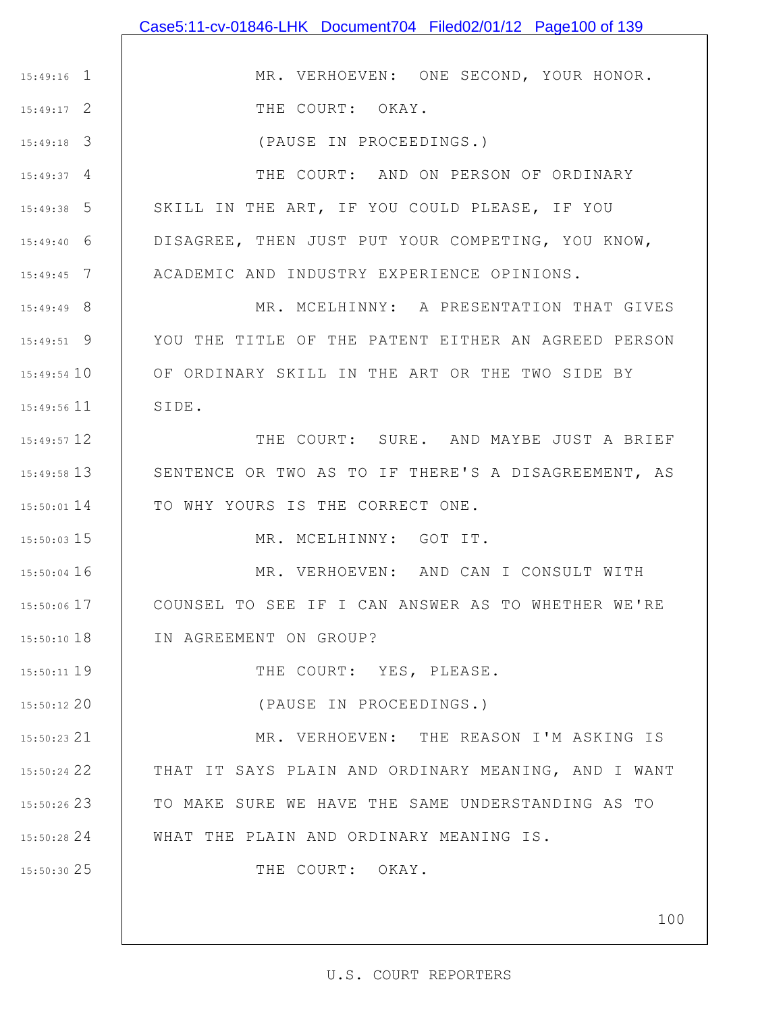|                 | Case5:11-cv-01846-LHK Document704 Filed02/01/12 Page100 of 139 |
|-----------------|----------------------------------------------------------------|
|                 |                                                                |
| $15:49:16$ 1    | MR. VERHOEVEN: ONE SECOND, YOUR HONOR.                         |
| $15:49:17$ 2    | THE COURT: OKAY.                                               |
| $15:49:18$ 3    | (PAUSE IN PROCEEDINGS.)                                        |
| $15:49:37$ 4    | THE COURT: AND ON PERSON OF ORDINARY                           |
| $15:49:38$ 5    | SKILL IN THE ART, IF YOU COULD PLEASE, IF YOU                  |
| $15:49:40$ 6    | DISAGREE, THEN JUST PUT YOUR COMPETING, YOU KNOW,              |
| $15:49:45$ 7    | ACADEMIC AND INDUSTRY EXPERIENCE OPINIONS.                     |
| $15:49:49$ 8    | MR. MCELHINNY: A PRESENTATION THAT GIVES                       |
| $15:49:51$ 9    | YOU THE TITLE OF THE PATENT EITHER AN AGREED PERSON            |
| $15:49:54$ 10   | OF ORDINARY SKILL IN THE ART OR THE TWO SIDE BY                |
| $15:49:56$ 11   | SIDE.                                                          |
| 15:49:57 12     | THE COURT: SURE. AND MAYBE JUST A BRIEF                        |
| $15:49:58$ 13   | SENTENCE OR TWO AS TO IF THERE'S A DISAGREEMENT, AS            |
| $15:50:01$ $14$ | TO WHY YOURS IS THE CORRECT ONE.                               |
| 15:50:03 15     | MR. MCELHINNY: GOT IT.                                         |
| 15:50:04 16     | MR. VERHOEVEN: AND CAN I CONSULT WITH                          |
| 15:50:06 17     | COUNSEL TO SEE IF I CAN ANSWER AS TO WHETHER WE'RE             |
| $15:50:10$ 18   | IN AGREEMENT ON GROUP?                                         |
| 15:50:11 19     | THE COURT: YES, PLEASE.                                        |
| 15:50:12 20     | (PAUSE IN PROCEEDINGS.)                                        |
| 15:50:23 21     | MR. VERHOEVEN: THE REASON I'M ASKING IS                        |
| 15:50:24 22     | THAT IT SAYS PLAIN AND ORDINARY MEANING, AND I WANT            |
| 15:50:26 23     | TO MAKE SURE WE HAVE THE SAME UNDERSTANDING AS TO              |
| 15:50:28 24     | WHAT THE PLAIN AND ORDINARY MEANING IS.                        |
| 15:50:30 25     | THE COURT: OKAY.                                               |
|                 |                                                                |
|                 | 100                                                            |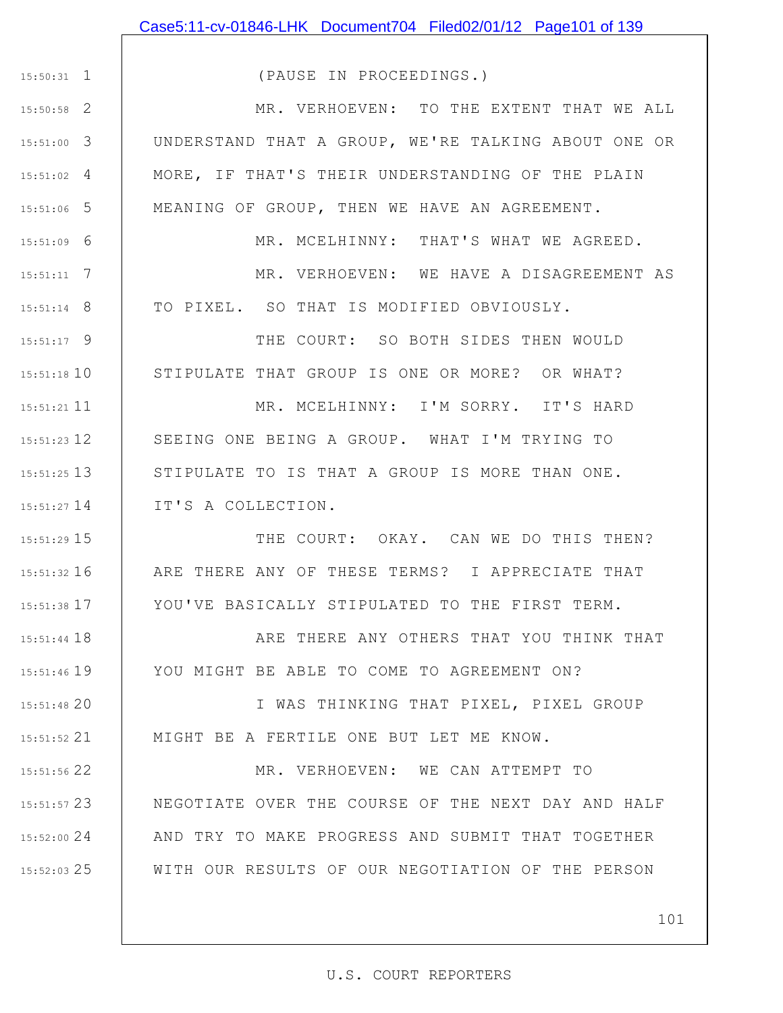### Case5:11-cv-01846-LHK Document704 Filed02/01/12 Page101 of 139

1 15:50:31 2 15:50:58

8 15:51:14

(PAUSE IN PROCEEDINGS.)

3 15:51:00 4 15:51:02 5 15:51:06 MR. VERHOEVEN: TO THE EXTENT THAT WE ALL UNDERSTAND THAT A GROUP, WE'RE TALKING ABOUT ONE OR MORE, IF THAT'S THEIR UNDERSTANDING OF THE PLAIN MEANING OF GROUP, THEN WE HAVE AN AGREEMENT.

6 15:51:09 7 15:51:11 MR. MCELHINNY: THAT'S WHAT WE AGREED. MR. VERHOEVEN: WE HAVE A DISAGREEMENT AS

TO PIXEL. SO THAT IS MODIFIED OBVIOUSLY.

9 15:51:17 15:51:18 10 THE COURT: SO BOTH SIDES THEN WOULD STIPULATE THAT GROUP IS ONE OR MORE? OR WHAT?

15:51:21 11 12 15:51:23 13 15:51:25 14 15:51:27 MR. MCELHINNY: I'M SORRY. IT'S HARD SEEING ONE BEING A GROUP. WHAT I'M TRYING TO STIPULATE TO IS THAT A GROUP IS MORE THAN ONE. IT'S A COLLECTION.

15 15:51:29 16 15:51:32 17 15:51:38 THE COURT: OKAY. CAN WE DO THIS THEN? ARE THERE ANY OF THESE TERMS? I APPRECIATE THAT YOU'VE BASICALLY STIPULATED TO THE FIRST TERM.

18 15:51:44 19 15:51:46 ARE THERE ANY OTHERS THAT YOU THINK THAT YOU MIGHT BE ABLE TO COME TO AGREEMENT ON?

20 15:51:48 21 15:51:52 I WAS THINKING THAT PIXEL, PIXEL GROUP MIGHT BE A FERTILE ONE BUT LET ME KNOW.

22 15:51:56 23 15:51:57 24 15:52:00 25 15:52:03 MR. VERHOEVEN: WE CAN ATTEMPT TO NEGOTIATE OVER THE COURSE OF THE NEXT DAY AND HALF AND TRY TO MAKE PROGRESS AND SUBMIT THAT TOGETHER WITH OUR RESULTS OF OUR NEGOTIATION OF THE PERSON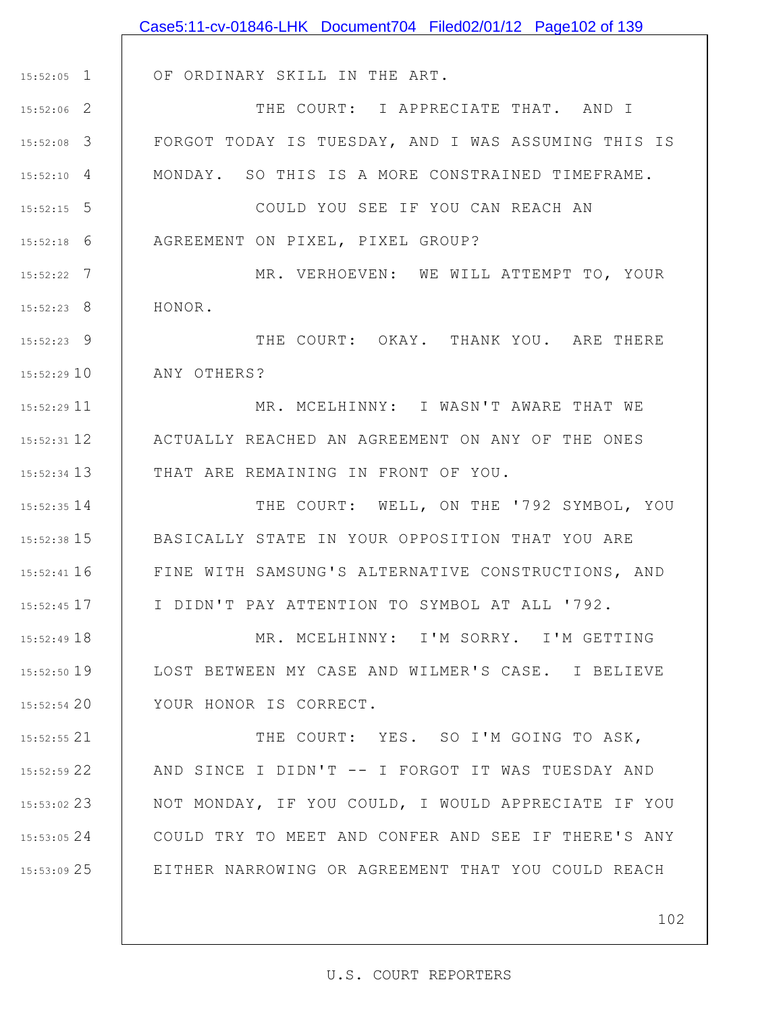|               | Case5:11-cv-01846-LHK Document704 Filed02/01/12 Page102 of 139 |
|---------------|----------------------------------------------------------------|
|               |                                                                |
| $15:52:05$ 1  | OF ORDINARY SKILL IN THE ART.                                  |
| $15:52:06$ 2  | THE COURT: I APPRECIATE THAT. AND I                            |
| $15:52:08$ 3  | FORGOT TODAY IS TUESDAY, AND I WAS ASSUMING THIS IS            |
| $15:52:10$ 4  | MONDAY. SO THIS IS A MORE CONSTRAINED TIMEFRAME.               |
| $15:52:15$ 5  | COULD YOU SEE IF YOU CAN REACH AN                              |
| $15:52:18$ 6  | AGREEMENT ON PIXEL, PIXEL GROUP?                               |
| $15:52:22$ 7  | MR. VERHOEVEN: WE WILL ATTEMPT TO, YOUR                        |
| $15:52:23$ 8  | HONOR.                                                         |
| 15:52:23 9    | THE COURT: OKAY. THANK YOU. ARE THERE                          |
| 15:52:29 10   | ANY OTHERS?                                                    |
| 15:52:29 11   | MR. MCELHINNY: I WASN'T AWARE THAT WE                          |
| 15:52:31 12   | ACTUALLY REACHED AN AGREEMENT ON ANY OF THE ONES               |
| $15:52:34$ 13 | THAT ARE REMAINING IN FRONT OF YOU.                            |
| 15:52:35 14   | THE COURT: WELL, ON THE '792 SYMBOL, YOU                       |
|               | 15:52:38 15   BASICALLY STATE IN YOUR OPPOSITION THAT YOU ARE  |
| $15:52:41$ 16 | FINE WITH SAMSUNG'S ALTERNATIVE CONSTRUCTIONS, AND             |
| $15:52:45$ 17 | I DIDN'T PAY ATTENTION TO SYMBOL AT ALL '792.                  |
| 15:52:49 18   | MR. MCELHINNY: I'M SORRY. I'M GETTING                          |
| $15:52:50$ 19 | LOST BETWEEN MY CASE AND WILMER'S CASE. I BELIEVE              |
| 15:52:54 20   | YOUR HONOR IS CORRECT.                                         |
| 15:52:55 21   | THE COURT: YES. SO I'M GOING TO ASK,                           |
| $15:52:59$ 22 | AND SINCE I DIDN'T -- I FORGOT IT WAS TUESDAY AND              |
| 15:53:02 23   | NOT MONDAY, IF YOU COULD, I WOULD APPRECIATE IF YOU            |
| 15:53:05 24   | COULD TRY TO MEET AND CONFER AND SEE IF THERE'S ANY            |
| 15:53:09 25   | EITHER NARROWING OR AGREEMENT THAT YOU COULD REACH             |
|               |                                                                |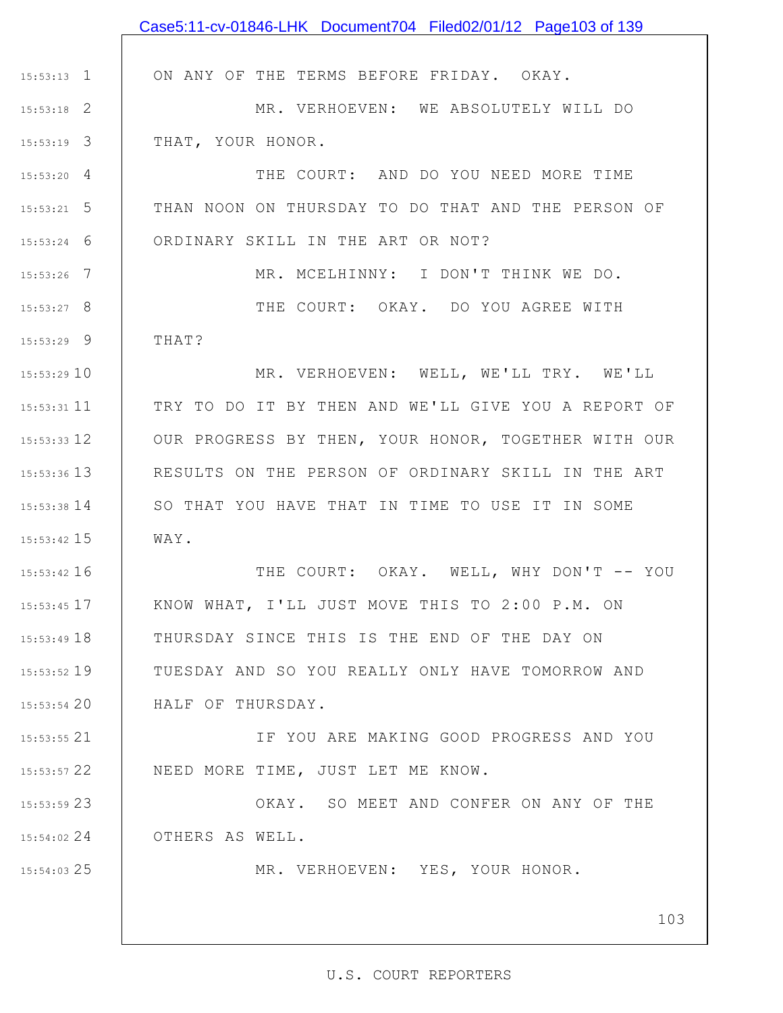|                 | Case5:11-cv-01846-LHK Document704 Filed02/01/12 Page103 of 139 |
|-----------------|----------------------------------------------------------------|
|                 |                                                                |
| $15:53:13$ 1    | ON ANY OF THE TERMS BEFORE FRIDAY. OKAY.                       |
| $15:53:18$ 2    | MR. VERHOEVEN: WE ABSOLUTELY WILL DO                           |
| $15:53:19$ 3    | THAT, YOUR HONOR.                                              |
| $15:53:20$ 4    | THE COURT: AND DO YOU NEED MORE TIME                           |
| $15:53:21$ 5    | THAN NOON ON THURSDAY TO DO THAT AND THE PERSON OF             |
| $15:53:24$ 6    | ORDINARY SKILL IN THE ART OR NOT?                              |
| $15:53:26$ 7    | MR. MCELHINNY: I DON'T THINK WE DO.                            |
| 15:53:27 8      | THE COURT: OKAY. DO YOU AGREE WITH                             |
| $15:53:29$ 9    | THAT?                                                          |
| 15:53:29 10     | MR. VERHOEVEN: WELL, WE'LL TRY. WE'LL                          |
| $15:53:31$ 11   | TRY TO DO IT BY THEN AND WE'LL GIVE YOU A REPORT OF            |
| $15:53:33$ $12$ | OUR PROGRESS BY THEN, YOUR HONOR, TOGETHER WITH OUR            |
| $15:53:36$ 13   | RESULTS ON THE PERSON OF ORDINARY SKILL IN THE ART             |
| $15:53:38$ 14   | SO THAT YOU HAVE THAT IN TIME TO USE IT IN SOME                |
| $15:53:42$ 15   | WAY.                                                           |
| $15:53:42$ 16   | THE COURT: OKAY. WELL, WHY DON'T -- YOU                        |
| 15:53:45 17     | KNOW WHAT, I'LL JUST MOVE THIS TO 2:00 P.M. ON                 |
| 15:53:49 18     | THURSDAY SINCE THIS IS THE END OF THE DAY ON                   |
| 15:53:52 19     | TUESDAY AND SO YOU REALLY ONLY HAVE TOMORROW AND               |
| 15:53:54 20     | HALF OF THURSDAY.                                              |
| $15:53:55$ 21   | IF YOU ARE MAKING GOOD PROGRESS AND YOU                        |
| 15:53:57 22     | NEED MORE TIME, JUST LET ME KNOW.                              |
| 15:53:59 23     | OKAY. SO MEET AND CONFER ON ANY OF THE                         |
| 15:54:02 24     | OTHERS AS WELL.                                                |
| 15:54:03 25     | MR. VERHOEVEN: YES, YOUR HONOR.                                |
|                 | 103                                                            |
|                 |                                                                |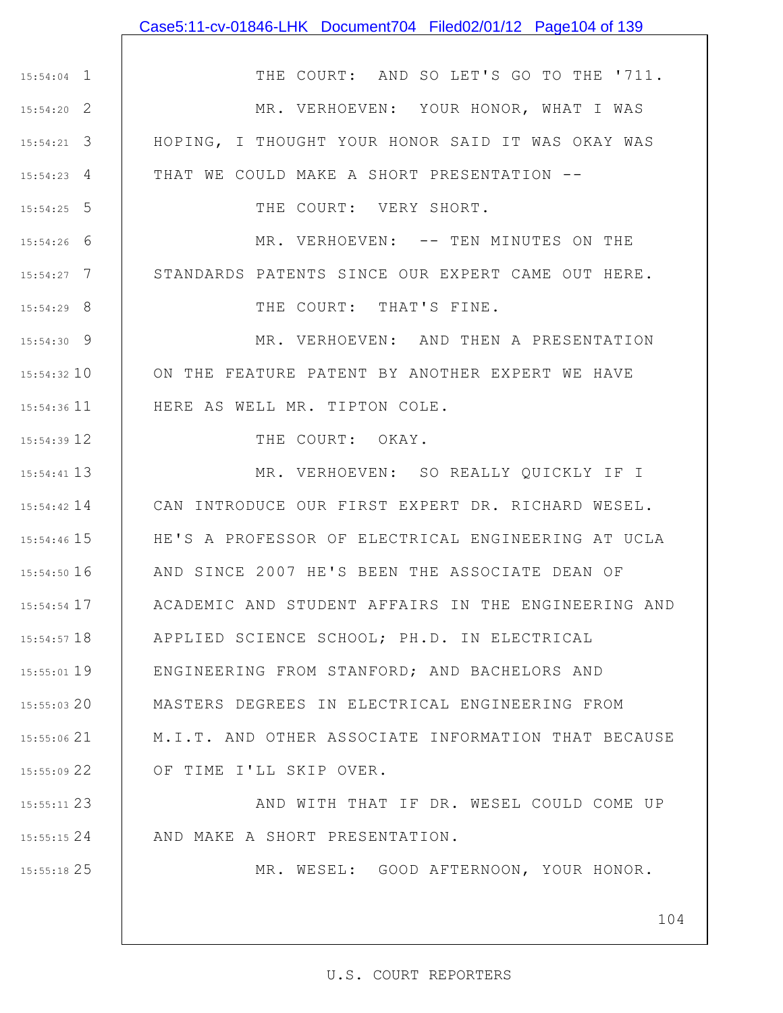# Case5:11-cv-01846-LHK Document704 Filed02/01/12 Page104 of 139

1 15:54:04 2 15:54:20 3 15:54:21 4 15:54:23 5 15:54:25 6 15:54:26 7 15:54:27 8 15:54:29 9 15:54:30 15:54:32 10 11 15:54:36 12 15:54:39 13 15:54:41 15:54:42 14 15 15:54:46 16 15:54:50 17 15:54:54 18 15:54:57 19 15:55:01 20 15:55:03 21 15:55:06 22 15:55:09 23 15:55:11 24 15:55:15 25 15:55:18 THE COURT: AND SO LET'S GO TO THE '711. MR. VERHOEVEN: YOUR HONOR, WHAT I WAS HOPING, I THOUGHT YOUR HONOR SAID IT WAS OKAY WAS THAT WE COULD MAKE A SHORT PRESENTATION -- THE COURT: VERY SHORT. MR. VERHOEVEN: -- TEN MINUTES ON THE STANDARDS PATENTS SINCE OUR EXPERT CAME OUT HERE. THE COURT: THAT'S FINE. MR. VERHOEVEN: AND THEN A PRESENTATION ON THE FEATURE PATENT BY ANOTHER EXPERT WE HAVE HERE AS WELL MR. TIPTON COLE. THE COURT: OKAY. MR. VERHOEVEN: SO REALLY QUICKLY IF I CAN INTRODUCE OUR FIRST EXPERT DR. RICHARD WESEL. HE'S A PROFESSOR OF ELECTRICAL ENGINEERING AT UCLA AND SINCE 2007 HE'S BEEN THE ASSOCIATE DEAN OF ACADEMIC AND STUDENT AFFAIRS IN THE ENGINEERING AND APPLIED SCIENCE SCHOOL; PH.D. IN ELECTRICAL ENGINEERING FROM STANFORD; AND BACHELORS AND MASTERS DEGREES IN ELECTRICAL ENGINEERING FROM M.I.T. AND OTHER ASSOCIATE INFORMATION THAT BECAUSE OF TIME I'LL SKIP OVER. AND WITH THAT IF DR. WESEL COULD COME UP AND MAKE A SHORT PRESENTATION. MR. WESEL: GOOD AFTERNOON, YOUR HONOR.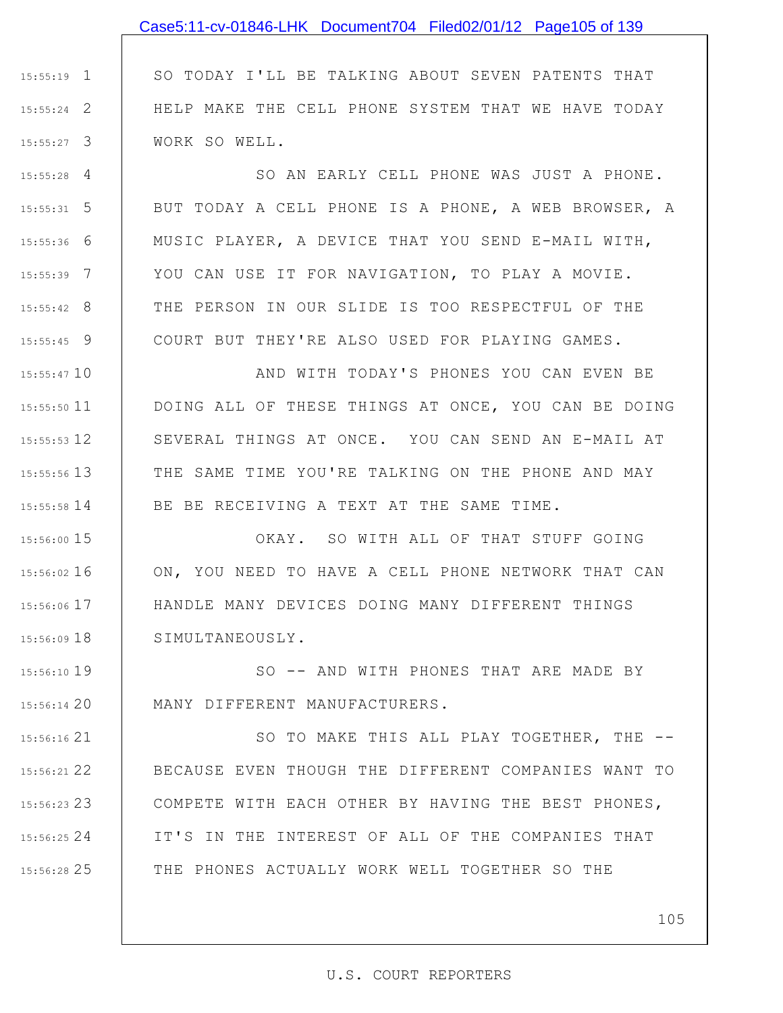## Case5:11-cv-01846-LHK Document704 Filed02/01/12 Page105 of 139

1 15:55:19 2 15:55:24 3 15:55:27 SO TODAY I'LL BE TALKING ABOUT SEVEN PATENTS THAT HELP MAKE THE CELL PHONE SYSTEM THAT WE HAVE TODAY WORK SO WELL.

4 15:55:28 5 15:55:31 6 15:55:36 7 15:55:39 8 15:55:42 9 15:55:45 SO AN EARLY CELL PHONE WAS JUST A PHONE. BUT TODAY A CELL PHONE IS A PHONE, A WEB BROWSER, A MUSIC PLAYER, A DEVICE THAT YOU SEND E-MAIL WITH, YOU CAN USE IT FOR NAVIGATION, TO PLAY A MOVIE. THE PERSON IN OUR SLIDE IS TOO RESPECTFUL OF THE COURT BUT THEY'RE ALSO USED FOR PLAYING GAMES.

15:55:47 10 11 15:55:50 12 15:55:53 13 15:55:56 14 15:55:58 AND WITH TODAY'S PHONES YOU CAN EVEN BE DOING ALL OF THESE THINGS AT ONCE, YOU CAN BE DOING SEVERAL THINGS AT ONCE. YOU CAN SEND AN E-MAIL AT THE SAME TIME YOU'RE TALKING ON THE PHONE AND MAY BE BE RECEIVING A TEXT AT THE SAME TIME.

15 15:56:00 16 15:56:02 17 15:56:06 18 15:56:09 OKAY. SO WITH ALL OF THAT STUFF GOING ON, YOU NEED TO HAVE A CELL PHONE NETWORK THAT CAN HANDLE MANY DEVICES DOING MANY DIFFERENT THINGS SIMULTANEOUSLY.

19 15:56:10 20 15:56:14 SO -- AND WITH PHONES THAT ARE MADE BY MANY DIFFERENT MANUFACTURERS.

21 15:56:16 22 15:56:21 23 15:56:23 24 15:56:25 25 15:56:28 SO TO MAKE THIS ALL PLAY TOGETHER, THE -- BECAUSE EVEN THOUGH THE DIFFERENT COMPANIES WANT TO COMPETE WITH EACH OTHER BY HAVING THE BEST PHONES, IT'S IN THE INTEREST OF ALL OF THE COMPANIES THAT THE PHONES ACTUALLY WORK WELL TOGETHER SO THE

105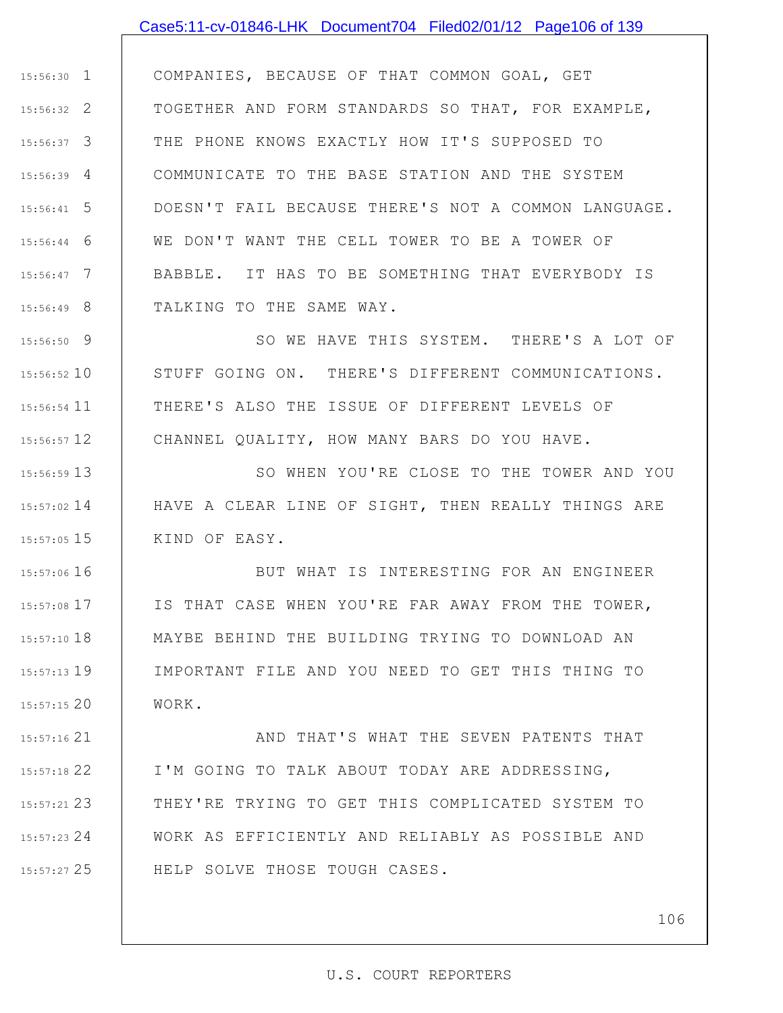#### Case5:11-cv-01846-LHK Document704 Filed02/01/12 Page106 of 139

1 15:56:30 2 15:56:32 3 15:56:37 4 15:56:39 5 15:56:41 6 15:56:44 7 15:56:47 8 15:56:49 COMPANIES, BECAUSE OF THAT COMMON GOAL, GET TOGETHER AND FORM STANDARDS SO THAT, FOR EXAMPLE, THE PHONE KNOWS EXACTLY HOW IT'S SUPPOSED TO COMMUNICATE TO THE BASE STATION AND THE SYSTEM DOESN'T FAIL BECAUSE THERE'S NOT A COMMON LANGUAGE. WE DON'T WANT THE CELL TOWER TO BE A TOWER OF BABBLE. IT HAS TO BE SOMETHING THAT EVERYBODY IS TALKING TO THE SAME WAY.

9 15:56:50 10 15:56:52 11 15:56:54 12 15:56:57 SO WE HAVE THIS SYSTEM. THERE'S A LOT OF STUFF GOING ON. THERE'S DIFFERENT COMMUNICATIONS. THERE'S ALSO THE ISSUE OF DIFFERENT LEVELS OF CHANNEL QUALITY, HOW MANY BARS DO YOU HAVE.

13 15:56:59 14 15:57:02 15 15:57:05 SO WHEN YOU'RE CLOSE TO THE TOWER AND YOU HAVE A CLEAR LINE OF SIGHT, THEN REALLY THINGS ARE KIND OF EASY.

16 15:57:06 17 15:57:08 18 15:57:10 19 15:57:13 20 15:57:15 BUT WHAT IS INTERESTING FOR AN ENGINEER IS THAT CASE WHEN YOU'RE FAR AWAY FROM THE TOWER, MAYBE BEHIND THE BUILDING TRYING TO DOWNLOAD AN IMPORTANT FILE AND YOU NEED TO GET THIS THING TO WORK.

21 15:57:16 22 15:57:18 23 15:57:21 24 15:57:23 25 15:57:27 AND THAT'S WHAT THE SEVEN PATENTS THAT I'M GOING TO TALK ABOUT TODAY ARE ADDRESSING, THEY'RE TRYING TO GET THIS COMPLICATED SYSTEM TO WORK AS EFFICIENTLY AND RELIABLY AS POSSIBLE AND HELP SOLVE THOSE TOUGH CASES.

106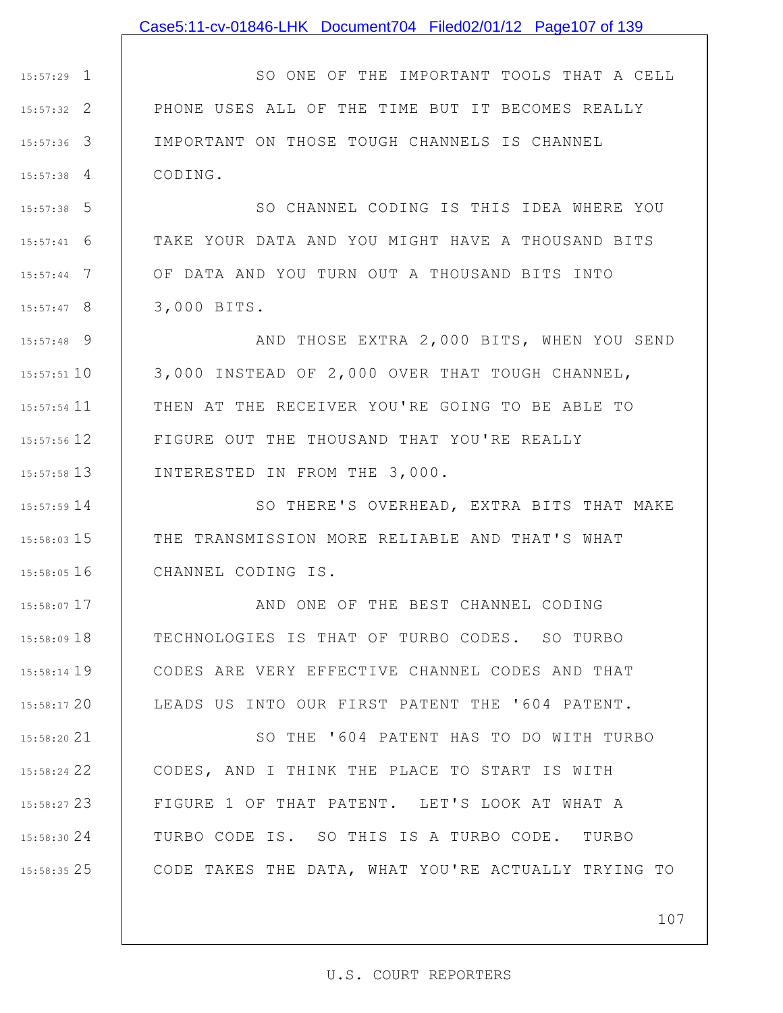### Case5:11-cv-01846-LHK Document704 Filed02/01/12 Page107 of 139

1 15:57:29 2 15:57:32 3 15:57:36 4 15:57:38 SO ONE OF THE IMPORTANT TOOLS THAT A CELL PHONE USES ALL OF THE TIME BUT IT BECOMES REALLY IMPORTANT ON THOSE TOUGH CHANNELS IS CHANNEL CODING.

5 15:57:38 6 15:57:41 7 15:57:44 8 15:57:47 SO CHANNEL CODING IS THIS IDEA WHERE YOU TAKE YOUR DATA AND YOU MIGHT HAVE A THOUSAND BITS OF DATA AND YOU TURN OUT A THOUSAND BITS INTO 3,000 BITS.

9 15:57:48 10 15:57:51 11 15:57:54 12 15:57:56 13 15:57:58 AND THOSE EXTRA 2,000 BITS, WHEN YOU SEND 3,000 INSTEAD OF 2,000 OVER THAT TOUGH CHANNEL, THEN AT THE RECEIVER YOU'RE GOING TO BE ABLE TO FIGURE OUT THE THOUSAND THAT YOU'RE REALLY INTERESTED IN FROM THE 3,000.

14 15:57:59 15 15:58:03 16 15:58:05 SO THERE'S OVERHEAD, EXTRA BITS THAT MAKE THE TRANSMISSION MORE RELIABLE AND THAT'S WHAT CHANNEL CODING IS.

17 15:58:07 18 15:58:09 19 15:58:14 20 15:58:17 AND ONE OF THE BEST CHANNEL CODING TECHNOLOGIES IS THAT OF TURBO CODES. SO TURBO CODES ARE VERY EFFECTIVE CHANNEL CODES AND THAT LEADS US INTO OUR FIRST PATENT THE '604 PATENT.

21 15:58:20 22 15:58:24 23 15:58:27 24 15:58:30 25 15:58:35 SO THE '604 PATENT HAS TO DO WITH TURBO CODES, AND I THINK THE PLACE TO START IS WITH FIGURE 1 OF THAT PATENT. LET'S LOOK AT WHAT A TURBO CODE IS. SO THIS IS A TURBO CODE. TURBO CODE TAKES THE DATA, WHAT YOU'RE ACTUALLY TRYING TO

107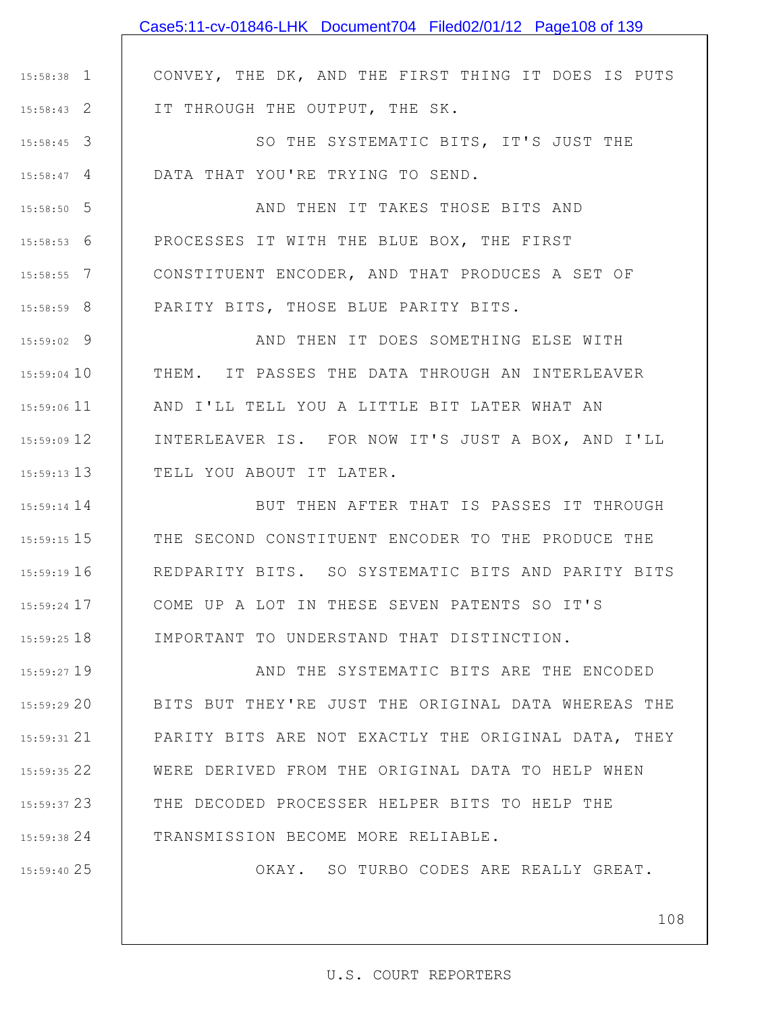# Case5:11-cv-01846-LHK Document704 Filed02/01/12 Page108 of 139

CONVEY, THE DK, AND THE FIRST THING IT DOES IS PUTS IT THROUGH THE OUTPUT, THE SK.

3 15:58:45 4 15:58:47 SO THE SYSTEMATIC BITS, IT'S JUST THE DATA THAT YOU'RE TRYING TO SEND.

5 15:58:50 6 15:58:53 7 15:58:55 8 15:58:59 AND THEN IT TAKES THOSE BITS AND PROCESSES IT WITH THE BLUE BOX, THE FIRST CONSTITUENT ENCODER, AND THAT PRODUCES A SET OF PARITY BITS, THOSE BLUE PARITY BITS.

9 15:59:02 15:59:04 10 11 15:59:06 12 15:59:09 13 15:59:13 AND THEN IT DOES SOMETHING ELSE WITH THEM. IT PASSES THE DATA THROUGH AN INTERLEAVER AND I'LL TELL YOU A LITTLE BIT LATER WHAT AN INTERLEAVER IS. FOR NOW IT'S JUST A BOX, AND I'LL TELL YOU ABOUT IT LATER.

15:59:14 14 15 15:59:15 16 15:59:19 17 15:59:24 18 15:59:25 BUT THEN AFTER THAT IS PASSES IT THROUGH THE SECOND CONSTITUENT ENCODER TO THE PRODUCE THE REDPARITY BITS. SO SYSTEMATIC BITS AND PARITY BITS COME UP A LOT IN THESE SEVEN PATENTS SO IT'S IMPORTANT TO UNDERSTAND THAT DISTINCTION.

19 15:59:27 20 15:59:29 21 15:59:31 22 15:59:35 23 15:59:37 24 15:59:38 AND THE SYSTEMATIC BITS ARE THE ENCODED BITS BUT THEY'RE JUST THE ORIGINAL DATA WHEREAS THE PARITY BITS ARE NOT EXACTLY THE ORIGINAL DATA, THEY WERE DERIVED FROM THE ORIGINAL DATA TO HELP WHEN THE DECODED PROCESSER HELPER BITS TO HELP THE TRANSMISSION BECOME MORE RELIABLE.

25 15:59:40

1 15:58:38

2 15:58:43

OKAY. SO TURBO CODES ARE REALLY GREAT.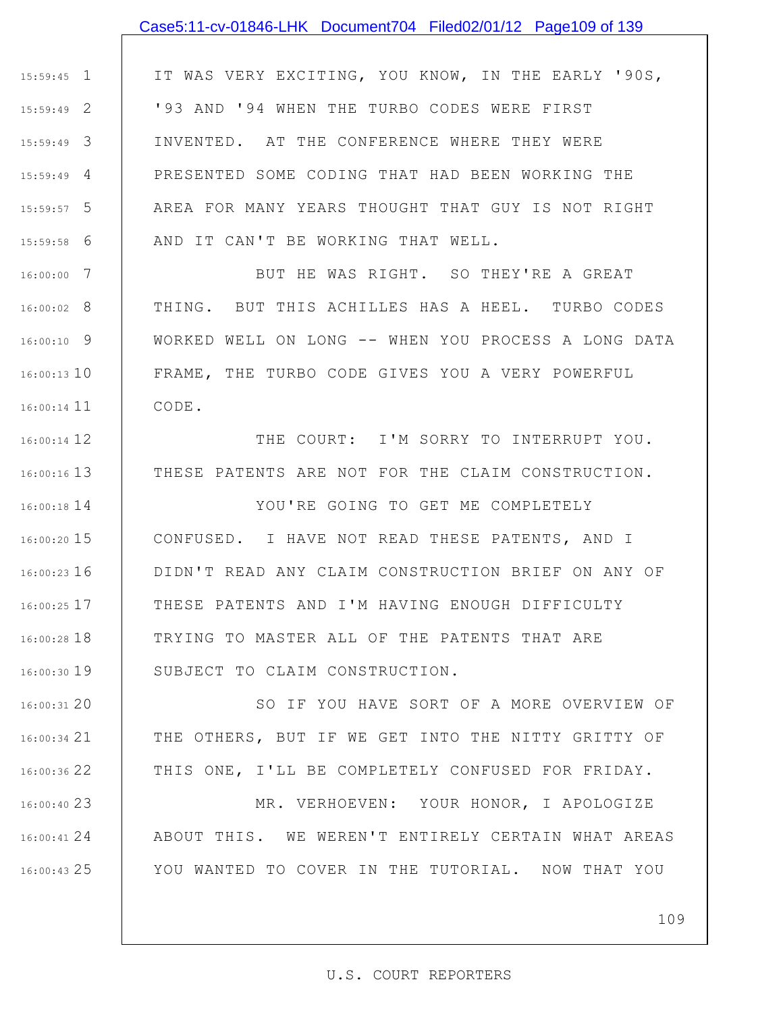### Case5:11-cv-01846-LHK Document704 Filed02/01/12 Page109 of 139

1 15:59:45 2 15:59:49 3 15:59:49 4 15:59:49 5 15:59:57 6 15:59:58 IT WAS VERY EXCITING, YOU KNOW, IN THE EARLY '90S, '93 AND '94 WHEN THE TURBO CODES WERE FIRST INVENTED. AT THE CONFERENCE WHERE THEY WERE PRESENTED SOME CODING THAT HAD BEEN WORKING THE AREA FOR MANY YEARS THOUGHT THAT GUY IS NOT RIGHT AND IT CAN'T BE WORKING THAT WELL.

7 16:00:00 8 16:00:02 9 16:00:10 16:00:13 10 16:00:14 11 BUT HE WAS RIGHT. SO THEY'RE A GREAT THING. BUT THIS ACHILLES HAS A HEEL. TURBO CODES WORKED WELL ON LONG -- WHEN YOU PROCESS A LONG DATA FRAME, THE TURBO CODE GIVES YOU A VERY POWERFUL CODE.

12 16:00:14 13 16:00:16 THE COURT: I'M SORRY TO INTERRUPT YOU. THESE PATENTS ARE NOT FOR THE CLAIM CONSTRUCTION.

14 16:00:18 15 16:00:20 16 16:00:23 17 16:00:25 18 16:00:28 19 16:00:30 YOU'RE GOING TO GET ME COMPLETELY CONFUSED. I HAVE NOT READ THESE PATENTS, AND I DIDN'T READ ANY CLAIM CONSTRUCTION BRIEF ON ANY OF THESE PATENTS AND I'M HAVING ENOUGH DIFFICULTY TRYING TO MASTER ALL OF THE PATENTS THAT ARE SUBJECT TO CLAIM CONSTRUCTION.

20 16:00:31 21 16:00:34 22 16:00:36 SO IF YOU HAVE SORT OF A MORE OVERVIEW OF THE OTHERS, BUT IF WE GET INTO THE NITTY GRITTY OF THIS ONE, I'LL BE COMPLETELY CONFUSED FOR FRIDAY.

23 16:00:40 24 16:00:41 25 16:00:43 MR. VERHOEVEN: YOUR HONOR, I APOLOGIZE ABOUT THIS. WE WEREN'T ENTIRELY CERTAIN WHAT AREAS YOU WANTED TO COVER IN THE TUTORIAL. NOW THAT YOU

109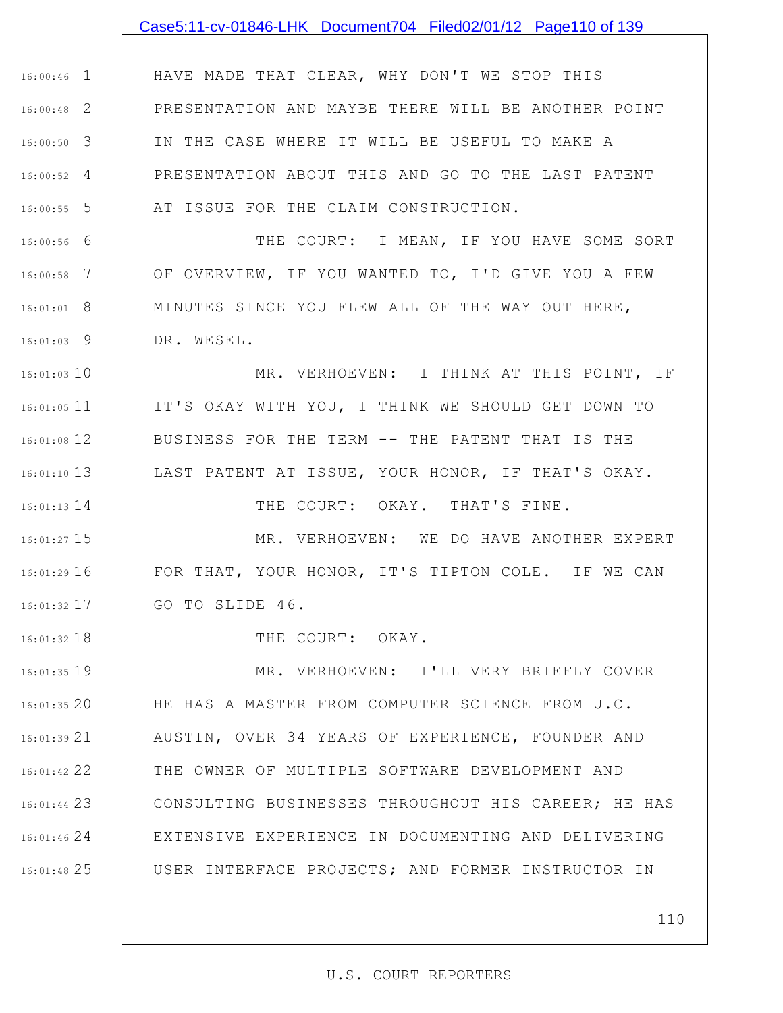## Case5:11-cv-01846-LHK Document704 Filed02/01/12 Page110 of 139

1 16:00:46 2 16:00:48 3 16:00:50 4 16:00:52 5 16:00:55 HAVE MADE THAT CLEAR, WHY DON'T WE STOP THIS PRESENTATION AND MAYBE THERE WILL BE ANOTHER POINT IN THE CASE WHERE IT WILL BE USEFUL TO MAKE A PRESENTATION ABOUT THIS AND GO TO THE LAST PATENT AT ISSUE FOR THE CLAIM CONSTRUCTION.

6 16:00:56 7 16:00:58 8 16:01:01 9 16:01:03 THE COURT: I MEAN, IF YOU HAVE SOME SORT OF OVERVIEW, IF YOU WANTED TO, I'D GIVE YOU A FEW MINUTES SINCE YOU FLEW ALL OF THE WAY OUT HERE, DR. WESEL.

16:01:03 10 16:01:05 11 12 16:01:08 13 16:01:10 MR. VERHOEVEN: I THINK AT THIS POINT, IF IT'S OKAY WITH YOU, I THINK WE SHOULD GET DOWN TO BUSINESS FOR THE TERM -- THE PATENT THAT IS THE LAST PATENT AT ISSUE, YOUR HONOR, IF THAT'S OKAY.

THE COURT: OKAY. THAT'S FINE.

15 16:01:27 16 16:01:29 17 16:01:32 MR. VERHOEVEN: WE DO HAVE ANOTHER EXPERT FOR THAT, YOUR HONOR, IT'S TIPTON COLE. IF WE CAN GO TO SLIDE 46.

THE COURT: OKAY.

14 16:01:13

18 16:01:32

19 16:01:35 20 16:01:35 21 16:01:39 22 16:01:42 23 16:01:44 24 16:01:46 25 16:01:48 MR. VERHOEVEN: I'LL VERY BRIEFLY COVER HE HAS A MASTER FROM COMPUTER SCIENCE FROM U.C. AUSTIN, OVER 34 YEARS OF EXPERIENCE, FOUNDER AND THE OWNER OF MULTIPLE SOFTWARE DEVELOPMENT AND CONSULTING BUSINESSES THROUGHOUT HIS CAREER; HE HAS EXTENSIVE EXPERIENCE IN DOCUMENTING AND DELIVERING USER INTERFACE PROJECTS; AND FORMER INSTRUCTOR IN

110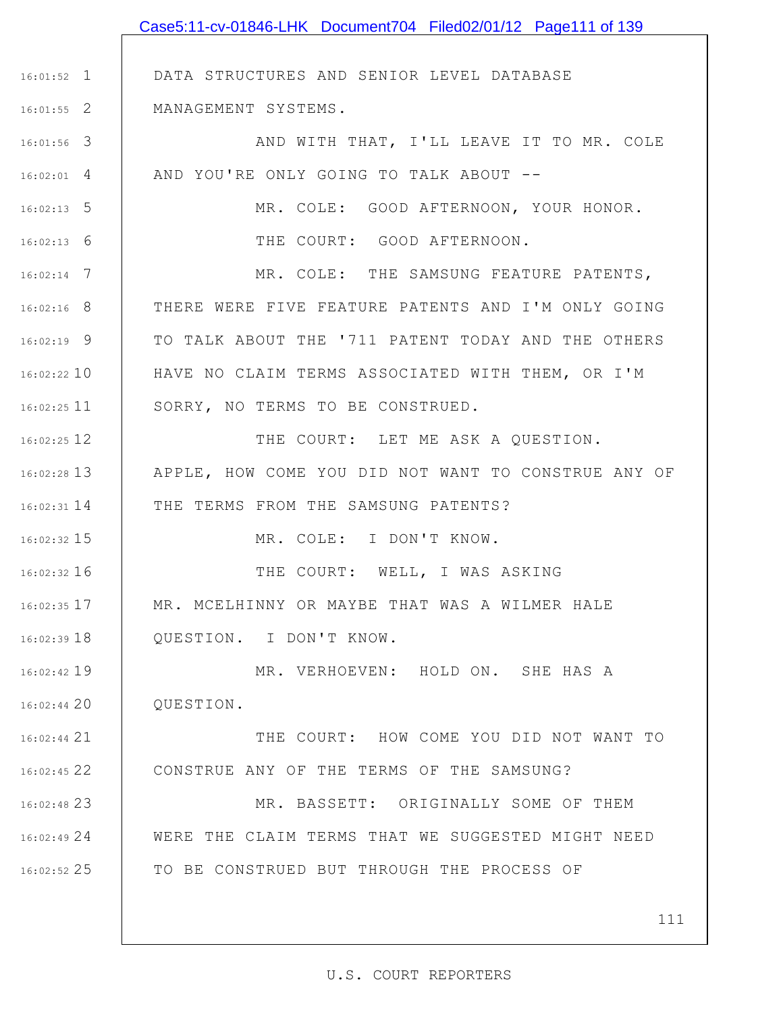|               | Case5:11-cv-01846-LHK Document704 Filed02/01/12 Page111 of 139 |
|---------------|----------------------------------------------------------------|
|               |                                                                |
| $16:01:52$ 1  | DATA STRUCTURES AND SENIOR LEVEL DATABASE                      |
| $16:01:55$ 2  | MANAGEMENT SYSTEMS.                                            |
| $16:01:56$ 3  | AND WITH THAT, I'LL LEAVE IT TO MR. COLE                       |
| $16:02:01$ 4  | AND YOU'RE ONLY GOING TO TALK ABOUT --                         |
| $16:02:13$ 5  | MR. COLE: GOOD AFTERNOON, YOUR HONOR.                          |
| $16:02:13$ 6  | THE COURT: GOOD AFTERNOON.                                     |
| $16:02:14$ 7  | MR. COLE: THE SAMSUNG FEATURE PATENTS,                         |
| $16:02:16$ 8  | THERE WERE FIVE FEATURE PATENTS AND I'M ONLY GOING             |
| $16:02:19$ 9  | TO TALK ABOUT THE '711 PATENT TODAY AND THE OTHERS             |
| $16:02:22$ 10 | HAVE NO CLAIM TERMS ASSOCIATED WITH THEM, OR I'M               |
| $16:02:25$ 11 | SORRY, NO TERMS TO BE CONSTRUED.                               |
| 16:02:25 12   | THE COURT: LET ME ASK A QUESTION.                              |
| $16:02:28$ 13 | APPLE, HOW COME YOU DID NOT WANT TO CONSTRUE ANY OF            |
| $16:02:31$ 14 | THE TERMS FROM THE SAMSUNG PATENTS?                            |
| $16:02:32$ 15 | MR. COLE: I DON'T KNOW.                                        |
| $16:02:32$ 16 | THE COURT: WELL, I WAS ASKING                                  |
| $16:02:35$ 17 | MR. MCELHINNY OR MAYBE THAT WAS A WILMER HALE                  |
| $16:02:39$ 18 | QUESTION. I DON'T KNOW.                                        |
| $16:02:42$ 19 | MR. VERHOEVEN: HOLD ON. SHE HAS A                              |
| $16:02:44$ 20 | OUESTION.                                                      |
| 16:02:44 21   | THE COURT: HOW COME YOU DID NOT WANT TO                        |
| $16:02:45$ 22 | CONSTRUE ANY OF THE TERMS OF THE SAMSUNG?                      |
| 16:02:48 23   | MR. BASSETT: ORIGINALLY SOME OF THEM                           |
| 16:02:49 24   | WERE THE CLAIM TERMS THAT WE SUGGESTED MIGHT NEED              |
| 16:02:52 25   | TO BE CONSTRUED BUT THROUGH THE PROCESS OF                     |
|               |                                                                |
|               | 111                                                            |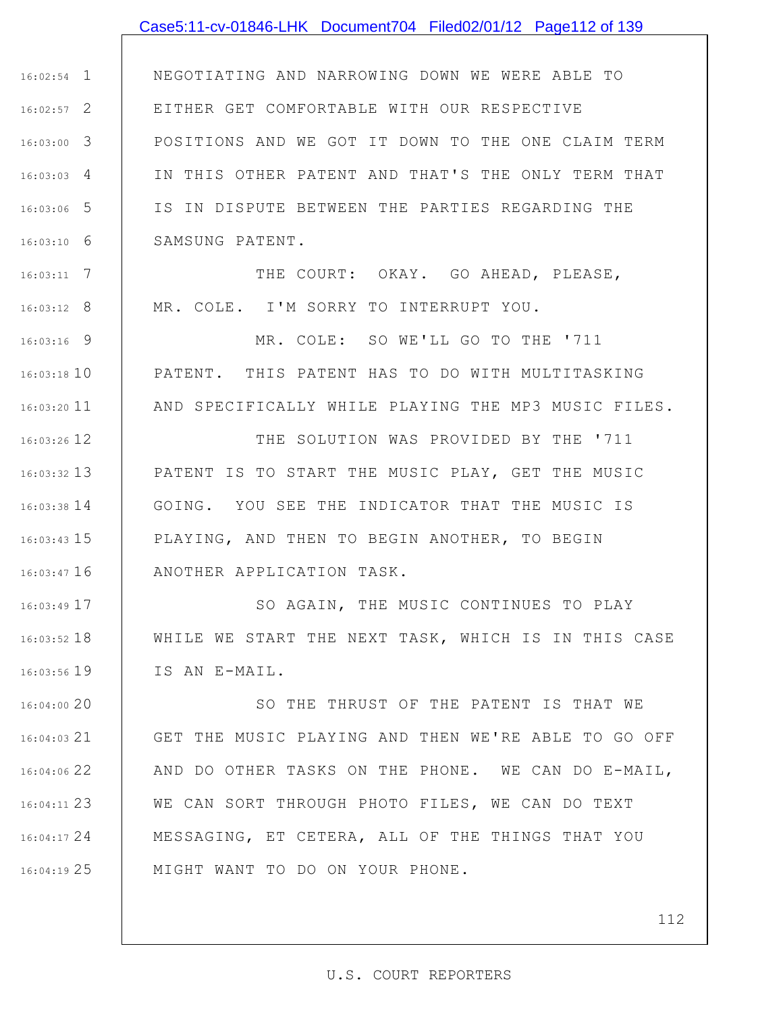### Case5:11-cv-01846-LHK Document704 Filed02/01/12 Page112 of 139

1 16:02:54 2 16:02:57 3 16:03:00 4 16:03:03 5 16:03:06 6 16:03:10 NEGOTIATING AND NARROWING DOWN WE WERE ABLE TO EITHER GET COMFORTABLE WITH OUR RESPECTIVE POSITIONS AND WE GOT IT DOWN TO THE ONE CLAIM TERM IN THIS OTHER PATENT AND THAT'S THE ONLY TERM THAT IS IN DISPUTE BETWEEN THE PARTIES REGARDING THE SAMSUNG PATENT.

7 16:03:11 8 16:03:12 THE COURT: OKAY. GO AHEAD, PLEASE, MR. COLE. I'M SORRY TO INTERRUPT YOU.

9 16:03:16

10 16:03:18

16:03:20 11

MR. COLE: SO WE'LL GO TO THE '711 PATENT. THIS PATENT HAS TO DO WITH MULTITASKING AND SPECIFICALLY WHILE PLAYING THE MP3 MUSIC FILES.

16:03:26 12 13 16:03:32 14 16:03:38 15 16:03:43 16 16:03:47 THE SOLUTION WAS PROVIDED BY THE '711 PATENT IS TO START THE MUSIC PLAY, GET THE MUSIC GOING. YOU SEE THE INDICATOR THAT THE MUSIC IS PLAYING, AND THEN TO BEGIN ANOTHER, TO BEGIN ANOTHER APPLICATION TASK.

17 16:03:49 18 16:03:52 19 16:03:56 SO AGAIN, THE MUSIC CONTINUES TO PLAY WHILE WE START THE NEXT TASK, WHICH IS IN THIS CASE IS AN E-MAIL.

20 16:04:00 21 16:04:03 22 16:04:06 23 16:04:11 24 16:04:17 25 16:04:19 SO THE THRUST OF THE PATENT IS THAT WE GET THE MUSIC PLAYING AND THEN WE'RE ABLE TO GO OFF AND DO OTHER TASKS ON THE PHONE. WE CAN DO E-MAIL, WE CAN SORT THROUGH PHOTO FILES, WE CAN DO TEXT MESSAGING, ET CETERA, ALL OF THE THINGS THAT YOU MIGHT WANT TO DO ON YOUR PHONE.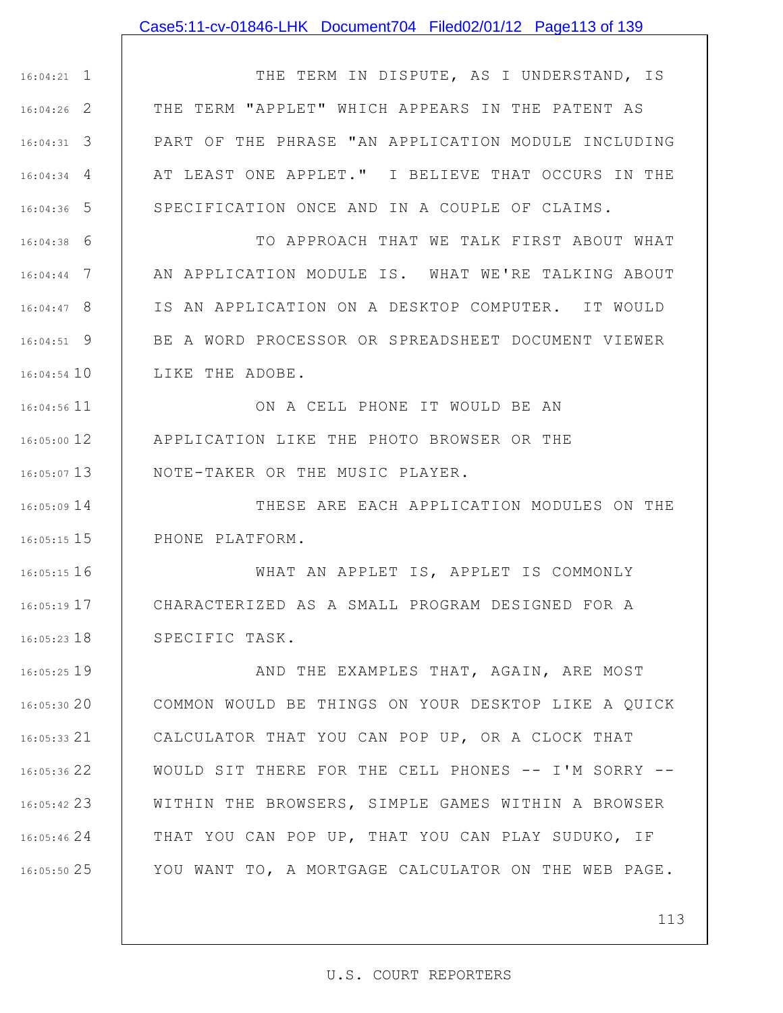### Case5:11-cv-01846-LHK Document704 Filed02/01/12 Page113 of 139

1 16:04:21 2 16:04:26 3 16:04:31 4 16:04:34 5 16:04:36 THE TERM IN DISPUTE, AS I UNDERSTAND, IS THE TERM "APPLET" WHICH APPEARS IN THE PATENT AS PART OF THE PHRASE "AN APPLICATION MODULE INCLUDING AT LEAST ONE APPLET." I BELIEVE THAT OCCURS IN THE SPECIFICATION ONCE AND IN A COUPLE OF CLAIMS.

6 16:04:38 7 16:04:44 8 16:04:47 9 16:04:51 10 16:04:54 TO APPROACH THAT WE TALK FIRST ABOUT WHAT AN APPLICATION MODULE IS. WHAT WE'RE TALKING ABOUT IS AN APPLICATION ON A DESKTOP COMPUTER. IT WOULD BE A WORD PROCESSOR OR SPREADSHEET DOCUMENT VIEWER LIKE THE ADOBE.

16:04:56 11 12 16:05:00 13 16:05:07 ON A CELL PHONE IT WOULD BE AN APPLICATION LIKE THE PHOTO BROWSER OR THE NOTE-TAKER OR THE MUSIC PLAYER.

14 16:05:09 15 16:05:15 THESE ARE EACH APPLICATION MODULES ON THE PHONE PLATFORM.

16 16:05:15 17 16:05:19 18 16:05:23 WHAT AN APPLET IS, APPLET IS COMMONLY CHARACTERIZED AS A SMALL PROGRAM DESIGNED FOR A SPECIFIC TASK.

19 16:05:25 20 16:05:30 21 16:05:33 22 16:05:36 23 16:05:42 24 16:05:46 25 16:05:50 AND THE EXAMPLES THAT, AGAIN, ARE MOST COMMON WOULD BE THINGS ON YOUR DESKTOP LIKE A QUICK CALCULATOR THAT YOU CAN POP UP, OR A CLOCK THAT WOULD SIT THERE FOR THE CELL PHONES -- I'M SORRY -- WITHIN THE BROWSERS, SIMPLE GAMES WITHIN A BROWSER THAT YOU CAN POP UP, THAT YOU CAN PLAY SUDUKO, IF YOU WANT TO, A MORTGAGE CALCULATOR ON THE WEB PAGE.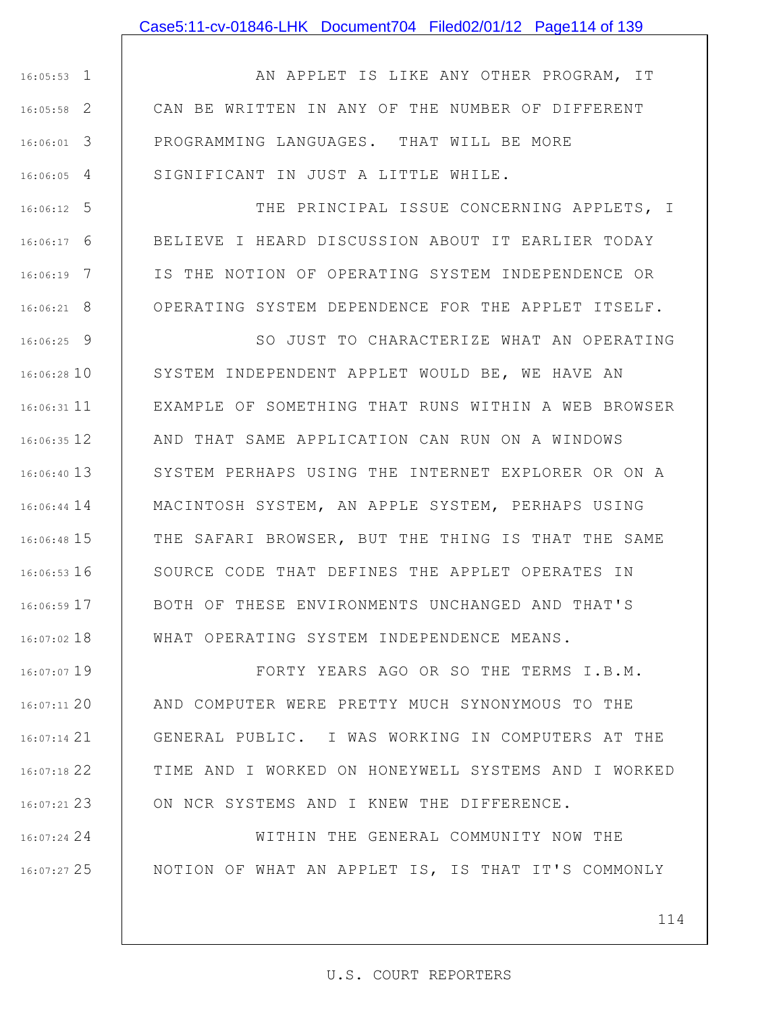### Case5:11-cv-01846-LHK Document704 Filed02/01/12 Page114 of 139

1 16:05:53 2 16:05:58 3 16:06:01 4 16:06:05 AN APPLET IS LIKE ANY OTHER PROGRAM, IT CAN BE WRITTEN IN ANY OF THE NUMBER OF DIFFERENT PROGRAMMING LANGUAGES. THAT WILL BE MORE SIGNIFICANT IN JUST A LITTLE WHILE.

5 16:06:12 6 16:06:17 7 16:06:19 8 16:06:21 THE PRINCIPAL ISSUE CONCERNING APPLETS, I BELIEVE I HEARD DISCUSSION ABOUT IT EARLIER TODAY IS THE NOTION OF OPERATING SYSTEM INDEPENDENCE OR OPERATING SYSTEM DEPENDENCE FOR THE APPLET ITSELF.

9 16:06:25 10 16:06:28 16:06:31 11 12 16:06:35 13 16:06:40 14 16:06:44 15 16:06:48 16 16:06:53 17 16:06:59 18 16:07:02 SO JUST TO CHARACTERIZE WHAT AN OPERATING SYSTEM INDEPENDENT APPLET WOULD BE, WE HAVE AN EXAMPLE OF SOMETHING THAT RUNS WITHIN A WEB BROWSER AND THAT SAME APPLICATION CAN RUN ON A WINDOWS SYSTEM PERHAPS USING THE INTERNET EXPLORER OR ON A MACINTOSH SYSTEM, AN APPLE SYSTEM, PERHAPS USING THE SAFARI BROWSER, BUT THE THING IS THAT THE SAME SOURCE CODE THAT DEFINES THE APPLET OPERATES IN BOTH OF THESE ENVIRONMENTS UNCHANGED AND THAT'S WHAT OPERATING SYSTEM INDEPENDENCE MEANS.

19 16:07:07 20 16:07:11 21 16:07:14 22 16:07:18 23 16:07:21 FORTY YEARS AGO OR SO THE TERMS I.B.M. AND COMPUTER WERE PRETTY MUCH SYNONYMOUS TO THE GENERAL PUBLIC. I WAS WORKING IN COMPUTERS AT THE TIME AND I WORKED ON HONEYWELL SYSTEMS AND I WORKED ON NCR SYSTEMS AND I KNEW THE DIFFERENCE.

24 16:07:24 25 16:07:27 WITHIN THE GENERAL COMMUNITY NOW THE NOTION OF WHAT AN APPLET IS, IS THAT IT'S COMMONLY

114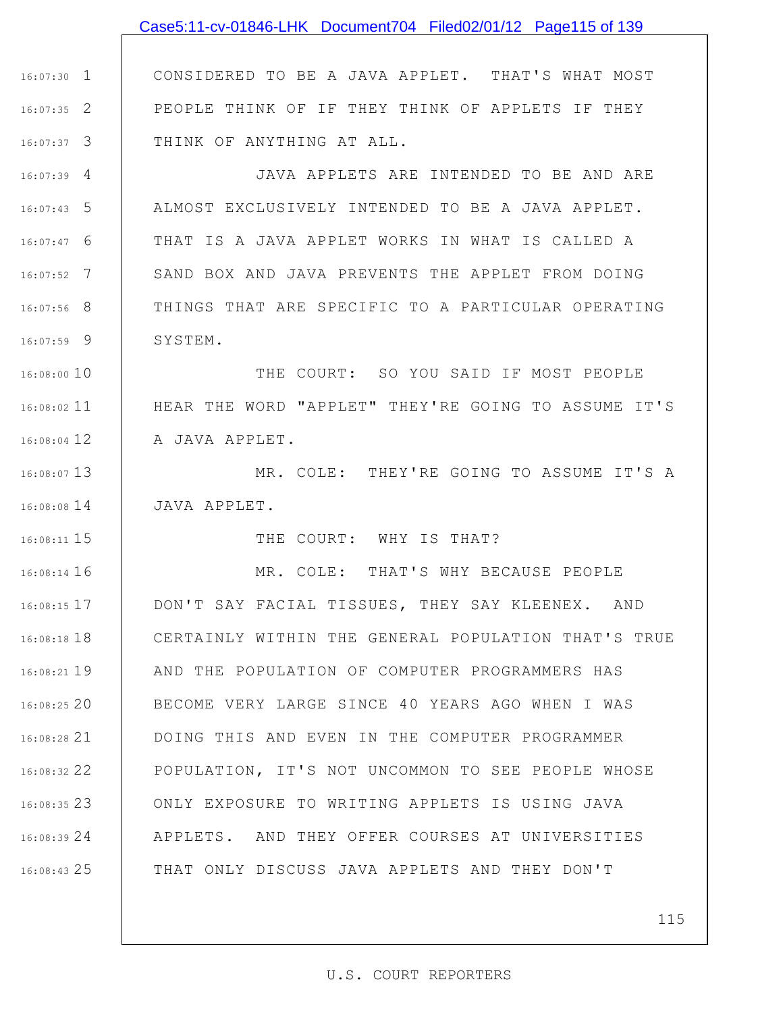|                           | Case5:11-cv-01846-LHK Document704 Filed02/01/12 Page115 of 139 |
|---------------------------|----------------------------------------------------------------|
|                           |                                                                |
| $16:07:30$ 1              | CONSIDERED TO BE A JAVA APPLET. THAT'S WHAT MOST               |
| $16:07:35$ 2              | PEOPLE THINK OF IF THEY THINK OF APPLETS IF THEY               |
| $16:07:37$ 3              | THINK OF ANYTHING AT ALL.                                      |
| $16:07:39$ 4              | JAVA APPLETS ARE INTENDED TO BE AND ARE                        |
| $16:07:43$ 5              | ALMOST EXCLUSIVELY INTENDED TO BE A JAVA APPLET.               |
| $16:07:47$ 6              | THAT IS A JAVA APPLET WORKS IN WHAT IS CALLED A                |
| $\frac{1}{2}$<br>16:07:52 | SAND BOX AND JAVA PREVENTS THE APPLET FROM DOING               |
| $16:07:56$ 8              | THINGS THAT ARE SPECIFIC TO A PARTICULAR OPERATING             |
| $16:07:59$ 9              | SYSTEM.                                                        |
| 16:08:00 10               | THE COURT: SO YOU SAID IF MOST PEOPLE                          |
| $16:08:02$ 11             | HEAR THE WORD "APPLET" THEY'RE GOING TO ASSUME IT'S            |
| $16:08:04$ 12             | A JAVA APPLET.                                                 |
| $16:08:07$ 13             | MR. COLE: THEY'RE GOING TO ASSUME IT'S A                       |
| $16:08:08$ 14             | JAVA APPLET.                                                   |
| 16:08:11 15               | THE COURT: WHY IS THAT?                                        |
| $16:08:14$ 16             | MR. COLE: THAT'S WHY BECAUSE PEOPLE                            |
| $16:08:15$ 17             | DON'T SAY FACIAL TISSUES, THEY SAY KLEENEX. AND                |
| $16:08:18$ 18             | CERTAINLY WITHIN THE GENERAL POPULATION THAT'S TRUE            |
| $16:08:21$ 19             | AND THE POPULATION OF COMPUTER PROGRAMMERS HAS                 |
| 16:08:25 20               | BECOME VERY LARGE SINCE 40 YEARS AGO WHEN I WAS                |
| 16:08:28 21               | DOING THIS AND EVEN IN THE COMPUTER PROGRAMMER                 |
| 16:08:32 22               | POPULATION, IT'S NOT UNCOMMON TO SEE PEOPLE WHOSE              |
| 16:08:35 23               | ONLY EXPOSURE TO WRITING APPLETS IS USING JAVA                 |
| 16:08:39 24               | APPLETS. AND THEY OFFER COURSES AT UNIVERSITIES                |
| $16:08:43$ 25             | THAT ONLY DISCUSS JAVA APPLETS AND THEY DON'T                  |

115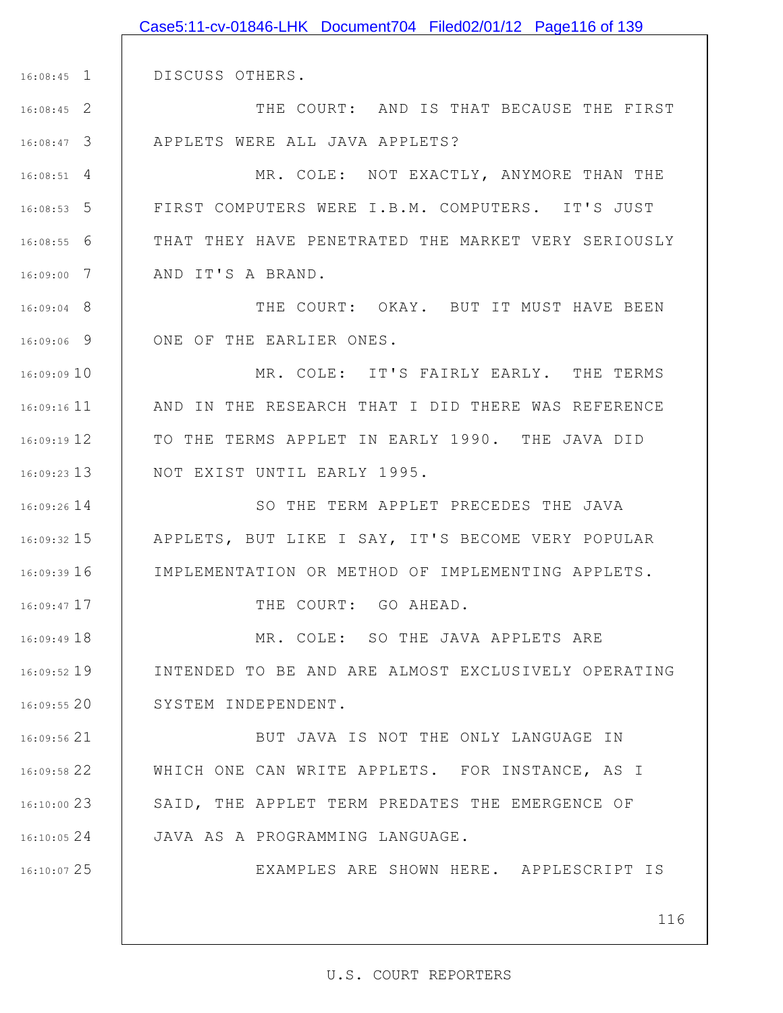|               | Case5:11-cv-01846-LHK Document704 Filed02/01/12 Page116 of 139 |
|---------------|----------------------------------------------------------------|
|               |                                                                |
| $16:08:45$ 1  | DISCUSS OTHERS.                                                |
| $16:08:45$ 2  | THE COURT: AND IS THAT BECAUSE THE FIRST                       |
|               | 16:08:47 3   APPLETS WERE ALL JAVA APPLETS?                    |
| $16:08:51$ 4  | MR. COLE: NOT EXACTLY, ANYMORE THAN THE                        |
| $16:08:53$ 5  | FIRST COMPUTERS WERE I.B.M. COMPUTERS. IT'S JUST               |
| 16:08:55 6    | THAT THEY HAVE PENETRATED THE MARKET VERY SERIOUSLY            |
| $16:09:00$ 7  | AND IT'S A BRAND.                                              |
| $16:09:04$ 8  | THE COURT: OKAY. BUT IT MUST HAVE BEEN                         |
| $16:09:06$ 9  | ONE OF THE EARLIER ONES.                                       |
| $16:09:09$ 10 | MR. COLE: IT'S FAIRLY EARLY. THE TERMS                         |
| $16:09:16$ 11 | AND IN THE RESEARCH THAT I DID THERE WAS REFERENCE             |
| 16:09:19 12   | TO THE TERMS APPLET IN EARLY 1990. THE JAVA DID                |
| $16:09:23$ 13 | NOT EXIST UNTIL EARLY 1995.                                    |
| $16:09:26$ 14 | SO THE TERM APPLET PRECEDES THE JAVA                           |
| $16:09:32$ 15 | APPLETS, BUT LIKE I SAY, IT'S BECOME VERY POPULAR              |
| $16:09:39$ 16 | IMPLEMENTATION OR METHOD OF IMPLEMENTING APPLETS.              |
| $16:09:47$ 17 | THE COURT: GO AHEAD.                                           |
| $16:09:49$ 18 | MR. COLE: SO THE JAVA APPLETS ARE                              |
| $16:09:52$ 19 | INTENDED TO BE AND ARE ALMOST EXCLUSIVELY OPERATING            |
| 16:09:55 20   | SYSTEM INDEPENDENT.                                            |
| $16:09:56$ 21 | BUT JAVA IS NOT THE ONLY LANGUAGE IN                           |
| $16:09:58$ 22 | WHICH ONE CAN WRITE APPLETS. FOR INSTANCE, AS I                |
| 16:10:0023    | SAID, THE APPLET TERM PREDATES THE EMERGENCE OF                |
| 16:10:0524    | JAVA AS A PROGRAMMING LANGUAGE.                                |
| 16:10:07 25   | EXAMPLES ARE SHOWN HERE. APPLESCRIPT IS                        |
|               | 116                                                            |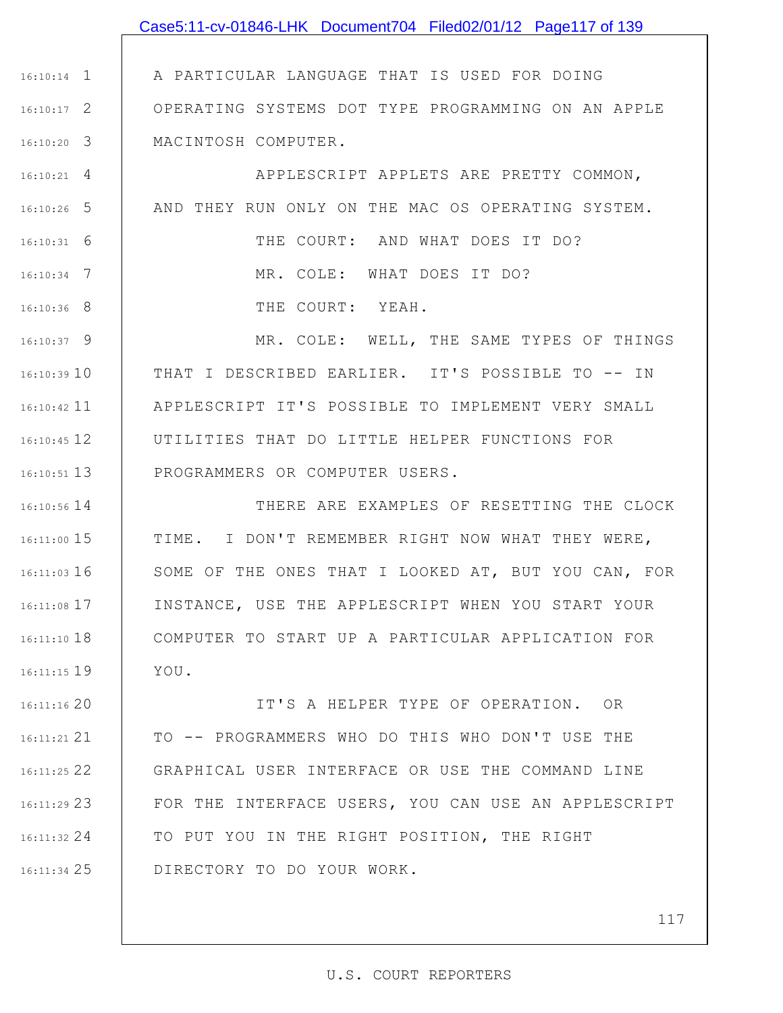|                 | Case5:11-cv-01846-LHK Document704 Filed02/01/12 Page117 of 139    |
|-----------------|-------------------------------------------------------------------|
|                 |                                                                   |
|                 | 16:10:14 1   A PARTICULAR LANGUAGE THAT IS USED FOR DOING         |
| $16:10:17$ 2    | OPERATING SYSTEMS DOT TYPE PROGRAMMING ON AN APPLE                |
| $16:10:20$ 3    | MACINTOSH COMPUTER.                                               |
| $16:10:21$ 4    | APPLESCRIPT APPLETS ARE PRETTY COMMON,                            |
| $16:10:26$ 5    | AND THEY RUN ONLY ON THE MAC OS OPERATING SYSTEM.                 |
| $16:10:31$ 6    | THE COURT: AND WHAT DOES IT DO?                                   |
| $16:10:34$ 7    | MR. COLE: WHAT DOES IT DO?                                        |
| $16:10:36$ 8    | THE COURT: YEAH.                                                  |
| $16:10:37$ 9    | MR. COLE: WELL, THE SAME TYPES OF THINGS                          |
| $16:10:39$ $10$ | THAT I DESCRIBED EARLIER. IT'S POSSIBLE TO -- IN                  |
| $16:10:42$ 11   | APPLESCRIPT IT'S POSSIBLE TO IMPLEMENT VERY SMALL                 |
| $16:10:45$ 12   | UTILITIES THAT DO LITTLE HELPER FUNCTIONS FOR                     |
| $16:10:51$ 13   | PROGRAMMERS OR COMPUTER USERS.                                    |
| $16:10:56$ 14   | THERE ARE EXAMPLES OF RESETTING THE CLOCK                         |
|                 | 16:11:00 15   TIME. I DON'T REMEMBER RIGHT NOW WHAT THEY WERE,    |
|                 | 16:11:03 16   SOME OF THE ONES THAT I LOOKED AT, BUT YOU CAN, FOR |
| $16:11:08$ 17   | INSTANCE, USE THE APPLESCRIPT WHEN YOU START YOUR                 |
| $16:11:10$ 18   | COMPUTER TO START UP A PARTICULAR APPLICATION FOR                 |
| $16:11:15$ 19   | YOU.                                                              |
| 16:11:1620      | IT'S A HELPER TYPE OF OPERATION. OR                               |
| $16:11:21$ 21   | TO -- PROGRAMMERS WHO DO THIS WHO DON'T USE THE                   |
| $16:11:25$ 22   | GRAPHICAL USER INTERFACE OR USE THE COMMAND LINE                  |
| $16:11:29$ 23   | FOR THE INTERFACE USERS, YOU CAN USE AN APPLESCRIPT               |
| $16:11:32$ 24   | TO PUT YOU IN THE RIGHT POSITION, THE RIGHT                       |
| $16:11:34$ 25   | DIRECTORY TO DO YOUR WORK.                                        |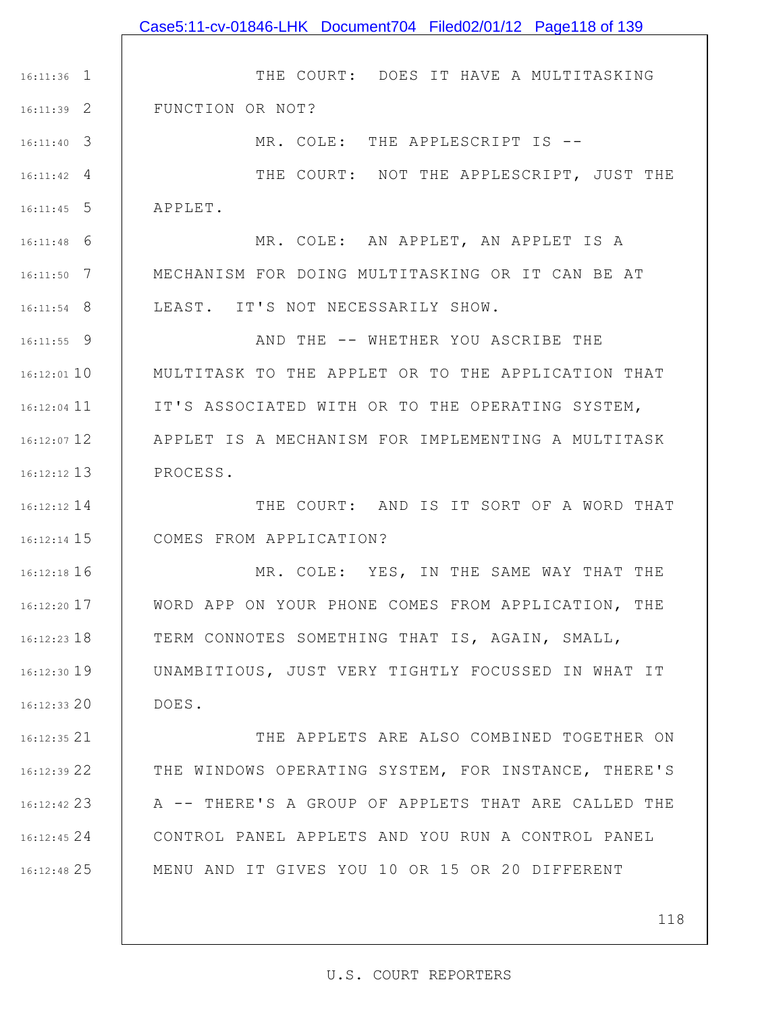1 16:11:36 2 16:11:39 3 16:11:40 4 16:11:42 5 16:11:45 6 16:11:48 7 16:11:50 8 16:11:54 9 16:11:55 10 16:12:01 16:12:04 11 16:12:07 12 13 16:12:12 14 16:12:12 15 16:12:14 16 16:12:18 17 16:12:20 18 16:12:23 19 16:12:30 20 16:12:33 21 16:12:35 22 16:12:39 23 16:12:42 24 16:12:45 25 16:12:48 THE COURT: DOES IT HAVE A MULTITASKING FUNCTION OR NOT? MR. COLE: THE APPLESCRIPT IS --THE COURT: NOT THE APPLESCRIPT, JUST THE APPLET. MR. COLE: AN APPLET, AN APPLET IS A MECHANISM FOR DOING MULTITASKING OR IT CAN BE AT LEAST. IT'S NOT NECESSARILY SHOW. AND THE -- WHETHER YOU ASCRIBE THE MULTITASK TO THE APPLET OR TO THE APPLICATION THAT IT'S ASSOCIATED WITH OR TO THE OPERATING SYSTEM, APPLET IS A MECHANISM FOR IMPLEMENTING A MULTITASK PROCESS. THE COURT: AND IS IT SORT OF A WORD THAT COMES FROM APPLICATION? MR. COLE: YES, IN THE SAME WAY THAT THE WORD APP ON YOUR PHONE COMES FROM APPLICATION, THE TERM CONNOTES SOMETHING THAT IS, AGAIN, SMALL, UNAMBITIOUS, JUST VERY TIGHTLY FOCUSSED IN WHAT IT DOES. THE APPLETS ARE ALSO COMBINED TOGETHER ON THE WINDOWS OPERATING SYSTEM, FOR INSTANCE, THERE'S A -- THERE'S A GROUP OF APPLETS THAT ARE CALLED THE CONTROL PANEL APPLETS AND YOU RUN A CONTROL PANEL MENU AND IT GIVES YOU 10 OR 15 OR 20 DIFFERENT Case5:11-cv-01846-LHK Document704 Filed02/01/12 Page118 of 139

118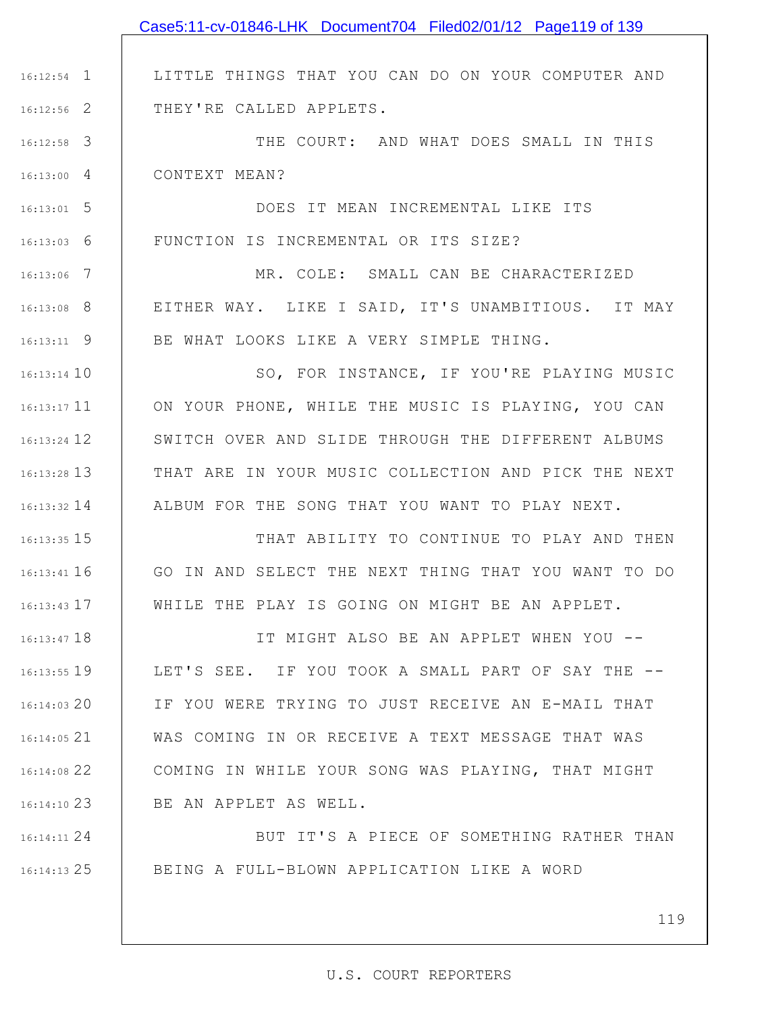|               | Case5:11-cv-01846-LHK Document704 Filed02/01/12 Page119 of 139 |
|---------------|----------------------------------------------------------------|
|               |                                                                |
| $16:12:54$ 1  | LITTLE THINGS THAT YOU CAN DO ON YOUR COMPUTER AND             |
| $16:12:56$ 2  | THEY'RE CALLED APPLETS.                                        |
| $16:12:58$ 3  | THE COURT: AND WHAT DOES SMALL IN THIS                         |
| $16:13:00$ 4  | CONTEXT MEAN?                                                  |
| $16:13:01$ 5  | DOES IT MEAN INCREMENTAL LIKE ITS                              |
| $16:13:03$ 6  | FUNCTION IS INCREMENTAL OR ITS SIZE?                           |
| $16:13:06$ 7  | MR. COLE: SMALL CAN BE CHARACTERIZED                           |
| $16:13:08$ 8  | EITHER WAY. LIKE I SAID, IT'S UNAMBITIOUS. IT MAY              |
| $16:13:11$ 9  | BE WHAT LOOKS LIKE A VERY SIMPLE THING.                        |
| $16:13:14$ 10 | SO, FOR INSTANCE, IF YOU'RE PLAYING MUSIC                      |
| $16:13:17$ 11 | ON YOUR PHONE, WHILE THE MUSIC IS PLAYING, YOU CAN             |
| $16:13:24$ 12 | SWITCH OVER AND SLIDE THROUGH THE DIFFERENT ALBUMS             |
| 16:13:28 13   | THAT ARE IN YOUR MUSIC COLLECTION AND PICK THE NEXT            |
| $16:13:32$ 14 | ALBUM FOR THE SONG THAT YOU WANT TO PLAY NEXT.                 |
| $16:13:35$ 15 | THAT ABILITY TO CONTINUE TO PLAY AND THEN                      |
| $16:13:41$ 16 | GO IN AND SELECT THE NEXT THING THAT YOU WANT TO DO            |
| 16:13:43 17   | WHILE THE PLAY IS GOING ON MIGHT BE AN APPLET.                 |
| $16:13:47$ 18 | IT MIGHT ALSO BE AN APPLET WHEN YOU --                         |
| $16:13:55$ 19 | LET'S SEE. IF YOU TOOK A SMALL PART OF SAY THE --              |
| 16:14:0320    | IF YOU WERE TRYING TO JUST RECEIVE AN E-MAIL THAT              |
| $16:14:05$ 21 | WAS COMING IN OR RECEIVE A TEXT MESSAGE THAT WAS               |
| 16:14:08 22   | COMING IN WHILE YOUR SONG WAS PLAYING, THAT MIGHT              |
| $16:14:10$ 23 | BE AN APPLET AS WELL.                                          |
| $16:14:11$ 24 | BUT IT'S A PIECE OF SOMETHING RATHER THAN                      |
| $16:14:13$ 25 | BEING A FULL-BLOWN APPLICATION LIKE A WORD                     |

119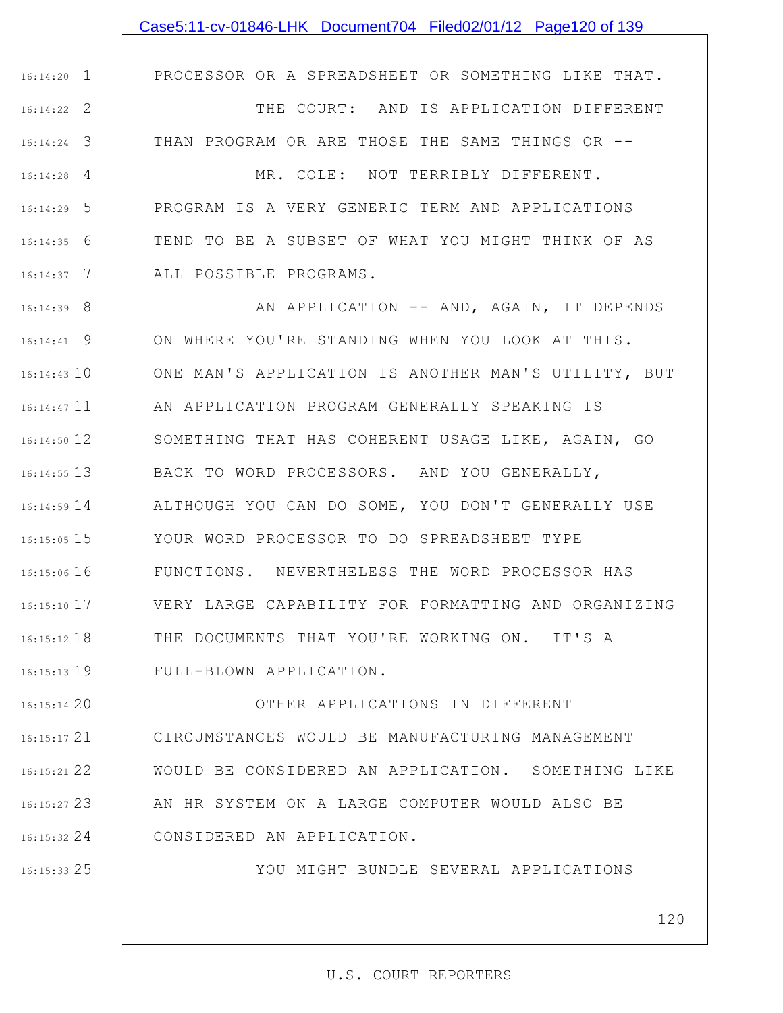|                 | Case5:11-cv-01846-LHK Document704 Filed02/01/12 Page120 of 139 |
|-----------------|----------------------------------------------------------------|
|                 |                                                                |
| $16:14:20$ 1    | PROCESSOR OR A SPREADSHEET OR SOMETHING LIKE THAT.             |
| $16:14:22$ 2    | THE COURT: AND IS APPLICATION DIFFERENT                        |
| $16:14:24$ 3    | THAN PROGRAM OR ARE THOSE THE SAME THINGS OR --                |
| $16:14:28$ 4    | MR. COLE: NOT TERRIBLY DIFFERENT.                              |
| $16:14:29$ 5    | PROGRAM IS A VERY GENERIC TERM AND APPLICATIONS                |
| $16:14:35$ 6    | TEND TO BE A SUBSET OF WHAT YOU MIGHT THINK OF AS              |
| $16:14:37$ 7    | ALL POSSIBLE PROGRAMS.                                         |
| 16:14:39 8      | AN APPLICATION -- AND, AGAIN, IT DEPENDS                       |
| $16:14:41$ 9    | ON WHERE YOU'RE STANDING WHEN YOU LOOK AT THIS.                |
| $16:14:43$ 10   | ONE MAN'S APPLICATION IS ANOTHER MAN'S UTILITY, BUT            |
| $16:14:47$ 11   | AN APPLICATION PROGRAM GENERALLY SPEAKING IS                   |
| 16:14:50 12     | SOMETHING THAT HAS COHERENT USAGE LIKE, AGAIN, GO              |
| $16:14:55$ 13   | BACK TO WORD PROCESSORS. AND YOU GENERALLY,                    |
| $16:14:59$ $14$ | ALTHOUGH YOU CAN DO SOME, YOU DON'T GENERALLY USE              |
| $16:15:05$ 15   | YOUR WORD PROCESSOR TO DO SPREADSHEET TYPE                     |
| $16:15:06$ 16   | FUNCTIONS. NEVERTHELESS THE WORD PROCESSOR HAS                 |
| $16:15:10$ 17   | VERY LARGE CAPABILITY FOR FORMATTING AND ORGANIZING            |
| $16:15:12$ 18   | THE DOCUMENTS THAT YOU'RE WORKING ON. IT'S A                   |
| $16:15:13$ 19   | FULL-BLOWN APPLICATION.                                        |
| 16:15:1420      | OTHER APPLICATIONS IN DIFFERENT                                |
| $16:15:17$ 21   | CIRCUMSTANCES WOULD BE MANUFACTURING MANAGEMENT                |
| 16:15:21 22     | WOULD BE CONSIDERED AN APPLICATION. SOMETHING LIKE             |
| 16:15:27 23     | AN HR SYSTEM ON A LARGE COMPUTER WOULD ALSO BE                 |
| $16:15:32$ 24   | CONSIDERED AN APPLICATION.                                     |

25 16:15:33

YOU MIGHT BUNDLE SEVERAL APPLICATIONS

120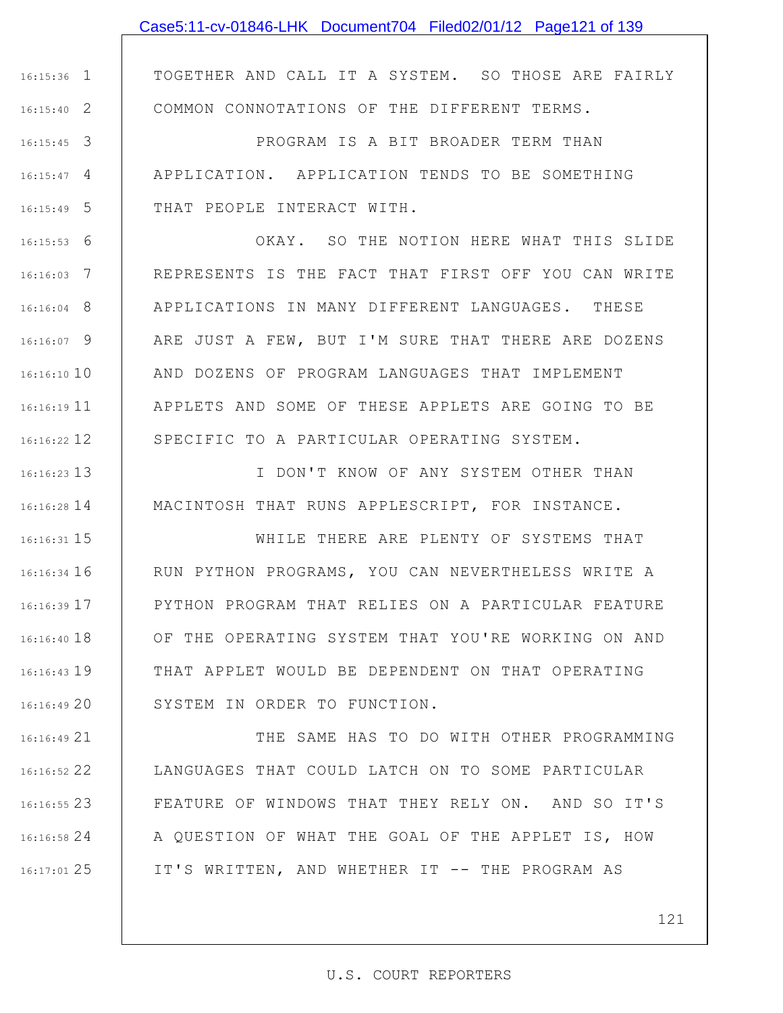## Case5:11-cv-01846-LHK Document704 Filed02/01/12 Page121 of 139

TOGETHER AND CALL IT A SYSTEM. SO THOSE ARE FAIRLY COMMON CONNOTATIONS OF THE DIFFERENT TERMS.

3 16:15:45 4 16:15:47 5 16:15:49 PROGRAM IS A BIT BROADER TERM THAN APPLICATION. APPLICATION TENDS TO BE SOMETHING THAT PEOPLE INTERACT WITH.

1 16:15:36

2 16:15:40

6 16:15:53 7 16:16:03 8 16:16:04 9 16:16:07 10 16:16:10 16:16:19 11 12 16:16:22 OKAY. SO THE NOTION HERE WHAT THIS SLIDE REPRESENTS IS THE FACT THAT FIRST OFF YOU CAN WRITE APPLICATIONS IN MANY DIFFERENT LANGUAGES. THESE ARE JUST A FEW, BUT I'M SURE THAT THERE ARE DOZENS AND DOZENS OF PROGRAM LANGUAGES THAT IMPLEMENT APPLETS AND SOME OF THESE APPLETS ARE GOING TO BE SPECIFIC TO A PARTICULAR OPERATING SYSTEM.

13 16:16:23 16:16:28 14 | MACINTOSH THAT RUNS APPLESCRIPT, FOR INSTANCE. I DON'T KNOW OF ANY SYSTEM OTHER THAN

15 16:16:31 16 16:16:34 17 16:16:39 18 16:16:40 19 16:16:43 20 16:16:49 WHILE THERE ARE PLENTY OF SYSTEMS THAT RUN PYTHON PROGRAMS, YOU CAN NEVERTHELESS WRITE A PYTHON PROGRAM THAT RELIES ON A PARTICULAR FEATURE OF THE OPERATING SYSTEM THAT YOU'RE WORKING ON AND THAT APPLET WOULD BE DEPENDENT ON THAT OPERATING SYSTEM IN ORDER TO FUNCTION.

21 16:16:49 22 16:16:52 23 16:16:55 24 16:16:58 25 16:17:01 THE SAME HAS TO DO WITH OTHER PROGRAMMING LANGUAGES THAT COULD LATCH ON TO SOME PARTICULAR FEATURE OF WINDOWS THAT THEY RELY ON. AND SO IT'S A QUESTION OF WHAT THE GOAL OF THE APPLET IS, HOW IT'S WRITTEN, AND WHETHER IT -- THE PROGRAM AS

121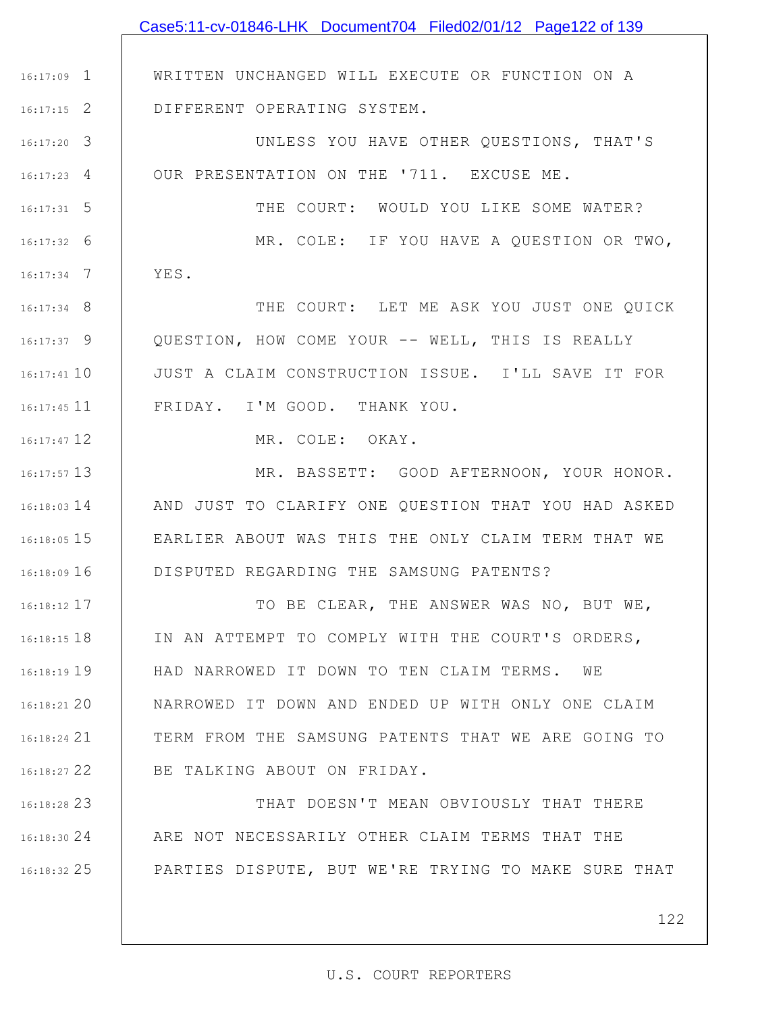|                 | Case5:11-cv-01846-LHK Document704 Filed02/01/12 Page122 of 139   |
|-----------------|------------------------------------------------------------------|
|                 |                                                                  |
| $16:17:09$ 1    | WRITTEN UNCHANGED WILL EXECUTE OR FUNCTION ON A                  |
| $16:17:15$ 2    | DIFFERENT OPERATING SYSTEM.                                      |
| $16:17:20$ 3    | UNLESS YOU HAVE OTHER QUESTIONS, THAT'S                          |
| $16:17:23$ 4    | OUR PRESENTATION ON THE '711. EXCUSE ME.                         |
| $16:17:31$ 5    | THE COURT: WOULD YOU LIKE SOME WATER?                            |
| $16:17:32$ 6    | MR. COLE: IF YOU HAVE A QUESTION OR TWO,                         |
| $16:17:34$ 7    | YES.                                                             |
| $16:17:34$ 8    | THE COURT: LET ME ASK YOU JUST ONE QUICK                         |
| $16:17:37$ 9    | QUESTION, HOW COME YOUR -- WELL, THIS IS REALLY                  |
| $16:17:41$ 10   | JUST A CLAIM CONSTRUCTION ISSUE. I'LL SAVE IT FOR                |
| $16:17:45$ 11   | FRIDAY. I'M GOOD. THANK YOU.                                     |
| $16:17:47$ 12   | MR. COLE: OKAY.                                                  |
| $16:17:57$ 13   | MR. BASSETT: GOOD AFTERNOON, YOUR HONOR.                         |
| $16:18:03$ $14$ | AND JUST TO CLARIFY ONE QUESTION THAT YOU HAD ASKED              |
|                 | 16:18:05 15   EARLIER ABOUT WAS THIS THE ONLY CLAIM TERM THAT WE |
|                 | 16:18:09 16   DISPUTED REGARDING THE SAMSUNG PATENTS?            |
| $16:18:12$ 17   | TO BE CLEAR, THE ANSWER WAS NO, BUT WE,                          |
| $16:18:15$ 18   | IN AN ATTEMPT TO COMPLY WITH THE COURT'S ORDERS,                 |
| $16:18:19$ 19   | HAD NARROWED IT DOWN TO TEN CLAIM TERMS. WE                      |
| $16:18:21$ 20   | NARROWED IT DOWN AND ENDED UP WITH ONLY ONE CLAIM                |
| 16:18:24 21     | TERM FROM THE SAMSUNG PATENTS THAT WE ARE GOING TO               |
| 16:18:27 22     | BE TALKING ABOUT ON FRIDAY.                                      |
| $16:18:28$ 23   | THAT DOESN'T MEAN OBVIOUSLY THAT THERE                           |
| 16:18:3024      | ARE NOT NECESSARILY OTHER CLAIM TERMS THAT THE                   |
| 16:18:32 25     | PARTIES DISPUTE, BUT WE'RE TRYING TO MAKE SURE THAT              |

122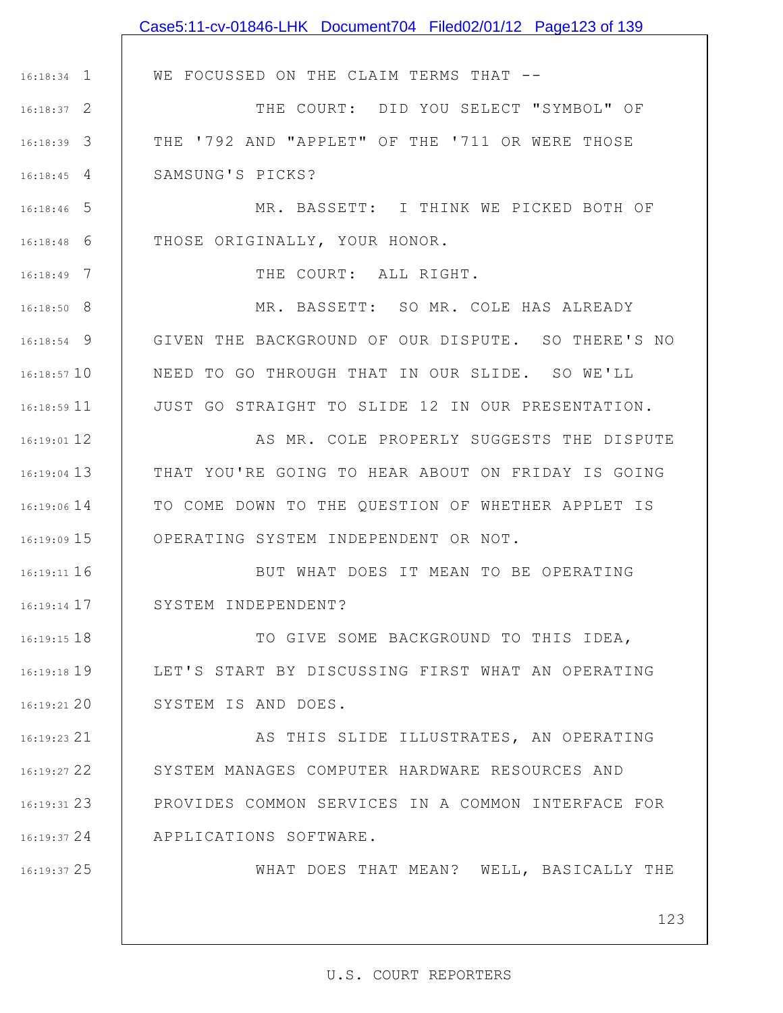|               | Case5:11-cv-01846-LHK Document704 Filed02/01/12 Page123 of 139 |
|---------------|----------------------------------------------------------------|
|               |                                                                |
| $16:18:34$ 1  | WE FOCUSSED ON THE CLAIM TERMS THAT --                         |
| $16:18:37$ 2  | THE COURT: DID YOU SELECT "SYMBOL" OF                          |
| 16:18:39 3    | THE '792 AND "APPLET" OF THE '711 OR WERE THOSE                |
| $16:18:45$ 4  | SAMSUNG'S PICKS?                                               |
| 16:18:46 5    | MR. BASSETT: I THINK WE PICKED BOTH OF                         |
| 16:18:48<br>6 | THOSE ORIGINALLY, YOUR HONOR.                                  |
| $16:18:49$ 7  | THE COURT: ALL RIGHT.                                          |
| $16:18:50$ 8  | MR. BASSETT: SO MR. COLE HAS ALREADY                           |
| 16:18:54 9    | GIVEN THE BACKGROUND OF OUR DISPUTE. SO THERE'S NO             |
| $16:18:57$ 10 | NEED TO GO THROUGH THAT IN OUR SLIDE. SO WE'LL                 |
| 16:18:59 11   | JUST GO STRAIGHT TO SLIDE 12 IN OUR PRESENTATION.              |
| 16:19:01 12   | AS MR. COLE PROPERLY SUGGESTS THE DISPUTE                      |
| 16:19:04 13   | THAT YOU'RE GOING TO HEAR ABOUT ON FRIDAY IS GOING             |
| 16:19:06 14   | TO COME DOWN TO THE QUESTION OF WHETHER APPLET IS              |
| 16:19:09 15   | OPERATING SYSTEM INDEPENDENT OR NOT.                           |
| 16:19:11 16   | BUT WHAT DOES IT MEAN TO BE OPERATING                          |
| 16:19:14 17   | SYSTEM INDEPENDENT?                                            |
| 16:19:15 18   | TO GIVE SOME BACKGROUND TO THIS IDEA,                          |
| 16:19:18 19   | LET'S START BY DISCUSSING FIRST WHAT AN OPERATING              |
| 16:19:21 20   | SYSTEM IS AND DOES.                                            |
| 16:19:23 21   | AS THIS SLIDE ILLUSTRATES, AN OPERATING                        |
| 16:19:27 22   | SYSTEM MANAGES COMPUTER HARDWARE RESOURCES AND                 |
| 16:19:31 23   | PROVIDES COMMON SERVICES IN A COMMON INTERFACE FOR             |
| 16:19:37 24   | APPLICATIONS SOFTWARE.                                         |
| 16:19:37 25   | WHAT DOES THAT MEAN? WELL, BASICALLY THE                       |
|               |                                                                |
|               | 123                                                            |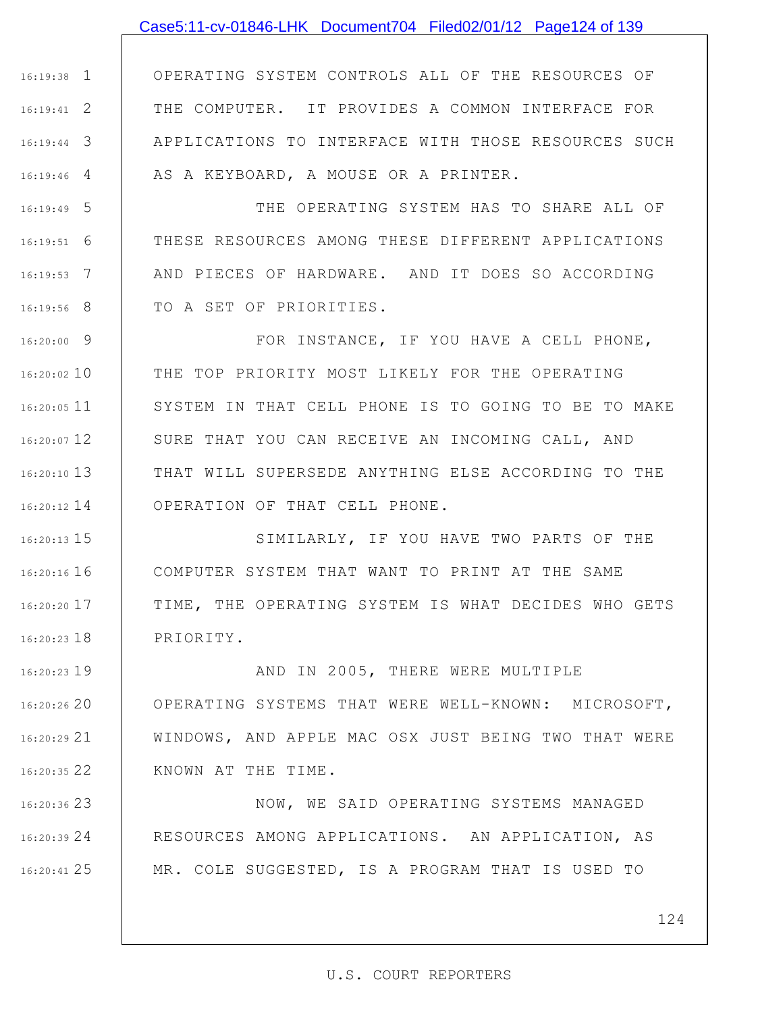### Case5:11-cv-01846-LHK Document704 Filed02/01/12 Page124 of 139

1 16:19:38 2 16:19:41 3 16:19:44 4 16:19:46 OPERATING SYSTEM CONTROLS ALL OF THE RESOURCES OF THE COMPUTER. IT PROVIDES A COMMON INTERFACE FOR APPLICATIONS TO INTERFACE WITH THOSE RESOURCES SUCH AS A KEYBOARD, A MOUSE OR A PRINTER.

5 16:19:49 6 16:19:51 7 16:19:53 8 16:19:56 THE OPERATING SYSTEM HAS TO SHARE ALL OF THESE RESOURCES AMONG THESE DIFFERENT APPLICATIONS AND PIECES OF HARDWARE. AND IT DOES SO ACCORDING TO A SET OF PRIORITIES.

9 16:20:00 16:20:02 10 16:20:05 11 16:20:07 12 13 16:20:10 14 16:20:12 FOR INSTANCE, IF YOU HAVE A CELL PHONE, THE TOP PRIORITY MOST LIKELY FOR THE OPERATING SYSTEM IN THAT CELL PHONE IS TO GOING TO BE TO MAKE SURE THAT YOU CAN RECEIVE AN INCOMING CALL, AND THAT WILL SUPERSEDE ANYTHING ELSE ACCORDING TO THE OPERATION OF THAT CELL PHONE.

15 16:20:13 16 16:20:16 17 16:20:20 18 16:20:23 SIMILARLY, IF YOU HAVE TWO PARTS OF THE COMPUTER SYSTEM THAT WANT TO PRINT AT THE SAME TIME, THE OPERATING SYSTEM IS WHAT DECIDES WHO GETS PRIORITY.

19 16:20:23 20 16:20:26 21 16:20:29 22 16:20:35 AND IN 2005, THERE WERE MULTIPLE OPERATING SYSTEMS THAT WERE WELL-KNOWN: MICROSOFT, WINDOWS, AND APPLE MAC OSX JUST BEING TWO THAT WERE KNOWN AT THE TIME.

23 16:20:36 24 16:20:39 25 16:20:41 NOW, WE SAID OPERATING SYSTEMS MANAGED RESOURCES AMONG APPLICATIONS. AN APPLICATION, AS MR. COLE SUGGESTED, IS A PROGRAM THAT IS USED TO

124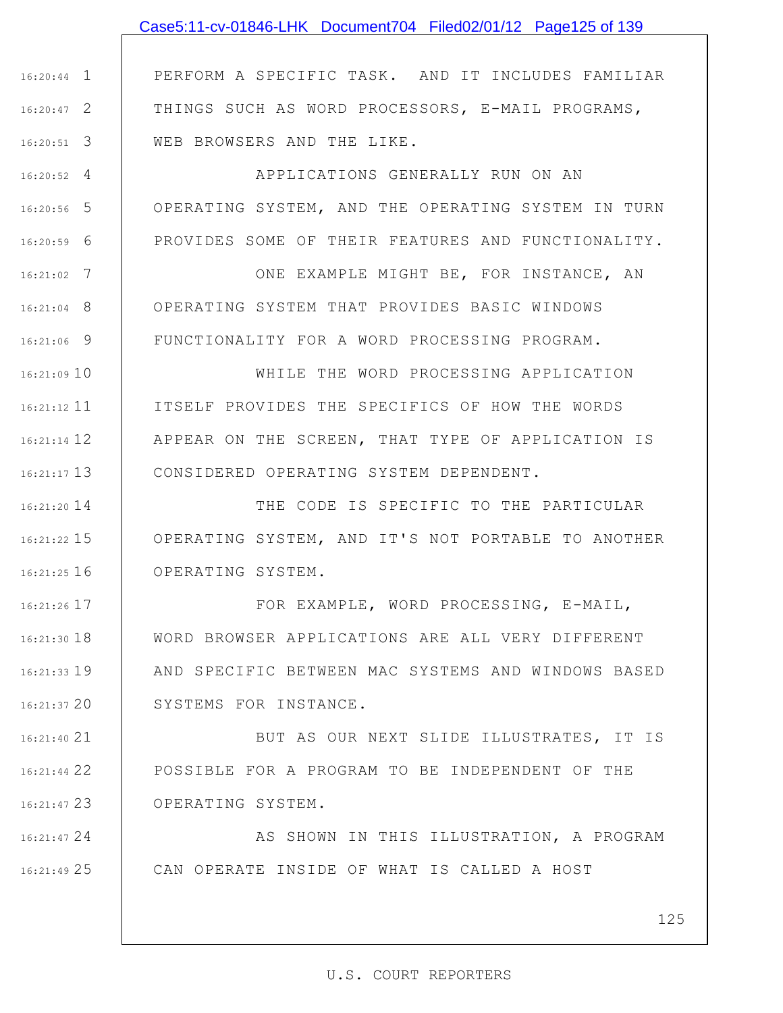# Case5:11-cv-01846-LHK Document704 Filed02/01/12 Page125 of 139

1 16:20:44 2 16:20:47 3 16:20:51 PERFORM A SPECIFIC TASK. AND IT INCLUDES FAMILIAR THINGS SUCH AS WORD PROCESSORS, E-MAIL PROGRAMS, WEB BROWSERS AND THE LIKE.

4 16:20:52 5 16:20:56 6 16:20:59 APPLICATIONS GENERALLY RUN ON AN OPERATING SYSTEM, AND THE OPERATING SYSTEM IN TURN PROVIDES SOME OF THEIR FEATURES AND FUNCTIONALITY.

7 16:21:02 8 16:21:04 9 16:21:06 ONE EXAMPLE MIGHT BE, FOR INSTANCE, AN OPERATING SYSTEM THAT PROVIDES BASIC WINDOWS FUNCTIONALITY FOR A WORD PROCESSING PROGRAM.

16:21:09 10 16:21:12 11 16:21:14 12 | APPEAR ON THE SCREEN, THAT TYPE OF APPLICATION IS 13 16:21:17 WHILE THE WORD PROCESSING APPLICATION ITSELF PROVIDES THE SPECIFICS OF HOW THE WORDS CONSIDERED OPERATING SYSTEM DEPENDENT.

14 16:21:20 15 16:21:22 16 16:21:25 THE CODE IS SPECIFIC TO THE PARTICULAR OPERATING SYSTEM, AND IT'S NOT PORTABLE TO ANOTHER OPERATING SYSTEM.

17 16:21:26 18 16:21:30 19 16:21:33 20 16:21:37 FOR EXAMPLE, WORD PROCESSING, E-MAIL, WORD BROWSER APPLICATIONS ARE ALL VERY DIFFERENT AND SPECIFIC BETWEEN MAC SYSTEMS AND WINDOWS BASED SYSTEMS FOR INSTANCE.

21 16:21:40 22 16:21:44 23 16:21:47 BUT AS OUR NEXT SLIDE ILLUSTRATES, IT IS POSSIBLE FOR A PROGRAM TO BE INDEPENDENT OF THE OPERATING SYSTEM.

24 16:21:47 25 16:21:49 AS SHOWN IN THIS ILLUSTRATION, A PROGRAM CAN OPERATE INSIDE OF WHAT IS CALLED A HOST

125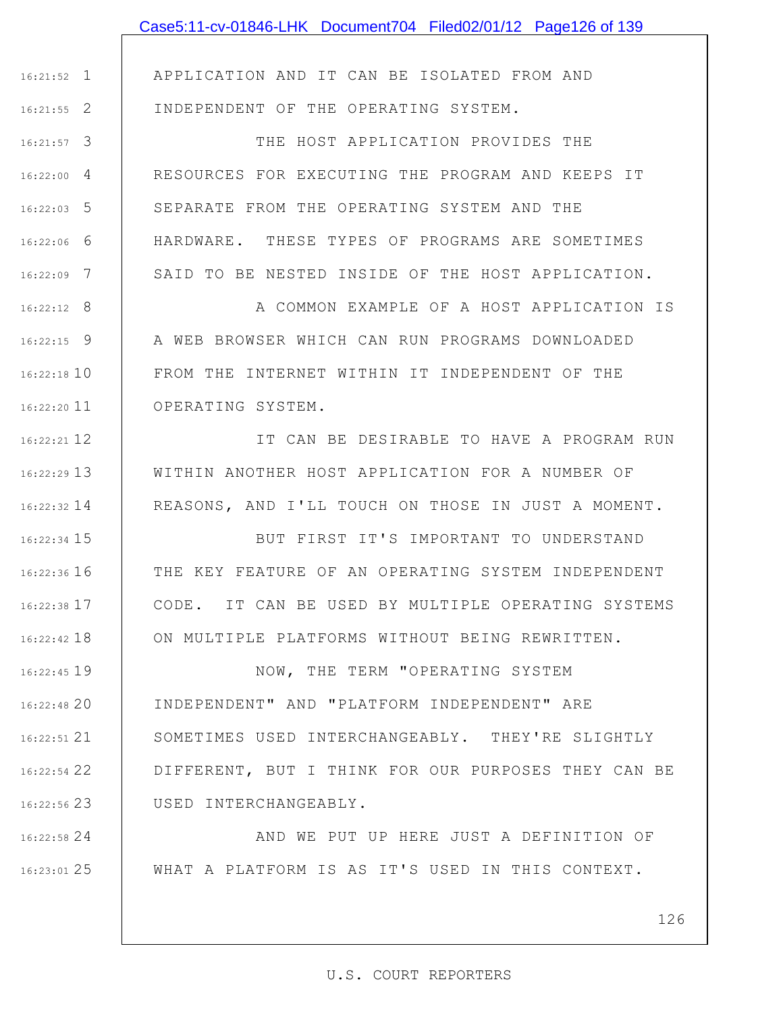|               | Case5:11-cv-01846-LHK Document704 Filed02/01/12 Page126 of 139 |
|---------------|----------------------------------------------------------------|
|               |                                                                |
| $16:21:52$ 1  | APPLICATION AND IT CAN BE ISOLATED FROM AND                    |
| $16:21:55$ 2  | INDEPENDENT OF THE OPERATING SYSTEM.                           |
| $16:21:57$ 3  | THE HOST APPLICATION PROVIDES THE                              |
| $16:22:00$ 4  | RESOURCES FOR EXECUTING THE PROGRAM AND KEEPS IT               |
| $16:22:03$ 5  | SEPARATE FROM THE OPERATING SYSTEM AND THE                     |
| $16:22:06$ 6  | HARDWARE. THESE TYPES OF PROGRAMS ARE SOMETIMES                |
| $16:22:09$ 7  | SAID TO BE NESTED INSIDE OF THE HOST APPLICATION.              |
| $16:22:12$ 8  | A COMMON EXAMPLE OF A HOST APPLICATION IS                      |
| $16:22:15$ 9  | A WEB BROWSER WHICH CAN RUN PROGRAMS DOWNLOADED                |
| $16:22:18$ 10 | FROM THE INTERNET WITHIN IT INDEPENDENT OF THE                 |
| $16:22:20$ 11 | OPERATING SYSTEM.                                              |
| 16:22:21 12   | IT CAN BE DESIRABLE TO HAVE A PROGRAM RUN                      |
| 16:22:29 13   | WITHIN ANOTHER HOST APPLICATION FOR A NUMBER OF                |
| $16:22:32$ 14 | REASONS, AND I'LL TOUCH ON THOSE IN JUST A MOMENT.             |
| 16:22:34 15   | BUT FIRST IT'S IMPORTANT TO UNDERSTAND                         |
| $16:22:36$ 16 | THE KEY FEATURE OF AN OPERATING SYSTEM INDEPENDENT             |
| 16:22:38 17   | CODE. IT CAN BE USED BY MULTIPLE OPERATING SYSTEMS             |
| $16:22:42$ 18 | ON MULTIPLE PLATFORMS WITHOUT BEING REWRITTEN.                 |
| 16:22:45 19   | NOW, THE TERM "OPERATING SYSTEM                                |
| 16:22:48 20   | INDEPENDENT" AND "PLATFORM INDEPENDENT" ARE                    |
| 16:22:51 21   | SOMETIMES USED INTERCHANGEABLY. THEY'RE SLIGHTLY               |
| 16:22:54 22   | DIFFERENT, BUT I THINK FOR OUR PURPOSES THEY CAN BE            |
| $16:22:56$ 23 | USED INTERCHANGEABLY.                                          |
| $16:22:58$ 24 | AND WE PUT UP HERE JUST A DEFINITION OF                        |
| $16:23:01$ 25 | WHAT A PLATFORM IS AS IT'S USED IN THIS CONTEXT.               |
|               |                                                                |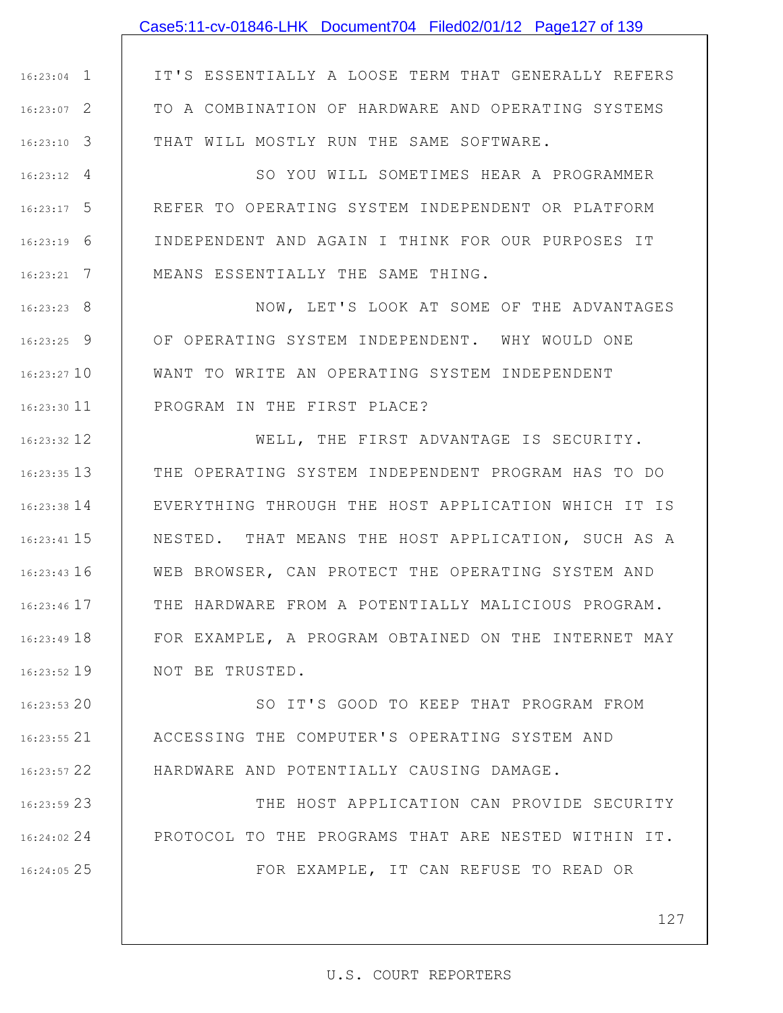# Case5:11-cv-01846-LHK Document704 Filed02/01/12 Page127 of 139

1 16:23:04 2 16:23:07 3 16:23:10 IT'S ESSENTIALLY A LOOSE TERM THAT GENERALLY REFERS TO A COMBINATION OF HARDWARE AND OPERATING SYSTEMS THAT WILL MOSTLY RUN THE SAME SOFTWARE.

4 16:23:12 5 16:23:17 6 16:23:19 7 16:23:21 SO YOU WILL SOMETIMES HEAR A PROGRAMMER REFER TO OPERATING SYSTEM INDEPENDENT OR PLATFORM INDEPENDENT AND AGAIN I THINK FOR OUR PURPOSES IT MEANS ESSENTIALLY THE SAME THING.

8 16:23:23 9 16:23:25 10 16:23:27 16:23:30 11 NOW, LET'S LOOK AT SOME OF THE ADVANTAGES OF OPERATING SYSTEM INDEPENDENT. WHY WOULD ONE WANT TO WRITE AN OPERATING SYSTEM INDEPENDENT PROGRAM IN THE FIRST PLACE?

16:23:32 12 13 16:23:35 14 16:23:38 15 16:23:41 16 16:23:43 17 16:23:46 18 16:23:49 19 16:23:52 WELL, THE FIRST ADVANTAGE IS SECURITY. THE OPERATING SYSTEM INDEPENDENT PROGRAM HAS TO DO EVERYTHING THROUGH THE HOST APPLICATION WHICH IT IS NESTED. THAT MEANS THE HOST APPLICATION, SUCH AS A WEB BROWSER, CAN PROTECT THE OPERATING SYSTEM AND THE HARDWARE FROM A POTENTIALLY MALICIOUS PROGRAM. FOR EXAMPLE, A PROGRAM OBTAINED ON THE INTERNET MAY NOT BE TRUSTED.

20 16:23:53 21 16:23:55 22 16:23:57 SO IT'S GOOD TO KEEP THAT PROGRAM FROM ACCESSING THE COMPUTER'S OPERATING SYSTEM AND HARDWARE AND POTENTIALLY CAUSING DAMAGE.

23 16:23:59 24 16:24:02 25 16:24:05 THE HOST APPLICATION CAN PROVIDE SECURITY PROTOCOL TO THE PROGRAMS THAT ARE NESTED WITHIN IT. FOR EXAMPLE, IT CAN REFUSE TO READ OR

127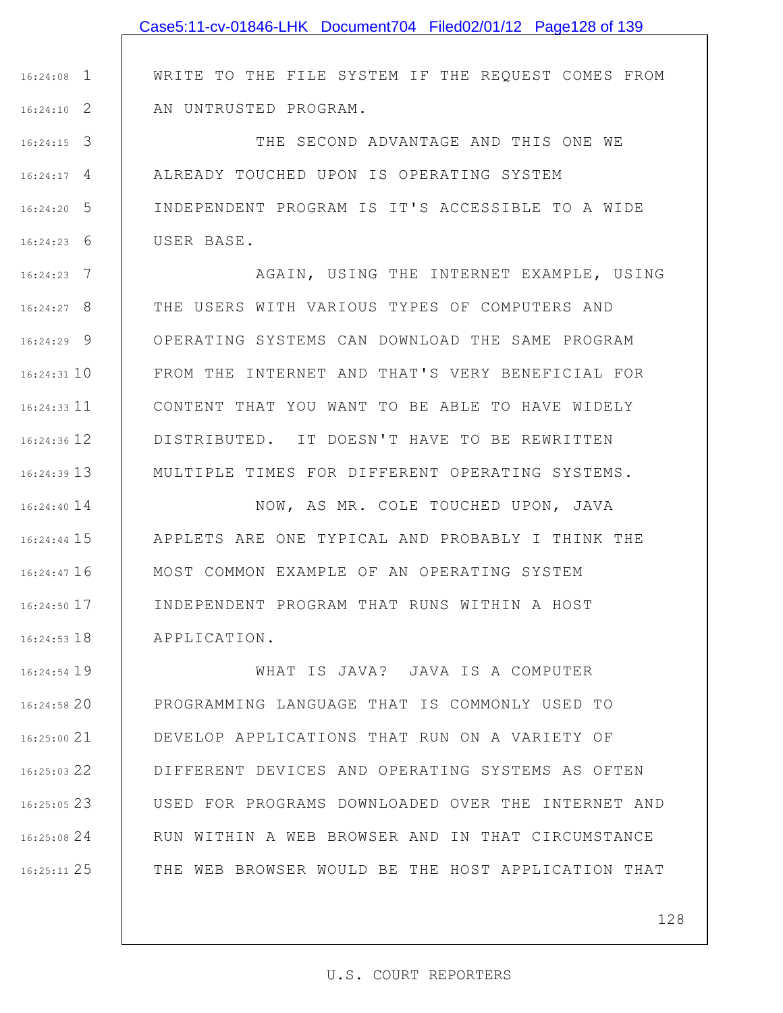|               | Case5:11-cv-01846-LHK Document704 Filed02/01/12 Page128 of 139 |
|---------------|----------------------------------------------------------------|
|               |                                                                |
| $16:24:08$ 1  | WRITE TO THE FILE SYSTEM IF THE REQUEST COMES FROM             |
| $16:24:10$ 2  | AN UNTRUSTED PROGRAM.                                          |
| $16:24:15$ 3  | THE SECOND ADVANTAGE AND THIS ONE WE                           |
| $16:24:17$ 4  | ALREADY TOUCHED UPON IS OPERATING SYSTEM                       |
| $16:24:20$ 5  | INDEPENDENT PROGRAM IS IT'S ACCESSIBLE TO A WIDE               |
| $16:24:23$ 6  | USER BASE.                                                     |
| $16:24:23$ 7  | AGAIN, USING THE INTERNET EXAMPLE, USING                       |
| 16:24:27 8    | THE USERS WITH VARIOUS TYPES OF COMPUTERS AND                  |
| 16:24:29 9    | OPERATING SYSTEMS CAN DOWNLOAD THE SAME PROGRAM                |
| $16:24:31$ 10 | FROM THE INTERNET AND THAT'S VERY BENEFICIAL FOR               |
| $16:24:33$ 11 | CONTENT THAT YOU WANT TO BE ABLE TO HAVE WIDELY                |
| 16:24:36 12   | DISTRIBUTED. IT DOESN'T HAVE TO BE REWRITTEN                   |
| $16:24:39$ 13 | MULTIPLE TIMES FOR DIFFERENT OPERATING SYSTEMS.                |
| 16:24:40 14   | NOW, AS MR. COLE TOUCHED UPON, JAVA                            |
| $16:24:44$ 15 | APPLETS ARE ONE TYPICAL AND PROBABLY I THINK THE               |
| $16:24:47$ 16 | MOST COMMON EXAMPLE OF AN OPERATING SYSTEM                     |
| 16:24:50 17   | INDEPENDENT PROGRAM THAT RUNS WITHIN A HOST                    |
| $16:24:53$ 18 | APPLICATION.                                                   |
| 16:24:54 19   | WHAT IS JAVA? JAVA IS A COMPUTER                               |
| 16:24:5820    | PROGRAMMING LANGUAGE THAT IS COMMONLY USED TO                  |

21 16:25:00 22 16:25:03 23 16:25:05 24 16:25:08 25 16:25:11 DEVELOP APPLICATIONS THAT RUN ON A VARIETY OF DIFFERENT DEVICES AND OPERATING SYSTEMS AS OFTEN USED FOR PROGRAMS DOWNLOADED OVER THE INTERNET AND RUN WITHIN A WEB BROWSER AND IN THAT CIRCUMSTANCE THE WEB BROWSER WOULD BE THE HOST APPLICATION THAT

128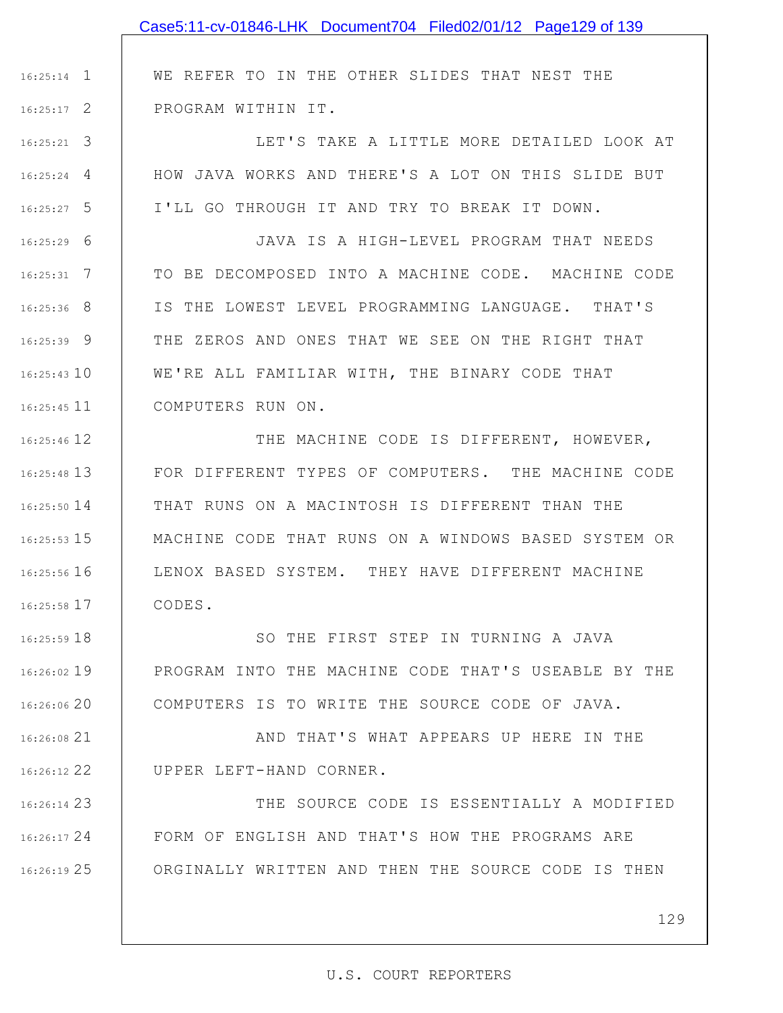## Case5:11-cv-01846-LHK Document704 Filed02/01/12 Page129 of 139

WE REFER TO IN THE OTHER SLIDES THAT NEST THE PROGRAM WITHIN IT.

1 16:25:14

2 16:25:17

3 16:25:21 4 16:25:24 5 16:25:27 LET'S TAKE A LITTLE MORE DETAILED LOOK AT HOW JAVA WORKS AND THERE'S A LOT ON THIS SLIDE BUT I'LL GO THROUGH IT AND TRY TO BREAK IT DOWN.

6 16:25:29 7 16:25:31 8 16:25:36 9 16:25:39 10 16:25:43 16:25:45 11 JAVA IS A HIGH-LEVEL PROGRAM THAT NEEDS TO BE DECOMPOSED INTO A MACHINE CODE. MACHINE CODE IS THE LOWEST LEVEL PROGRAMMING LANGUAGE. THAT'S THE ZEROS AND ONES THAT WE SEE ON THE RIGHT THAT WE'RE ALL FAMILIAR WITH, THE BINARY CODE THAT COMPUTERS RUN ON.

12 16:25:46 13 16:25:48 14 16:25:50 15 16:25:53 16 16:25:56 17 16:25:58 THE MACHINE CODE IS DIFFERENT, HOWEVER, FOR DIFFERENT TYPES OF COMPUTERS. THE MACHINE CODE THAT RUNS ON A MACINTOSH IS DIFFERENT THAN THE MACHINE CODE THAT RUNS ON A WINDOWS BASED SYSTEM OR LENOX BASED SYSTEM. THEY HAVE DIFFERENT MACHINE CODES.

18 16:25:59 19 16:26:02 20 16:26:06 SO THE FIRST STEP IN TURNING A JAVA PROGRAM INTO THE MACHINE CODE THAT'S USEABLE BY THE COMPUTERS IS TO WRITE THE SOURCE CODE OF JAVA.

21 16:26:08 22 16:26:12 AND THAT'S WHAT APPEARS UP HERE IN THE UPPER LEFT-HAND CORNER.

23 16:26:14 24 16:26:17 25 16:26:19 THE SOURCE CODE IS ESSENTIALLY A MODIFIED FORM OF ENGLISH AND THAT'S HOW THE PROGRAMS ARE ORGINALLY WRITTEN AND THEN THE SOURCE CODE IS THEN

129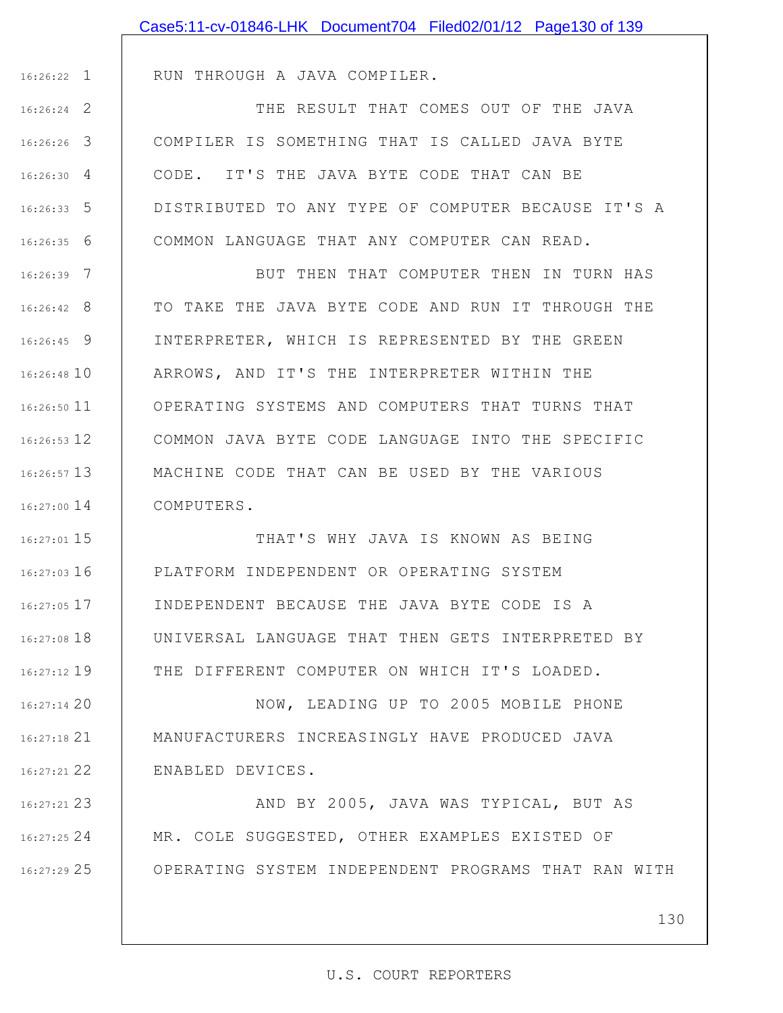|               | Case5:11-cv-01846-LHK Document704 Filed02/01/12 Page130 of 139 |
|---------------|----------------------------------------------------------------|
|               |                                                                |
| $16:26:22$ 1  | RUN THROUGH A JAVA COMPILER.                                   |
| $16:26:24$ 2  | THE RESULT THAT COMES OUT OF THE JAVA                          |
| $16:26:26$ 3  | COMPILER IS SOMETHING THAT IS CALLED JAVA BYTE                 |
| $16:26:30$ 4  | CODE. IT'S THE JAVA BYTE CODE THAT CAN BE                      |
| $16:26:33$ 5  | DISTRIBUTED TO ANY TYPE OF COMPUTER BECAUSE IT'S A             |
| $16:26:35$ 6  | COMMON LANGUAGE THAT ANY COMPUTER CAN READ.                    |
| $16:26:39$ 7  | BUT THEN THAT COMPUTER THEN IN TURN HAS                        |
| $16:26:42$ 8  | TO TAKE THE JAVA BYTE CODE AND RUN IT THROUGH THE              |
| $16:26:45$ 9  | INTERPRETER, WHICH IS REPRESENTED BY THE GREEN                 |
| $16:26:48$ 10 | ARROWS, AND IT'S THE INTERPRETER WITHIN THE                    |
| 16:26:50 11   | OPERATING SYSTEMS AND COMPUTERS THAT TURNS THAT                |
| $16:26:53$ 12 | COMMON JAVA BYTE CODE LANGUAGE INTO THE SPECIFIC               |
| 16:26:57 13   | MACHINE CODE THAT CAN BE USED BY THE VARIOUS                   |
| $16:27:00$ 14 | COMPUTERS.                                                     |
| 16:27:01 15   | THAT'S WHY JAVA IS KNOWN AS BEING                              |
| 16:27:03 16   | PLATFORM INDEPENDENT OR OPERATING SYSTEM                       |
| $16:27:05$ 17 | INDEPENDENT BECAUSE THE JAVA BYTE CODE IS A                    |
| 16:27:08 18   | UNIVERSAL LANGUAGE THAT THEN GETS INTERPRETED BY               |
| $16:27:12$ 19 | THE DIFFERENT COMPUTER ON WHICH IT'S LOADED.                   |
| 16:27:1420    | NOW, LEADING UP TO 2005 MOBILE PHONE                           |
| $16:27:18$ 21 | MANUFACTURERS INCREASINGLY HAVE PRODUCED JAVA                  |
| 16:27:21 22   | ENABLED DEVICES.                                               |
| $16:27:21$ 23 | AND BY 2005, JAVA WAS TYPICAL, BUT AS                          |
| $16:27:25$ 24 | MR. COLE SUGGESTED, OTHER EXAMPLES EXISTED OF                  |

130

### U.S. COURT REPORTERS

OPERATING SYSTEM INDEPENDENT PROGRAMS THAT RAN WITH

25 16:27:29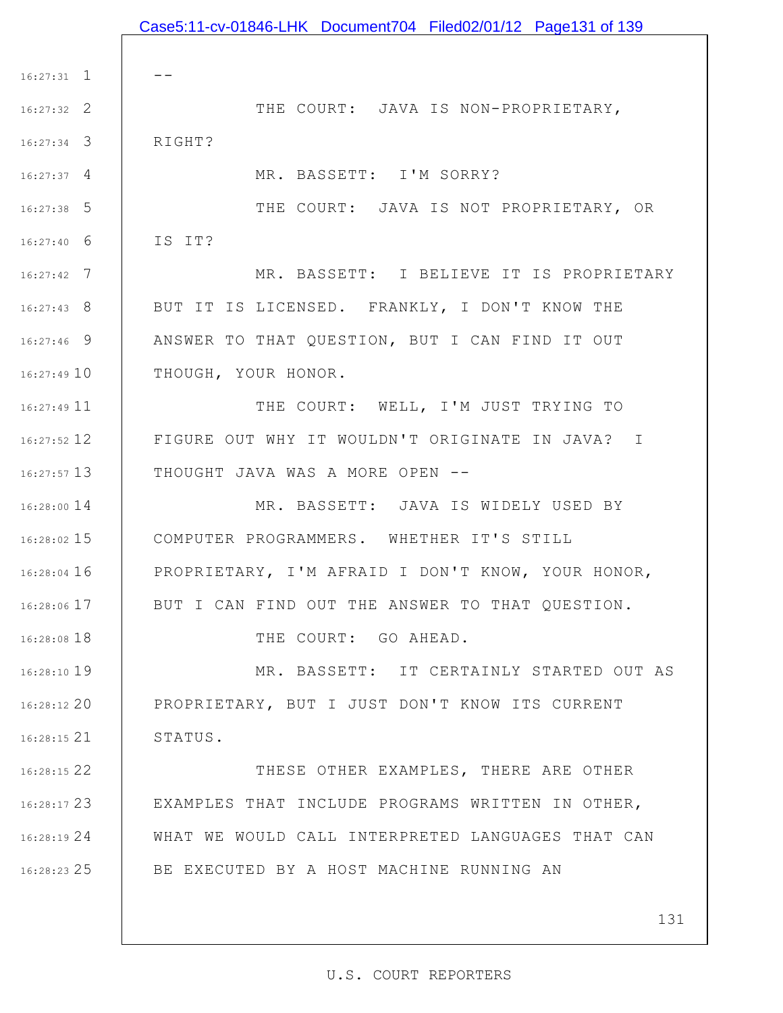|               | Case5:11-cv-01846-LHK Document704 Filed02/01/12 Page131 of 139 |
|---------------|----------------------------------------------------------------|
|               |                                                                |
| $16:27:31$ 1  |                                                                |
| $16:27:32$ 2  | THE COURT: JAVA IS NON-PROPRIETARY,                            |
| $16:27:34$ 3  | RIGHT?                                                         |
| $16:27:37$ 4  | MR. BASSETT: I'M SORRY?                                        |
| $16:27:38$ 5  | THE COURT: JAVA IS NOT PROPRIETARY, OR                         |
| $16:27:40$ 6  | IS IT?                                                         |
| $16:27:42$ 7  | MR. BASSETT: I BELIEVE IT IS PROPRIETARY                       |
| $16:27:43$ 8  | BUT IT IS LICENSED. FRANKLY, I DON'T KNOW THE                  |
| $16:27:46$ 9  | ANSWER TO THAT QUESTION, BUT I CAN FIND IT OUT                 |
| 16:27:4910    | THOUGH, YOUR HONOR.                                            |
| $16:27:49$ 11 | THE COURT: WELL, I'M JUST TRYING TO                            |
| $16:27:52$ 12 | FIGURE OUT WHY IT WOULDN'T ORIGINATE IN JAVA? I                |
| $16:27:57$ 13 | THOUGHT JAVA WAS A MORE OPEN --                                |
| 16:28:00 14   | MR. BASSETT: JAVA IS WIDELY USED BY                            |
| 16:28:02 15   | COMPUTER PROGRAMMERS. WHETHER IT'S STILL                       |
| $16:28:04$ 16 | PROPRIETARY, I'M AFRAID I DON'T KNOW, YOUR HONOR,              |
| 16:28:06 17   | BUT I CAN FIND OUT THE ANSWER TO THAT QUESTION.                |
| 16:28:08 18   | THE COURT: GO AHEAD.                                           |
| 16:28:10 19   | MR. BASSETT: IT CERTAINLY STARTED OUT AS                       |
| 16:28:12 20   | PROPRIETARY, BUT I JUST DON'T KNOW ITS CURRENT                 |
| $16:28:15$ 21 | STATUS.                                                        |
| 16:28:15 22   | THESE OTHER EXAMPLES, THERE ARE OTHER                          |
| $16:28:17$ 23 | EXAMPLES THAT INCLUDE PROGRAMS WRITTEN IN OTHER,               |
| 16:28:19 24   | WHAT WE WOULD CALL INTERPRETED LANGUAGES THAT CAN              |
| $16:28:23$ 25 | BE EXECUTED BY A HOST MACHINE RUNNING AN                       |
|               |                                                                |
|               | 131                                                            |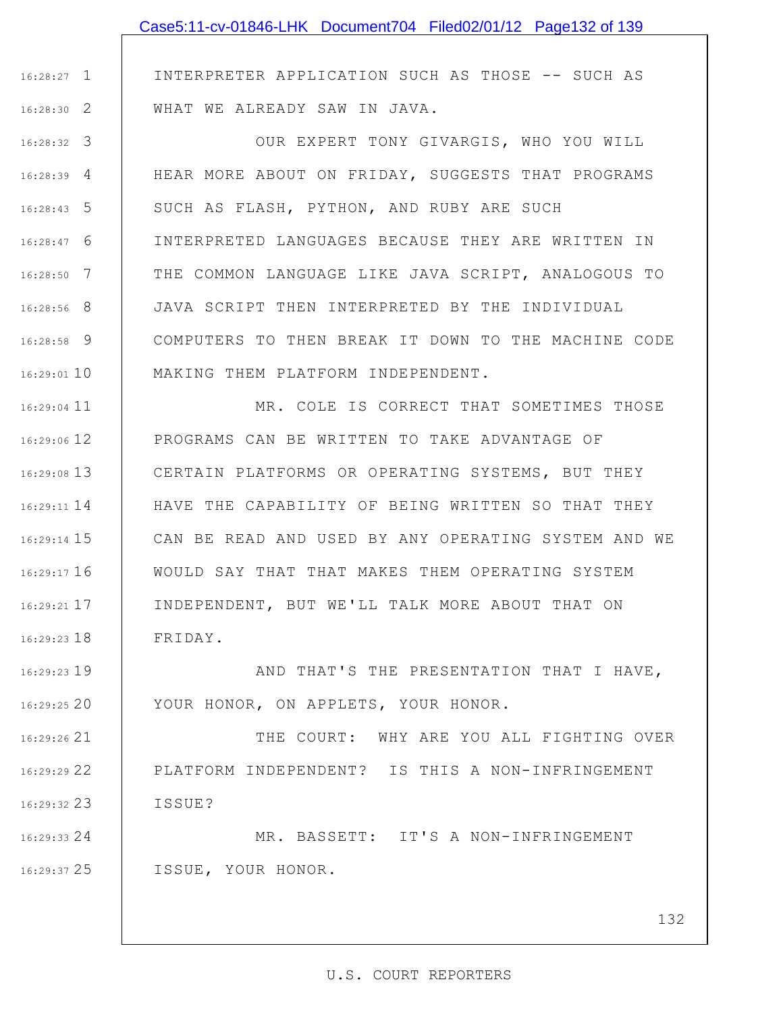INTERPRETER APPLICATION SUCH AS THOSE -- SUCH AS WHAT WE ALREADY SAW IN JAVA.

1 16:28:27

2 16:28:30

3 16:28:32 4 16:28:39 5 16:28:43 6 16:28:47 7 16:28:50 8 16:28:56 9 16:28:58 10 16:29:01 OUR EXPERT TONY GIVARGIS, WHO YOU WILL HEAR MORE ABOUT ON FRIDAY, SUGGESTS THAT PROGRAMS SUCH AS FLASH, PYTHON, AND RUBY ARE SUCH INTERPRETED LANGUAGES BECAUSE THEY ARE WRITTEN IN THE COMMON LANGUAGE LIKE JAVA SCRIPT, ANALOGOUS TO JAVA SCRIPT THEN INTERPRETED BY THE INDIVIDUAL COMPUTERS TO THEN BREAK IT DOWN TO THE MACHINE CODE MAKING THEM PLATFORM INDEPENDENT.

16:29:04 11 16:29:06 12 13 16:29:08 14 16:29:11 15 16:29:14 16 16:29:17 17 16:29:21 18 16:29:23 MR. COLE IS CORRECT THAT SOMETIMES THOSE PROGRAMS CAN BE WRITTEN TO TAKE ADVANTAGE OF CERTAIN PLATFORMS OR OPERATING SYSTEMS, BUT THEY HAVE THE CAPABILITY OF BEING WRITTEN SO THAT THEY CAN BE READ AND USED BY ANY OPERATING SYSTEM AND WE WOULD SAY THAT THAT MAKES THEM OPERATING SYSTEM INDEPENDENT, BUT WE'LL TALK MORE ABOUT THAT ON FRIDAY.

19 16:29:23 20 16:29:25 AND THAT'S THE PRESENTATION THAT I HAVE, YOUR HONOR, ON APPLETS, YOUR HONOR.

21 16:29:26 22 16:29:29 23 16:29:32 THE COURT: WHY ARE YOU ALL FIGHTING OVER PLATFORM INDEPENDENT? IS THIS A NON-INFRINGEMENT ISSUE?

24 16:29:33 25 16:29:37 MR. BASSETT: IT'S A NON-INFRINGEMENT ISSUE, YOUR HONOR.

132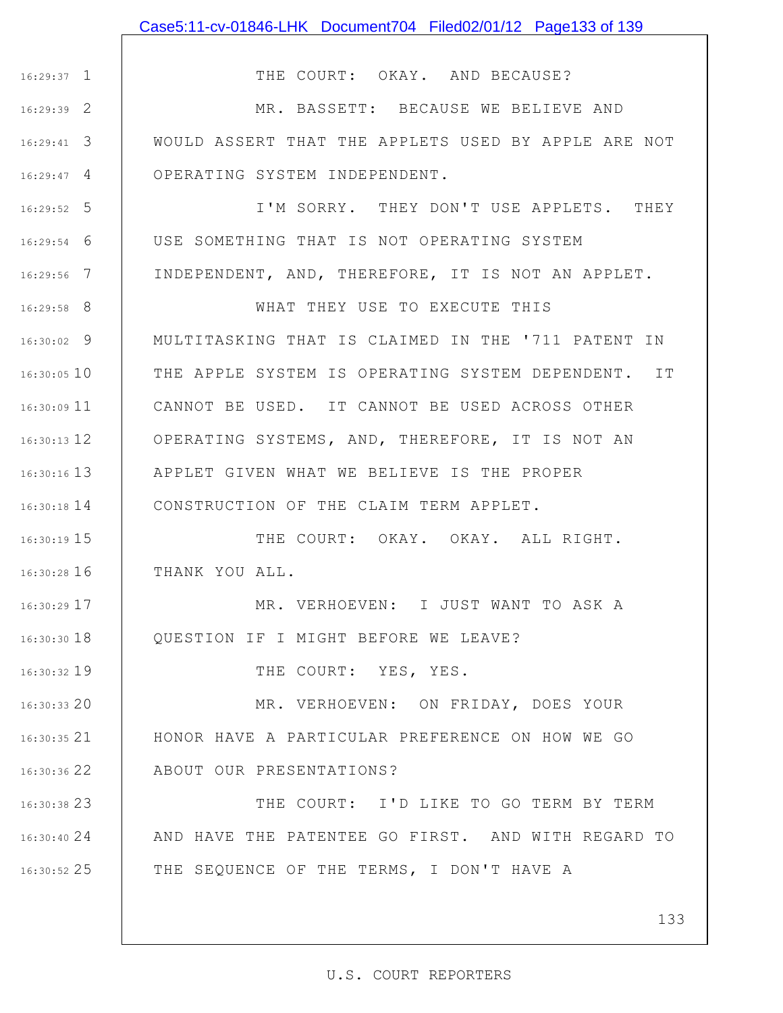## Case5:11-cv-01846-LHK Document704 Filed02/01/12 Page133 of 139

1 16:29:37

5 16:29:52

6 16:29:54

7 16:29:56

19 16:30:32

THE COURT: OKAY. AND BECAUSE?

2 16:29:39 3 16:29:41 4 16:29:47 MR. BASSETT: BECAUSE WE BELIEVE AND WOULD ASSERT THAT THE APPLETS USED BY APPLE ARE NOT OPERATING SYSTEM INDEPENDENT.

> I'M SORRY. THEY DON'T USE APPLETS. THEY USE SOMETHING THAT IS NOT OPERATING SYSTEM INDEPENDENT, AND, THEREFORE, IT IS NOT AN APPLET.

8 16:29:58 9 16:30:02 16:30:05 10 16:30:09 11 16:30:13 12 13 16:30:16 14 16:30:18 WHAT THEY USE TO EXECUTE THIS MULTITASKING THAT IS CLAIMED IN THE '711 PATENT IN THE APPLE SYSTEM IS OPERATING SYSTEM DEPENDENT. IT CANNOT BE USED. IT CANNOT BE USED ACROSS OTHER OPERATING SYSTEMS, AND, THEREFORE, IT IS NOT AN APPLET GIVEN WHAT WE BELIEVE IS THE PROPER CONSTRUCTION OF THE CLAIM TERM APPLET.

15 16:30:19 16 16:30:28 THE COURT: OKAY. OKAY. ALL RIGHT. THANK YOU ALL.

17 16:30:29 18 16:30:30 MR. VERHOEVEN: I JUST WANT TO ASK A QUESTION IF I MIGHT BEFORE WE LEAVE?

THE COURT: YES, YES.

20 16:30:33 21 16:30:35 22 16:30:36 MR. VERHOEVEN: ON FRIDAY, DOES YOUR HONOR HAVE A PARTICULAR PREFERENCE ON HOW WE GO ABOUT OUR PRESENTATIONS?

23 16:30:38 24 16:30:40 25 16:30:52 THE COURT: I'D LIKE TO GO TERM BY TERM AND HAVE THE PATENTEE GO FIRST. AND WITH REGARD TO THE SEQUENCE OF THE TERMS, I DON'T HAVE A

133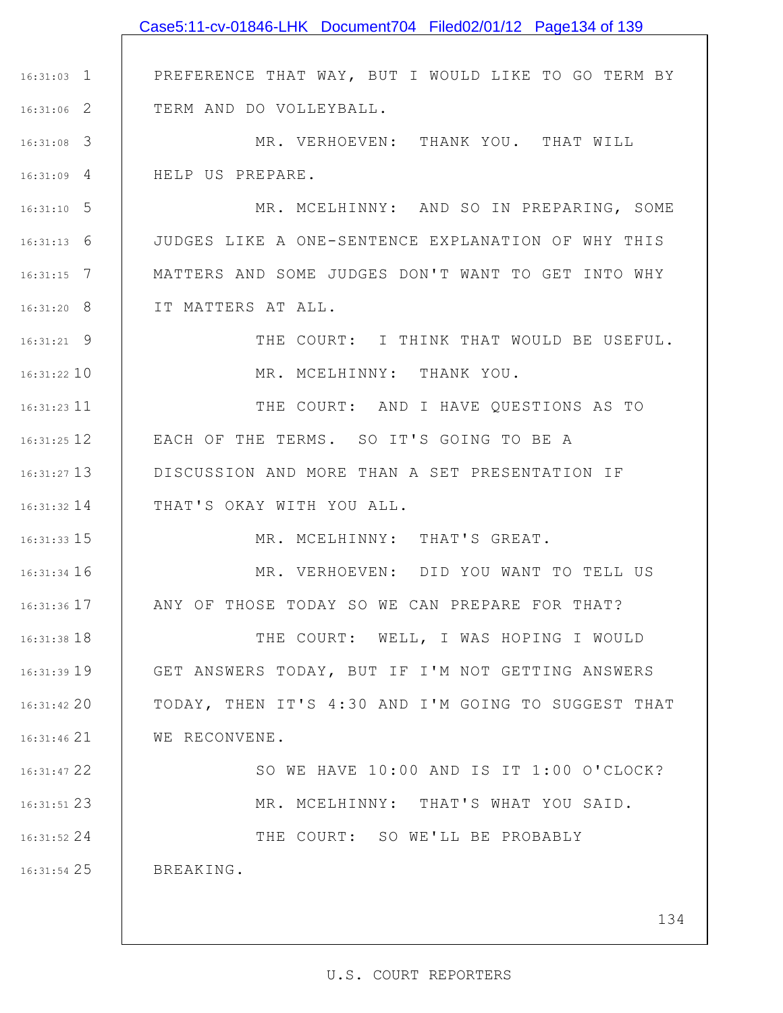|                 | Case5:11-cv-01846-LHK Document704 Filed02/01/12 Page134 of 139   |
|-----------------|------------------------------------------------------------------|
|                 |                                                                  |
|                 | 16:31:03 1   PREFERENCE THAT WAY, BUT I WOULD LIKE TO GO TERM BY |
| $16:31:06$ 2    | TERM AND DO VOLLEYBALL.                                          |
| $16:31:08$ 3    | MR. VERHOEVEN: THANK YOU. THAT WILL                              |
| $16:31:09$ 4    | HELP US PREPARE.                                                 |
| $16:31:10$ 5    | MR. MCELHINNY: AND SO IN PREPARING, SOME                         |
| $16:31:13$ 6    | JUDGES LIKE A ONE-SENTENCE EXPLANATION OF WHY THIS               |
| $16:31:15$ 7    | MATTERS AND SOME JUDGES DON'T WANT TO GET INTO WHY               |
| $16:31:20$ 8    | IT MATTERS AT ALL.                                               |
| $16:31:21$ 9    | THE COURT: I THINK THAT WOULD BE USEFUL.                         |
| 16:31:22 10     | MR. MCELHINNY: THANK YOU.                                        |
| 16:31:23 11     | THE COURT: AND I HAVE QUESTIONS AS TO                            |
| 16:31:25 12     | EACH OF THE TERMS. SO IT'S GOING TO BE A                         |
| $16:31:27$ 13   | DISCUSSION AND MORE THAN A SET PRESENTATION IF                   |
| $16:31:32$ $14$ | THAT'S OKAY WITH YOU ALL.                                        |
| $16:31:33$ 15   | MR. MCELHINNY: THAT'S GREAT.                                     |
| $16:31:34$ 16   | MR. VERHOEVEN: DID YOU WANT TO TELL US                           |
| $16:31:36$ 17   | ANY OF THOSE TODAY SO WE CAN PREPARE FOR THAT?                   |
| $16:31:38$ 18   | THE COURT: WELL, I WAS HOPING I WOULD                            |
| 16:31:39 19     | GET ANSWERS TODAY, BUT IF I'M NOT GETTING ANSWERS                |
| 16:31:42 20     | TODAY, THEN IT'S 4:30 AND I'M GOING TO SUGGEST THAT              |
| 16:31:46 21     | WE RECONVENE.                                                    |
| 16:31:47 22     | SO WE HAVE 10:00 AND IS IT 1:00 O'CLOCK?                         |
| 16:31:51 23     | MR. MCELHINNY: THAT'S WHAT YOU SAID.                             |
| 16:31:52 24     | THE COURT: SO WE'LL BE PROBABLY                                  |
| $16:31:54$ 25   | BREAKING.                                                        |
|                 |                                                                  |
|                 | 134                                                              |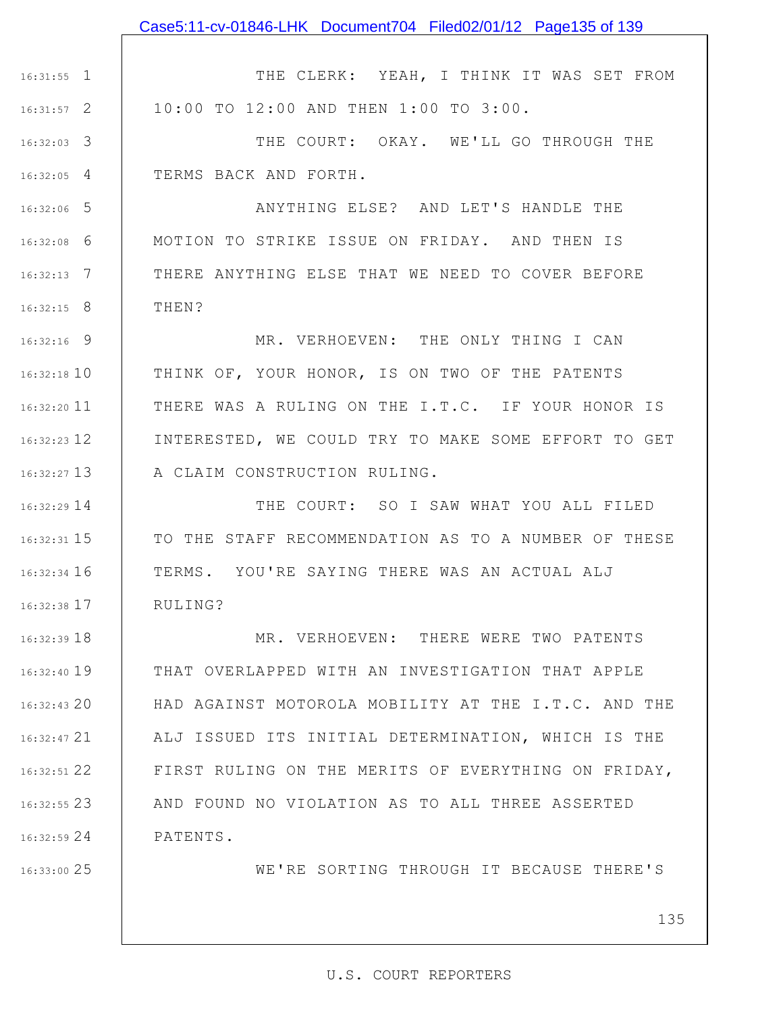1 16:31:55 2 16:31:57 THE CLERK: YEAH, I THINK IT WAS SET FROM 10:00 TO 12:00 AND THEN 1:00 TO 3:00.

3 16:32:03 4 16:32:05 THE COURT: OKAY. WE'LL GO THROUGH THE TERMS BACK AND FORTH.

5 16:32:06 6 16:32:08 7 16:32:13 8 16:32:15 ANYTHING ELSE? AND LET'S HANDLE THE MOTION TO STRIKE ISSUE ON FRIDAY. AND THEN IS THERE ANYTHING ELSE THAT WE NEED TO COVER BEFORE THEN?

9 16:32:16 10 16:32:18 16:32:20 11 16:32:23 12 13 16:32:27 MR. VERHOEVEN: THE ONLY THING I CAN THINK OF, YOUR HONOR, IS ON TWO OF THE PATENTS THERE WAS A RULING ON THE I.T.C. IF YOUR HONOR IS INTERESTED, WE COULD TRY TO MAKE SOME EFFORT TO GET A CLAIM CONSTRUCTION RULING.

14 16:32:29 15 16:32:31 16 16:32:34 17 16:32:38 THE COURT: SO I SAW WHAT YOU ALL FILED TO THE STAFF RECOMMENDATION AS TO A NUMBER OF THESE TERMS. YOU'RE SAYING THERE WAS AN ACTUAL ALJ RULING?

18 16:32:39 19 16:32:40 16:32:43 20 21 16:32:47 22 16:32:51 23 16:32:55 24 16:32:59 MR. VERHOEVEN: THERE WERE TWO PATENTS THAT OVERLAPPED WITH AN INVESTIGATION THAT APPLE HAD AGAINST MOTOROLA MOBILITY AT THE I.T.C. AND THE ALJ ISSUED ITS INITIAL DETERMINATION, WHICH IS THE FIRST RULING ON THE MERITS OF EVERYTHING ON FRIDAY, AND FOUND NO VIOLATION AS TO ALL THREE ASSERTED PATENTS.

25 16:33:00

WE'RE SORTING THROUGH IT BECAUSE THERE'S

135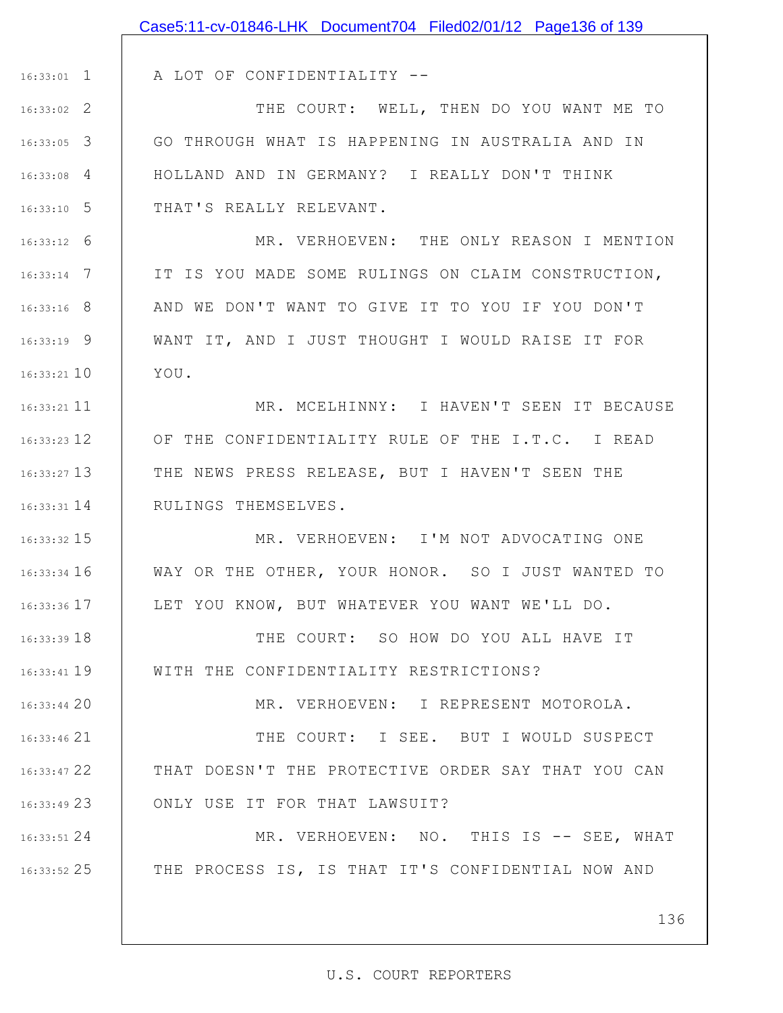|                              | Case5:11-cv-01846-LHK Document704 Filed02/01/12 Page136 of 139 |
|------------------------------|----------------------------------------------------------------|
|                              |                                                                |
| $16:33:01$ 1                 | A LOT OF CONFIDENTIALITY --                                    |
| $16:33:02$ 2                 | THE COURT: WELL, THEN DO YOU WANT ME TO                        |
| $16:33:05$ 3                 | GO THROUGH WHAT IS HAPPENING IN AUSTRALIA AND IN               |
| $16:33:08$ 4                 | HOLLAND AND IN GERMANY? I REALLY DON'T THINK                   |
| $16:33:10$ 5                 | THAT'S REALLY RELEVANT.                                        |
| $16:33:12$ 6                 | MR. VERHOEVEN: THE ONLY REASON I MENTION                       |
| $16:33:14$ 7                 | IT IS YOU MADE SOME RULINGS ON CLAIM CONSTRUCTION,             |
| $16:33:16$ 8                 | AND WE DON'T WANT TO GIVE IT TO YOU IF YOU DON'T               |
| $16:33:19$ 9                 | WANT IT, AND I JUST THOUGHT I WOULD RAISE IT FOR               |
| $16:33:21$ 10                | YOU.                                                           |
| $16:33:21$ 11                | MR. MCELHINNY: I HAVEN'T SEEN IT BECAUSE                       |
| 16:33:23 12                  | OF THE CONFIDENTIALITY RULE OF THE I.T.C. I READ               |
| $16:33:27$ 13                | THE NEWS PRESS RELEASE, BUT I HAVEN'T SEEN THE                 |
| $16:33:31$ $14$              | RULINGS THEMSELVES.                                            |
| $16:33:32$ 15                | MR. VERHOEVEN: I'M NOT ADVOCATING ONE                          |
| $16:33:34$ 16 $\blacksquare$ | WAY OR THE OTHER, YOUR HONOR. SO I JUST WANTED TO              |
| 16:33:36 17                  | LET YOU KNOW, BUT WHATEVER YOU WANT WE'LL DO.                  |
| 16:33:3918                   | THE COURT: SO HOW DO YOU ALL HAVE IT                           |
| $16:33:41$ 19                | WITH THE CONFIDENTIALITY RESTRICTIONS?                         |
| 16:33:44 20                  | MR. VERHOEVEN: I REPRESENT MOTOROLA.                           |
| $16:33:46$ 21                | THE COURT: I SEE. BUT I WOULD SUSPECT                          |
| 16:33:47 22                  | THAT DOESN'T THE PROTECTIVE ORDER SAY THAT YOU CAN             |
| 16:33:49 23                  | ONLY USE IT FOR THAT LAWSUIT?                                  |
| $16:33:51$ 24                | MR. VERHOEVEN: NO. THIS IS -- SEE, WHAT                        |
| $16:33:52$ 25                | THE PROCESS IS, IS THAT IT'S CONFIDENTIAL NOW AND              |
|                              |                                                                |
|                              | 136                                                            |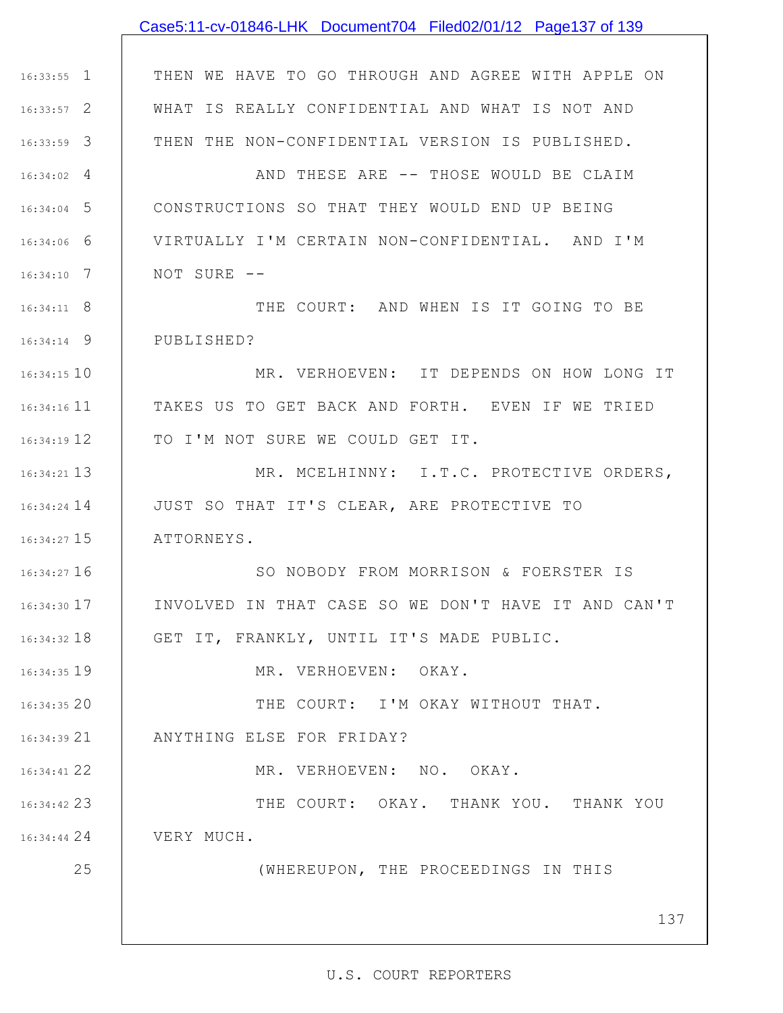|               | Case5:11-cv-01846-LHK Document704 Filed02/01/12 Page137 of 139 |
|---------------|----------------------------------------------------------------|
|               |                                                                |
| $16:33:55$ 1  | THEN WE HAVE TO GO THROUGH AND AGREE WITH APPLE ON             |
| $16:33:57$ 2  | WHAT IS REALLY CONFIDENTIAL AND WHAT IS NOT AND                |
| $16:33:59$ 3  | THEN THE NON-CONFIDENTIAL VERSION IS PUBLISHED.                |
| $16:34:02$ 4  | AND THESE ARE -- THOSE WOULD BE CLAIM                          |
| $16:34:04$ 5  | CONSTRUCTIONS SO THAT THEY WOULD END UP BEING                  |
| $16:34:06$ 6  | VIRTUALLY I'M CERTAIN NON-CONFIDENTIAL. AND I'M                |
| $16:34:10$ 7  | NOT SURE --                                                    |
| $16:34:11$ 8  | THE COURT: AND WHEN IS IT GOING TO BE                          |
| $16:34:14$ 9  | PUBLISHED?                                                     |
| $16:34:15$ 10 | MR. VERHOEVEN: IT DEPENDS ON HOW LONG IT                       |
| $16:34:16$ 11 | TAKES US TO GET BACK AND FORTH. EVEN IF WE TRIED               |
| $16:34:19$ 12 | TO I'M NOT SURE WE COULD GET IT.                               |
| 16:34:21 13   | MR. MCELHINNY: I.T.C. PROTECTIVE ORDERS,                       |
| $16:34:24$ 14 | JUST SO THAT IT'S CLEAR, ARE PROTECTIVE TO                     |
| 16:34:27 15   | ATTORNEYS.                                                     |
| 16:34:27 16   | SO NOBODY FROM MORRISON & FOERSTER IS                          |
| 16:34:30 17   | INVOLVED IN THAT CASE SO WE DON'T HAVE IT AND CAN'T            |
| $16:34:32$ 18 | GET IT, FRANKLY, UNTIL IT'S MADE PUBLIC.                       |
| 16:34:35 19   | MR. VERHOEVEN: OKAY.                                           |
| 16:34:35 20   | THE COURT: I'M OKAY WITHOUT THAT.                              |
| 16:34:39 21   | ANYTHING ELSE FOR FRIDAY?                                      |
| 16:34:41 22   | MR. VERHOEVEN: NO. OKAY.                                       |
| 16:34:42 23   | THE COURT: OKAY. THANK YOU. THANK YOU                          |
| $16:34:44$ 24 | VERY MUCH.                                                     |
| 25            | (WHEREUPON, THE PROCEEDINGS IN THIS                            |
|               | 137                                                            |
|               |                                                                |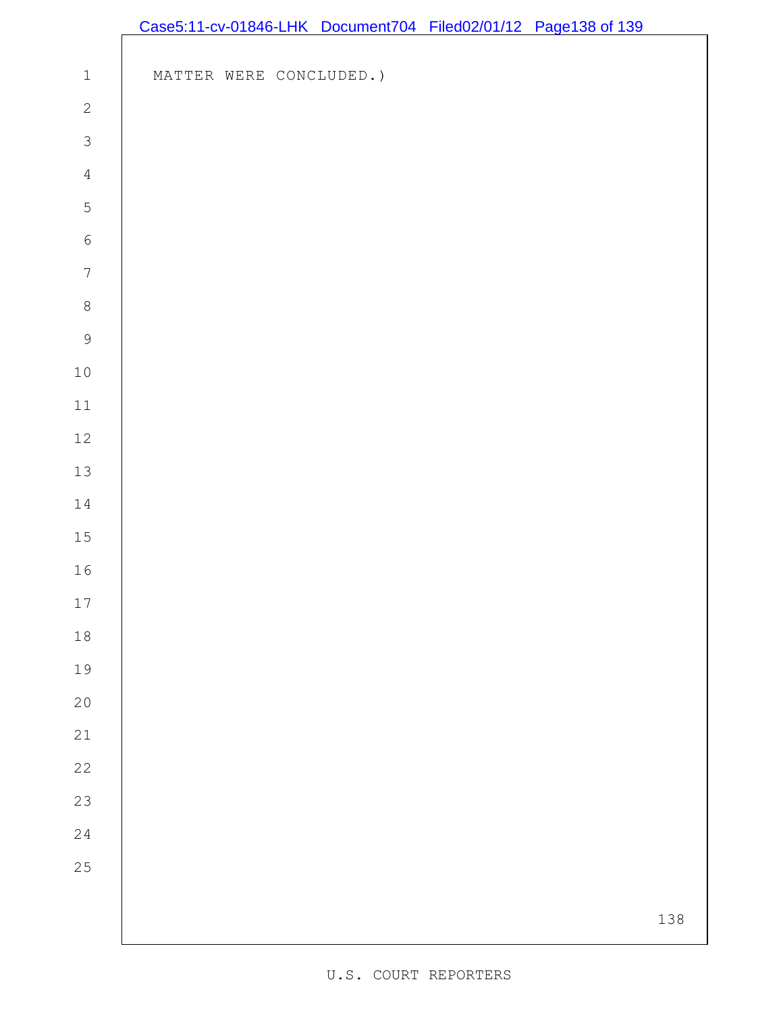|               |  |                         | Case5:11-cv-01846-LHK Document704 Filed02/01/12 Page138 of 139 |     |
|---------------|--|-------------------------|----------------------------------------------------------------|-----|
|               |  |                         |                                                                |     |
| $\,1\,$       |  | MATTER WERE CONCLUDED.) |                                                                |     |
| $\mathbf{2}$  |  |                         |                                                                |     |
| $\mathcal{S}$ |  |                         |                                                                |     |
| $\sqrt{4}$    |  |                         |                                                                |     |
| 5             |  |                         |                                                                |     |
| $\sqrt{6}$    |  |                         |                                                                |     |
| $\sqrt{ }$    |  |                         |                                                                |     |
| $\,8\,$       |  |                         |                                                                |     |
| 9             |  |                         |                                                                |     |
| $1\,0$        |  |                         |                                                                |     |
| $11\,$        |  |                         |                                                                |     |
| $12\,$        |  |                         |                                                                |     |
| $13$          |  |                         |                                                                |     |
| $14\,$        |  |                         |                                                                |     |
| $15\,$        |  |                         |                                                                |     |
| 16            |  |                         |                                                                |     |
| $17\,$        |  |                         |                                                                |     |
| $1\,8$        |  |                         |                                                                |     |
| 19            |  |                         |                                                                |     |
| $20$          |  |                         |                                                                |     |
| $2\sqrt{1}$   |  |                         |                                                                |     |
| 22            |  |                         |                                                                |     |
| 23            |  |                         |                                                                |     |
| 24            |  |                         |                                                                |     |
| 25            |  |                         |                                                                |     |
|               |  |                         |                                                                |     |
|               |  |                         |                                                                | 138 |